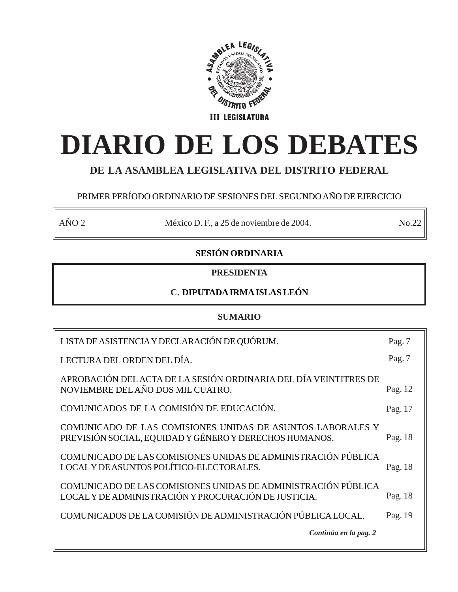

# **DIARIO DE LOS DEBATES**

# **DE LA ASAMBLEA LEGISLATIVA DEL DISTRITO FEDERAL**

# PRIMER PERÍODO ORDINARIO DE SESIONES DEL SEGUNDO AÑO DE EJERCICIO

AÑO 2 México D. F., a 25 de noviembre de 2004. No.22

# **SESIÓN ORDINARIA**

# **PRESIDENTA**

# **C. DIPUTADA IRMA ISLAS LEÓN**

# **SUMARIO**

| LISTA DE ASISTENCIA Y DECLARACIÓN DE QUÓRUM.                                                                          | Pag. 7  |
|-----------------------------------------------------------------------------------------------------------------------|---------|
| LECTURA DEL ORDEN DEL DÍA.                                                                                            | Pag. 7  |
| APROBACIÓN DEL ACTA DE LA SESIÓN ORDINARIA DEL DÍA VEINTITRES DE<br>NOVIEMBRE DEL AÑO DOS MIL CUATRO.                 | Pag. 12 |
| COMUNICADOS DE LA COMISIÓN DE EDUCACIÓN.                                                                              | Pag. 17 |
| COMUNICADO DE LAS COMISIONES UNIDAS DE ASUNTOS LABORALES Y<br>PREVISIÓN SOCIAL, EQUIDAD Y GÉNERO Y DERECHOS HUMANOS.  | Pag. 18 |
| COMUNICADO DE LAS COMISIONES UNIDAS DE ADMINISTRACIÓN PÚBLICA<br>LOCAL Y DE ASUNTOS POLÍTICO-ELECTORALES.             | Pag. 18 |
| COMUNICADO DE LAS COMISIONES UNIDAS DE ADMINISTRACIÓN PÚBLICA<br>LOCAL Y DE ADMINISTRACIÓN Y PROCURACIÓN DE JUSTICIA. | Pag. 18 |
| COMUNICADOS DE LA COMISIÓN DE ADMINISTRACIÓN PÚBLICA LOCAL.                                                           | Pag. 19 |
| Continúa en la pag. 2                                                                                                 |         |
|                                                                                                                       |         |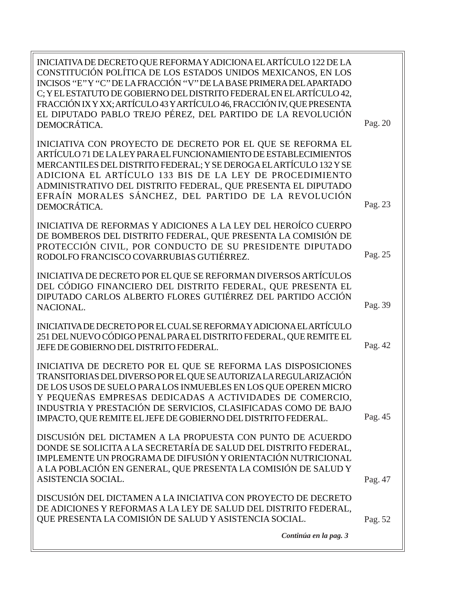| INICIATIVA DE DECRETO QUE REFORMA Y ADICIONA EL ARTÍCULO 122 DE LA<br>CONSTITUCIÓN POLÍTICA DE LOS ESTADOS UNIDOS MEXICANOS, EN LOS<br>INCISOS "E"Y "C" DE LA FRACCIÓN "V" DE LA BASE PRIMERA DEL APARTADO<br>C; Y EL ESTATUTO DE GOBIERNO DEL DISTRITO FEDERAL EN EL ARTÍCULO 42,<br>FRACCIÓN IX Y XX; ARTÍCULO 43 Y ARTÍCULO 46, FRACCIÓN IV, QUE PRESENTA<br>EL DIPUTADO PABLO TREJO PÉREZ, DEL PARTIDO DE LA REVOLUCIÓN<br>DEMOCRÁTICA. | Pag. 20 |
|---------------------------------------------------------------------------------------------------------------------------------------------------------------------------------------------------------------------------------------------------------------------------------------------------------------------------------------------------------------------------------------------------------------------------------------------|---------|
| INICIATIVA CON PROYECTO DE DECRETO POR EL QUE SE REFORMA EL<br>ARTÍCULO 71 DE LA LEY PARA EL FUNCIONAMIENTO DE ESTABLECIMIENTOS<br>MERCANTILES DEL DISTRITO FEDERAL; Y SE DEROGA EL ARTÍCULO 132 Y SE<br>ADICIONA EL ARTÍCULO 133 BIS DE LA LEY DE PROCEDIMIENTO<br>ADMINISTRATIVO DEL DISTRITO FEDERAL, QUE PRESENTA EL DIPUTADO<br>EFRAÍN MORALES SÁNCHEZ, DEL PARTIDO DE LA REVOLUCIÓN<br>DEMOCRÁTICA.                                   | Pag. 23 |
| INICIATIVA DE REFORMAS Y ADICIONES A LA LEY DEL HEROÍCO CUERPO<br>DE BOMBEROS DEL DISTRITO FEDERAL, QUE PRESENTA LA COMISIÓN DE<br>PROTECCIÓN CIVIL, POR CONDUCTO DE SU PRESIDENTE DIPUTADO<br>RODOLFO FRANCISCO COVARRUBIAS GUTIÉRREZ.                                                                                                                                                                                                     | Pag. 25 |
| INICIATIVA DE DECRETO POR EL QUE SE REFORMAN DIVERSOS ARTÍCULOS<br>DEL CÓDIGO FINANCIERO DEL DISTRITO FEDERAL, QUE PRESENTA EL<br>DIPUTADO CARLOS ALBERTO FLORES GUTIÉRREZ DEL PARTIDO ACCIÓN<br>NACIONAL.                                                                                                                                                                                                                                  | Pag. 39 |
| INICIATIVA DE DECRETO POR EL CUAL SE REFORMA Y ADICIONA EL ARTÍCULO<br>251 DEL NUEVO CÓDIGO PENAL PARA EL DISTRITO FEDERAL, QUE REMITE EL<br>JEFE DE GOBIERNO DEL DISTRITO FEDERAL.                                                                                                                                                                                                                                                         | Pag. 42 |
| INICIATIVA DE DECRETO POR EL QUE SE REFORMA LAS DISPOSICIONES<br>TRANSITORIAS DEL DIVERSO POR EL QUE SE AUTORIZA LA REGULARIZACIÓN<br>DE LOS USOS DE SUELO PARA LOS INMUEBLES EN LOS QUE OPEREN MICRO<br>Y PEQUEÑAS EMPRESAS DEDICADAS A ACTIVIDADES DE COMERCIO,<br>INDUSTRIA Y PRESTACIÓN DE SERVICIOS, CLASIFICADAS COMO DE BAJO<br>IMPACTO, QUE REMITE EL JEFE DE GOBIERNO DEL DISTRITO FEDERAL.                                        | Pag. 45 |
| DISCUSIÓN DEL DICTAMEN A LA PROPUESTA CON PUNTO DE ACUERDO<br>DONDE SE SOLICITA A LA SECRETARÍA DE SALUD DEL DISTRITO FEDERAL,<br>IMPLEMENTE UN PROGRAMA DE DIFUSIÓN Y ORIENTACIÓN NUTRICIONAL<br>A LA POBLACIÓN EN GENERAL, QUE PRESENTA LA COMISIÓN DE SALUD Y<br>ASISTENCIA SOCIAL.                                                                                                                                                      | Pag. 47 |
| DISCUSIÓN DEL DICTAMEN A LA INICIATIVA CON PROYECTO DE DECRETO<br>DE ADICIONES Y REFORMAS A LA LEY DE SALUD DEL DISTRITO FEDERAL,<br>QUE PRESENTA LA COMISIÓN DE SALUD Y ASISTENCIA SOCIAL.                                                                                                                                                                                                                                                 | Pag. 52 |
| Continúa en la pag. 3                                                                                                                                                                                                                                                                                                                                                                                                                       |         |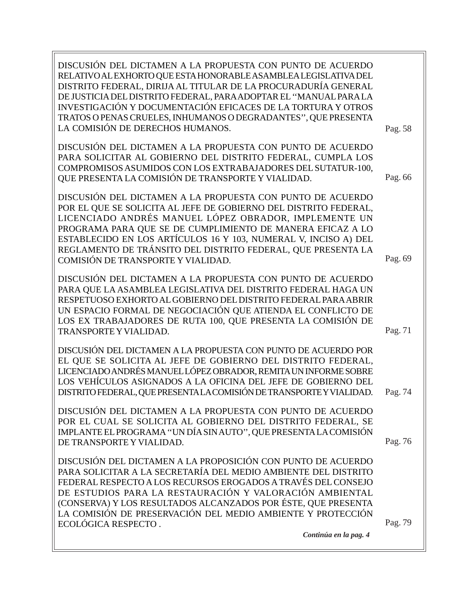DISCUSIÓN DEL DICTAMEN A LA PROPUESTA CON PUNTO DE ACUERDO RELATIVO AL EXHORTO QUE ESTA HONORABLE ASAMBLEA LEGISLATIVA DEL DISTRITO FEDERAL, DIRIJA AL TITULAR DE LA PROCURADURÍA GENERAL DE JUSTICIA DEL DISTRITO FEDERAL, PARA ADOPTAR EL ''MANUAL PARA LA INVESTIGACIÓN Y DOCUMENTACIÓN EFICACES DE LA TORTURA Y OTROS TRATOS O PENAS CRUELES, INHUMANOS O DEGRADANTES'', QUE PRESENTA LA COMISIÓN DE DERECHOS HUMANOS. DISCUSIÓN DEL DICTAMEN A LA PROPUESTA CON PUNTO DE ACUERDO PARA SOLICITAR AL GOBIERNO DEL DISTRITO FEDERAL, CUMPLA LOS COMPROMISOS ASUMIDOS CON LOS EXTRABAJADORES DEL SUTATUR-100, QUE PRESENTA LA COMISIÓN DE TRANSPORTE Y VIALIDAD. DISCUSIÓN DEL DICTAMEN A LA PROPUESTA CON PUNTO DE ACUERDO POR EL QUE SE SOLICITA AL JEFE DE GOBIERNO DEL DISTRITO FEDERAL, LICENCIADO ANDRÉS MANUEL LÓPEZ OBRADOR, IMPLEMENTE UN PROGRAMA PARA QUE SE DE CUMPLIMIENTO DE MANERA EFICAZ A LO ESTABLECIDO EN LOS ARTÍCULOS 16 Y 103, NUMERAL V, INCISO A) DEL REGLAMENTO DE TRÁNSITO DEL DISTRITO FEDERAL, QUE PRESENTA LA COMISIÓN DE TRANSPORTE Y VIALIDAD. DISCUSIÓN DEL DICTAMEN A LA PROPUESTA CON PUNTO DE ACUERDO PARA QUE LA ASAMBLEA LEGISLATIVA DEL DISTRITO FEDERAL HAGA UN RESPETUOSO EXHORTO AL GOBIERNO DEL DISTRITO FEDERAL PARA ABRIR UN ESPACIO FORMAL DE NEGOCIACIÓN QUE ATIENDA EL CONFLICTO DE LOS EX TRABAJADORES DE RUTA 100, QUE PRESENTA LA COMISIÓN DE TRANSPORTE Y VIALIDAD. DISCUSIÓN DEL DICTAMEN A LA PROPUESTA CON PUNTO DE ACUERDO POR EL QUE SE SOLICITA AL JEFE DE GOBIERNO DEL DISTRITO FEDERAL, LICENCIADO ANDRÉS MANUEL LÓPEZ OBRADOR, REMITA UN INFORME SOBRE LOS VEHÍCULOS ASIGNADOS A LA OFICINA DEL JEFE DE GOBIERNO DEL DISTRITO FEDERAL, QUE PRESENTA LA COMISIÓN DE TRANSPORTE Y VIALIDAD. DISCUSIÓN DEL DICTAMEN A LA PROPUESTA CON PUNTO DE ACUERDO POR EL CUAL SE SOLICITA AL GOBIERNO DEL DISTRITO FEDERAL, SE IMPLANTE EL PROGRAMA ''UN DÍA SIN AUTO'', QUE PRESENTA LA COMISIÓN DE TRANSPORTE Y VIALIDAD. DISCUSIÓN DEL DICTAMEN A LA PROPOSICIÓN CON PUNTO DE ACUERDO PARA SOLICITAR A LA SECRETARÍA DEL MEDIO AMBIENTE DEL DISTRITO FEDERAL RESPECTO A LOS RECURSOS EROGADOS A TRAVÉS DEL CONSEJO DE ESTUDIOS PARA LA RESTAURACIÓN Y VALORACIÓN AMBIENTAL (CONSERVA) Y LOS RESULTADOS ALCANZADOS POR ÉSTE, QUE PRESENTA LA COMISIÓN DE PRESERVACIÓN DEL MEDIO AMBIENTE Y PROTECCIÓN ECOLÓGICA RESPECTO . Pag. 58 Pag. 66 Pag. 69 *Continúa en la pag. 4* Pag. 71 Pag. 74 Pag. 76 Pag. 79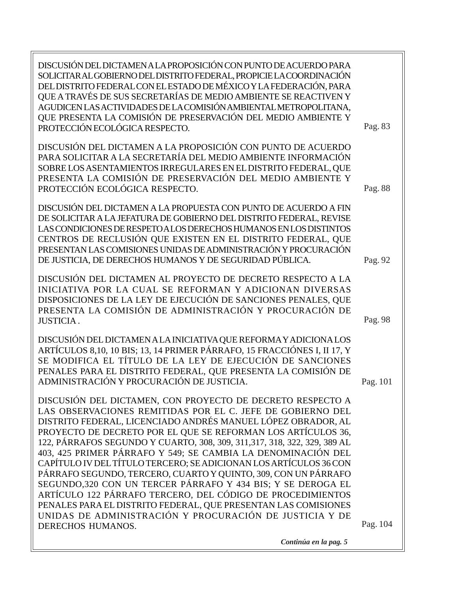Pag. 83 DISCUSIÓN DEL DICTAMEN A LA PROPOSICIÓN CON PUNTO DE ACUERDO PARA SOLICITAR AL GOBIERNO DEL DISTRITO FEDERAL, PROPICIE LA COORDINACIÓN DEL DISTRITO FEDERAL CON EL ESTADO DE MÉXICO Y LA FEDERACIÓN, PARA QUE A TRAVÉS DE SUS SECRETARÍAS DE MEDIO AMBIENTE SE REACTIVEN Y AGUDICEN LAS ACTIVIDADES DE LA COMISIÓN AMBIENTAL METROPOLITANA, QUE PRESENTA LA COMISIÓN DE PRESERVACIÓN DEL MEDIO AMBIENTE Y PROTECCIÓN ECOLÓGICA RESPECTO. DISCUSIÓN DEL DICTAMEN A LA PROPOSICIÓN CON PUNTO DE ACUERDO PARA SOLICITAR A LA SECRETARÍA DEL MEDIO AMBIENTE INFORMACIÓN SOBRE LOS ASENTAMIENTOS IRREGULARES EN EL DISTRITO FEDERAL, QUE PRESENTA LA COMISIÓN DE PRESERVACIÓN DEL MEDIO AMBIENTE Y PROTECCIÓN ECOLÓGICA RESPECTO. DISCUSIÓN DEL DICTAMEN A LA PROPUESTA CON PUNTO DE ACUERDO A FIN DE SOLICITAR A LA JEFATURA DE GOBIERNO DEL DISTRITO FEDERAL, REVISE LAS CONDICIONES DE RESPETO A LOS DERECHOS HUMANOS EN LOS DISTINTOS CENTROS DE RECLUSIÓN QUE EXISTEN EN EL DISTRITO FEDERAL, QUE PRESENTAN LAS COMISIONES UNIDAS DE ADMINISTRACIÓN Y PROCURACIÓN DE JUSTICIA, DE DERECHOS HUMANOS Y DE SEGURIDAD PÚBLICA. DISCUSIÓN DEL DICTAMEN AL PROYECTO DE DECRETO RESPECTO A LA INICIATIVA POR LA CUAL SE REFORMAN Y ADICIONAN DIVERSAS DISPOSICIONES DE LA LEY DE EJECUCIÓN DE SANCIONES PENALES, QUE PRESENTA LA COMISIÓN DE ADMINISTRACIÓN Y PROCURACIÓN DE JUSTICIA . DISCUSIÓN DEL DICTAMEN A LA INICIATIVA QUE REFORMA Y ADICIONA LOS ARTÍCULOS 8,10, 10 BIS; 13, 14 PRIMER PÁRRAFO, 15 FRACCIÓNES I, II 17, Y SE MODIFICA EL TÍTULO DE LA LEY DE EJECUCIÓN DE SANCIONES PENALES PARA EL DISTRITO FEDERAL, QUE PRESENTA LA COMISIÓN DE ADMINISTRACIÓN Y PROCURACIÓN DE JUSTICIA. DISCUSIÓN DEL DICTAMEN, CON PROYECTO DE DECRETO RESPECTO A LAS OBSERVACIONES REMITIDAS POR EL C. JEFE DE GOBIERNO DEL DISTRITO FEDERAL, LICENCIADO ANDRÉS MANUEL LÓPEZ OBRADOR, AL PROYECTO DE DECRETO POR EL QUE SE REFORMAN LOS ARTÍCULOS 36, 122, PÁRRAFOS SEGUNDO Y CUARTO, 308, 309, 311,317, 318, 322, 329, 389 AL 403, 425 PRIMER PÁRRAFO Y 549; SE CAMBIA LA DENOMINACIÓN DEL CAPÍTULO IV DEL TÍTULO TERCERO; SE ADICIONAN LOS ARTÍCULOS 36 CON PÁRRAFO SEGUNDO, TERCERO, CUARTO Y QUINTO, 309, CON UN PÁRRAFO SEGUNDO,320 CON UN TERCER PÁRRAFO Y 434 BIS; Y SE DEROGA EL ARTÍCULO 122 PÁRRAFO TERCERO, DEL CÓDIGO DE PROCEDIMIENTOS PENALES PARA EL DISTRITO FEDERAL, QUE PRESENTAN LAS COMISIONES UNIDAS DE ADMINISTRACIÓN Y PROCURACIÓN DE JUSTICIA Y DE DERECHOS HUMANOS. Pag. 104 Pag. 88 Pag. 98 Pag. 92 Pag. 101

*Continúa en la pag. 5*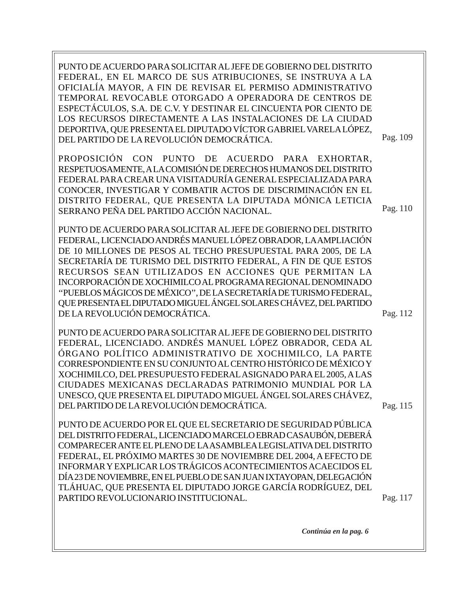PUNTO DE ACUERDO PARA SOLICITAR AL JEFE DE GOBIERNO DEL DISTRITO FEDERAL, EN EL MARCO DE SUS ATRIBUCIONES, SE INSTRUYA A LA OFICIALÍA MAYOR, A FIN DE REVISAR EL PERMISO ADMINISTRATIVO TEMPORAL REVOCABLE OTORGADO A OPERADORA DE CENTROS DE ESPECTÁCULOS, S.A. DE C.V. Y DESTINAR EL CINCUENTA POR CIENTO DE LOS RECURSOS DIRECTAMENTE A LAS INSTALACIONES DE LA CIUDAD DEPORTIVA, QUE PRESENTA EL DIPUTADO VÍCTOR GABRIEL VARELA LÓPEZ, DEL PARTIDO DE LA REVOLUCIÓN DEMOCRÁTICA. PROPOSICIÓN CON PUNTO DE ACUERDO PARA EXHORTAR, RESPETUOSAMENTE, A LA COMISIÓN DE DERECHOS HUMANOS DEL DISTRITO FEDERAL PARA CREAR UNA VISITADURÍA GENERAL ESPECIALIZADA PARA CONOCER, INVESTIGAR Y COMBATIR ACTOS DE DISCRIMINACIÓN EN EL DISTRITO FEDERAL, QUE PRESENTA LA DIPUTADA MÓNICA LETICIA SERRANO PEÑA DEL PARTIDO ACCIÓN NACIONAL. PUNTO DE ACUERDO PARA SOLICITAR AL JEFE DE GOBIERNO DEL DISTRITO Pag. 109 Pag. 110

FEDERAL, LICENCIADO ANDRÉS MANUEL LÓPEZ OBRADOR, LA AMPLIACIÓN DE 10 MILLONES DE PESOS AL TECHO PRESUPUESTAL PARA 2005, DE LA SECRETARÍA DE TURISMO DEL DISTRITO FEDERAL, A FIN DE QUE ESTOS RECURSOS SEAN UTILIZADOS EN ACCIONES QUE PERMITAN LA INCORPORACIÓN DE XOCHIMILCO AL PROGRAMA REGIONAL DENOMINADO ''PUEBLOS MÁGICOS DE MÉXICO'', DE LA SECRETARÍA DE TURISMO FEDERAL, QUE PRESENTA EL DIPUTADO MIGUEL ÁNGEL SOLARES CHÁVEZ, DEL PARTIDO DE LA REVOLUCIÓN DEMOCRÁTICA.

PUNTO DE ACUERDO PARA SOLICITAR AL JEFE DE GOBIERNO DEL DISTRITO FEDERAL, LICENCIADO. ANDRÉS MANUEL LÓPEZ OBRADOR, CEDA AL ÓRGANO POLÍTICO ADMINISTRATIVO DE XOCHIMILCO, LA PARTE CORRESPONDIENTE EN SU CONJUNTO AL CENTRO HISTÓRICO DE MÉXICO Y XOCHIMILCO, DEL PRESUPUESTO FEDERAL ASIGNADO PARA EL 2005, A LAS CIUDADES MEXICANAS DECLARADAS PATRIMONIO MUNDIAL POR LA UNESCO, QUE PRESENTA EL DIPUTADO MIGUEL ÁNGEL SOLARES CHÁVEZ, DEL PARTIDO DE LA REVOLUCIÓN DEMOCRÁTICA.

PUNTO DE ACUERDO POR EL QUE EL SECRETARIO DE SEGURIDAD PÚBLICA DEL DISTRITO FEDERAL, LICENCIADO MARCELO EBRAD CASAUBÓN, DEBERÁ COMPARECER ANTE EL PLENO DE LA ASAMBLEA LEGISLATIVA DEL DISTRITO FEDERAL, EL PRÓXIMO MARTES 30 DE NOVIEMBRE DEL 2004, A EFECTO DE INFORMAR Y EXPLICAR LOS TRÁGICOS ACONTECIMIENTOS ACAECIDOS EL DÍA 23 DE NOVIEMBRE, EN EL PUEBLO DE SAN JUAN IXTAYOPAN, DELEGACIÓN TLÁHUAC, QUE PRESENTA EL DIPUTADO JORGE GARCÍA RODRÍGUEZ, DEL PARTIDO REVOLUCIONARIO INSTITUCIONAL.

Pag. 117

Pag. 115

Pag. 112

*Continúa en la pag. 6*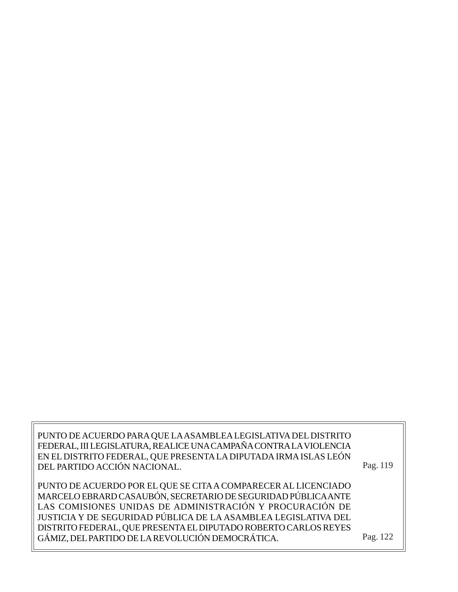PUNTO DE ACUERDO PARA QUE LA ASAMBLEA LEGISLATIVA DEL DISTRITO FEDERAL, III LEGISLATURA, REALICE UNA CAMPAÑA CONTRA LA VIOLENCIA EN EL DISTRITO FEDERAL, QUE PRESENTA LA DIPUTADA IRMA ISLAS LEÓN DEL PARTIDO ACCIÓN NACIONAL.

Pag. 119

PUNTO DE ACUERDO POR EL QUE SE CITA A COMPARECER AL LICENCIADO MARCELO EBRARD CASAUBÓN, SECRETARIO DE SEGURIDAD PÚBLICA ANTE LAS COMISIONES UNIDAS DE ADMINISTRACIÓN Y PROCURACIÓN DE JUSTICIA Y DE SEGURIDAD PÚBLICA DE LA ASAMBLEA LEGISLATIVA DEL DISTRITO FEDERAL, QUE PRESENTA EL DIPUTADO ROBERTO CARLOS REYES GÁMIZ, DEL PARTIDO DE LA REVOLUCIÓN DEMOCRÁTICA.

Pag. 122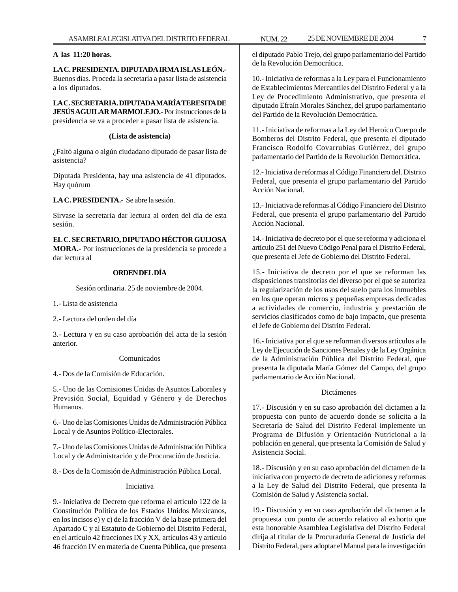# **A las 11:20 horas.**

# **LA C. PRESIDENTA. DIPUTADA IRMA ISLAS LEÓN.-** Buenos días. Proceda la secretaría a pasar lista de asistencia a los diputados.

**LA C. SECRETARIA. DIPUTADA MARÍA TERESITA DE JESÚS AGUILAR MARMOLEJO.-** Por instrucciones de la presidencia se va a proceder a pasar lista de asistencia.

# **(Lista de asistencia)**

¿Faltó alguna o algún ciudadano diputado de pasar lista de asistencia?

Diputada Presidenta, hay una asistencia de 41 diputados. Hay quórum

**LA C. PRESIDENTA.-** Se abre la sesión.

Sírvase la secretaría dar lectura al orden del día de esta sesión.

**EL C. SECRETARIO, DIPUTADO HÉCTOR GUIJOSA MORA.-** Por instrucciones de la presidencia se procede a dar lectura al

# **ORDEN DEL DÍA**

Sesión ordinaria. 25 de noviembre de 2004.

1.- Lista de asistencia

2.- Lectura del orden del día

3.- Lectura y en su caso aprobación del acta de la sesión anterior.

#### Comunicados

4.- Dos de la Comisión de Educación.

5.- Uno de las Comisiones Unidas de Asuntos Laborales y Previsión Social, Equidad y Género y de Derechos Humanos.

6.- Uno de las Comisiones Unidas de Administración Pública Local y de Asuntos Político-Electorales.

7.- Uno de las Comisiones Unidas de Administración Pública Local y de Administración y de Procuración de Justicia.

8.- Dos de la Comisión de Administración Pública Local.

# Iniciativa

9.- Iniciativa de Decreto que reforma el artículo 122 de la Constitución Política de los Estados Unidos Mexicanos, en los incisos e) y c) de la fracción V de la base primera del Apartado C y al Estatuto de Gobierno del Distrito Federal, en el artículo 42 fracciones IX y XX, artículos 43 y artículo 46 fracción IV en materia de Cuenta Pública, que presenta

el diputado Pablo Trejo, del grupo parlamentario del Partido de la Revolución Democrática.

10.- Iniciativa de reformas a la Ley para el Funcionamiento de Establecimientos Mercantiles del Distrito Federal y a la Ley de Procedimiento Administrativo, que presenta el diputado Efraín Morales Sánchez, del grupo parlamentario del Partido de la Revolución Democrática.

11.- Iniciativa de reformas a la Ley del Heroico Cuerpo de Bomberos del Distrito Federal, que presenta el diputado Francisco Rodolfo Covarrubias Gutiérrez, del grupo parlamentario del Partido de la Revolución Democrática.

12.- Iniciativa de reformas al Código Financiero del. Distrito Federal, que presenta el grupo parlamentario del Partido Acción Nacional.

13.- Iniciativa de reformas al Código Financiero del Distrito Federal, que presenta el grupo parlamentario del Partido Acción Nacional.

14.- Iniciativa de decreto por el que se reforma y adiciona el artículo 251 del Nuevo Código Penal para el Distrito Federal, que presenta el Jefe de Gobierno del Distrito Federal.

15.- Iniciativa de decreto por el que se reforman las disposiciones transitorias del diverso por el que se autoriza la regularización de los usos del suelo para los inmuebles en los que operan micros y pequeñas empresas dedicadas a actividades de comercio, industria y prestación de servicios clasificados como de bajo impacto, que presenta el Jefe de Gobierno del Distrito Federal.

16.- Iniciativa por el que se reforman diversos artículos a la Ley de Ejecución de Sanciones Penales y de la Ley Orgánica de la Administración Pública del Distrito Federal, que presenta la diputada María Gómez del Campo, del grupo parlamentario de Acción Nacional.

#### Dictámenes

17.- Discusión y en su caso aprobación del dictamen a la propuesta con punto de acuerdo donde se solicita a la Secretaría de Salud del Distrito Federal implemente un Programa de Difusión y Orientación Nutricional a la población en general, que presenta la Comisión de Salud y Asistencia Social.

18.- Discusión y en su caso aprobación del dictamen de la iniciativa con proyecto de decreto de adiciones y reformas a la Ley de Salud del Distrito Federal, que presenta la Comisión de Salud y Asistencia social.

19.- Discusión y en su caso aprobación del dictamen a la propuesta con punto de acuerdo relativo al exhorto que esta honorable Asamblea Legislativa del Distrito Federal dirija al titular de la Procuraduría General de Justicia del Distrito Federal, para adoptar el Manual para la investigación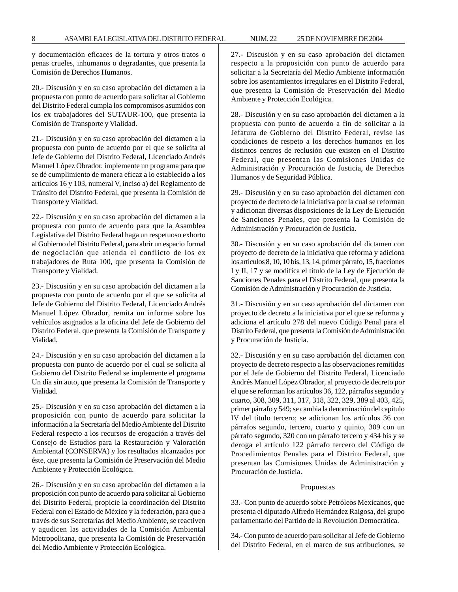y documentación eficaces de la tortura y otros tratos o penas crueles, inhumanos o degradantes, que presenta la Comisión de Derechos Humanos.

20.- Discusión y en su caso aprobación del dictamen a la propuesta con punto de acuerdo para solicitar al Gobierno del Distrito Federal cumpla los compromisos asumidos con los ex trabajadores del SUTAUR-100, que presenta la Comisión de Transporte y Vialidad.

21.- Discusión y en su caso aprobación del dictamen a la propuesta con punto de acuerdo por el que se solicita al Jefe de Gobierno del Distrito Federal, Licenciado Andrés Manuel López Obrador, implemente un programa para que se dé cumplimiento de manera eficaz a lo establecido a los artículos 16 y 103, numeral V, inciso a) del Reglamento de Tránsito del Distrito Federal, que presenta la Comisión de Transporte y Vialidad.

22.- Discusión y en su caso aprobación del dictamen a la propuesta con punto de acuerdo para que la Asamblea Legislativa del Distrito Federal haga un respetuoso exhorto al Gobierno del Distrito Federal, para abrir un espacio formal de negociación que atienda el conflicto de los ex trabajadores de Ruta 100, que presenta la Comisión de Transporte y Vialidad.

23.- Discusión y en su caso aprobación del dictamen a la propuesta con punto de acuerdo por el que se solicita al Jefe de Gobierno del Distrito Federal, Licenciado Andrés Manuel López Obrador, remita un informe sobre los vehículos asignados a la oficina del Jefe de Gobierno del Distrito Federal, que presenta la Comisión de Transporte y Vialidad.

24.- Discusión y en su caso aprobación del dictamen a la propuesta con punto de acuerdo por el cual se solicita al Gobierno del Distrito Federal se implemente el programa Un día sin auto, que presenta la Comisión de Transporte y Vialidad.

25.- Discusión y en su caso aprobación del dictamen a la proposición con punto de acuerdo para solicitar la información a la Secretaría del Medio Ambiente del Distrito Federal respecto a los recursos de erogación a través del Consejo de Estudios para la Restauración y Valoración Ambiental (CONSERVA) y los resultados alcanzados por éste, que presenta la Comisión de Preservación del Medio Ambiente y Protección Ecológica.

26.- Discusión y en su caso aprobación del dictamen a la proposición con punto de acuerdo para solicitar al Gobierno del Distrito Federal, propicie la coordinación del Distrito Federal con el Estado de México y la federación, para que a través de sus Secretarías del Medio Ambiente, se reactiven y agudicen las actividades de la Comisión Ambiental Metropolitana, que presenta la Comisión de Preservación del Medio Ambiente y Protección Ecológica.

27.- Discusión y en su caso aprobación del dictamen respecto a la proposición con punto de acuerdo para solicitar a la Secretaría del Medio Ambiente información sobre los asentamientos irregulares en el Distrito Federal, que presenta la Comisión de Preservación del Medio Ambiente y Protección Ecológica.

28.- Discusión y en su caso aprobación del dictamen a la propuesta con punto de acuerdo a fin de solicitar a la Jefatura de Gobierno del Distrito Federal, revise las condiciones de respeto a los derechos humanos en los distintos centros de reclusión que existen en el Distrito Federal, que presentan las Comisiones Unidas de Administración y Procuración de Justicia, de Derechos Humanos y de Seguridad Pública.

29.- Discusión y en su caso aprobación del dictamen con proyecto de decreto de la iniciativa por la cual se reforman y adicionan diversas disposiciones de la Ley de Ejecución de Sanciones Penales, que presenta la Comisión de Administración y Procuración de Justicia.

30.- Discusión y en su caso aprobación del dictamen con proyecto de decreto de la iniciativa que reforma y adiciona los artículos 8, 10, 10 bis, 13, 14, primer párrafo, 15, fracciones I y II, 17 y se modifica el título de la Ley de Ejecución de Sanciones Penales para el Distrito Federal, que presenta la Comisión de Administración y Procuración de Justicia.

31.- Discusión y en su caso aprobación del dictamen con proyecto de decreto a la iniciativa por el que se reforma y adiciona el artículo 278 del nuevo Código Penal para el Distrito Federal, que presenta la Comisión de Administración y Procuración de Justicia.

32.- Discusión y en su caso aprobación del dictamen con proyecto de decreto respecto a las observaciones remitidas por el Jefe de Gobierno del Distrito Federal, Licenciado Andrés Manuel López Obrador, al proyecto de decreto por el que se reforman los artículos 36, 122, párrafos segundo y cuarto, 308, 309, 311, 317, 318, 322, 329, 389 al 403, 425, primer párrafo y 549; se cambia la denominación del capítulo IV del título tercero; se adicionan los artículos 36 con párrafos segundo, tercero, cuarto y quinto, 309 con un párrafo segundo, 320 con un párrafo tercero y 434 bis y se deroga el artículo 122 párrafo tercero del Código de Procedimientos Penales para el Distrito Federal, que presentan las Comisiones Unidas de Administración y Procuración de Justicia.

#### Propuestas

33.- Con punto de acuerdo sobre Petróleos Mexicanos, que presenta el diputado Alfredo Hernández Raigosa, del grupo parlamentario del Partido de la Revolución Democrática.

34.- Con punto de acuerdo para solicitar al Jefe de Gobierno del Distrito Federal, en el marco de sus atribuciones, se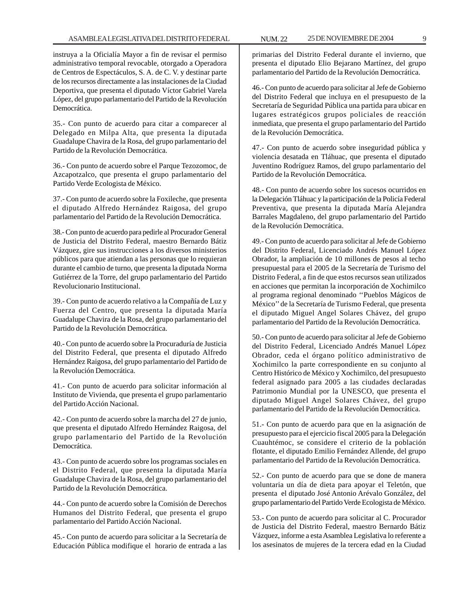instruya a la Oficialía Mayor a fin de revisar el permiso administrativo temporal revocable, otorgado a Operadora de Centros de Espectáculos, S. A. de C. V. y destinar parte de los recursos directamente a las instalaciones de la Ciudad Deportiva, que presenta el diputado Víctor Gabriel Varela López, del grupo parlamentario del Partido de la Revolución Democrática.

35.- Con punto de acuerdo para citar a comparecer al Delegado en Milpa Alta, que presenta la diputada Guadalupe Chavira de la Rosa, del grupo parlamentario del Partido de la Revolución Democrática.

36.- Con punto de acuerdo sobre el Parque Tezozomoc, de Azcapotzalco, que presenta el grupo parlamentario del Partido Verde Ecologista de México.

37.- Con punto de acuerdo sobre la Foxileche, que presenta el diputado Alfredo Hernández Raigosa, del grupo parlamentario del Partido de la Revolución Democrática.

38.- Con punto de acuerdo para pedirle al Procurador General de Justicia del Distrito Federal, maestro Bernardo Bátiz Vázquez, gire sus instrucciones a los diversos ministerios públicos para que atiendan a las personas que lo requieran durante el cambio de turno, que presenta la diputada Norma Gutiérrez de la Torre, del grupo parlamentario del Partido Revolucionario Institucional.

39.- Con punto de acuerdo relativo a la Compañía de Luz y Fuerza del Centro, que presenta la diputada María Guadalupe Chavira de la Rosa, del grupo parlamentario del Partido de la Revolución Democrática.

40.- Con punto de acuerdo sobre la Procuraduría de Justicia del Distrito Federal, que presenta el diputado Alfredo Hernández Raigosa, del grupo parlamentario del Partido de la Revolución Democrática.

41.- Con punto de acuerdo para solicitar información al Instituto de Vivienda, que presenta el grupo parlamentario del Partido Acción Nacional.

42.- Con punto de acuerdo sobre la marcha del 27 de junio, que presenta el diputado Alfredo Hernández Raigosa, del grupo parlamentario del Partido de la Revolución Democrática.

43.- Con punto de acuerdo sobre los programas sociales en el Distrito Federal, que presenta la diputada María Guadalupe Chavira de la Rosa, del grupo parlamentario del Partido de la Revolución Democrática.

44.- Con punto de acuerdo sobre la Comisión de Derechos Humanos del Distrito Federal, que presenta el grupo parlamentario del Partido Acción Nacional.

45.- Con punto de acuerdo para solicitar a la Secretaría de Educación Pública modifique el horario de entrada a las

primarias del Distrito Federal durante el invierno, que presenta el diputado Elio Bejarano Martínez, del grupo parlamentario del Partido de la Revolución Democrática.

46.- Con punto de acuerdo para solicitar al Jefe de Gobierno del Distrito Federal que incluya en el presupuesto de la Secretaría de Seguridad Pública una partida para ubicar en lugares estratégicos grupos policiales de reacción inmediata, que presenta el grupo parlamentario del Partido de la Revolución Democrática.

47.- Con punto de acuerdo sobre inseguridad pública y violencia desatada en Tláhuac, que presenta el diputado Juventino Rodríguez Ramos, del grupo parlamentario del Partido de la Revolución Democrática.

48.- Con punto de acuerdo sobre los sucesos ocurridos en la Delegación Tláhuac y la participación de la Policía Federal Preventiva, que presenta la diputada María Alejandra Barrales Magdaleno, del grupo parlamentario del Partido de la Revolución Democrática.

49.- Con punto de acuerdo para solicitar al Jefe de Gobierno del Distrito Federal, Licenciado Andrés Manuel López Obrador, la ampliación de 10 millones de pesos al techo presupuestal para el 2005 de la Secretaría de Turismo del Distrito Federal, a fin de que estos recursos sean utilizados en acciones que permitan la incorporación de Xochimilco al programa regional denominado ''Pueblos Mágicos de México'' de la Secretaría de Turismo Federal, que presenta el diputado Miguel Angel Solares Chávez, del grupo parlamentario del Partido de la Revolución Democrática.

50.- Con punto de acuerdo para solicitar al Jefe de Gobierno del Distrito Federal, Licenciado Andrés Manuel López Obrador, ceda el órgano político administrativo de Xochimilco la parte correspondiente en su conjunto al Centro Histórico de México y Xochimilco, del presupuesto federal asignado para 2005 a las ciudades declaradas Patrimonio Mundial por la UNESCO, que presenta el diputado Miguel Angel Solares Chávez, del grupo parlamentario del Partido de la Revolución Democrática.

51.- Con punto de acuerdo para que en la asignación de presupuesto para el ejercicio fiscal 2005 para la Delegación Cuauhtémoc, se considere el criterio de la población flotante, el diputado Emilio Fernández Allende, del grupo parlamentario del Partido de la Revolución Democrática.

52.- Con punto de acuerdo para que se done de manera voluntaria un día de dieta para apoyar el Teletón, que presenta el diputado José Antonio Arévalo González, del grupo parlamentario del Partido Verde Ecologista de México.

53.- Con punto de acuerdo para solicitar al C. Procurador de Justicia del Distrito Federal, maestro Bernardo Bátiz Vázquez, informe a esta Asamblea Legislativa lo referente a los asesinatos de mujeres de la tercera edad en la Ciudad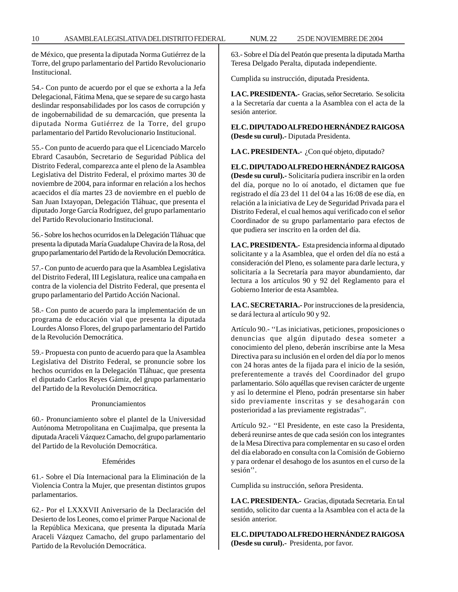10 ASAMBLEA LEGISLATIVA DEL DISTRITO FEDERAL NUM. 22 25 DE NOVIEMBRE DE 2004

de México, que presenta la diputada Norma Gutiérrez de la Torre, del grupo parlamentario del Partido Revolucionario Institucional.

54.- Con punto de acuerdo por el que se exhorta a la Jefa Delegacional, Fátima Mena, que se separe de su cargo hasta deslindar responsabilidades por los casos de corrupción y de ingobernabilidad de su demarcación, que presenta la diputada Norma Gutiérrez de la Torre, del grupo parlamentario del Partido Revolucionario Institucional.

55.- Con punto de acuerdo para que el Licenciado Marcelo Ebrard Casaubón, Secretario de Seguridad Pública del Distrito Federal, comparezca ante el pleno de la Asamblea Legislativa del Distrito Federal, el próximo martes 30 de noviembre de 2004, para informar en relación a los hechos acaecidos el día martes 23 de noviembre en el pueblo de San Juan Ixtayopan, Delegación Tláhuac, que presenta el diputado Jorge García Rodríguez, del grupo parlamentario del Partido Revolucionario Institucional.

56.- Sobre los hechos ocurridos en la Delegación Tláhuac que presenta la diputada María Guadalupe Chavira de la Rosa, del grupo parlamentario del Partido de la Revolución Democrática.

57.- Con punto de acuerdo para que la Asamblea Legislativa del Distrito Federal, III Legislatura, realice una campaña en contra de la violencia del Distrito Federal, que presenta el grupo parlamentario del Partido Acción Nacional.

58.- Con punto de acuerdo para la implementación de un programa de educación vial que presenta la diputada Lourdes Alonso Flores, del grupo parlamentario del Partido de la Revolución Democrática.

59.- Propuesta con punto de acuerdo para que la Asamblea Legislativa del Distrito Federal, se pronuncie sobre los hechos ocurridos en la Delegación Tláhuac, que presenta el diputado Carlos Reyes Gámiz, del grupo parlamentario del Partido de la Revolución Democrática.

#### Pronunciamientos

60.- Pronunciamiento sobre el plantel de la Universidad Autónoma Metropolitana en Cuajimalpa, que presenta la diputada Araceli Vázquez Camacho, del grupo parlamentario del Partido de la Revolución Democrática.

#### Efemérides

61.- Sobre el Día Internacional para la Eliminación de la Violencia Contra la Mujer, que presentan distintos grupos parlamentarios.

62.- Por el LXXXVII Aniversario de la Declaración del Desierto de los Leones, como el primer Parque Nacional de la República Mexicana, que presenta la diputada María Araceli Vázquez Camacho, del grupo parlamentario del Partido de la Revolución Democrática.

63.- Sobre el Día del Peatón que presenta la diputada Martha Teresa Delgado Peralta, diputada independiente.

Cumplida su instrucción, diputada Presidenta.

**LA C. PRESIDENTA.-** Gracias, señor Secretario. Se solicita a la Secretaría dar cuenta a la Asamblea con el acta de la sesión anterior.

**EL C. DIPUTADO ALFREDO HERNÁNDEZ RAIGOSA (Desde su curul).-** Diputada Presidenta.

LA C. PRESIDENTA.- ¿Con qué objeto, diputado?

**EL C. DIPUTADO ALFREDO HERNÁNDEZ RAIGOSA (Desde su curul).-** Solicitaría pudiera inscribir en la orden del día, porque no lo oí anotado, el dictamen que fue registrado el día 23 del 11 del 04 a las 16:08 de ese día, en relación a la iniciativa de Ley de Seguridad Privada para el Distrito Federal, el cual hemos aquí verificado con el señor Coordinador de su grupo parlamentario para efectos de que pudiera ser inscrito en la orden del día.

**LA C. PRESIDENTA.-** Esta presidencia informa al diputado solicitante y a la Asamblea, que el orden del día no está a consideración del Pleno, es solamente para darle lectura, y solicitaría a la Secretaría para mayor abundamiento, dar lectura a los artículos 90 y 92 del Reglamento para el Gobierno Interior de esta Asamblea.

**LA C. SECRETARIA.-** Por instrucciones de la presidencia, se dará lectura al artículo 90 y 92.

Artículo 90.- ''Las iniciativas, peticiones, proposiciones o denuncias que algún diputado desea someter a conocimiento del pleno, deberán inscribirse ante la Mesa Directiva para su inclusión en el orden del día por lo menos con 24 horas antes de la fijada para el inicio de la sesión, preferentemente a través del Coordinador del grupo parlamentario. Sólo aquéllas que revisen carácter de urgente y así lo determine el Pleno, podrán presentarse sin haber sido previamente inscritas y se desahogarán con posterioridad a las previamente registradas''.

Artículo 92.- ''El Presidente, en este caso la Presidenta, deberá reunirse antes de que cada sesión con los integrantes de la Mesa Directiva para complementar en su caso el orden del día elaborado en consulta con la Comisión de Gobierno y para ordenar el desahogo de los asuntos en el curso de la sesión''.

Cumplida su instrucción, señora Presidenta.

**LA C. PRESIDENTA.-** Gracias, diputada Secretaria. En tal sentido, solicito dar cuenta a la Asamblea con el acta de la sesión anterior.

**EL C. DIPUTADO ALFREDO HERNÁNDEZ RAIGOSA (Desde su curul).-** Presidenta, por favor.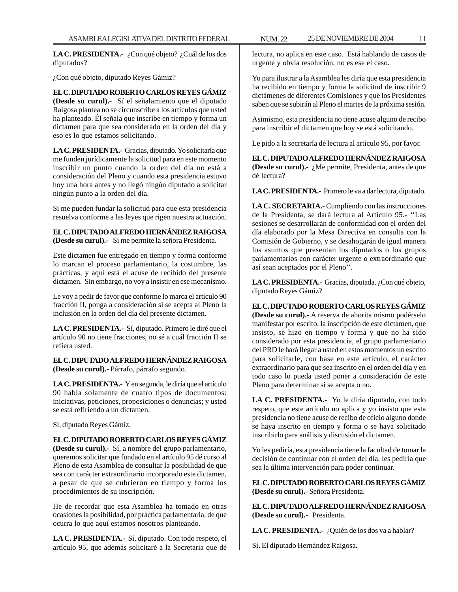**LA C. PRESIDENTA.-** ¿Con qué objeto? ¿Cuál de los dos diputados?

¿Con qué objeto, diputado Reyes Gámiz?

**EL C. DIPUTADO ROBERTO CARLOS REYES GÁMIZ (Desde su curul).-** Sí el señalamiento que el diputado Raigosa plantea no se circunscribe a los artículos que usted ha planteado. Él señala que inscribe en tiempo y forma un dictamen para que sea considerado en la orden del día y eso es lo que estamos solicitando.

**LA C. PRESIDENTA.-** Gracias, diputado. Yo solicitaría que me funden jurídicamente la solicitud para en este momento inscribir un punto cuando la orden del día no está a consideración del Pleno y cuando esta presidencia estuvo hoy una hora antes y no llegó ningún diputado a solicitar ningún punto a la orden del día.

Si me pueden fundar la solicitud para que esta presidencia resuelva conforme a las leyes que rigen nuestra actuación.

# **EL C. DIPUTADO ALFREDO HERNÁNDEZ RAIGOSA (Desde su curul).-** Si me permite la señora Presidenta.

Este dictamen fue entregado en tiempo y forma conforme lo marcan el proceso parlamentario, la costumbre, las prácticas, y aquí está el acuse de recibido del presente dictamen. Sin embargo, no voy a insistir en ese mecanismo.

Le voy a pedir de favor que conforme lo marca el artículo 90 fracción II, ponga a consideración si se acepta al Pleno la inclusión en la orden del día del presente dictamen.

**LA C. PRESIDENTA.-** Sí, diputado. Primero le diré que el artículo 90 no tiene fracciones, no sé a cuál fracción II se refiera usted.

**EL C. DIPUTADO ALFREDO HERNÁNDEZ RAIGOSA (Desde su curul).-** Párrafo, párrafo segundo.

**LA C. PRESIDENTA.-** Y en segunda, le diría que el artículo 90 habla solamente de cuatro tipos de documentos: iniciativas, peticiones, proposiciones o denuncias; y usted se está refiriendo a un dictamen.

Sí, diputado Reyes Gámiz.

# **EL C. DIPUTADO ROBERTO CARLOS REYES GÁMIZ**

**(Desde su curul).-** Sí, a nombre del grupo parlamentario, queremos solicitar que fundado en el artículo 95 dé curso al Pleno de esta Asamblea de consultar la posibilidad de que sea con carácter extraordinario incorporado este dictamen, a pesar de que se cubrieron en tiempo y forma los procedimientos de su inscripción.

He de recordar que esta Asamblea ha tomado en otras ocasiones la posibilidad, por práctica parlamentaria, de que ocurra lo que aquí estamos nosotros planteando.

**LA C. PRESIDENTA.-** Sí, diputado. Con todo respeto, el artículo 95, que además solicitaré a la Secretaria que dé lectura, no aplica en este caso. Está hablando de casos de urgente y obvia resolución, no es ese el caso.

Yo para ilustrar a la Asamblea les diría que esta presidencia ha recibido en tiempo y forma la solicitud de inscribir 9 dictámenes de diferentes Comisiones y que los Presidentes saben que se subirán al Pleno el martes de la próxima sesión.

Asimismo, esta presidencia no tiene acuse alguno de recibo para inscribir el dictamen que hoy se está solicitando.

Le pido a la secretaría dé lectura al artículo 95, por favor.

**EL C. DIPUTADO ALFREDO HERNÁNDEZ RAIGOSA (Desde su curul).-** ¿Me permite, Presidenta, antes de que dé lectura?

**LA C. PRESIDENTA.-** Primero le va a dar lectura, diputado.

**LA C. SECRETARIA.-** Cumpliendo con las instrucciones de la Presidenta, se dará lectura al Artículo 95.- ''Las sesiones se desarrollarán de conformidad con el orden del día elaborado por la Mesa Directiva en consulta con la Comisión de Gobierno, y se desahogarán de igual manera los asuntos que presentan los diputados o los grupos parlamentarios con carácter urgente o extraordinario que así sean aceptados por el Pleno''.

LA C. PRESIDENTA.- Gracias, diputada. ¿Con qué objeto, diputado Reyes Gámiz?

**EL C. DIPUTADO ROBERTO CARLOS REYES GÁMIZ (Desde su curul).-** A reserva de ahorita mismo podérselo manifestar por escrito, la inscripción de este dictamen, que insisto, se hizo en tiempo y forma y que no ha sido considerado por esta presidencia, el grupo parlamentario del PRD le hará llegar a usted en estos momentos un escrito para solicitarle, con base en este artículo, el carácter extraordinario para que sea inscrito en el orden del día y en todo caso lo pueda usted poner a consideración de este Pleno para determinar si se acepta o no.

**LA C. PRESIDENTA.-** Yo le diría diputado, con todo respeto, que este artículo no aplica y yo insisto que esta presidencia no tiene acuse de recibo de oficio alguno donde se haya inscrito en tiempo y forma o se haya solicitado inscribirlo para análisis y discusión el dictamen.

Yo les pediría, esta presidencia tiene la facultad de tomar la decisión de continuar con el orden del día, les pediría que sea la última intervención para poder continuar.

**EL C. DIPUTADO ROBERTO CARLOS REYES GÁMIZ (Desde su curul).-** Señora Presidenta.

**EL C. DIPUTADO ALFREDO HERNÁNDEZ RAIGOSA (Desde su curul).-** Presidenta.

**LA C. PRESIDENTA.-** ¿Quién de los dos va a hablar?

Sí. El diputado Hernández Raigosa.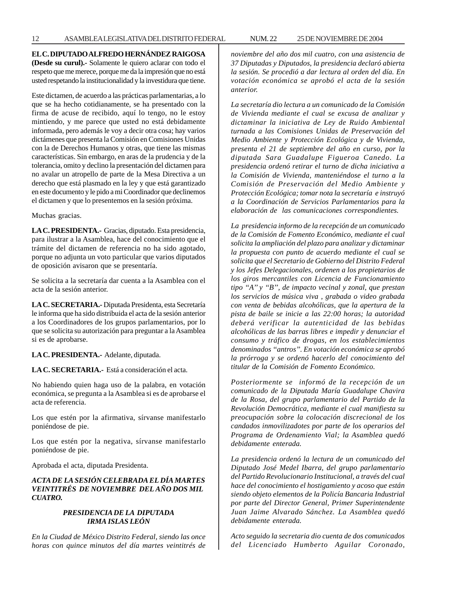**EL C. DIPUTADO ALFREDO HERNÁNDEZ RAIGOSA (Desde su curul).-** Solamente le quiero aclarar con todo el respeto que me merece, porque me da la impresión que no está usted respetando la institucionalidad y la investidura que tiene.

Este dictamen, de acuerdo a las prácticas parlamentarias, a lo que se ha hecho cotidianamente, se ha presentado con la firma de acuse de recibido, aquí lo tengo, no le estoy mintiendo, y me parece que usted no está debidamente informada, pero además le voy a decir otra cosa; hay varios dictámenes que presenta la Comisión en Comisiones Unidas con la de Derechos Humanos y otras, que tiene las mismas características. Sin embargo, en aras de la prudencia y de la tolerancia, omito y declino la presentación del dictamen para no avalar un atropello de parte de la Mesa Directiva a un derecho que está plasmado en la ley y que está garantizado en este documento y le pido a mi Coordinador que declinemos el dictamen y que lo presentemos en la sesión próxima.

Muchas gracias.

**LA C. PRESIDENTA.-** Gracias, diputado. Esta presidencia, para ilustrar a la Asamblea, hace del conocimiento que el trámite del dictamen de referencia no ha sido agotado, porque no adjunta un voto particular que varios diputados de oposición avisaron que se presentaría.

Se solicita a la secretaría dar cuenta a la Asamblea con el acta de la sesión anterior.

**LA C. SECRETARIA.-** Diputada Presidenta, esta Secretaría le informa que ha sido distribuida el acta de la sesión anterior a los Coordinadores de los grupos parlamentarios, por lo que se solicita su autorización para preguntar a la Asamblea si es de aprobarse.

**LA C. PRESIDENTA.-** Adelante, diputada.

**LA C. SECRETARIA.-** Está a consideración el acta.

No habiendo quien haga uso de la palabra, en votación económica, se pregunta a la Asamblea si es de aprobarse el acta de referencia.

Los que estén por la afirmativa, sírvanse manifestarlo poniéndose de pie.

Los que estén por la negativa, sírvanse manifestarlo poniéndose de pie.

Aprobada el acta, diputada Presidenta.

# *ACTA DE LA SESIÓN CELEBRADA EL DÍA MARTES VEINTITRÉS DE NOVIEMBRE DEL AÑO DOS MIL CUATRO.*

# *PRESIDENCIA DE LA DIPUTADA IRMA ISLAS LEÓN*

*En la Ciudad de México Distrito Federal, siendo las once horas con quince minutos del día martes veintitrés de* *noviembre del año dos mil cuatro, con una asistencia de 37 Diputadas y Diputados, la presidencia declaró abierta la sesión. Se procedió a dar lectura al orden del día. En votación económica se aprobó el acta de la sesión anterior.*

*La secretaría dio lectura a un comunicado de la Comisión de Vivienda mediante el cual se excusa de analizar y dictaminar la iniciativa de Ley de Ruido Ambiental turnada a las Comisiones Unidas de Preservación del Medio Ambiente y Protección Ecológica y de Vivienda, presenta el 21 de septiembre del año en curso, por la diputada Sara Guadalupe Figueroa Canedo. La presidencia ordenó retirar el turno de dicha iniciativa a la Comisión de Vivienda, manteniéndose el turno a la Comisión de Preservación del Medio Ambiente y Protección Ecológica; tomar nota la secretaría e instruyó a la Coordinación de Servicios Parlamentarios para la elaboración de las comunicaciones correspondientes.*

*La presidencia informo de la recepción de un comunicado de la Comisión de Fomento Económico, mediante el cual solicita la ampliación del plazo para analizar y dictaminar la propuesta con punto de acuerdo mediante el cual se solicita que el Secretario de Gobierno del Distrito Federal y los Jefes Delegacionales, ordenen a los propietarios de los giros mercantiles con Licencia de Funcionamiento tipo ''A'' y ''B'', de impacto vecinal y zonal, que prestan los servicios de música viva , grabada o video grabada con venta de bebidas alcohólicas, que la apertura de la pista de baile se inicie a las 22:00 horas; la autoridad deberá verificar la autenticidad de las bebidas alcohólicas de las barras libres e impedir y denunciar el consumo y tráfico de drogas, en los establecimientos denominados ''antros''. En votación económica se aprobó la prórroga y se ordenó hacerlo del conocimiento del titular de la Comisión de Fomento Económico.*

*Posteriormente se informó de la recepción de un comunicado de la Diputada María Guadalupe Chavira de la Rosa, del grupo parlamentario del Partido de la Revolución Democrática, mediante el cual manifiesta su preocupación sobre la colocación discrecional de los candados inmovilizadotes por parte de los operarios del Programa de Ordenamiento Vial; la Asamblea quedó debidamente enterada.*

*La presidencia ordenó la lectura de un comunicado del Diputado José Medel Ibarra, del grupo parlamentario del Partido Revolucionario Institucional, a través del cual hace del conocimiento el hostigamiento y acoso que están siendo objeto elementos de la Policía Bancaria Industrial por parte del Director General, Primer Superintendente Juan Jaime Alvarado Sánchez. La Asamblea quedó debidamente enterada.*

*Acto seguido la secretaria dio cuenta de dos comunicados del Licenciado Humberto Aguilar Coronado,*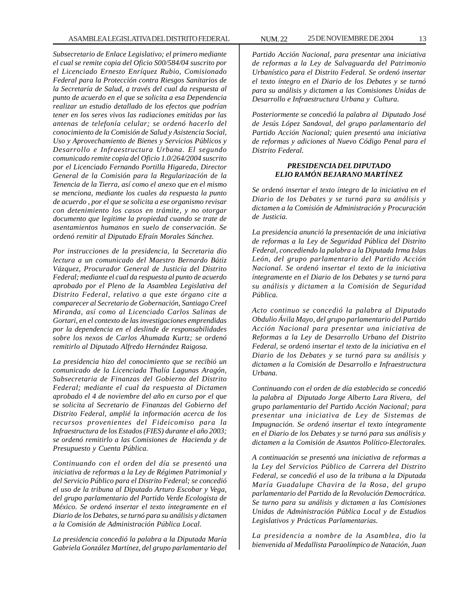*Subsecretario de Enlace Legislativo; el primero mediante el cual se remite copia del Oficio S00/584/04 suscrito por el Licenciado Ernesto Enríquez Rubio, Comisionado Federal para la Protección contra Riesgos Sanitarios de la Secretaría de Salud, a través del cual da respuesta al punto de acuerdo en el que se solicita a esa Dependencia realizar un estudio detallado de los efectos que podrían tener en los seres vivos las radiaciones emitidas por las antenas de telefonía celular; se ordenó hacerlo del conocimiento de la Comisión de Salud y Asistencia Social, Uso y Aprovechamiento de Bienes y Servicios Públicos y Desarrollo e Infraestructura Urbana. El segundo comunicado remite copia del Oficio 1.0/264/2004 suscrito por el Licenciado Fernando Portilla Higareda, Director General de la Comisión para la Regularización de la Tenencia de la Tierra, así como el anexo que en el mismo se menciona, mediante los cuales da respuesta la punto de acuerdo , por el que se solicita a ese organismo revisar con detenimiento los casos en trámite, y no otorgar documento que legitime la propiedad cuando se trate de asentamientos humanos en suelo de conservación. Se ordenó remitir al Diputado Efraín Morales Sánchez.*

*Por instrucciones de la presidencia, la Secretaria dio lectura a un comunicado del Maestro Bernardo Bátiz Vázquez, Procurador General de Justicia del Distrito Federal; mediante el cual da respuesta al punto de acuerdo aprobado por el Pleno de la Asamblea Legislativa del Distrito Federal, relativo a que este órgano cite a comparecer al Secretario de Gobernación, Santiago Creel Miranda, así como al Licenciado Carlos Salinas de Gortari, en el contexto de las investigaciones emprendidas por la dependencia en el deslinde de responsabilidades sobre los nexos de Carlos Ahumada Kurtz; se ordenó remitirlo al Diputado Alfredo Hernández Raigosa.*

*La presidencia hizo del conocimiento que se recibió un comunicado de la Licenciada Thalía Lagunas Aragón, Subsecretaria de Finanzas del Gobierno del Distrito Federal; mediante el cual da respuesta al Dictamen aprobado el 4 de noviembre del año en curso por el que se solicita al Secretario de Finanzas del Gobierno del Distrito Federal, amplié la información acerca de los recursos provenientes del Fideicomiso para la Infraestructura de los Estados (FIES) durante el año 2003; se ordenó remitirlo a las Comisiones de Hacienda y de Presupuesto y Cuenta Pública.*

*Continuando con el orden del día se presentó una iniciativa de reformas a la Ley de Régimen Patrimonial y del Servicio Público para el Distrito Federal; se concedió el uso de la tribuna al Diputado Arturo Escobar y Vega, del grupo parlamentario del Partido Verde Ecologista de México. Se ordenó insertar el texto íntegramente en el Diario de los Debates, se turnó para su análisis y dictamen a la Comisión de Administración Pública Local.*

*La presidencia concedió la palabra a la Diputada María Gabriela González Martínez, del grupo parlamentario del* *Partido Acción Nacional, para presentar una iniciativa de reformas a la Ley de Salvaguarda del Patrimonio Urbanístico para el Distrito Federal. Se ordenó insertar el texto íntegro en el Diario de los Debates y se turnó para su análisis y dictamen a las Comisiones Unidas de Desarrollo e Infraestructura Urbana y Cultura.*

*Posteriormente se concedió la palabra al Diputado José de Jesús López Sandoval, del grupo parlamentario del Partido Acción Nacional; quien presentó una iniciativa de reformas y adiciones al Nuevo Código Penal para el Distrito Federal.*

#### *PRESIDENCIA DEL DIPUTADO ELIO RAMÓN BEJARANO MARTÍNEZ*

*Se ordenó insertar el texto íntegro de la iniciativa en el Diario de los Debates y se turnó para su análisis y dictamen a la Comisión de Administración y Procuración de Justicia.*

*La presidencia anunció la presentación de una iniciativa de reformas a la Ley de Seguridad Pública del Distrito Federal, concediendo la palabra a la Diputada Irma Islas León, del grupo parlamentario del Partido Acción Nacional. Se ordenó insertar el texto de la iniciativa íntegramente en el Diario de los Debates y se turnó para su análisis y dictamen a la Comisión de Seguridad Pública.*

*Acto continuo se concedió la palabra al Diputado Obdulio Ávila Mayo, del grupo parlamentario del Partido Acción Nacional para presentar una iniciativa de Reformas a la Ley de Desarrollo Urbano del Distrito Federal, se ordenó insertar el texto de la iniciativa en el Diario de los Debates y se turnó para su análisis y dictamen a la Comisión de Desarrollo e Infraestructura Urbana.*

*Continuando con el orden de día establecido se concedió la palabra al Diputado Jorge Alberto Lara Rivera, del grupo parlamentario del Partido Acción Nacional; para presentar una iniciativa de Ley de Sistemas de Impugnación. Se ordenó insertar el texto íntegramente en el Diario de los Debates y se turnó para sus análisis y dictamen a la Comisión de Asuntos Político-Electorales.*

*A continuación se presentó una iniciativa de reformas a la Ley del Servicios Público de Carrera del Distrito Federal, se concedió el uso de la tribuna a la Diputada María Guadalupe Chavira de la Rosa, del grupo parlamentario del Partido de la Revolución Democrática. Se turno para su análisis y dictamen a las Comisiones Unidas de Administración Pública Local y de Estudios Legislativos y Prácticas Parlamentarias.*

*La presidencia a nombre de la Asamblea, dio la bienvenida al Medallista Paraolímpico de Natación, Juan*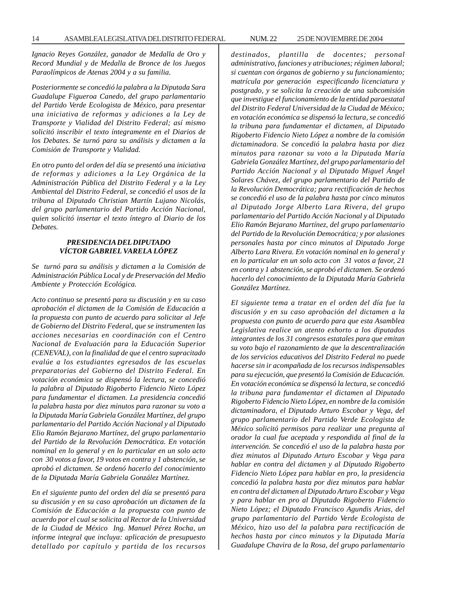*Ignacio Reyes González, ganador de Medalla de Oro y Record Mundial y de Medalla de Bronce de los Juegos Paraolímpicos de Atenas 2004 y a su familia.*

*Posteriormente se concedió la palabra a la Diputada Sara Guadalupe Figueroa Canedo, del grupo parlamentario del Partido Verde Ecologista de México, para presentar una iniciativa de reformas y adiciones a la Ley de Transporte y Vialidad del Distrito Federal; así mismo solicitó inscribir el texto íntegramente en el Diarios de los Debates. Se turnó para su análisis y dictamen a la Comisión de Transporte y Vialidad.*

*En otro punto del orden del día se presentó una iniciativa de reformas y adiciones a la Ley Orgánica de la Administración Pública del Distrito Federal y a la Ley Ambiental del Distrito Federal, se concedió el usos de la tribuna al Diputado Christian Martín Lujano Nicolás, del grupo parlamentario del Partido Acción Nacional, quien solicitó insertar el texto íntegro al Diario de los Debates.*

#### *PRESIDENCIA DEL DIPUTADO VÍCTOR GABRIEL VARELA LÓPEZ*

*Se turnó para su análisis y dictamen a la Comisión de Administración Pública Local y de Preservación del Medio Ambiente y Protección Ecológica.*

*Acto continuo se presentó para su discusión y en su caso aprobación el dictamen de la Comisión de Educación a la propuesta con punto de acuerdo para solicitar al Jefe de Gobierno del Distrito Federal, que se instrumenten las acciones necesarias en coordinación con el Centro Nacional de Evaluación para la Educación Superior (CENEVAL), con la finalidad de que el centro supracitado evalúe a los estudiantes egresados de las escuelas preparatorias del Gobierno del Distrito Federal. En votación económica se dispensó la lectura, se concedió la palabra al Diputado Rigoberto Fidencio Nieto López para fundamentar el dictamen. La presidencia concedió la palabra hasta por diez minutos para razonar su voto a la Diputada María Gabriela González Martínez, del grupo parlamentario del Partido Acción Nacional y al Diputado Elio Ramón Bejarano Martínez, del grupo parlamentario del Partido de la Revolución Democrática. En votación nominal en lo general y en lo particular en un solo acto con 30 votos a favor, 19 votos en contra y 1 abstención, se aprobó el dictamen. Se ordenó hacerlo del conocimiento de la Diputada María Gabriela González Martínez.*

*En el siguiente punto del orden del día se presentó para su discusión y en su caso aprobación un dictamen de la Comisión de Educación a la propuesta con punto de acuerdo por el cual se solicita al Rector de la Universidad de la Ciudad de México Ing. Manuel Pérez Rocha, un informe integral que incluya: aplicación de presupuesto detallado por capítulo y partida de los recursos* *destinados, plantilla de docentes; personal administrativo, funciones y atribuciones; régimen laboral; si cuentan con órganos de gobierno y su funcionamiento; matrícula por generación especificando licenciatura y postgrado, y se solicita la creación de una subcomisión que investigue el funcionamiento de la entidad paraestatal del Distrito Federal Universidad de la Ciudad de México; en votación económica se dispensó la lectura, se concedió la tribuna para fundamentar el dictamen, al Diputado Rigoberto Fidencio Nieto López a nombre de la comisión dictaminadora. Se concedió la palabra hasta por diez minutos para razonar su voto a la Diputada María Gabriela González Martínez, del grupo parlamentario del Partido Acción Nacional y al Diputado Miguel Ángel Solares Chávez, del grupo parlamentario del Partido de la Revolución Democrática; para rectificación de hechos se concedió el uso de la palabra hasta por cinco minutos al Diputado Jorge Alberto Lara Rivera, del grupo parlamentario del Partido Acción Nacional y al Diputado Elio Ramón Bejarano Martínez, del grupo parlamentario del Partido de la Revolución Democrática; y por alusiones personales hasta por cinco minutos al Diputado Jorge Alberto Lara Rivera. En votación nominal en lo general y en lo particular en un solo acto con 31 votos a favor, 21 en contra y 1 abstención, se aprobó el dictamen. Se ordenó hacerlo del conocimiento de la Diputada María Gabriela González Martínez.*

*El siguiente tema a tratar en el orden del día fue la discusión y en su caso aprobación del dictamen a la propuesta con punto de acuerdo para que esta Asamblea Legislativa realice un atento exhorto a los diputados integrantes de los 31 congresos estatales para que emitan su voto bajo el razonamiento de que la descentralización de los servicios educativos del Distrito Federal no puede hacerse sin ir acompañada de los recursos indispensables para su ejecución, que presentó la Comisión de Educación. En votación económica se dispensó la lectura, se concedió la tribuna para fundamentar el dictamen al Diputado Rigoberto Fidencio Nieto López, en nombre de la comisión dictaminadora, el Diputado Arturo Escobar y Vega, del grupo parlamentario del Partido Verde Ecologista de México solicitó permisos para realizar una pregunta al orador la cual fue aceptada y respondida al final de la intervención. Se concedió el uso de la palabra hasta por diez minutos al Diputado Arturo Escobar y Vega para hablar en contra del dictamen y al Diputado Rigoberto Fidencio Nieto López para hablar en pro, la presidencia concedió la palabra hasta por diez minutos para hablar en contra del dictamen al Diputado Arturo Escobar y Vega y para hablar en pro al Diputado Rigoberto Fidencio Nieto López; el Diputado Francisco Agundis Arias, del grupo parlamentario del Partido Verde Ecologista de México, hizo uso del la palabra para rectificación de hechos hasta por cinco minutos y la Diputada María Guadalupe Chavira de la Rosa, del grupo parlamentario*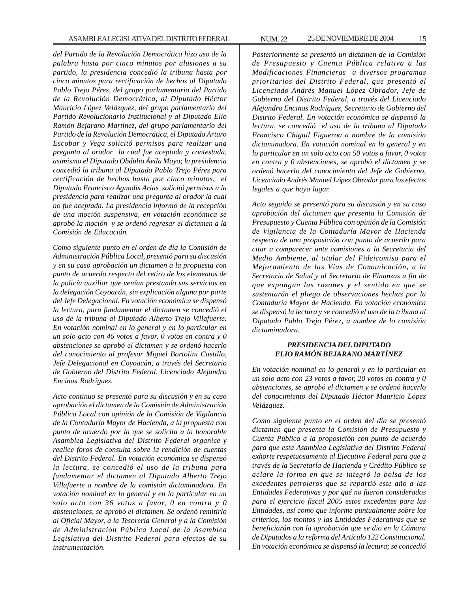*del Partido de la Revolución Democrática hizo uso de la palabra hasta por cinco minutos por alusiones a su partido, la presidencia concedió la tribuna hasta por cinco minutos para rectificación de hechos al Diputado Pablo Trejo Pérez, del grupo parlamentario del Partido de la Revolución Democrática, al Diputado Héctor Mauricio López Velázquez, del grupo parlamentario del Partido Revolucionario Institucional y al Diputado Elio Ramón Bejarano Martínez, del grupo parlamentario del Partido de la Revolución Democrática, el Diputado Arturo Escobar y Vega solicitó permisos para realizar una pregunta al orador la cual fue aceptada y contestada, asimismo el Diputado Obdulio Ávila Mayo; la presidencia concedió la tribuna al Diputado Pablo Trejo Pérez para rectificación de hechos hasta por cinco minutos, el Diputado Francisco Agundis Arias solicitó permisos a la presidencia para realizar una pregunta al orador la cual no fue aceptada. La presidencia informó de la recepción de una moción suspensiva, en votación económica se aprobó la moción y se ordenó regresar el dictamen a la Comisión de Educación.*

*Como siguiente punto en el orden de día la Comisión de Administración Pública Local, presentó para su discusión y en su caso aprobación un dictamen a la propuesta con punto de acuerdo respecto del retiro de los elementos de la policía auxiliar que venían prestando sus servicios en la delegación Coyoacán, sin explicación alguna por parte del Jefe Delegacional. En votación económica se dispensó la lectura, para fundamentar el dictamen se concedió el uso de la tribuna al Diputado Alberto Trejo Villafuerte. En votación nominal en lo general y en lo particular en un solo acto con 46 votos a favor, 0 votos en contra y 0 abstenciones se aprobó el dictamen y se ordenó hacerlo del conocimiento al profesor Miguel Bortolini Castillo, Jefe Delegacional en Coyoacán, a través del Secretario de Gobierno del Distrito Federal, Licenciado Alejandro Encinas Rodríguez.*

*Acto continuo se presentó para su discusión y en su caso aprobación el dictamen de la Comisión de Administración Pública Local con opinión de la Comisión de Vigilancia de la Contaduría Mayor de Hacienda, a la propuesta con punto de acuerdo por la que se solicita a la honorable Asamblea Legislativa del Distrito Federal organice y realice foros de consulta sobre la rendición de cuentas del Distrito Federal. En votación económica se dispensó la lectura, se concedió el uso de la tribuna para fundamentar el dictamen al Diputado Alberto Trejo Villafuerte a nombre de la comisión dictaminadora. En votación nominal en lo general y en lo particular en un solo acto con 36 votos a favor, 0 en contra y 0 abstenciones, se aprobó el dictamen. Se ordenó remitirlo al Oficial Mayor, a la Tesorería General y a la Comisión de Administración Pública Local de la Asamblea Legislativa del Distrito Federal para efectos de su instrumentación.*

*Posteriormente se presentó un dictamen de la Comisión de Presupuesto y Cuenta Pública relativa a las Modificaciones Financieras a diversos programas prioritarios del Distrito Federal, que presentó el Licenciado Andrés Manuel López Obrador, Jefe de Gobierno del Distrito Federal, a través del Licenciado Alejandro Encinas Rodríguez, Secretario de Gobierno del Distrito Federal. En votación económica se dispensó la lectura, se concedió el uso de la tribuna al Diputado Francisco Chiguil Figueroa a nombre de la comisión dictaminadora. En votación nominal en lo general y en lo particular en un solo acto con 50 votos a favor, 0 votos en contra y 0 abstenciones, se aprobó el dictamen y se ordenó hacerlo del conocimiento del Jefe de Gobierno, Licenciado Andrés Manuel López Obrador para los efectos legales a que haya lugar.*

*Acto seguido se presentó para su discusión y en su caso aprobación del dictamen que presenta la Comisión de Presupuesto y Cuenta Pública con opinión de la Comisión de Vigilancia de la Contaduría Mayor de Hacienda respecto de una proposición con punto de acuerdo para citar a comparecer ante comisiones a la Secretaria del Medio Ambiente, al titular del Fideicomiso para el Mejoramiento de las Vías de Comunicación, a la Secretaria de Salud y al Secretario de Finanzas a fin de que expongan las razones y el sentido en que se sustentarán el pliego de observaciones hechas por la Contaduría Mayor de Hacienda. En votación económica se dispensó la lectura y se concedió el uso de la tribuna al Diputado Pablo Trejo Pérez, a nombre de lo comisión dictaminadora.*

# *PRESIDENCIA DEL DIPUTADO ELIO RAMÓN BEJARANO MARTÍNEZ*

*En votación nominal en lo general y en lo particular en un solo acto con 23 votos a favor, 20 votos en contra y 0 abstenciones, se aprobó el dictamen y se ordenó hacerlo del conocimiento del Diputado Héctor Mauricio López Velázquez.*

*Como siguiente punto en el orden del día se presentó dictamen que presenta la Comisión de Presupuesto y Cuenta Pública a la proposición con punto de acuerdo para que esta Asamblea Legislativa del Distrito Federal exhorte respetuosamente al Ejecutivo Federal para que a través de la Secretaría de Hacienda y Crédito Público se aclare la forma en que se integró la bolsa de los excedentes petroleros que se repartió este año a las Entidades Federativas y por qué no fueron considerados para el ejercicio fiscal 2005 estos excedentes para las Entidades, así como que informe puntualmente sobre los criterios, los montos y las Entidades Federativas que se beneficiarán con la aprobación que se dio en la Cámara de Diputados a la reforma del Artículo 122 Constitucional. En votación económica se dispensó la lectura; se concedió*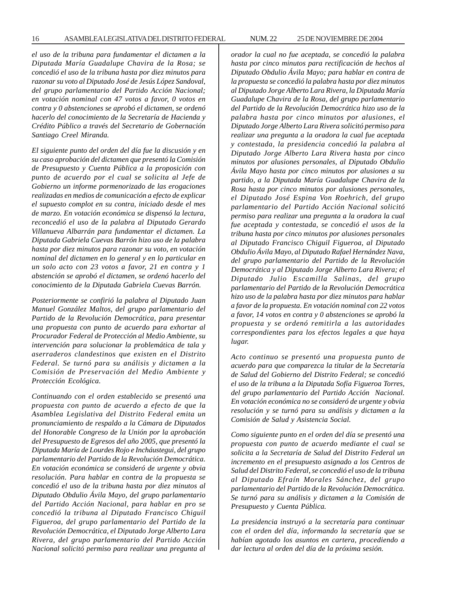*el uso de la tribuna para fundamentar el dictamen a la Diputada María Guadalupe Chavira de la Rosa; se concedió el uso de la tribuna hasta por diez minutos para razonar su voto al Diputado José de Jesús López Sandoval, del grupo parlamentario del Partido Acción Nacional; en votación nominal con 47 votos a favor, 0 votos en contra y 0 abstenciones se aprobó el dictamen, se ordenó hacerlo del conocimiento de la Secretaría de Hacienda y Crédito Público a través del Secretario de Gobernación Santiago Creel Miranda.*

*El siguiente punto del orden del día fue la discusión y en su caso aprobación del dictamen que presentó la Comisión de Presupuesto y Cuenta Pública a la proposición con punto de acuerdo por el cual se solicita al Jefe de Gobierno un informe pormenorizado de las erogaciones realizadas en medios de comunicación a efecto de explicar el supuesto complot en su contra, iniciado desde el mes de marzo. En votación económica se dispensó la lectura, reconcedió el uso de la palabra al Diputado Gerardo Villanueva Albarrán para fundamentar el dictamen. La Diputada Gabriela Cuevas Barrón hizo uso de la palabra hasta por diez minutos para razonar su voto, en votación nominal del dictamen en lo general y en lo particular en un solo acto con 23 votos a favor, 21 en contra y 1 abstención se aprobó el dictamen, se ordenó hacerlo del conocimiento de la Diputada Gabriela Cuevas Barrón.*

*Posteriormente se confirió la palabra al Diputado Juan Manuel González Maltos, del grupo parlamentario del Partido de la Revolución Democrática, para presentar una propuesta con punto de acuerdo para exhortar al Procurador Federal de Protección al Medio Ambiente, su intervención para solucionar la problemática de tala y aserraderos clandestinos que existen en el Distrito Federal. Se turnó para su análisis y dictamen a la Comisión de Preservación del Medio Ambiente y Protección Ecológica.*

*Continuando con el orden establecido se presentó una propuesta con punto de acuerdo a efecto de que la Asamblea Legislativa del Distrito Federal emita un pronunciamiento de respaldo a la Cámara de Diputados del Honorable Congreso de la Unión por la aprobación del Presupuesto de Egresos del año 2005, que presentó la Diputada María de Lourdes Rojo e Incháustegui, del grupo parlamentario del Partido de la Revolución Democrática. En votación económica se consideró de urgente y obvia resolución. Para hablar en contra de la propuesta se concedió el uso de la tribuna hasta por diez minutos al Diputado Obdulio Ávila Mayo, del grupo parlamentario del Partido Acción Nacional, para hablar en pro se concedió la tribuna al Diputado Francisco Chiguil Figueroa, del grupo parlamentario del Partido de la Revolución Democrática, el Diputado Jorge Alberto Lara Rivera, del grupo parlamentario del Partido Acción Nacional solicitó permiso para realizar una pregunta al* *orador la cual no fue aceptada, se concedió la palabra hasta por cinco minutos para rectificación de hechos al Diputado Obdulio Ávila Mayo; para hablar en contra de la propuesta se concedió la palabra hasta por diez minutos al Diputado Jorge Alberto Lara Rivera, la Diputada María Guadalupe Chavira de la Rosa, del grupo parlamentario del Partido de la Revolución Democrática hizo uso de la palabra hasta por cinco minutos por alusiones, el Diputado Jorge Alberto Lara Rivera solicitó permiso para realizar una pregunta a la oradora la cual fue aceptada y contestada, la presidencia concedió la palabra al Diputado Jorge Alberto Lara Rivera hasta por cinco minutos por alusiones personales, al Diputado Obdulio Ávila Mayo hasta por cinco minutos por alusiones a su partido, a la Diputada María Guadalupe Chavira de la Rosa hasta por cinco minutos por alusiones personales, el Diputado José Espina Von Roehrich, del grupo parlamentario del Partido Acción Nacional solicitó permiso para realizar una pregunta a la oradora la cual fue aceptada y contestada, se concedió el usos de la tribuna hasta por cinco minutos por alusiones personales al Diputado Francisco Chiguil Figueroa, al Diputado Obdulio Ávila Mayo, al Diputado Rafael Hernández Nava, del grupo parlamentario del Partido de la Revolución Democrática y al Diputado Jorge Alberto Lara Rivera; el Diputado Julio Escamilla Salinas, del grupo parlamentario del Partido de la Revolución Democrática hizo uso de la palabra hasta por diez minutos para hablar a favor de la propuesta. En votación nominal con 22 votos a favor, 14 votos en contra y 0 abstenciones se aprobó la propuesta y se ordenó remitirla a las autoridades correspondientes para los efectos legales a que haya lugar.*

*Acto continuo se presentó una propuesta punto de acuerdo para que comparezca la titular de la Secretaría de Salud del Gobierno del Distrito Federal; se concedió el uso de la tribuna a la Diputada Sofía Figueroa Torres, del grupo parlamentario del Partido Acción Nacional. En votación económica no se consideró de urgente y obvia resolución y se turnó para su análisis y dictamen a la Comisión de Salud y Asistencia Social.*

*Como siguiente punto en el orden del día se presentó una propuesta con punto de acuerdo mediante el cual se solicita a la Secretaría de Salud del Distrito Federal un incremento en el presupuesto asignado a los Centros de Salud del Distrito Federal, se concedió el uso de la tribuna al Diputado Efraín Morales Sánchez, del grupo parlamentario del Partido de la Revolución Democrática. Se turnó para su análisis y dictamen a la Comisión de Presupuesto y Cuenta Pública.*

*La presidencia instruyó a la secretaría para continuar con el orden del día, informando la secretaría que se habían agotado los asuntos en cartera, procediendo a dar lectura al orden del día de la próxima sesión.*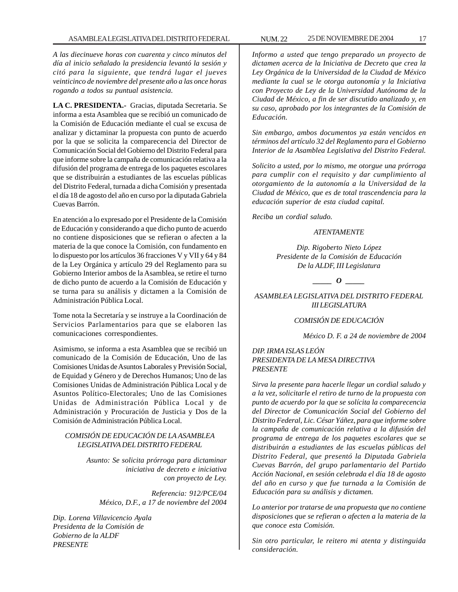*A las diecinueve horas con cuarenta y cinco minutos del día al inicio señalado la presidencia levantó la sesión y citó para la siguiente, que tendrá lugar el jueves veinticinco de noviembre del presente año a las once horas rogando a todos su puntual asistencia.*

**LA C. PRESIDENTA.-** Gracias, diputada Secretaria. Se informa a esta Asamblea que se recibió un comunicado de la Comisión de Educación mediante el cual se excusa de analizar y dictaminar la propuesta con punto de acuerdo por la que se solicita la comparecencia del Director de Comunicación Social del Gobierno del Distrito Federal para que informe sobre la campaña de comunicación relativa a la difusión del programa de entrega de los paquetes escolares que se distribuirán a estudiantes de las escuelas públicas del Distrito Federal, turnada a dicha Comisión y presentada el día 18 de agosto del año en curso por la diputada Gabriela Cuevas Barrón.

En atención a lo expresado por el Presidente de la Comisión de Educación y considerando a que dicho punto de acuerdo no contiene disposiciones que se refieran o afecten a la materia de la que conoce la Comisión, con fundamento en lo dispuesto por los artículos 36 fracciones V y VII y 64 y 84 de la Ley Orgánica y artículo 29 del Reglamento para su Gobierno Interior ambos de la Asamblea, se retire el turno de dicho punto de acuerdo a la Comisión de Educación y se turna para su análisis y dictamen a la Comisión de Administración Pública Local.

Tome nota la Secretaría y se instruye a la Coordinación de Servicios Parlamentarios para que se elaboren las comunicaciones correspondientes.

Asimismo, se informa a esta Asamblea que se recibió un comunicado de la Comisión de Educación, Uno de las Comisiones Unidas de Asuntos Laborales y Previsión Social, de Equidad y Género y de Derechos Humanos; Uno de las Comisiones Unidas de Administración Pública Local y de Asuntos Político-Electorales; Uno de las Comisiones Unidas de Administración Pública Local y de Administración y Procuración de Justicia y Dos de la Comisión de Administración Pública Local.

# *COMISIÓN DE EDUCACIÓN DE LA ASAMBLEA LEGISLATIVA DEL DISTRITO FEDERAL*

*Asunto: Se solicita prórroga para dictaminar iniciativa de decreto e iniciativa con proyecto de Ley.*

*Referencia: 912/PCE/04 México, D.F., a 17 de noviembre del 2004*

*Dip. Lorena Villavicencio Ayala Presidenta de la Comisión de Gobierno de la ALDF PRESENTE*

*Informo a usted que tengo preparado un proyecto de dictamen acerca de la Iniciativa de Decreto que crea la Ley Orgánica de la Universidad de la Ciudad de México mediante la cual se le otorga autonomía y la Iniciativa con Proyecto de Ley de la Universidad Autónoma de la Ciudad de México, a fin de ser discutido analizado y, en su caso, aprobado por los integrantes de la Comisión de Educación.*

*Sin embargo, ambos documentos ya están vencidos en términos del artículo 32 del Reglamento para el Gobierno Interior de la Asamblea Legislativa del Distrito Federal.*

*Solicito a usted, por lo mismo, me otorgue una prórroga para cumplir con el requisito y dar cumplimiento al otorgamiento de la autonomía a la Universidad de la Ciudad de México, que es de total trascendencia para la educación superior de esta ciudad capital.*

*Reciba un cordial saludo.*

# *ATENTAMENTE*

*Dip. Rigoberto Nieto López Presidente de la Comisión de Educación De la ALDF, III Legislatura*

*\_\_\_\_\_ O \_\_\_\_\_*

*ASAMBLEA LEGISLATIVA DEL DISTRITO FEDERAL III LEGISLATURA*

# *COMISIÓN DE EDUCACIÓN*

*México D. F. a 24 de noviembre de 2004*

# *DIP. IRMA ISLAS LEÓN PRESIDENTA DE LA MESA DIRECTIVA PRESENTE*

*Sirva la presente para hacerle llegar un cordial saludo y a la vez, solicitarle el retiro de turno de la propuesta con punto de acuerdo por la que se solícita la comparecencia del Director de Comunicación Social del Gobierno del Distrito Federal, Lic. César Yáñez, para que informe sobre la campaña de comunicación relativa a la difusión del programa de entrega de los paquetes escolares que se distribuirán a estudiantes de las escuelas públicas del Distrito Federal, que presentó la Diputada Gabriela Cuevas Barrón, del grupo parlamentario del Partido Acción Nacional, en sesión celebrada el día 18 de agosto del año en curso y que fue turnada a la Comisión de Educación para su análisis y dictamen.*

*Lo anterior por tratarse de una propuesta que no contiene disposiciones que se refieran o afecten a la materia de la que conoce esta Comisión.*

*Sin otro particular, le reitero mi atenta y distinguida consideración.*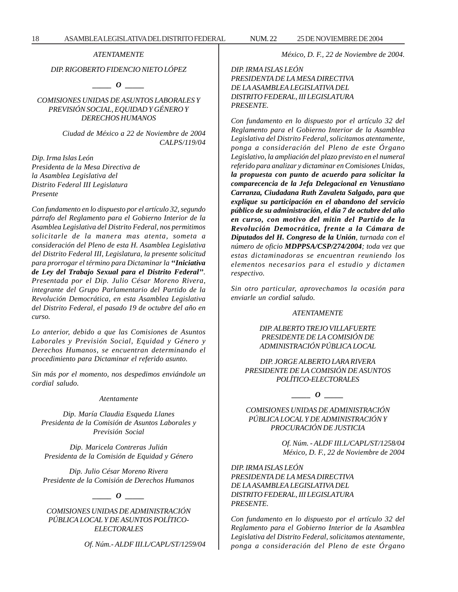*ATENTAMENTE*

# *DIP. RIGOBERTO FIDENCIO NIETO LÓPEZ*

*\_\_\_\_\_ O \_\_\_\_\_*

*COMISIONES UNIDAS DE ASUNTOS LABORALES Y PREVISIÓN SOCIAL, EQUIDAD Y GÉNERO Y DERECHOS HUMANOS*

> *Ciudad de México a 22 de Noviembre de 2004 CALPS/119/04*

*Dip. Irma Islas León Presidenta de la Mesa Directiva de la Asamblea Legislativa del Distrito Federal III Legislatura Presente*

*Con fundamento en lo dispuesto por el artículo 32, segundo párrafo del Reglamento para el Gobierno Interior de la Asamblea Legislativa del Distrito Federal, nos permitimos solicitarle de la manera mas atenta, someta a consideración del Pleno de esta H. Asamblea Legislativa del Distrito Federal III, Legislatura, la presente solicitud para prorrogar el término para Dictaminar la ''Iniciativa de Ley del Trabajo Sexual para el Distrito Federal''. Presentada por el Dip. Julio César Moreno Rivera, integrante del Grupo Parlamentario del Partido de la Revolución Democrática, en esta Asamblea Legislativa del Distrito Federal, el pasado 19 de octubre del año en curso.*

*Lo anterior, debido a que las Comisiones de Asuntos Laborales y Previsión Social, Equidad y Género y Derechos Humanos, se encuentran determinando el procedimiento para Dictaminar el referido asunto.*

*Sin más por el momento, nos despedimos enviándole un cordial saludo.*

#### *Atentamente*

*Dip. María Claudia Esqueda Llanes Presidenta de la Comisión de Asuntos Laborales y Previsión Social*

*Dip. Maricela Contreras Julián Presidenta de la Comisión de Equidad y Género*

*Dip. Julio César Moreno Rivera Presidente de la Comisión de Derechos Humanos*

#### *\_\_\_\_\_ O \_\_\_\_\_*

*COMISIONES UNIDAS DE ADMINISTRACIÓN PÚBLICA LOCAL Y DE ASUNTOS POLÍTICO-ELECTORALES*

*Of. Núm.- ALDF III.L/CAPL/ST/1259/04*

*México, D. F., 22 de Noviembre de 2004.*

*DIP. IRMA ISLAS LEÓN PRESIDENTA DE LA MESA DIRECTIVA DE LA ASAMBLEA LEGISLATIVA DEL DISTRITO FEDERAL, III LEGISLATURA PRESENTE.*

*Con fundamento en lo dispuesto por el artículo 32 del Reglamento para el Gobierno Interior de la Asamblea Legislativa del Distrito Federal, solicitamos atentamente, ponga a consideración del Pleno de este Órgano Legislativo, la ampliación del plazo previsto en el numeral referido para analizar y dictaminar en Comisiones Unidas, la propuesta con punto de acuerdo para solicitar la comparecencia de la Jefa Delegacional en Venustiano Carranza, Ciudadana Ruth Zavaleta Salgado, para que explique su participación en el abandono del servicio público de su administración, el día 7 de octubre del año en curso, con motivo del mitin del Partido de la Revolución Democrática, frente a la Cámara de Diputados del H. Congreso de la Unión, turnada con el número de oficio MDPPSA/CSP/274/2004; toda vez que estas dictaminadoras se encuentran reuniendo los elementos necesarios para el estudio y dictamen respectivo.*

*Sin otro particular, aprovechamos la ocasión para enviarle un cordial saludo.*

#### *ATENTAMENTE*

*DIP. ALBERTO TREJO VILLAFUERTE PRESIDENTE DE LA COMISIÓN DE ADMINISTRACIÓN PÚBLICA LOCAL*

*DIP. JORGE ALBERTO LARA RIVERA PRESIDENTE DE LA COMISIÓN DE ASUNTOS POLÍTICO-ELECTORALES*

*\_\_\_\_\_ O \_\_\_\_\_*

*COMISIONES UNIDAS DE ADMINISTRACIÓN PÚBLICA LOCAL Y DE ADMINISTRACIÓN Y PROCURACIÓN DE JUSTICIA*

> *Of. Núm. - ALDF III.L/CAPL/ST/1258/04 México, D. F., 22 de Noviembre de 2004*

*DIP. IRMA ISLAS LEÓN PRESIDENTA DE LA MESA DIRECTIVA DE LA ASAMBLEA LEGISLATIVA DEL DISTRITO FEDERAL, III LEGISLATURA PRESENTE.*

*Con fundamento en lo dispuesto por el artículo 32 del Reglamento para el Gobierno Interior de la Asamblea Legislativa del Distrito Federal, solicitamos atentamente, ponga a consideración del Pleno de este Órgano*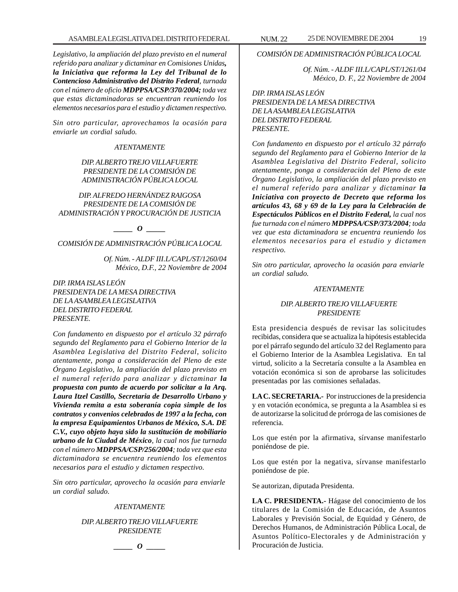*Legislativo, la ampliación del plazo previsto en el numeral referido para analizar y dictaminar en Comisiones Unidas, la Iniciativa que reforma la Ley del Tribunal de lo Contencioso Administrativo del Distrito Federal, turnada con el número de oficio MDPPSA/CSP/370/2004; toda vez que estas dictaminadoras se encuentran reuniendo los elementos necesarios para el estudio y dictamen respectivo.*

*Sin otro particular, aprovechamos la ocasión para enviarle un cordial saludo.*

# *ATENTAMENTE*

# *DIP. ALBERTO TREJO VILLAFUERTE PRESIDENTE DE LA COMISIÓN DE ADMINISTRACIÓN PÚBLICA LOCAL*

*DIP. ALFREDO HERNÁNDEZ RAIGOSA PRESIDENTE DE LA COMISIÓN DE ADMINISTRACIÓN Y PROCURACIÓN DE JUSTICIA*

*\_\_\_\_\_ O \_\_\_\_\_*

*COMISIÓN DE ADMINISTRACIÓN PÚBLICA LOCAL*

*Of. Núm. - ALDF III.L/CAPL/ST/1260/04 México, D.F., 22 Noviembre de 2004*

*DIP. IRMA ISLAS LEÓN PRESIDENTA DE LA MESA DIRECTIVA DE LA ASAMBLEA LEGISLATIVA DEL DISTRITO FEDERAL PRESENTE.*

*Con fundamento en dispuesto por el artículo 32 párrafo segundo del Reglamento para el Gobierno Interior de la Asamblea Legislativa del Distrito Federal, solicito atentamente, ponga a consideración del Pleno de este Órgano Legislativo, la ampliación del plazo previsto en el numeral referido para analizar y dictaminar la propuesta con punto de acuerdo por solicitar a la Arq. Laura Itzel Castillo, Secretaria de Desarrollo Urbano y Vivienda remita a esta soberanía copia simple de los contratos y convenios celebrados de 1997 a la fecha, con la empresa Equipamientos Urbanos de México, S.A. DE C.V., cuyo objeto haya sido la sustitución de mobiliario urbano de la Ciudad de México, la cual nos fue turnada con el número MDPPSA/CSP/256/2004; toda vez que esta dictaminadora se encuentra reuniendo los elementos necesarios para el estudio y dictamen respectivo.*

*Sin otro particular, aprovecho la ocasión para enviarle un cordial saludo.*

#### *ATENTAMENTE*

*DIP. ALBERTO TREJO VILLAFUERTE PRESIDENTE*

*\_\_\_\_\_ O \_\_\_\_\_*

*COMISIÓN DE ADMINISTRACIÓN PÚBLICA LOCAL*

*Of. Núm. - ALDF III.L/CAPL/ST/1261/04 México, D. F., 22 Noviembre de 2004*

# *DIP. IRMA ISLAS LEÓN PRESIDENTA DE LA MESA DIRECTIVA DE LA ASAMBLEA LEGISLATIVA DEL DISTRITO FEDERAL PRESENTE.*

*Con fundamento en dispuesto por el artículo 32 párrafo segundo del Reglamento para el Gobierno Interior de la Asamblea Legislativa del Distrito Federal, solicito atentamente, ponga a consideración del Pleno de este Órgano Legislativo, la ampliación del plazo previsto en el numeral referido para analizar y dictaminar la Iniciativa con proyecto de Decreto que reforma los artículos 43, 68 y 69 de la Ley para la Celebración de Espectáculos Públicos en el Distrito Federal, la cual nos fue turnada con el número MDPPSA/CSP/373/2004; toda vez que esta dictaminadora se encuentra reuniendo los elementos necesarios para el estudio y dictamen respectivo.*

*Sin otro particular, aprovecho la ocasión para enviarle un cordial saludo.*

#### *ATENTAMENTE*

# *DIP. ALBERTO TREJO VILLAFUERTE PRESIDENTE*

Esta presidencia después de revisar las solicitudes recibidas, considera que se actualiza la hipótesis establecida por el párrafo segundo del artículo 32 del Reglamento para el Gobierno Interior de la Asamblea Legislativa. En tal virtud, solicito a la Secretaría consulte a la Asamblea en votación económica si son de aprobarse las solicitudes presentadas por las comisiones señaladas.

**LA C. SECRETARIA.-** Por instrucciones de la presidencia y en votación económica, se pregunta a la Asamblea si es de autorizarse la solicitud de prórroga de las comisiones de referencia.

Los que estén por la afirmativa, sírvanse manifestarlo poniéndose de pie.

Los que estén por la negativa, sírvanse manifestarlo poniéndose de pie.

Se autorizan, diputada Presidenta.

**LA C. PRESIDENTA.-** Hágase del conocimiento de los titulares de la Comisión de Educación, de Asuntos Laborales y Previsión Social, de Equidad y Género, de Derechos Humanos, de Administración Pública Local, de Asuntos Político-Electorales y de Administración y Procuración de Justicia.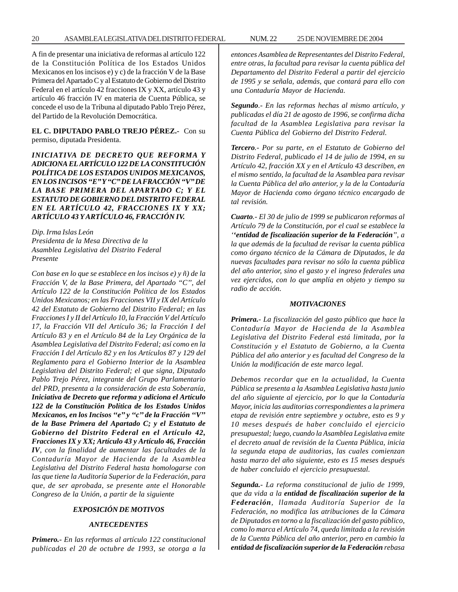20 ASAMBLEA LEGISLATIVA DEL DISTRITO FEDERAL NUM. 22 25 DE NOVIEMBRE DE 2004

A fin de presentar una iniciativa de reformas al artículo 122 de la Constitución Política de los Estados Unidos Mexicanos en los incisos e) y c) de la fracción V de la Base Primera del Apartado C y al Estatuto de Gobierno del Distrito Federal en el artículo 42 fracciones IX y XX, artículo 43 y artículo 46 fracción IV en materia de Cuenta Pública, se concede el uso de la Tribuna al diputado Pablo Trejo Pérez, del Partido de la Revolución Democrática.

**EL C. DIPUTADO PABLO TREJO PÉREZ.-** Con su permiso, diputada Presidenta.

*INICIATIVA DE DECRETO QUE REFORMA Y ADICIONA EL ARTÍCULO 122 DE LA CONSTITUCIÓN POLÍTICA DE LOS ESTADOS UNIDOS MEXICANOS, EN LOS INCISOS ''E'' Y ''C'' DE LA FRACCIÓN ''V'' DE LA BASE PRIMERA DEL APARTADO C; Y EL ESTATUTO DE GOBIERNO DEL DISTRITO FEDERAL EN EL ARTÍCULO 42, FRACCIONES IX Y XX; ARTÍCULO 43 Y ARTÍCULO 46, FRACCIÓN IV.*

*Dip. Irma Islas León Presidenta de la Mesa Directiva de la Asamblea Legislativa del Distrito Federal Presente*

*Con base en lo que se establece en los incisos e) y ñ) de la Fracción V, de la Base Primera, del Apartado ''C'', del Artículo 122 de la Constitución Política de los Estados Unidos Mexicanos; en las Fracciones VII y IX del Artículo 42 del Estatuto de Gobierno del Distrito Federal; en las Fracciones I y II del Artículo 10, la Fracción V del Artículo 17, la Fracción VII del Artículo 36; la Fracción I del Artículo 83 y en el Artículo 84 de la Ley Orgánica de la Asamblea Legislativa del Distrito Federal; así como en la Fracción I del Artículo 82 y en los Artículos 87 y 129 del Reglamento para el Gobierno Interior de la Asamblea Legislativa del Distrito Federal; el que signa, Diputado Pablo Trejo Pérez, integrante del Grupo Parlamentario del PRD, presenta a la consideración de esta Soberanía, Iniciativa de Decreto que reforma y adiciona el Artículo 122 de la Constitución Política de los Estados Unidos Mexicanos, en los Incisos ''e'' y ''c'' de la Fracción ''V'' de la Base Primera del Apartado C; y el Estatuto de Gobierno del Distrito Federal en el Artículo 42, Fracciones IX y XX; Artículo 43 y Artículo 46, Fracción IV, con la finalidad de aumentar las facultades de la Contaduría Mayor de Hacienda de la Asamblea Legislativa del Distrito Federal hasta homologarse con las que tiene la Auditoría Superior de la Federación, para que, de ser aprobada, se presente ante el Honorable Congreso de la Unión, a partir de la siguiente*

#### *EXPOSICIÓN DE MOTIVOS*

#### *ANTECEDENTES*

*Primero.- En las reformas al artículo 122 constitucional publicadas el 20 de octubre de 1993, se otorga a la* *entonces Asamblea de Representantes del Distrito Federal, entre otras, la facultad para revisar la cuenta pública del Departamento del Distrito Federal a partir del ejercicio de 1995 y se señala, además, que contará para ello con una Contaduría Mayor de Hacienda.*

*Segundo.- En las reformas hechas al mismo artículo, y publicadas el día 21 de agosto de 1996, se confirma dicha facultad de la Asamblea Legislativa para revisar la Cuenta Pública del Gobierno del Distrito Federal.*

*Tercero.- Por su parte, en el Estatuto de Gobierno del Distrito Federal, publicado el 14 de julio de 1994, en su Artículo 42, fracción XX y en el Artículo 43 describen, en el mismo sentido, la facultad de la Asamblea para revisar la Cuenta Pública del año anterior, y la de la Contaduría Mayor de Hacienda como órgano técnico encargado de tal revisión.*

*Cuarto.- El 30 de julio de 1999 se publicaron reformas al Artículo 79 de la Constitución, por el cual se establece la ''entidad de fiscalización superior de la Federación'', a la que además de la facultad de revisar la cuenta pública como órgano técnico de la Cámara de Diputados, le da nuevas facultades para revisar no sólo la cuenta pública del año anterior, sino el gasto y el ingreso federales una vez ejercidos, con lo que amplía en objeto y tiempo su radio de acción.*

#### *MOTIVACIONES*

*Primera.- La fiscalización del gasto público que hace la Contaduría Mayor de Hacienda de la Asamblea Legislativa del Distrito Federal está limitada, por la Constitución y el Estatuto de Gobierno, a la Cuenta Pública del año anterior y es facultad del Congreso de la Unión la modificación de este marco legal.*

*Debemos recordar que en la actualidad, la Cuenta Pública se presenta a la Asamblea Legislativa hasta junio del año siguiente al ejercicio, por lo que la Contaduría Mayor, inicia las auditorias correspondientes a la primera etapa de revisión entre septiembre y octubre, esto es 9 y 10 meses después de haber concluido el ejercicio presupuestal; luego, cuando la Asamblea Legislativa emite el decreto anual de revisión de la Cuenta Pública, inicia la segunda etapa de auditorias, las cuales comienzan hasta marzo del año siguiente, esto es 15 meses después de haber concluido el ejercicio presupuestal.*

*Segunda.- La reforma constitucional de julio de 1999, que da vida a la entidad de fiscalización superior de la Federación, llamada Auditoría Superior de la Federación, no modifica las atribuciones de la Cámara de Diputados en torno a la fiscalización del gasto público, como lo marca el Artículo 74, queda limitada a la revisión de la Cuenta Pública del año anterior, pero en cambio la entidad de fiscalización superior de la Federación rebasa*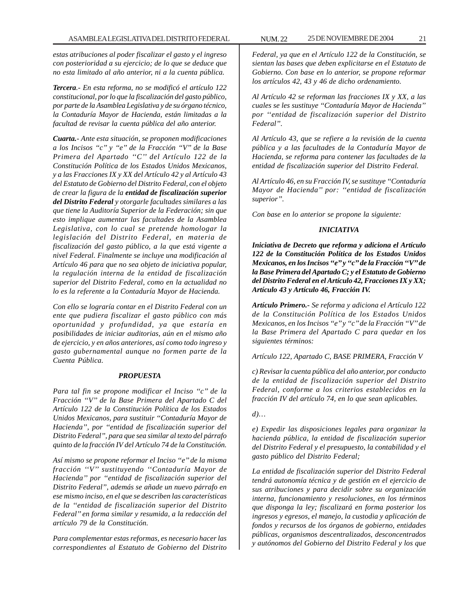*estas atribuciones al poder fiscalizar el gasto y el ingreso con posterioridad a su ejercicio; de lo que se deduce que no esta limitado al año anterior, ni a la cuenta pública.*

*Tercera.- En esta reforma, no se modificó el artículo 122 constitucional, por lo que la fiscalización del gasto público, por parte de la Asamblea Legislativa y de su órgano técnico, la Contaduría Mayor de Hacienda, están limitadas a la facultad de revisar la cuenta pública del año anterior.*

*Cuarta.- Ante esta situación, se proponen modificaciones a los Incisos ''c'' y ''e'' de la Fracción ''V'' de la Base Primera del Apartado ''C'' del Artículo 122 de la Constitución Política de los Estados Unidos Mexicanos, y a las Fracciones IX y XX del Artículo 42 y al Artículo 43 del Estatuto de Gobierno del Distrito Federal, con el objeto de crear la figura de la entidad de fiscalización superior del Distrito Federal y otorgarle facultades similares a las que tiene la Auditoría Superior de la Federación; sin que esto implique aumentar las facultades de la Asamblea Legislativa, con lo cual se pretende homologar la legislación del Distrito Federal, en materia de fiscalización del gasto público, a la que está vigente a nivel Federal. Finalmente se incluye una modificación al Artículo 46 para que no sea objeto de iniciativa popular, la regulación interna de la entidad de fiscalización superior del Distrito Federal, como en la actualidad no lo es la referente a la Contaduría Mayor de Hacienda.*

*Con ello se lograría contar en el Distrito Federal con un ente que pudiera fiscalizar el gasto público con más oportunidad y profundidad, ya que estaría en posibilidades de iniciar auditorias, aún en el mismo año de ejercicio, y en años anteriores, así como todo ingreso y gasto gubernamental aunque no formen parte de la Cuenta Pública.*

#### *PROPUESTA*

*Para tal fin se propone modificar el Inciso ''c'' de la Fracción ''V'' de la Base Primera del Apartado C del Artículo 122 de la Constitución Política de los Estados Unidos Mexicanos, para sustituir ''Contaduría Mayor de Hacienda'', por ''entidad de fiscalización superior del Distrito Federal'', para que sea similar al texto del párrafo quinto de la fracción IV del Artículo 74 de la Constitución.*

*Así mismo se propone reformar el Inciso ''e'' de la misma fracción ''V'' sustituyendo ''Contaduría Mayor de Hacienda'' por ''entidad de fiscalización superior del Distrito Federal'', además se añade un nuevo párrafo en ese mismo inciso, en el que se describen las características de la ''entidad de fiscalización superior del Distrito Federal'' en forma similar y resumida, a la redacción del artículo 79 de la Constitución.*

*Para complementar estas reformas, es necesario hacer las correspondientes al Estatuto de Gobierno del Distrito* *Federal, ya que en el Artículo 122 de la Constitución, se sientan las bases que deben explicitarse en el Estatuto de Gobierno. Con base en lo anterior, se propone reformar los artículos 42, 43 y 46 de dicho ordenamiento.*

*Al Artículo 42 se reforman las fracciones IX y XX, a las cuales se les sustituye ''Contaduría Mayor de Hacienda'' por ''entidad de fiscalización superior del Distrito Federal''.*

*Al Artículo 43, que se refiere a la revisión de la cuenta pública y a las facultades de la Contaduría Mayor de Hacienda, se reforma para contener las facultades de la entidad de fiscalización superior del Distrito Federal.*

*Al Artículo 46, en su Fracción IV, se sustituye ''Contaduría Mayor de Hacienda'' por: ''entidad de fiscalización superior''.*

*Con base en lo anterior se propone la siguiente:*

# *INICIATIVA*

*Iniciativa de Decreto que reforma y adiciona el Artículo 122 de la Constitución Política de los Estados Unidos Mexicanos, en los Incisos ''e'' y ''c'' de la Fracción ''V'' de la Base Primera del Apartado C; y el Estatuto de Gobierno del Distrito Federal en el Artículo 42, Fracciones IX y XX; Artículo 43 y Artículo 46, Fracción IV.*

*Artículo Primero.- Se reforma y adiciona el Artículo 122 de la Constitución Política de los Estados Unidos Mexicanos, en los Incisos ''e'' y ''c'' de la Fracción ''V'' de la Base Primera del Apartado C para quedar en los siguientes términos:*

*Artículo 122, Apartado C, BASE PRIMERA, Fracción V*

*c) Revisar la cuenta pública del año anterior, por conducto de la entidad de fiscalización superior del Distrito Federal, conforme a los criterios establecidos en la fracción IV del artículo 74, en lo que sean aplicables.*

*d)…*

*e) Expedir las disposiciones legales para organizar la hacienda pública, la entidad de fiscalización superior del Distrito Federal y el presupuesto, la contabilidad y el gasto público del Distrito Federal;*

*La entidad de fiscalización superior del Distrito Federal tendrá autonomía técnica y de gestión en el ejercicio de sus atribuciones y para decidir sobre su organización interna, funcionamiento y resoluciones, en los términos que disponga la ley; fiscalizará en forma posterior los ingresos y egresos, el manejo, la custodia y aplicación de fondos y recursos de los órganos de gobierno, entidades públicas, organismos descentralizados, desconcentrados y autónomos del Gobierno del Distrito Federal y los que*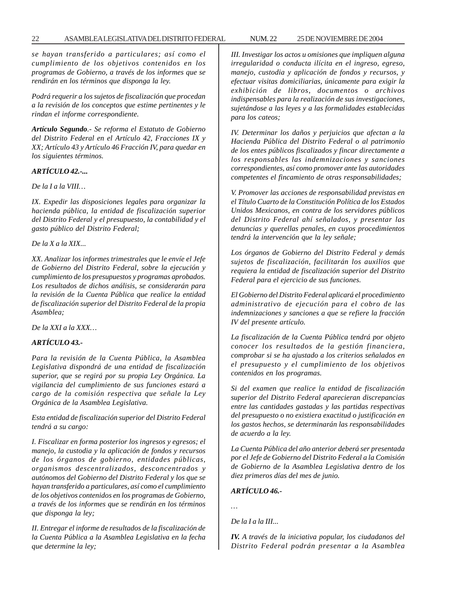*se hayan transferido a particulares; así como el cumplimiento de los objetivos contenidos en los programas de Gobierno, a través de los informes que se rendirán en los términos que disponga la ley.*

*Podrá requerir a los sujetos de fiscalización que procedan a la revisión de los conceptos que estime pertinentes y le rindan el informe correspondiente.*

*Artículo Segundo.- Se reforma el Estatuto de Gobierno del Distrito Federal en el Artículo 42, Fracciones IX y XX; Artículo 43 y Artículo 46 Fracción IV, para quedar en los siguientes términos.*

### *ARTÍCULO 42.-...*

*De la I a la VIII…*

*IX. Expedir las disposiciones legales para organizar la hacienda pública, la entidad de fiscalización superior del Distrito Federal y el presupuesto, la contabilidad y el gasto público del Distrito Federal;*

*De la X a la XIX...*

*XX. Analizar los informes trimestrales que le envíe el Jefe de Gobierno del Distrito Federal, sobre la ejecución y cumplimiento de los presupuestos y programas aprobados. Los resultados de dichos análisis, se considerarán para la revisión de la Cuenta Pública que realice la entidad de fiscalización superior del Distrito Federal de la propia Asamblea;*

*De la XXI a la XXX…*

# *ARTÍCULO 43.-*

*Para la revisión de la Cuenta Pública, la Asamblea Legislativa dispondrá de una entidad de fiscalización superior, que se regirá por su propia Ley Orgánica. La vigilancia del cumplimiento de sus funciones estará a cargo de la comisión respectiva que señale la Ley Orgánica de la Asamblea Legislativa.*

*Esta entidad de fiscalización superior del Distrito Federal tendrá a su cargo:*

*I. Fiscalizar en forma posterior los ingresos y egresos; el manejo, la custodia y la aplicación de fondos y recursos de los órganos de gobierno, entidades públicas, organismos descentralizados, desconcentrados y autónomos del Gobierno del Distrito Federal y los que se hayan transferido a particulares, así como el cumplimiento de los objetivos contenidos en los programas de Gobierno, a través de los informes que se rendirán en los términos que disponga la ley;*

*II. Entregar el informe de resultados de la fiscalización de la Cuenta Pública a la Asamblea Legislativa en la fecha que determine la ley;*

*III. Investigar los actos u omisiones que impliquen alguna irregularidad o conducta ilícita en el ingreso, egreso, manejo, custodia y aplicación de fondos y recursos, y efectuar visitas domiciliarias, únicamente para exigir la exhibición de libros, documentos o archivos indispensables para la realización de sus investigaciones, sujetándose a las leyes y a las formalidades establecidas para los cateos;*

*IV. Determinar los daños y perjuicios que afectan a la Hacienda Pública del Distrito Federal o al patrimonio de los entes públicos fiscalizados y fincar directamente a los responsables las indemnizaciones y sanciones correspondientes, así como promover ante las autoridades competentes el fincamiento de otras responsabilidades;*

*V. Promover las acciones de responsabilidad previstas en el Título Cuarto de la Constitución Política de los Estados Unidos Mexicanos, en contra de los servidores públicos del Distrito Federal ahí señalados, y presentar las denuncias y querellas penales, en cuyos procedimientos tendrá la intervención que la ley señale;*

*Los órganos de Gobierno del Distrito Federal y demás sujetos de fiscalización, facilitarán los auxilios que requiera la entidad de fiscalización superior del Distrito Federal para el ejercicio de sus funciones.*

*El Gobierno del Distrito Federal aplicará el procedimiento administrativo de ejecución para el cobro de las indemnizaciones y sanciones a que se refiere la fracción IV del presente artículo.*

*La fiscalización de la Cuenta Pública tendrá por objeto conocer los resultados de la gestión financiera, comprobar si se ha ajustado a los criterios señalados en el presupuesto y el cumplimiento de los objetivos contenidos en los programas.*

*Si del examen que realice la entidad de fiscalización superior del Distrito Federal aparecieran discrepancias entre las cantidades gastadas y las partidas respectivas del presupuesto o no existiera exactitud o justificación en los gastos hechos, se determinarán las responsabilidades de acuerdo a la ley.*

*La Cuenta Pública del año anterior deberá ser presentada por el Jefe de Gobierno del Distrito Federal a la Comisión de Gobierno de la Asamblea Legislativa dentro de los diez primeros días del mes de junio.*

# *ARTÍCULO 46.-*

*…*

*De la I a la III...*

*IV. A través de la iniciativa popular, los ciudadanos del Distrito Federal podrán presentar a la Asamblea*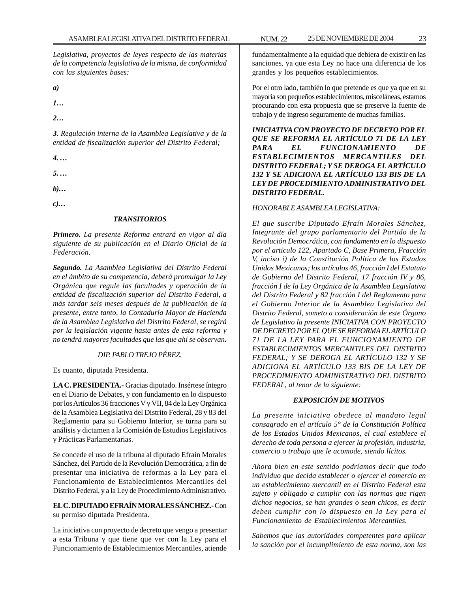*Legislativa, proyectos de leyes respecto de las materias de la competencia legislativa de la misma, de conformidad con las siguientes bases:*

*a)*

*1…*

*2…*

*3. Regulación interna de la Asamblea Legislativa y de la entidad de fiscalización superior del Distrito Federal;*

*4. …*

*5. …*

*b)…*

*c)…*

# *TRANSITORIOS*

*Primero. La presente Reforma entrará en vigor al día siguiente de su publicación en el Diario Oficial de la Federación.*

*Segundo. La Asamblea Legislativa del Distrito Federal en el ámbito de su competencia, deberá promulgar la Ley Orgánica que regule las facultades y operación de la entidad de fiscalización superior del Distrito Federal, a más tardar seis meses después de la publicación de la presente, entre tanto, la Contaduría Mayor de Hacienda de la Asamblea Legislativa del Distrito Federal, se regirá por la legislación vigente hasta antes de esta reforma y no tendrá mayores facultades que las que ahí se observan.*

# *DIP. PABLO TREJO PÉREZ.*

Es cuanto, diputada Presidenta.

**LA C. PRESIDENTA.-** Gracias diputado. Insértese íntegro en el Diario de Debates, y con fundamento en lo dispuesto por los Artículos 36 fracciones V y VII, 84 de la Ley Orgánica de la Asamblea Legislativa del Distrito Federal, 28 y 83 del Reglamento para su Gobierno Interior, se turna para su análisis y dictamen a la Comisión de Estudios Legislativos y Prácticas Parlamentarias.

Se concede el uso de la tribuna al diputado Efraín Morales Sánchez, del Partido de la Revolución Democrática, a fin de presentar una iniciativa de reformas a la Ley para el Funcionamiento de Establecimientos Mercantiles del Distrito Federal, y a la Ley de Procedimiento Administrativo.

# **EL C. DIPUTADO EFRAÍN MORALES SÁNCHEZ.-** Con su permiso diputada Presidenta.

La iniciativa con proyecto de decreto que vengo a presentar a esta Tribuna y que tiene que ver con la Ley para el Funcionamiento de Establecimientos Mercantiles, atiende

fundamentalmente a la equidad que debiera de existir en las sanciones, ya que esta Ley no hace una diferencia de los grandes y los pequeños establecimientos.

Por el otro lado, también lo que pretende es que ya que en su mayoría son pequeños establecimientos, misceláneas, estamos procurando con esta propuesta que se preserve la fuente de trabajo y de ingreso seguramente de muchas familias.

*INICIATIVA CON PROYECTO DE DECRETO POR EL QUE SE REFORMA EL ARTÍCULO 71 DE LA LEY PARA EL FUNCIONAMIENTO DE ESTABLECIMIENTOS MERCANTILES DEL DISTRITO FEDERAL; Y SE DEROGA EL ARTÍCULO 132 Y SE ADICIONA EL ARTÍCULO 133 BIS DE LA LEY DE PROCEDIMIENTO ADMINISTRATIVO DEL DISTRITO FEDERAL.*

# *HONORABLE ASAMBLEA LEGISLATIVA:*

*El que suscribe Diputado Efraín Morales Sánchez, Integrante del grupo parlamentario del Partido de la Revolución Democrática, con fundamento en lo dispuesto por el articulo 122, Apartado C, Base Primera, Fracción V, inciso i) de la Constitución Política de los Estados Unidos Mexicanos; los artículos 46, fracción I del Estatuto de Gobierno del Distrito Federal, 17 fracción IV y 86, fracción I de la Ley Orgánica de la Asamblea Legislativa del Distrito Federal y 82 fracción I del Reglamento para el Gobierno Interior de la Asamblea Legislativa del Distrito Federal, someto a consideración de este Órgano de Legislativo la presente INICIATIVA CON PROYECTO DE DECRETO POR EL QUE SE REFORMA EL ARTÍCULO 71 DE LA LEY PARA EL FUNCIONAMIENTO DE ESTABLECIMIENTOS MERCANTILES DEL DISTRITO FEDERAL; Y SE DEROGA EL ARTÍCULO 132 Y SE ADICIONA EL ARTÍCULO 133 BIS DE LA LEY DE PROCEDIMIENTO ADMINISTRATIVO DEL DISTRITO FEDERAL, al tenor de la siguiente:*

# *EXPOSICIÓN DE MOTIVOS*

*La presente iniciativa obedece al mandato legal consagrado en el artículo 5° de la Constitución Política de los Estados Unidos Mexicanos, el cual establece el derecho de toda persona a ejercer la profesión, industria, comercio o trabajo que le acomode, siendo lícitos.*

*Ahora bien en este sentido podríamos decir que todo individuo que decida establecer o ejercer el comercio en un establecimiento mercantil en el Distrito Federal esta sujeto y obligado a cumplir con las normas que rigen dichos negocios, se han grandes o sean chicos, es decir deben cumplir con lo dispuesto en la Ley para el Funcionamiento de Establecimientos Mercantiles.*

*Sabemos que las autoridades competentes para aplicar la sanción por el incumplimiento de esta norma, son las*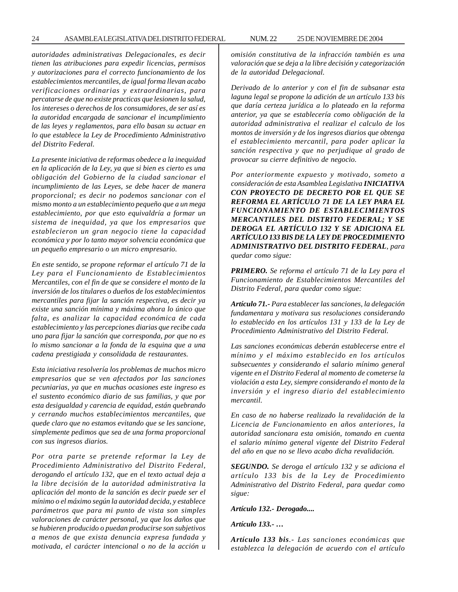*autoridades administrativas Delegacionales, es decir tienen las atribuciones para expedir licencias, permisos y autorizaciones para el correcto funcionamiento de los establecimientos mercantiles, de igual forma llevan acabo verificaciones ordinarias y extraordinarias, para percatarse de que no existe practicas que lesionen la salud, los intereses o derechos de los consumidores, de ser así es la autoridad encargada de sancionar el incumplimiento de las leyes y reglamentos, para ello basan su actuar en lo que establece la Ley de Procedimiento Administrativo del Distrito Federal.*

*La presente iniciativa de reformas obedece a la inequidad en la aplicación de la Ley, ya que si bien es cierto es una obligación del Gobierno de la ciudad sancionar el incumplimiento de las Leyes, se debe hacer de manera proporcional; es decir no podemos sancionar con el mismo monto a un establecimiento pequeño que a un mega establecimiento, por que esto equivaldría a formar un sistema de inequidad, ya que los empresarios que establecieron un gran negocio tiene la capacidad económica y por lo tanto mayor solvencia económica que un pequeño empresario o un micro empresario.*

*En este sentido, se propone reformar el artículo 71 de la Ley para el Funcionamiento de Establecimientos Mercantiles, con el fin de que se considere el monto de la inversión de los titulares o dueños de los establecimientos mercantiles para fijar la sanción respectiva, es decir ya existe una sanción mínima y máxima ahora lo único que falta, es analizar la capacidad económica de cada establecimiento y las percepciones diarias que recibe cada uno para fijar la sanción que corresponda, por que no es lo mismo sancionar a la fonda de la esquina que a una cadena prestigiada y consolidada de restaurantes.*

*Esta iniciativa resolvería los problemas de muchos micro empresarios que se ven afectados por las sanciones pecuniarias, ya que en muchas ocasiones este ingreso es el sustento económico diario de sus familias, y que por esta desigualdad y carencia de equidad, están quebrando y cerrando muchos establecimientos mercantiles, que quede claro que no estamos evitando que se les sancione, simplemente pedimos que sea de una forma proporcional con sus ingresos diarios.*

*Por otra parte se pretende reformar la Ley de Procedimiento Administrativo del Distrito Federal, derogando el artículo 132, que en el texto actual deja a la libre decisión de la autoridad administrativa la aplicación del monto de la sanción es decir puede ser el mínimo o el máximo según la autoridad decida, y establece parámetros que para mi punto de vista son simples valoraciones de carácter personal, ya que los daños que se hubieren producido o puedan producirse son subjetivos a menos de que exista denuncia expresa fundada y motivada, el carácter intencional o no de la acción u* *omisión constitutiva de la infracción también es una valoración que se deja a la libre decisión y categorización de la autoridad Delegacional.*

*Derivado de lo anterior y con el fin de subsanar esta laguna legal se propone la adición de un artículo 133 bis que daría certeza jurídica a lo plateado en la reforma anterior, ya que se establecería como obligación de la autoridad administrativa el realizar el calculo de los montos de inversión y de los ingresos diarios que obtenga el establecimiento mercantil, para poder aplicar la sanción respectiva y que no perjudique al grado de provocar su cierre definitivo de negocio.*

*Por anteriormente expuesto y motivado, someto a consideración de esta Asamblea Legislativa INICIATIVA CON PROYECTO DE DECRETO POR EL QUE SE REFORMA EL ARTÍCULO 71 DE LA LEY PARA EL FUNCIONAMIENTO DE ESTABLECIMIENTOS MERCANTILES DEL DISTRITO FEDERAL; Y SE DEROGA EL ARTÍCULO 132 Y SE ADICIONA EL ARTÍCULO 133 BIS DE LA LEY DE PROCEDIMIENTO ADMINISTRATIVO DEL DISTRITO FEDERAL, para quedar como sigue:*

*PRIMERO. Se reforma el artículo 71 de la Ley para el Funcionamiento de Establecimientos Mercantiles del Distrito Federal, para quedar como sigue:*

*Artículo 71.- Para establecer las sanciones, la delegación fundamentara y motivara sus resoluciones considerando lo establecido en los artículos 131 y 133 de la Ley de Procedimiento Administrativo del Distrito Federal.*

*Las sanciones económicas deberán establecerse entre el mínimo y el máximo establecido en los artículos subsecuentes y considerando el salario mínimo general vigente en el Distrito Federal al momento de cometerse la violación a esta Ley, siempre considerando el monto de la inversión y el ingreso diario del establecimiento mercantil.*

*En caso de no haberse realizado la revalidación de la Licencia de Funcionamiento en años anteriores, la autoridad sancionara esta omisión, tomando en cuenta el salario mínimo general vigente del Distrito Federal del año en que no se llevo acabo dicha revalidación.*

*SEGUNDO. Se deroga el artículo 132 y se adiciona el artículo 133 bis de la Ley de Procedimiento Administrativo del Distrito Federal, para quedar como sigue:*

*Artículo 132.- Derogado....*

*Artículo 133.- …*

*Artículo 133 bis.- Las sanciones económicas que establezca la delegación de acuerdo con el artículo*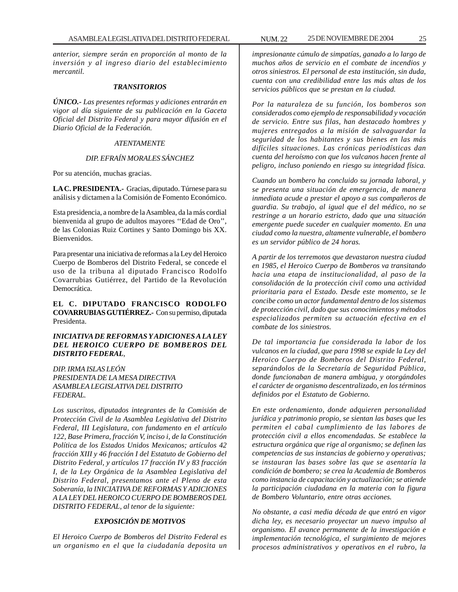*anterior, siempre serán en proporción al monto de la inversión y al ingreso diario del establecimiento mercantil.*

#### *TRANSITORIOS*

*ÚNICO.- Las presentes reformas y adiciones entrarán en vigor al día siguiente de su publicación en la Gaceta Oficial del Distrito Federal y para mayor difusión en el Diario Oficial de la Federación.*

# *ATENTAMENTE*

## *DIP. EFRAÍN MORALES SÁNCHEZ*

Por su atención, muchas gracias.

**LA C. PRESIDENTA.-** Gracias, diputado. Túrnese para su análisis y dictamen a la Comisión de Fomento Económico.

Esta presidencia, a nombre de la Asamblea, da la más cordial bienvenida al grupo de adultos mayores ''Edad de Oro'', de las Colonias Ruiz Cortines y Santo Domingo bis XX. Bienvenidos.

Para presentar una iniciativa de reformas a la Ley del Heroico Cuerpo de Bomberos del Distrito Federal, se concede el uso de la tribuna al diputado Francisco Rodolfo Covarrubias Gutiérrez, del Partido de la Revolución Democrática.

**EL C. DIPUTADO FRANCISCO RODOLFO COVARRUBIAS GUTIÉRREZ.-** Con su permiso, diputada Presidenta.

# *INICIATIVA DE REFORMAS Y ADICIONES A LA LEY DEL HEROICO CUERPO DE BOMBEROS DEL DISTRITO FEDERAL,*

*DIP. IRMA ISLAS LEÓN PRESIDENTA DE LA MESA DIRECTIVA ASAMBLEA LEGISLATIVA DEL DISTRITO FEDERAL.*

*Los suscritos, diputados integrantes de la Comisión de Protección Civil de la Asamblea Legislativa del Distrito Federal, III Legislatura, con fundamento en el artículo 122, Base Primera, fracción V, inciso i, de la Constitución Política de los Estados Unidos Mexicanos; artículos 42 fracción XIII y 46 fracción I del Estatuto de Gobierno del Distrito Federal, y artículos 17 fracción IV y 83 fracción I, de la Ley Orgánica de la Asamblea Legislativa del Distrito Federal, presentamos ante el Pleno de esta Soberanía, la INICIATIVA DE REFORMAS Y ADICIONES A LA LEY DEL HEROICO CUERPO DE BOMBEROS DEL DISTRITO FEDERAL, al tenor de la siguiente:*

#### *EXPOSICIÓN DE MOTIVOS*

*El Heroico Cuerpo de Bomberos del Distrito Federal es un organismo en el que la ciudadanía deposita un*

*impresionante cúmulo de simpatías, ganado a lo largo de muchos años de servicio en el combate de incendios y otros siniestros. El personal de esta institución, sin duda, cuenta con una credibilidad entre las más altas de los servicios públicos que se prestan en la ciudad.*

*Por la naturaleza de su función, los bomberos son considerados como ejemplo de responsabilidad y vocación de servicio. Entre sus filas, han destacado hombres y mujeres entregados a la misión de salvaguardar la seguridad de los habitantes y sus bienes en las más difíciles situaciones. Las crónicas periodísticas dan cuenta del heroísmo con que los vulcanos hacen frente al peligro, incluso poniendo en riesgo su integridad física.*

*Cuando un bombero ha concluido su jornada laboral, y se presenta una situación de emergencia, de manera inmediata acude a prestar el apoyo a sus compañeros de guardia. Su trabajo, al igual que el del médico, no se restringe a un horario estricto, dado que una situación emergente puede suceder en cualquier momento. En una ciudad como la nuestra, altamente vulnerable, el bombero es un servidor público de 24 horas.*

*A partir de los terremotos que devastaron nuestra ciudad en 1985, el Heroico Cuerpo de Bomberos va transitando hacia una etapa de institucionalidad, al paso de la consolidación de la protección civil como una actividad prioritaria para el Estado. Desde este momento, se le concibe como un actor fundamental dentro de los sistemas de protección civil, dado que sus conocimientos y métodos especializados permiten su actuación efectiva en el combate de los siniestros.*

*De tal importancia fue considerada la labor de los vulcanos en la ciudad, que para 1998 se expide la Ley del Heroico Cuerpo de Bomberos del Distrito Federal, separándolos de la Secretaría de Seguridad Pública, donde funcionaban de manera ambigua, y otorgándoles el carácter de organismo descentralizado, en los términos definidos por el Estatuto de Gobierno.*

*En este ordenamiento, donde adquieren personalidad jurídica y patrimonio propio, se sientan las bases que les permiten el cabal cumplimiento de las labores de protección civil a ellos encomendadas. Se establece la estructura orgánica que rige al organismo; se definen las competencias de sus instancias de gobierno y operativas; se instauran las bases sobre las que se asentaría la condición de bombero; se crea la Academia de Bomberos como instancia de capacitación y actualización; se atiende la participación ciudadana en la materia con la figura de Bombero Voluntario, entre otras acciones.*

*No obstante, a casi media década de que entró en vigor dicha ley, es necesario proyectar un nuevo impulso al organismo. El avance permanente de la investigación e implementación tecnológica, el surgimiento de mejores procesos administrativos y operativos en el rubro, la*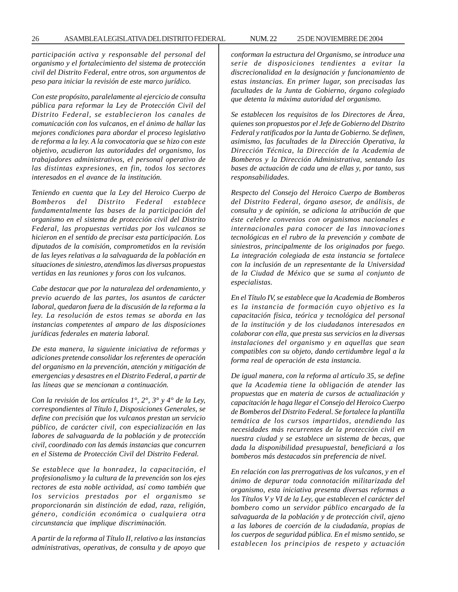*participación activa y responsable del personal del organismo y el fortalecimiento del sistema de protección civil del Distrito Federal, entre otros, son argumentos de peso para iniciar la revisión de este marco jurídico.*

*Con este propósito, paralelamente al ejercicio de consulta pública para reformar la Ley de Protección Civil del Distrito Federal, se establecieron los canales de comunicación con los vulcanos, en el ánimo de hallar las mejores condiciones para abordar el proceso legislativo de reforma a la ley. A la convocatoria que se hizo con este objetivo, acudieron las autoridades del organismo, los trabajadores administrativos, el personal operativo de las distintas expresiones, en fin, todos los sectores interesados en el avance de la institución.*

*Teniendo en cuenta que la Ley del Heroico Cuerpo de Bomberos del Distrito Federal establece fundamentalmente las bases de la participación del organismo en el sistema de protección civil del Distrito Federal, las propuestas vertidas por los vulcanos se hicieron en el sentido de precisar esta participación. Los diputados de la comisión, comprometidos en la revisión de las leyes relativas a la salvaguarda de la población en situaciones de siniestro, atendimos las diversas propuestas vertidas en las reuniones y foros con los vulcanos.*

*Cabe destacar que por la naturaleza del ordenamiento, y previo acuerdo de las partes, los asuntos de carácter laboral, quedaron fuera de la discusión de la reforma a la ley. La resolución de estos temas se aborda en las instancias competentes al amparo de las disposiciones jurídicas federales en materia laboral.*

*De esta manera, la siguiente iniciativa de reformas y adiciones pretende consolidar los referentes de operación del organismo en la prevención, atención y mitigación de emergencias y desastres en el Distrito Federal, a partir de las líneas que se mencionan a continuación.*

*Con la revisión de los artículos 1°, 2°, 3° y 4° de la Ley, correspondientes al Título I, Disposiciones Generales, se define con precisión que los vulcanos prestan un servicio público, de carácter civil, con especialización en las labores de salvaguarda de la población y de protección civil, coordinado con las demás instancias que concurren en el Sistema de Protección Civil del Distrito Federal.*

*Se establece que la honradez, la capacitación, el profesionalismo y la cultura de la prevención son los ejes rectores de esta noble actividad, así como también que los servicios prestados por el organismo se proporcionarán sin distinción de edad, raza, religión, género, condición económica o cualquiera otra circunstancia que implique discriminación.*

*A partir de la reforma al Título II, relativo a las instancias administrativas, operativas, de consulta y de apoyo que*

*conforman la estructura del Organismo, se introduce una serie de disposiciones tendientes a evitar la discrecionalidad en la designación y funcionamiento de estas instancias. En primer lugar, son precisadas las facultades de la Junta de Gobierno, órgano colegiado que detenta la máxima autoridad del organismo.*

*Se establecen los requisitos de los Directores de Área, quienes son propuestos por el Jefe de Gobierno del Distrito Federal y ratificados por la Junta de Gobierno. Se definen, asimismo, las facultades de la Dirección Operativa, la Dirección Técnica, la Dirección de la Academia de Bomberos y la Dirección Administrativa, sentando las bases de actuación de cada una de ellas y, por tanto, sus responsabilidades.*

*Respecto del Consejo del Heroico Cuerpo de Bomberos del Distrito Federal, órgano asesor, de análisis, de consulta y de opinión, se adiciona la atribución de que éste celebre convenios con organismos nacionales e internacionales para conocer de las innovaciones tecnológicas en el rubro de la prevención y combate de siniestros, principalmente de los originados por fuego. La integración colegiada de esta instancia se fortalece con la inclusión de un representante de la Universidad de la Ciudad de México que se suma al conjunto de especialistas.*

*En el Título IV, se establece que la Academia de Bomberos es la instancia de formación cuyo objetivo es la capacitación física, teórica y tecnológica del personal de la institución y de los ciudadanos interesados en colaborar con ella, que presta sus servicios en la diversas instalaciones del organismo y en aquellas que sean compatibles con su objeto, dando certidumbre legal a la forma real de operación de esta instancia.*

*De igual manera, con la reforma al artículo 35, se define que la Academia tiene la obligación de atender las propuestas que en materia de cursos de actualización y capacitación le haga llegar el Consejo del Heroico Cuerpo de Bomberos del Distrito Federal. Se fortalece la plantilla temática de los cursos impartidos, atendiendo las necesidades más recurrentes de la protección civil en nuestra ciudad y se establece un sistema de becas, que dada la disponibilidad presupuestal, beneficiará a los bomberos más destacados sin preferencia de nivel.*

*En relación con las prerrogativas de los vulcanos, y en el ánimo de depurar toda connotación militarizada del organismo, esta iniciativa presenta diversas reformas a los Títulos V y VI de la Ley, que establecen el carácter del bombero como un servidor público encargado de la salvaguarda de la población y de protección civil, ajeno a las labores de coerción de la ciudadanía, propias de los cuerpos de seguridad pública. En el mismo sentido, se establecen los principios de respeto y actuación*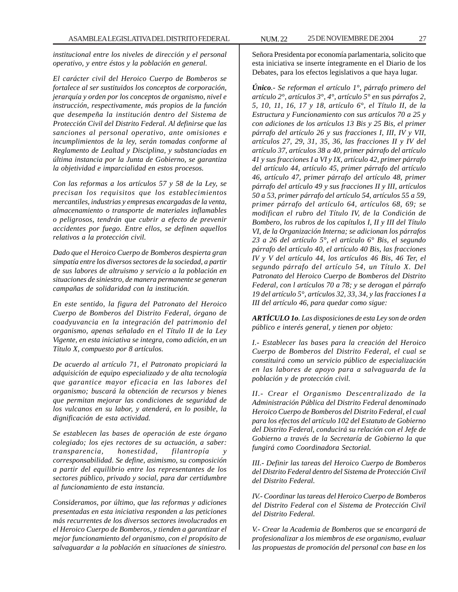*institucional entre los niveles de dirección y el personal operativo, y entre éstos y la población en general.*

*El carácter civil del Heroico Cuerpo de Bomberos se fortalece al ser sustituidos los conceptos de corporación, jerarquía y orden por los conceptos de organismo, nivel e instrucción, respectivamente, más propios de la función que desempeña la institución dentro del Sistema de Protección Civil del Distrito Federal. Al definirse que las sanciones al personal operativo, ante omisiones e incumplimientos de la ley, serán tomadas conforme al Reglamento de Lealtad y Disciplina, y substanciadas en última instancia por la Junta de Gobierno, se garantiza la objetividad e imparcialidad en estos procesos.*

*Con las reformas a los artículos 57 y 58 de la Ley, se precisan los requisitos que los establecimientos mercantiles, industrias y empresas encargadas de la venta, almacenamiento o transporte de materiales inflamables o peligrosos, tendrán que cubrir a efecto de prevenir accidentes por fuego. Entre ellos, se definen aquellos relativos a la protección civil.*

*Dado que el Heroico Cuerpo de Bomberos despierta gran simpatía entre los diversos sectores de la sociedad, a partir de sus labores de altruismo y servicio a la población en situaciones de siniestro, de manera permanente se generan campañas de solidaridad con la institución.*

*En este sentido, la figura del Patronato del Heroico Cuerpo de Bomberos del Distrito Federal, órgano de coadyuvancia en la integración del patrimonio del organismo, apenas señalado en el Título II de la Ley Vigente, en esta iniciativa se integra, como adición, en un Título X, compuesto por 8 artículos.*

*De acuerdo al artículo 71, el Patronato propiciará la adquisición de equipo especializado y de alta tecnología que garantice mayor eficacia en las labores del organismo; buscará la obtención de recursos y bienes que permitan mejorar las condiciones de seguridad de los vulcanos en su labor, y atenderá, en lo posible, la dignificación de esta actividad.*

*Se establecen las bases de operación de este órgano colegiado; los ejes rectores de su actuación, a saber: transparencia, honestidad, filantropía y corresponsabilidad. Se define, asimismo, su composición a partir del equilibrio entre los representantes de los sectores público, privado y social, para dar certidumbre al funcionamiento de esta instancia.*

*Consideramos, por último, que las reformas y adiciones presentadas en esta iniciativa responden a las peticiones más recurrentes de los diversos sectores involucrados en el Heroico Cuerpo de Bomberos, y tienden a garantizar el mejor funcionamiento del organismo, con el propósito de salvaguardar a la población en situaciones de siniestro.*

Señora Presidenta por economía parlamentaria, solicito que esta iniciativa se inserte íntegramente en el Diario de los Debates, para los efectos legislativos a que haya lugar.

*Único.- Se reforman el artículo 1°, párrafo primero del artículo 2°, artículos 3°, 4°, artículo 5° en sus párrafos 2, 5, 10, 11, 16, 17 y 18, artículo 6°, el Título II, de la Estructura y Funcionamiento con sus artículos 70 a 25 y con adiciones de los artículos 13 Bis y 25 Bis, el primer párrafo del artículo 26 y sus fracciones I, III, IV y VII, artículos 27, 29, 31, 35, 36, las fracciones II y IV del artículo 37, artículos 38 a 40, primer párrafo del artículo 41 y sus fracciones I a VI y IX, artículo 42, primer párrafo del artículo 44, artículo 45, primer párrafo del artículo 46, artículo 47, primer párrafo del artículo 48, primer párrafo del artículo 49 y sus fracciones II y III, artículos 50 a 53, primer párrafo del artículo 54, artículos 55 a 59, primer párrafo del artículo 64, artículos 68, 69; se modifican el rubro del Título IV, de la Condición de Bombero, los rubros de los capítulos I, II y III del Título VI, de la Organización Interna; se adicionan los párrafos 23 a 26 del artículo 5°, el artículo 6° Bis, el segundo párrafo del artículo 40, el artículo 40 Bis, las fracciones IV y V del artículo 44, los artículos 46 Bis, 46 Ter, el segundo párrafo del artículo 54, un Título X. Del Patronato del Heroico Cuerpo de Bomberos del Distrito Federal, con l artículos 70 a 78; y se derogan el párrafo 19 del artículo 5°, artículos 32, 33, 34, y las fracciones I a III del artículo 46, para quedar como sigue:*

*ARTÍCULO 1o. Las disposiciones de esta Ley son de orden público e interés general, y tienen por objeto:*

*I.- Establecer las bases para la creación del Heroico Cuerpo de Bomberos del Distrito Federal, el cual se constituirá como un servicio público de especialización en las labores de apoyo para a salvaguarda de la población y de protección civil.*

*II.- Crear el Organismo Descentralizado de la Administración Pública del Distrito Federal denominado Heroico Cuerpo de Bomberos del Distrito Federal, el cual para los efectos del artículo 102 del Estatuto de Gobierno del Distrito Federal, conducirá su relación con el Jefe de Gobierno a través de la Secretaría de Gobierno la que fungirá como Coordinadora Sectorial.*

*III.- Definir las tareas del Heroico Cuerpo de Bomberos del Distrito Federal dentro del Sistema de Protección Civil del Distrito Federal.*

*IV.- Coordinar las tareas del Heroico Cuerpo de Bomberos del Distrito Federal con el Sistema de Protección Civil del Distrito Federal.*

*V.- Crear la Academia de Bomberos que se encargará de profesionalizar a los miembros de ese organismo, evaluar las propuestas de promoción del personal con base en los*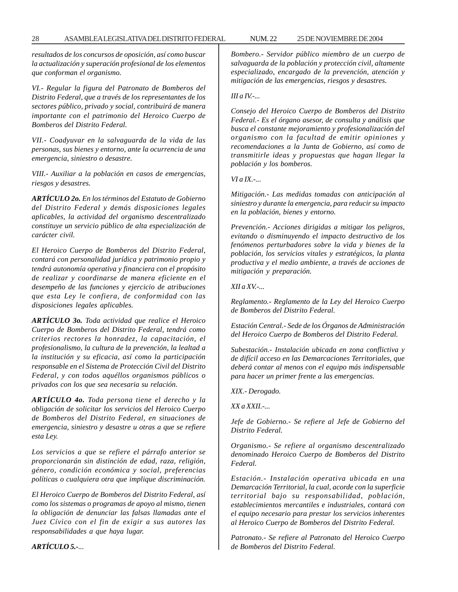*resultados de los concursos de oposición, así como buscar la actualización y superación profesional de los elementos que conforman el organismo.*

*VI.- Regular la figura del Patronato de Bomberos del Distrito Federal, que a través de los representantes de los sectores público, privado y social, contribuirá de manera importante con el patrimonio del Heroico Cuerpo de Bomberos del Distrito Federal.*

*VII.- Coadyuvar en la salvaguarda de la vida de las personas, sus bienes y entorno, ante la ocurrencia de una emergencia, siniestro o desastre.*

*VIII.- Auxiliar a la población en casos de emergencias, riesgos y desastres.*

*ARTÍCULO 2o. En los términos del Estatuto de Gobierno del Distrito Federal y demás disposiciones legales aplicables, la actividad del organismo descentralizado constituye un servicio público de alta especialización de carácter civil.*

*El Heroico Cuerpo de Bomberos del Distrito Federal, contará con personalidad jurídica y patrimonio propio y tendrá autonomía operativa y financiera con el propósito de realizar y coordinarse de manera eficiente en el desempeño de las funciones y ejercicio de atribuciones que esta Ley le confiera, de conformidad con las disposiciones legales aplicables.*

*ARTÍCULO 3o. Toda actividad que realice el Heroico Cuerpo de Bomberos del Distrito Federal, tendrá como criterios rectores la honradez, la capacitación, el profesionalismo, la cultura de la prevención, la lealtad a la institución y su eficacia, así como la participación responsable en el Sistema de Protección Civil del Distrito Federal, y con todos aquéllos organismos públicos o privados con los que sea necesaria su relación.*

*ARTÍCULO 4o. Toda persona tiene el derecho y la obligación de solicitar los servicios del Heroico Cuerpo de Bomberos del Distrito Federal, en situaciones de emergencia, siniestro y desastre u otras a que se refiere esta Ley.*

*Los servicios a que se refiere el párrafo anterior se proporcionarán sin distinción de edad, raza, religión, género, condición económica y social, preferencias políticas o cualquiera otra que implique discriminación.*

*El Heroico Cuerpo de Bomberos del Distrito Federal, así como los sistemas o programas de apoyo al mismo, tienen la obligación de denunciar las falsas llamadas ante el Juez Cívico con el fin de exigir a sus autores las responsabilidades a que haya lugar.*

*Bombero.- Servidor público miembro de un cuerpo de salvaguarda de la población y protección civil, altamente especializado, encargado de la prevención, atención y mitigación de las emergencias, riesgos y desastres.*

#### *III a IV.-...*

*Consejo del Heroico Cuerpo de Bomberos del Distrito Federal.- Es el órgano asesor, de consulta y análisis que busca el constante mejoramiento y profesionalización del organismo con la facultad de emitir opiniones y recomendaciones a la Junta de Gobierno, así como de transmitirle ideas y propuestas que hagan llegar la población y los bomberos.*

*VI a IX.-...*

*Mitigación.- Las medidas tomadas con anticipación al siniestro y durante la emergencia, para reducir su impacto en la población, bienes y entorno.*

*Prevención.- Acciones dirigidas a mitigar los peligros, evitando o disminuyendo el impacto destructivo de los fenómenos perturbadores sobre la vida y bienes de la población, los servicios vitales y estratégicos, la planta productiva y el medio ambiente, a través de acciones de mitigación y preparación.*

#### *XII a XV.-...*

*Reglamento.- Reglamento de la Ley del Heroico Cuerpo de Bomberos del Distrito Federal.*

*Estación Central.- Sede de los Órganos de Administración del Heroico Cuerpo de Bomberos del Distrito Federal.*

*Subestación.- Instalación ubicada en zona conflictiva y de difícil acceso en las Demarcaciones Territoriales, que deberá contar al menos con el equipo más indispensable para hacer un primer frente a las emergencias.*

*XIX.- Derogado.*

*XX a XXII.-...*

*Jefe de Gobierno.- Se refiere al Jefe de Gobierno del Distrito Federal.*

*Organismo.- Se refiere al organismo descentralizado denominado Heroico Cuerpo de Bomberos del Distrito Federal.*

*Estación.- Instalación operativa ubicada en una Demarcación Territorial, la cual, acorde con la superficie territorial bajo su responsabilidad, población, establecimientos mercantiles e industriales, contará con el equipo necesario para prestar los servicios inherentes al Heroico Cuerpo de Bomberos del Distrito Federal.*

*Patronato.- Se refiere al Patronato del Heroico Cuerpo de Bomberos del Distrito Federal.*

*ARTÍCULO 5.-...*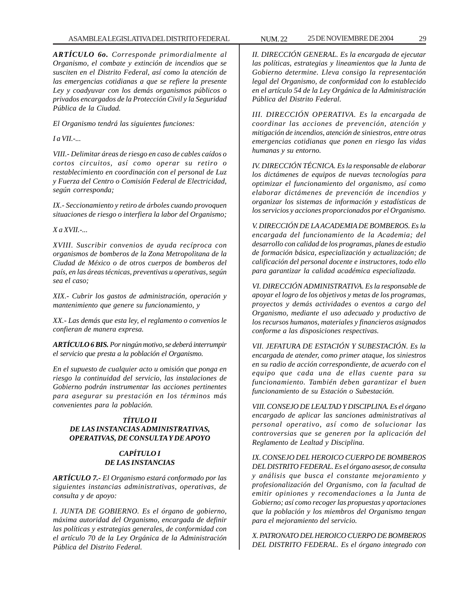# ASAMBLEA LEGISLATIVA DEL DISTRITO FEDERAL NUM. 22 25 DE NOVIEMBRE DE 2004 29

*ARTÍCULO 6o. Corresponde primordialmente al Organismo, el combate y extinción de incendios que se susciten en el Distrito Federal, así como la atención de las emergencias cotidianas a que se refiere la presente Ley y coadyuvar con los demás organismos públicos o privados encargados de la Protección Civil y la Seguridad Pública de la Ciudad.*

*El Organismo tendrá las siguientes funciones:*

*I a VII.-...*

*VIII.- Delimitar áreas de riesgo en caso de cables caídos o cortos circuitos, así como operar su retiro o restablecimiento en coordinación con el personal de Luz y Fuerza del Centro o Comisión Federal de Electricidad, según corresponda;*

*IX.- Seccionamiento y retiro de árboles cuando provoquen situaciones de riesgo o interfiera la labor del Organismo;*

*X a XVII.-...*

*XVIII. Suscribir convenios de ayuda recíproca con organismos de bomberos de la Zona Metropolitana de la Ciudad de México o de otros cuerpos de bomberos del país, en las áreas técnicas, preventivas u operativas, según sea el caso;*

*XIX.- Cubrir los gastos de administración, operación y mantenimiento que genere su funcionamiento, y*

*XX.- Las demás que esta ley, el reglamento o convenios le confieran de manera expresa.*

*ARTÍCULO 6 BIS. Por ningún motivo, se deberá interrumpir el servicio que presta a la población el Organismo.*

*En el supuesto de cualquier acto u omisión que ponga en riesgo la continuidad del servicio, las instalaciones de Gobierno podrán instrumentar las acciones pertinentes para asegurar su prestación en los términos más convenientes para la población.*

# *TÍTULO II DE LAS INSTANCIAS ADMINISTRATIVAS, OPERATIVAS, DE CONSULTA Y DE APOYO*

# *CAPÍTULO I DE LAS INSTANCIAS*

*ARTÍCULO 7.- El Organismo estará conformado por las siguientes instancias administrativas, operativas, de consulta y de apoyo:*

*I. JUNTA DE GOBIERNO. Es el órgano de gobierno, máxima autoridad del Organismo, encargada de definir las políticas y estrategias generales, de conformidad con el artículo 70 de la Ley Orgánica de la Administración Pública del Distrito Federal.*

*II. DIRECCIÓN GENERAL. Es la encargada de ejecutar las políticas, estrategias y lineamientos que la Junta de Gobierno determine. Lleva consigo la representación legal del Organismo, de conformidad con lo establecido en el artículo 54 de la Ley Orgánica de la Administración Pública del Distrito Federal.*

*III. DIRECCIÓN OPERATIVA. Es la encargada de coordinar las acciones de prevención, atención y mitigación de incendios, atención de siniestros, entre otras emergencias cotidianas que ponen en riesgo las vidas humanas y su entorno.*

*IV. DIRECCIÓN TÉCNICA. Es la responsable de elaborar los dictámenes de equipos de nuevas tecnologías para optimizar el funcionamiento del organismo, así como elaborar dictámenes de prevención de incendios y organizar los sistemas de información y estadísticas de los servicios y acciones proporcionados por el Organismo.*

*V. DIRECCIÓN DE LA ACADEMIA DE BOMBEROS. Es la encargada del funcionamiento de la Academia; del desarrollo con calidad de los programas, planes de estudio de formación básica, especialización y actualización; de calificación del personal docente e instructores, todo ello para garantizar la calidad académica especializada.*

*VI. DIRECCIÓN ADMINISTRATIVA. Es la responsable de apoyar el logro de los objetivos y metas de los programas, proyectos y demás actividades o eventos a cargo del Organismo, mediante el uso adecuado y productivo de los recursos humanos, materiales y financieros asignados conforme a las disposiciones respectivas.*

*VII. JEFATURA DE ESTACIÓN Y SUBESTACIÓN. Es la encargada de atender, como primer ataque, los siniestros en su radio de acción correspondiente, de acuerdo con el equipo que cada una de ellas cuente para su funcionamiento. También deben garantizar el buen funcionamiento de su Estación o Subestación.*

*VIII. CONSEJO DE LEALTAD Y DISCIPLINA. Es el órgano encargado de aplicar las sanciones administrativas al personal operativo, así como de solucionar las controversias que se generen por la aplicación del Reglamento de Lealtad y Disciplina.*

*IX. CONSEJO DEL HEROICO CUERPO DE BOMBEROS DEL DISTRITO FEDERAL. Es el órgano asesor, de consulta y análisis que busca el constante mejoramiento y profesionalización del Organismo, con la facultad de emitir opiniones y recomendaciones a la Junta de Gobierno; así como recoger las propuestas y aportaciones que la población y los miembros del Organismo tengan para el mejoramiento del servicio.*

*X. PATRONATO DEL HEROICO CUERPO DE BOMBEROS DEL DISTRITO FEDERAL. Es el órgano integrado con*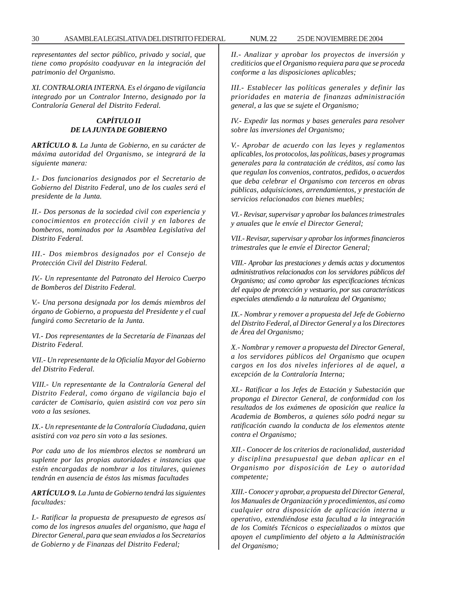*representantes del sector público, privado y social, que tiene como propósito coadyuvar en la integración del patrimonio del Organismo.*

*XI. CONTRALORIA INTERNA. Es el órgano de vigilancia integrado por un Contralor Interno, designado por la Contraloría General del Distrito Federal.*

# *CAPÍTULO II DE LA JUNTA DE GOBIERNO*

*ARTÍCULO 8. La Junta de Gobierno, en su carácter de máxima autoridad del Organismo, se integrará de la siguiente manera:*

*I.- Dos funcionarios designados por el Secretario de Gobierno del Distrito Federal, uno de los cuales será el presidente de la Junta.*

*II.- Dos personas de la sociedad civil con experiencia y conocimientos en protección civil y en labores de bomberos, nominados por la Asamblea Legislativa del Distrito Federal.*

*III.- Dos miembros designados por el Consejo de Protección Civil del Distrito Federal.*

*IV.- Un representante del Patronato del Heroico Cuerpo de Bomberos del Distrito Federal.*

*V.- Una persona designada por los demás miembros del órgano de Gobierno, a propuesta del Presidente y el cual fungirá como Secretario de la Junta.*

*VI.- Dos representantes de la Secretaría de Finanzas del Distrito Federal.*

*VII.- Un representante de la Oficialía Mayor del Gobierno del Distrito Federal.*

*VIII.- Un representante de la Contraloría General del Distrito Federal, como órgano de vigilancia bajo el carácter de Comisario, quien asistirá con voz pero sin voto a las sesiones.*

*IX.- Un representante de la Contraloría Ciudadana, quien asistirá con voz pero sin voto a las sesiones.*

*Por cada uno de los miembros electos se nombrará un suplente por las propias autoridades e instancias que estén encargadas de nombrar a los titulares, quienes tendrán en ausencia de éstos las mismas facultades*

*ARTÍCULO 9. La Junta de Gobierno tendrá las siguientes facultades:*

*I.- Ratificar la propuesta de presupuesto de egresos así como de los ingresos anuales del organismo, que haga el Director General, para que sean enviados a los Secretarios de Gobierno y de Finanzas del Distrito Federal;*

*II.- Analizar y aprobar los proyectos de inversión y crediticios que el Organismo requiera para que se proceda conforme a las disposiciones aplicables;*

*III.- Establecer las políticas generales y definir las prioridades en materia de finanzas administración general, a las que se sujete el Organismo;*

*IV.- Expedir las normas y bases generales para resolver sobre las inversiones del Organismo;*

*V.- Aprobar de acuerdo con las leyes y reglamentos aplicables, los protocolos, las políticas, bases y programas generales para la contratación de créditos, así como las que regulan los convenios, contratos, pedidos, o acuerdos que deba celebrar el Organismo con terceros en obras públicas, adquisiciones, arrendamientos, y prestación de servicios relacionados con bienes muebles;*

*VI.- Revisar, supervisar y aprobar los balances trimestrales y anuales que le envíe el Director General;*

*VII.- Revisar, supervisar y aprobar los informes financieros trimestrales que le envíe el Director General;*

*VIII.- Aprobar las prestaciones y demás actas y documentos administrativos relacionados con los servidores públicos del Organismo; así como aprobar las especificaciones técnicas del equipo de protección y vestuario, por sus características especiales atendiendo a la naturaleza del Organismo;*

*IX.- Nombrar y remover a propuesta del Jefe de Gobierno del Distrito Federal, al Director General y a los Directores de Área del Organismo;*

*X.- Nombrar y remover a propuesta del Director General, a los servidores públicos del Organismo que ocupen cargos en los dos niveles inferiores al de aquel, a excepción de la Contraloría Interna;*

*XI.- Ratificar a los Jefes de Estación y Subestación que proponga el Director General, de conformidad con los resultados de los exámenes de oposición que realice la Academia de Bomberos, a quienes sólo podrá negar su ratificación cuando la conducta de los elementos atente contra el Organismo;*

*XII.- Conocer de los criterios de racionalidad, austeridad y disciplina presupuestal que deban aplicar en el Organismo por disposición de Ley o autoridad competente;*

*XIII.- Conocer y aprobar, a propuesta del Director General, los Manuales de Organización y procedimientos, así como cualquier otra disposición de aplicación interna u operativo, extendiéndose esta facultad a la integración de los Comités Técnicos o especializados o mixtos que apoyen el cumplimiento del objeto a la Administración del Organismo;*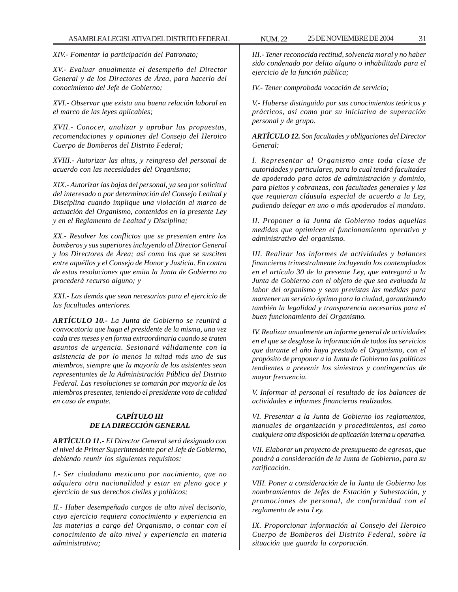*XIV.- Fomentar la participación del Patronato;*

*XV.- Evaluar anualmente el desempeño del Director General y de los Directores de Área, para hacerlo del conocimiento del Jefe de Gobierno;*

*XVI.- Observar que exista una buena relación laboral en el marco de las leyes aplicables;*

*XVII.- Conocer, analizar y aprobar las propuestas, recomendaciones y opiniones del Consejo del Heroico Cuerpo de Bomberos del Distrito Federal;*

*XVIII.- Autorizar las altas, y reingreso del personal de acuerdo con las necesidades del Organismo;*

*XIX.- Autorizar las bajas del personal, ya sea por solicitud del interesado o por determinación del Consejo Lealtad y Disciplina cuando implique una violación al marco de actuación del Organismo, contenidos en la presente Ley y en el Reglamento de Lealtad y Disciplina;*

*XX.- Resolver los conflictos que se presenten entre los bomberos y sus superiores incluyendo al Director General y los Directores de Área; así como los que se susciten entre aquéllos y el Consejo de Honor y Justicia. En contra de estas resoluciones que emita la Junta de Gobierno no procederá recurso alguno; y*

*XXI.- Las demás que sean necesarias para el ejercicio de las facultades anteriores.*

*ARTÍCULO 10.- La Junta de Gobierno se reunirá a convocatoria que haga el presidente de la misma, una vez cada tres meses y en forma extraordinaria cuando se traten asuntos de urgencia. Sesionará válidamente con la asistencia de por lo menos la mitad más uno de sus miembros, siempre que la mayoría de los asistentes sean representantes de la Administración Pública del Distrito Federal. Las resoluciones se tomarán por mayoría de los miembros presentes, teniendo el presidente voto de calidad en caso de empate.*

# *CAPÍTULO III DE LA DIRECCIÓN GENERAL*

*ARTÍCULO 11.- El Director General será designado con el nivel de Primer Superintendente por el Jefe de Gobierno, debiendo reunir los siguientes requisitos:*

*I.- Ser ciudadano mexicano por nacimiento, que no adquiera otra nacionalidad y estar en pleno goce y ejercicio de sus derechos civiles y políticos;*

*II.- Haber desempeñado cargos de alto nivel decisorio, cuyo ejercicio requiera conocimiento y experiencia en las materias a cargo del Organismo, o contar con el conocimiento de alto nivel y experiencia en materia administrativa;*

*III.- Tener reconocida rectitud, solvencia moral y no haber sido condenado por delito alguno o inhabilitado para el ejercicio de la función pública;*

*IV.- Tener comprobada vocación de servicio;*

*V.- Haberse distinguido por sus conocimientos teóricos y prácticos, así como por su iniciativa de superación personal y de grupo.*

*ARTÍCULO 12. Son facultades y obligaciones del Director General:*

*I. Representar al Organismo ante toda clase de autoridades y particulares, para lo cual tendrá facultades de apoderado para actos de administración y dominio, para pleitos y cobranzas, con facultades generales y las que requieran cláusula especial de acuerdo a la Ley, pudiendo delegar en uno o más apoderados el mandato.*

*II. Proponer a la Junta de Gobierno todas aquellas medidas que optimicen el funcionamiento operativo y administrativo del organismo.*

*III. Realizar los informes de actividades y balances financieros trimestralmente incluyendo los contemplados en el artículo 30 de la presente Ley, que entregará a la Junta de Gobierno con el objeto de que sea evaluada la labor del organismo y sean previstas las medidas para mantener un servicio óptimo para la ciudad, garantizando también la legalidad y transparencia necesarias para el buen funcionamiento del Organismo.*

*IV. Realizar anualmente un informe general de actividades en el que se desglose la información de todos los servicios que durante el año haya prestado el Organismo, con el propósito de proponer a la Junta de Gobierno las políticas tendientes a prevenir los siniestros y contingencias de mayor frecuencia.*

*V. Informar al personal el resultado de los balances de actividades e informes financieros realizados.*

*VI. Presentar a la Junta de Gobierno los reglamentos, manuales de organización y procedimientos, así como cualquiera otra disposición de aplicación interna u operativa.*

*VII. Elaborar un proyecto de presupuesto de egresos, que pondrá a consideración de la Junta de Gobierno, para su ratificación.*

*VIII. Poner a consideración de la Junta de Gobierno los nombramientos de Jefes de Estación y Subestación, y promociones de personal, de conformidad con el reglamento de esta Ley.*

*IX. Proporcionar información al Consejo del Heroico Cuerpo de Bomberos del Distrito Federal, sobre la situación que guarda la corporación.*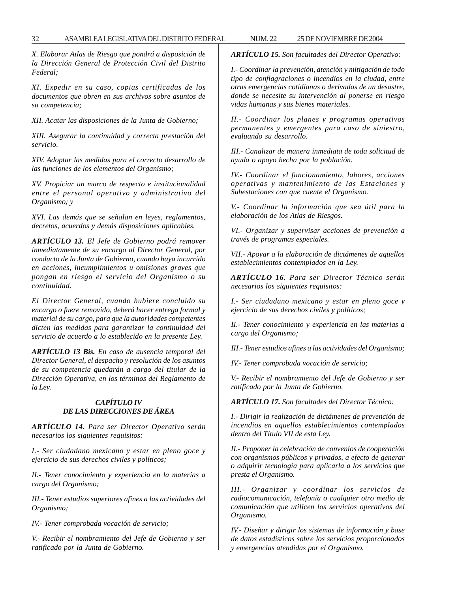*X. Elaborar Atlas de Riesgo que pondrá a disposición de la Dirección General de Protección Civil del Distrito Federal;*

*XI. Expedir en su caso, copias certificadas de los documentos que obren en sus archivos sobre asuntos de su competencia;*

*XII. Acatar las disposiciones de la Junta de Gobierno;*

*XIII. Asegurar la continuidad y correcta prestación del servicio.*

*XIV. Adoptar las medidas para el correcto desarrollo de las funciones de los elementos del Organismo;*

*XV. Propiciar un marco de respecto e institucionalidad entre el personal operativo y administrativo del Organismo; y*

*XVI. Las demás que se señalan en leyes, reglamentos, decretos, acuerdos y demás disposiciones aplicables.*

*ARTÍCULO 13. El Jefe de Gobierno podrá remover inmediatamente de su encargo al Director General, por conducto de la Junta de Gobierno, cuando haya incurrido en acciones, incumplimientos u omisiones graves que pongan en riesgo el servicio del Organismo o su continuidad.*

*El Director General, cuando hubiere concluido su encargo o fuere removido, deberá hacer entrega formal y material de su cargo, para que la autoridades competentes dicten las medidas para garantizar la continuidad del servicio de acuerdo a lo establecido en la presente Ley.*

*ARTÍCULO 13 Bis. En caso de ausencia temporal del Director General, el despacho y resolución de los asuntos de su competencia quedarán a cargo del titular de la Dirección Operativa, en los términos del Reglamento de la Ley.*

# *CAPÍTULO IV DE LAS DIRECCIONES DE ÁREA*

*ARTÍCULO 14. Para ser Director Operativo serán necesarios los siguientes requisitos:*

*I.- Ser ciudadano mexicano y estar en pleno goce y ejercicio de sus derechos civiles y políticos;*

*II.- Tener conocimiento y experiencia en la materias a cargo del Organismo;*

*III.- Tener estudios superiores afines a las actividades del Organismo;*

*IV.- Tener comprobada vocación de servicio;*

*V.- Recibir el nombramiento del Jefe de Gobierno y ser ratificado por la Junta de Gobierno.*

*ARTÍCULO 15. Son facultades del Director Operativo:*

*I.- Coordinar la prevención, atención y mitigación de todo tipo de conflagraciones o incendios en la ciudad, entre otras emergencias cotidianas o derivadas de un desastre, donde se necesite su intervención al ponerse en riesgo vidas humanas y sus bienes materiales.*

*II.- Coordinar los planes y programas operativos permanentes y emergentes para caso de siniestro, evaluando su desarrollo.*

*III.- Canalizar de manera inmediata de toda solicitud de ayuda o apoyo hecha por la población.*

*IV.- Coordinar el funcionamiento, labores, acciones operativas y mantenimiento de las Estaciones y Subestaciones con que cuente el Organismo.*

*V.- Coordinar la información que sea útil para la elaboración de los Atlas de Riesgos.*

*VI.- Organizar y supervisar acciones de prevención a través de programas especiales.*

*VII.- Apoyar a la elaboración de dictámenes de aquellos establecimientos contemplados en la Ley.*

*ARTÍCULO 16. Para ser Director Técnico serán necesarios los siguientes requisitos:*

*I.- Ser ciudadano mexicano y estar en pleno goce y ejercicio de sus derechos civiles y políticos;*

*II.- Tener conocimiento y experiencia en las materias a cargo del Organismo;*

*III.- Tener estudios afines a las actividades del Organismo;*

*IV.- Tener comprobada vocación de servicio;*

*V.- Recibir el nombramiento del Jefe de Gobierno y ser ratificado por la Junta de Gobierno.*

*ARTÍCULO 17. Son facultades del Director Técnico:*

*I.- Dirigir la realización de dictámenes de prevención de incendios en aquellos establecimientos contemplados dentro del Título VII de esta Ley.*

*II.- Proponer la celebración de convenios de cooperación con organismos públicos y privados, a efecto de generar o adquirir tecnología para aplicarla a los servicios que presta el Organismo.*

*III.- Organizar y coordinar los servicios de radiocomunicación, telefonía o cualquier otro medio de comunicación que utilicen los servicios operativos del Organismo.*

*IV.- Diseñar y dirigir los sistemas de información y base de datos estadísticos sobre los servicios proporcionados y emergencias atendidas por el Organismo.*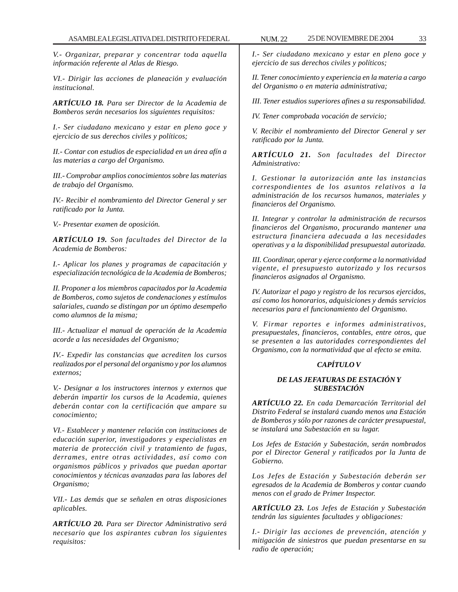*V.- Organizar, preparar y concentrar toda aquella información referente al Atlas de Riesgo.*

*VI.- Dirigir las acciones de planeación y evaluación institucional.*

*ARTÍCULO 18. Para ser Director de la Academia de Bomberos serán necesarios los siguientes requisitos:*

*I.- Ser ciudadano mexicano y estar en pleno goce y ejercicio de sus derechos civiles y políticos;*

*II.- Contar con estudios de especialidad en un área afín a las materias a cargo del Organismo.*

*III.- Comprobar amplios conocimientos sobre las materias de trabajo del Organismo.*

*IV.- Recibir el nombramiento del Director General y ser ratificado por la Junta.*

*V.- Presentar examen de oposición.*

*ARTÍCULO 19. Son facultades del Director de la Academia de Bomberos:*

*I.- Aplicar los planes y programas de capacitación y especialización tecnológica de la Academia de Bomberos;*

*II. Proponer a los miembros capacitados por la Academia de Bomberos, como sujetos de condenaciones y estímulos salariales, cuando se distingan por un óptimo desempeño como alumnos de la misma;*

*III.- Actualizar el manual de operación de la Academia acorde a las necesidades del Organismo;*

*IV.- Expedir las constancias que acrediten los cursos realizados por el personal del organismo y por los alumnos externos;*

*V.- Designar a los instructores internos y externos que deberán impartir los cursos de la Academia, quienes deberán contar con la certificación que ampare su conocimiento;*

*VI.- Establecer y mantener relación con instituciones de educación superior, investigadores y especialistas en materia de protección civil y tratamiento de fugas, derrames, entre otras actividades, así como con organismos públicos y privados que puedan aportar conocimientos y técnicas avanzadas para las labores del Organismo;*

*VII.- Las demás que se señalen en otras disposiciones aplicables.*

*ARTÍCULO 20. Para ser Director Administrativo será necesario que los aspirantes cubran los siguientes requisitos:*

*I.- Ser ciudadano mexicano y estar en pleno goce y ejercicio de sus derechos civiles y políticos;*

*II. Tener conocimiento y experiencia en la materia a cargo del Organismo o en materia administrativa;*

*III. Tener estudios superiores afines a su responsabilidad.*

*IV. Tener comprobada vocación de servicio;*

*V. Recibir el nombramiento del Director General y ser ratificado por la Junta.*

*ARTÍCULO 21. Son facultades del Director Administrativo:*

*I. Gestionar la autorización ante las instancias correspondientes de los asuntos relativos a la administración de los recursos humanos, materiales y financieros del Organismo.*

*II. Integrar y controlar la administración de recursos financieros del Organismo, procurando mantener una estructura financiera adecuada a las necesidades operativas y a la disponibilidad presupuestal autorizada.*

*III. Coordinar, operar y ejerce conforme a la normatividad vigente, el presupuesto autorizado y los recursos financieros asignados al Organismo.*

*IV. Autorizar el pago y registro de los recursos ejercidos, así como los honorarios, adquisiciones y demás servicios necesarios para el funcionamiento del Organismo.*

*V. Firmar reportes e informes administrativos, presupuestales, financieros, contables, entre otros, que se presenten a las autoridades correspondientes del Organismo, con la normatividad que al efecto se emita.*

# *CAPÍTULO V*

# *DE LAS JEFATURAS DE ESTACIÓN Y SUBESTACIÓN*

*ARTÍCULO 22. En cada Demarcación Territorial del Distrito Federal se instalará cuando menos una Estación de Bomberos y sólo por razones de carácter presupuestal, se instalará una Subestación en su lugar.*

*Los Jefes de Estación y Subestación, serán nombrados por el Director General y ratificados por la Junta de Gobierno.*

*Los Jefes de Estación y Subestación deberán ser egresados de la Academia de Bomberos y contar cuando menos con el grado de Primer Inspector.*

*ARTÍCULO 23. Los Jefes de Estación y Subestación tendrán las siguientes facultades y obligaciones:*

*I.- Dirigir las acciones de prevención, atención y mitigación de siniestros que puedan presentarse en su radio de operación;*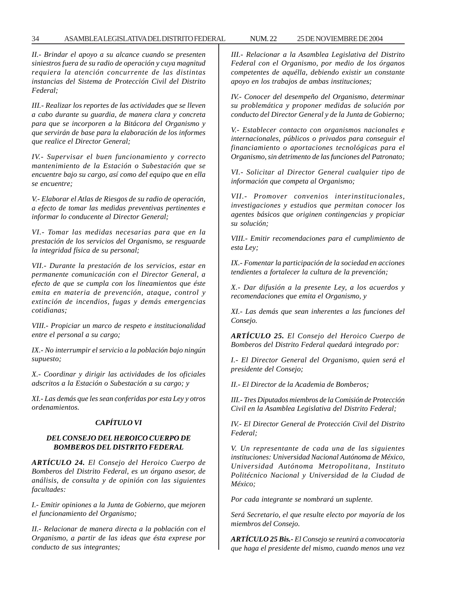*II.- Brindar el apoyo a su alcance cuando se presenten siniestros fuera de su radio de operación y cuya magnitud requiera la atención concurrente de las distintas instancias del Sistema de Protección Civil del Distrito Federal;*

*III.- Realizar los reportes de las actividades que se lleven a cabo durante su guardia, de manera clara y concreta para que se incorporen a la Bitácora del Organismo y que servirán de base para la elaboración de los informes que realice el Director General;*

*IV.- Supervisar el buen funcionamiento y correcto mantenimiento de la Estación o Subestación que se encuentre bajo su cargo, así como del equipo que en ella se encuentre;*

*V.- Elaborar el Atlas de Riesgos de su radio de operación, a efecto de tomar las medidas preventivas pertinentes e informar lo conducente al Director General;*

*VI.- Tomar las medidas necesarias para que en la prestación de los servicios del Organismo, se resguarde la integridad física de su personal;*

*VII.- Durante la prestación de los servicios, estar en permanente comunicación con el Director General, a efecto de que se cumpla con los lineamientos que éste emita en materia de prevención, ataque, control y extinción de incendios, fugas y demás emergencias cotidianas;*

*VIII.- Propiciar un marco de respeto e institucionalidad entre el personal a su cargo;*

*IX.- No interrumpir el servicio a la población bajo ningún supuesto;*

*X.- Coordinar y dirigir las actividades de los oficiales adscritos a la Estación o Subestación a su cargo; y*

*XI.- Las demás que les sean conferidas por esta Ley y otros ordenamientos.*

# *CAPÍTULO VI*

#### *DEL CONSEJO DEL HEROICO CUERPO DE BOMBEROS DEL DISTRITO FEDERAL*

*ARTÍCULO 24. El Consejo del Heroico Cuerpo de Bomberos del Distrito Federal, es un órgano asesor, de análisis, de consulta y de opinión con las siguientes facultades:*

*I.- Emitir opiniones a la Junta de Gobierno, que mejoren el funcionamiento del Organismo;*

*II.- Relacionar de manera directa a la población con el Organismo, a partir de las ideas que ésta exprese por conducto de sus integrantes;*

*III.- Relacionar a la Asamblea Legislativa del Distrito Federal con el Organismo, por medio de los órganos competentes de aquélla, debiendo existir un constante apoyo en los trabajos de ambas instituciones;*

*IV.- Conocer del desempeño del Organismo, determinar su problemática y proponer medidas de solución por conducto del Director General y de la Junta de Gobierno;*

*V.- Establecer contacto con organismos nacionales e internacionales, públicos o privados para conseguir el financiamiento o aportaciones tecnológicas para el Organismo, sin detrimento de las funciones del Patronato;*

*VI.- Solicitar al Director General cualquier tipo de información que competa al Organismo;*

*VII.- Promover convenios interinstitucionales, investigaciones y estudios que permitan conocer los agentes básicos que originen contingencias y propiciar su solución;*

*VIII.- Emitir recomendaciones para el cumplimiento de esta Ley;*

*IX.- Fomentar la participación de la sociedad en acciones tendientes a fortalecer la cultura de la prevención;*

*X.- Dar difusión a la presente Ley, a los acuerdos y recomendaciones que emita el Organismo, y*

*XI.- Las demás que sean inherentes a las funciones del Consejo.*

*ARTÍCULO 25. El Consejo del Heroico Cuerpo de Bomberos del Distrito Federal quedará integrado por:*

*I.- El Director General del Organismo, quien será el presidente del Consejo;*

*II.- El Director de la Academia de Bomberos;*

*III.- Tres Diputados miembros de la Comisión de Protección Civil en la Asamblea Legislativa del Distrito Federal;*

*IV.- El Director General de Protección Civil del Distrito Federal;*

*V. Un representante de cada una de las siguientes instituciones: Universidad Nacional Autónoma de México, Universidad Autónoma Metropolitana, Instituto Politécnico Nacional y Universidad de la Ciudad de México;*

*Por cada integrante se nombrará un suplente.*

*Será Secretario, el que resulte electo por mayoría de los miembros del Consejo.*

*ARTÍCULO 25 Bis.- El Consejo se reunirá a convocatoria que haga el presidente del mismo, cuando menos una vez*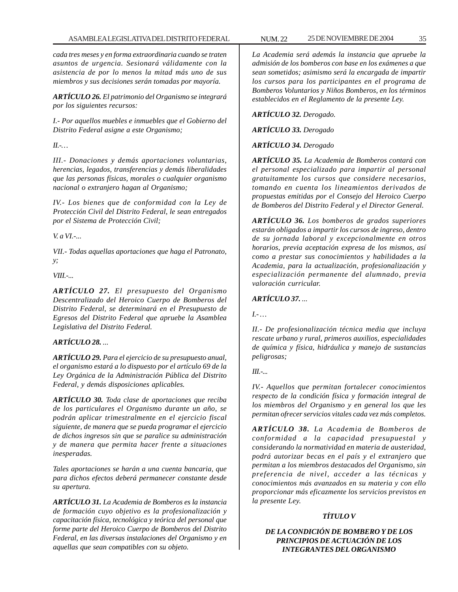*cada tres meses y en forma extraordinaria cuando se traten asuntos de urgencia. Sesionará válidamente con la asistencia de por lo menos la mitad más uno de sus miembros y sus decisiones serán tomadas por mayoría.*

*ARTÍCULO 26. El patrimonio del Organismo se integrará por los siguientes recursos:*

*I.- Por aquellos muebles e inmuebles que el Gobierno del Distrito Federal asigne a este Organismo;*

*II.-…*

*III.- Donaciones y demás aportaciones voluntarias, herencias, legados, transferencias y demás liberalidades que las personas físicas, morales o cualquier organismo nacional o extranjero hagan al Organismo;*

*IV.- Los bienes que de conformidad con la Ley de Protección Civil del Distrito Federal, le sean entregados por el Sistema de Protección Civil;*

*V. a VI.-...*

*VII.- Todas aquellas aportaciones que haga el Patronato, y;*

*VIII.-...*

*ARTÍCULO 27. El presupuesto del Organismo Descentralizado del Heroico Cuerpo de Bomberos del Distrito Federal, se determinará en el Presupuesto de Egresos del Distrito Federal que apruebe la Asamblea Legislativa del Distrito Federal.*

# *ARTÍCULO 28. ...*

*ARTÍCULO 29. Para el ejercicio de su presupuesto anual, el organismo estará a lo dispuesto por el artículo 69 de la Ley Orgánica de la Administración Pública del Distrito Federal, y demás disposiciones aplicables.*

*ARTÍCULO 30. Toda clase de aportaciones que reciba de los particulares el Organismo durante un año, se podrán aplicar trimestralmente en el ejercicio fiscal siguiente, de manera que se pueda programar el ejercicio de dichos ingresos sin que se paralice su administración y de manera que permita hacer frente a situaciones inesperadas.*

*Tales aportaciones se harán a una cuenta bancaria, que para dichos efectos deberá permanecer constante desde su apertura.*

*ARTÍCULO 31. La Academia de Bomberos es la instancia de formación cuyo objetivo es la profesionalización y capacitación física, tecnológica y teórica del personal que forme parte del Heroico Cuerpo de Bomberos del Distrito Federal, en las diversas instalaciones del Organismo y en aquellas que sean compatibles con su objeto.*

*La Academia será además la instancia que apruebe la admisión de los bomberos con base en los exámenes a que sean sometidos; asimismo será la encargada de impartir los cursos para los participantes en el programa de Bomberos Voluntarios y Niños Bomberos, en los términos establecidos en el Reglamento de la presente Ley.*

*ARTÍCULO 32. Derogado.*

*ARTÍCULO 33. Derogado*

*ARTÍCULO 34. Derogado*

*ARTÍCULO 35. La Academia de Bomberos contará con el personal especializado para impartir al personal gratuitamente los cursos que considere necesarios, tomando en cuenta los lineamientos derivados de propuestas emitidas por el Consejo del Heroico Cuerpo de Bomberos del Distrito Federal y el Director General.*

*ARTÍCULO 36. Los bomberos de grados superiores estarán obligados a impartir los cursos de ingreso, dentro de su jornada laboral y excepcionalmente en otros horarios, previa aceptación expresa de los mismos, así como a prestar sus conocimientos y habilidades a la Academia, para la actualización, profesionalización y especialización permanente del alumnado, previa valoración curricular.*

# *ARTÍCULO 37. ...*

*I.- …*

*II.- De profesionalización técnica media que incluya rescate urbano y rural, primeros auxilios, especialidades de química y física, hidráulica y manejo de sustancias peligrosas;*

*III.-...*

*IV.- Aquellos que permitan fortalecer conocimientos respecto de la condición física y formación integral de los miembros del Organismo y en general los que les permitan ofrecer servicios vitales cada vez más completos.*

*ARTÍCULO 38. La Academia de Bomberos de conformidad a la capacidad presupuestal y considerando la normatividad en materia de austeridad, podrá autorizar becas en el país y el extranjero que permitan a los miembros destacados del Organismo, sin preferencia de nivel, acceder a las técnicas y conocimientos más avanzados en su materia y con ello proporcionar más eficazmente los servicios previstos en la presente Ley.*

# *TÍTULO V*

*DE LA CONDICIÓN DE BOMBERO Y DE LOS PRINCIPIOS DE ACTUACIÓN DE LOS INTEGRANTES DEL ORGANISMO*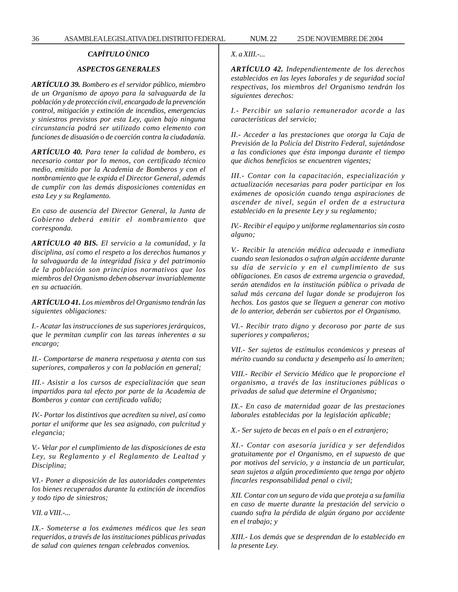# *CAPÍTULO ÚNICO*

# *ASPECTOS GENERALES*

*ARTÍCULO 39. Bombero es el servidor público, miembro de un Organismo de apoyo para la salvaguarda de la población y de protección civil, encargado de la prevención control, mitigación y extinción de incendios, emergencias y siniestros previstos por esta Ley, quien bajo ninguna circunstancia podrá ser utilizado como elemento con funciones de disuasión o de coerción contra la ciudadanía.*

*ARTÍCULO 40. Para tener la calidad de bombero, es necesario contar por lo menos, con certificado técnico medio, emitido por la Academia de Bomberos y con el nombramiento que le expida el Director General, además de cumplir con las demás disposiciones contenidas en esta Ley y su Reglamento.*

*En caso de ausencia del Director General, la Junta de Gobierno deberá emitir el nombramiento que corresponda.*

*ARTÍCULO 40 BIS. El servicio a la comunidad, y la disciplina, así como el respeto a los derechos humanos y la salvaguarda de la integridad física y del patrimonio de la población son principios normativos que los miembros del Organismo deben observar invariablemente en su actuación.*

*ARTÍCULO 41. Los miembros del Organismo tendrán las siguientes obligaciones:*

*I.- Acatar las instrucciones de sus superiores jerárquicos, que le permitan cumplir con las tareas inherentes a su encargo;*

*II.- Comportarse de manera respetuosa y atenta con sus superiores, compañeros y con la población en general;*

*III.- Asistir a los cursos de especialización que sean impartidos para tal efecto por parte de la Academia de Bomberos y contar con certificado valido;*

*IV.- Portar los distintivos que acrediten su nivel, así como portar el uniforme que les sea asignado, con pulcritud y elegancia;*

*V.- Velar por el cumplimiento de las disposiciones de esta Ley, su Reglamento y el Reglamento de Lealtad y Disciplina;*

*VI.- Poner a disposición de las autoridades competentes los bienes recuperados durante la extinción de incendios y todo tipo de siniestros;*

*VII. a VIII.-...*

*IX.- Someterse a los exámenes médicos que les sean requeridos, a través de las instituciones públicas privadas de salud con quienes tengan celebrados convenios.*

#### *X. a XIII.-...*

*ARTÍCULO 42. Independientemente de los derechos establecidos en las leyes laborales y de seguridad social respectivas, los miembros del Organismo tendrán los siguientes derechos:*

*I.- Percibir un salario remunerador acorde a las características del servicio;*

*II.- Acceder a las prestaciones que otorga la Caja de Previsión de la Policía del Distrito Federal, sujetándose a las condiciones que ésta imponga durante el tiempo que dichos beneficios se encuentren vigentes;*

*III.- Contar con la capacitación, especialización y actualización necesarias para poder participar en los exámenes de oposición cuando tenga aspiraciones de ascender de nivel, según el orden de a estructura establecido en la presente Ley y su reglamento;*

*IV.- Recibir el equipo y uniforme reglamentarios sin costo alguno;*

*V.- Recibir la atención médica adecuada e inmediata cuando sean lesionados o sufran algún accidente durante su día de servicio y en el cumplimiento de sus obligaciones. En casos de extrema urgencia o gravedad, serán atendidos en la institución pública o privada de salud más cercana del lugar donde se produjeron los hechos. Los gastos que se lleguen a generar con motivo de lo anterior, deberán ser cubiertos por el Organismo.*

*VI.- Recibir trato digno y decoroso por parte de sus superiores y compañeros;*

*VII.- Ser sujetos de estímulos económicos y preseas al mérito cuando su conducta y desempeño así lo ameriten;*

*VIII.- Recibir el Servicio Médico que le proporcione el organismo, a través de las instituciones públicas o privadas de salud que determine el Organismo;*

*IX.- En caso de maternidad gozar de las prestaciones laborales establecidas por la legislación aplicable;*

*X.- Ser sujeto de becas en el país o en el extranjero;*

*XI.- Contar con asesoría jurídica y ser defendidos gratuitamente por el Organismo, en el supuesto de que por motivos del servicio, y a instancia de un particular, sean sujetos a algún procedimiento que tenga por objeto fincarles responsabilidad penal o civil;*

*XII. Contar con un seguro de vida que proteja a su familia en caso de muerte durante la prestación del servicio o cuando sufra la pérdida de algún órgano por accidente en el trabajo; y*

*XIII.- Los demás que se desprendan de lo establecido en la presente Ley.*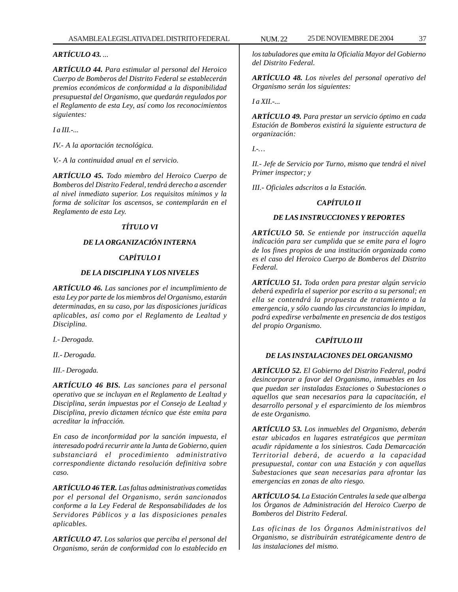*ARTÍCULO 43. ...*

*ARTÍCULO 44. Para estimular al personal del Heroico Cuerpo de Bomberos del Distrito Federal se establecerán premios económicos de conformidad a la disponibilidad presupuestal del Organismo, que quedarán regulados por el Reglamento de esta Ley, así como los reconocimientos siguientes:*

*I a III.-...*

*IV.- A la aportación tecnológica.*

*V.- A la continuidad anual en el servicio.*

*ARTÍCULO 45. Todo miembro del Heroico Cuerpo de Bomberos del Distrito Federal, tendrá derecho a ascender al nivel inmediato superior. Los requisitos mínimos y la forma de solicitar los ascensos, se contemplarán en el Reglamento de esta Ley.*

# *TÍTULO VI*

# *DE LA ORGANIZACIÓN INTERNA*

# *CAPÍTULO I*

### *DE LA DISCIPLINA Y LOS NIVELES*

*ARTÍCULO 46. Las sanciones por el incumplimiento de esta Ley por parte de los miembros del Organismo, estarán determinadas, en su caso, por las disposiciones jurídicas aplicables, así como por el Reglamento de Lealtad y Disciplina.*

*I.- Derogada.*

*II.- Derogada.*

*III.- Derogada.*

*ARTÍCULO 46 BIS. Las sanciones para el personal operativo que se incluyan en el Reglamento de Lealtad y Disciplina, serán impuestas por el Consejo de Lealtad y Disciplina, previo dictamen técnico que éste emita para acreditar la infracción.*

*En caso de inconformidad por la sanción impuesta, el interesado podrá recurrir ante la Junta de Gobierno, quien substanciará el procedimiento administrativo correspondiente dictando resolución definitiva sobre caso.*

*ARTÍCULO 46 TER. Las faltas administrativas cometidas por el personal del Organismo, serán sancionados conforme a la Ley Federal de Responsabilidades de los Servidores Públicos y a las disposiciones penales aplicables.*

*ARTÍCULO 47. Los salarios que perciba el personal del Organismo, serán de conformidad con lo establecido en* *los tabuladores que emita la Oficialía Mayor del Gobierno del Distrito Federal.*

*ARTÍCULO 48. Los niveles del personal operativo del Organismo serán los siguientes:*

*I a XII.-...*

*ARTÍCULO 49. Para prestar un servicio óptimo en cada Estación de Bomberos existirá la siguiente estructura de organización:*

*I.-…*

*II.- Jefe de Servicio por Turno, mismo que tendrá el nivel Primer inspector; y*

*III.- Oficiales adscritos a la Estación.*

# *CAPÍTULO II*

## *DE LAS INSTRUCCIONES Y REPORTES*

*ARTÍCULO 50. Se entiende por instrucción aquella indicación para ser cumplida que se emite para el logro de los fines propios de una institución organizada como es el caso del Heroico Cuerpo de Bomberos del Distrito Federal.*

*ARTÍCULO 51. Toda orden para prestar algún servicio deberá expedirla el superior por escrito a su personal; en ella se contendrá la propuesta de tratamiento a la emergencia, y sólo cuando las circunstancias lo impidan, podrá expedirse verbalmente en presencia de dos testigos del propio Organismo.*

# *CAPÍTULO III*

# *DE LAS INSTALACIONES DEL ORGANISMO*

*ARTÍCULO 52. El Gobierno del Distrito Federal, podrá desincorporar a favor del Organismo, inmuebles en los que puedan ser instaladas Estaciones o Subestaciones o aquellos que sean necesarios para la capacitación, el desarrollo personal y el esparcimiento de los miembros de este Organismo.*

*ARTÍCULO 53. Los inmuebles del Organismo, deberán estar ubicados en lugares estratégicos que permitan acudir rápidamente a los siniestros. Cada Demarcación Territorial deberá, de acuerdo a la capacidad presupuestal, contar con una Estación y con aquellas Subestaciones que sean necesarias para afrontar las emergencias en zonas de alto riesgo.*

*ARTÍCULO 54. La Estación Centrales la sede que alberga los Órganos de Administración del Heroico Cuerpo de Bomberos del Distrito Federal.*

*Las oficinas de los Órganos Administrativos del Organismo, se distribuirán estratégicamente dentro de las instalaciones del mismo.*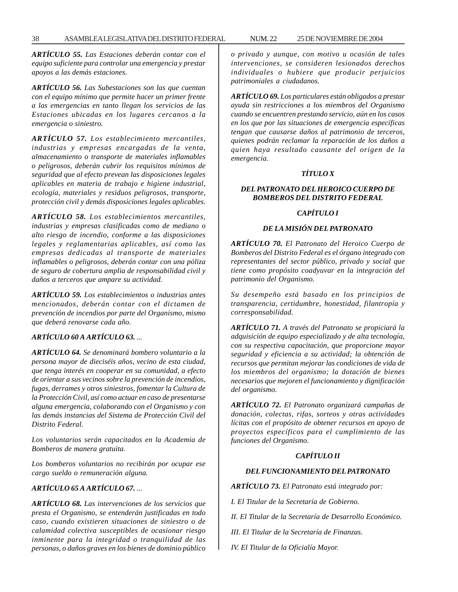*ARTÍCULO 55. Las Estaciones deberán contar con el equipo suficiente para controlar una emergencia y prestar apoyos a las demás estaciones.*

*ARTÍCULO 56. Las Subestaciones son las que cuentan con el equipo mínimo que permite hacer un primer frente a las emergencias en tanto llegan los servicios de las Estaciones ubicadas en los lugares cercanos a la emergencia o siniestro.*

*ARTÍCULO 57. Los establecimiento mercantiles, industrias y empresas encargadas de la venta, almacenamiento o transporte de materiales inflamables o peligrosos, deberán cubrir los requisitos mínimos de seguridad que al efecto prevean las disposiciones legales aplicables en materia de trabajo e higiene industrial, ecología, materiales y residuos peligrosos, transporte, protección civil y demás disposiciones legales aplicables.*

*ARTÍCULO 58. Los establecimientos mercantiles, industrias y empresas clasificadas como de mediano o alto riesgo de incendio, conforme a las disposiciones legales y reglamentarias aplicables, así como las empresas dedicadas al transporte de materiales inflamables o peligrosos, deberán contar con una póliza de seguro de cobertura amplia de responsabilidad civil y daños a terceros que ampare su actividad.*

*ARTÍCULO 59. Los establecimientos o industrias antes mencionados, deberán contar con el dictamen de prevención de incendios por parte del Organismo, mismo que deberá renovarse cada año.*

# *ARTÍCULO 60 A ARTÍCULO 63. ...*

*ARTÍCULO 64. Se denominará bombero voluntario a la persona mayor de dieciséis años, vecino de esta ciudad, que tenga interés en cooperar en su comunidad, a efecto de orientar a sus vecinos sobre la prevención de incendios, fugas, derrames y otros siniestros, fomentar la Cultura de la Protección Civil, así como actuar en caso de presentarse alguna emergencia, colaborando con el Organismo y con las demás instancias del Sistema de Protección Civil del Distrito Federal.*

*Los voluntarios serán capacitados en la Academia de Bomberos de manera gratuita.*

*Los bomberos voluntarios no recibirán por ocupar ese cargo sueldo o remuneración alguna.*

# *ARTÍCULO 65 A ARTÍCULO 67. ...*

*ARTÍCULO 68. Las intervenciones de los servicios que presta el Organismo, se entenderán justificadas en todo caso, cuando existieren situaciones de siniestro o de calamidad colectiva susceptibles de ocasionar riesgo inminente para la integridad o tranquilidad de las personas, o daños graves en los bienes de dominio público* *o privado y aunque, con motivo u ocasión de tales intervenciones, se consideren lesionados derechos individuales o hubiere que producir perjuicios patrimoniales a ciudadanos.*

*ARTÍCULO 69. Los particulares están obligados a prestar ayuda sin restricciones a los miembros del Organismo cuando se encuentren prestando servicio, aún en los casos en los que por las situaciones de emergencia específicas tengan que causarse daños al patrimonio de terceros, quienes podrán reclamar la reparación de los daños a quien haya resultado causante del origen de la emergencia.*

### *TÍTULO X*

## *DEL PATRONATO DEL HEROICO CUERPO DE BOMBEROS DEL DISTRITO FEDERAL*

#### *CAPÍTULO I*

# *DE LA MISIÓN DEL PATRONATO*

*ARTÍCULO 70. El Patronato del Heroico Cuerpo de Bomberos del Distrito Federal es el órgano integrado con representantes del sector público, privado y social que tiene como propósito coadyuvar en la integración del patrimonio del Organismo.*

*Su desempeño está basado en los principios de transparencia, certidumbre, honestidad, filantropía y corresponsabilidad.*

*ARTÍCULO 71. A través del Patronato se propiciará la adquisición de equipo especializado y de alta tecnología, con su respectiva capacitación, que proporcione mayor seguridad y eficiencia a su actividad; la obtención de recursos que permitan mejorar las condiciones de vida de los miembros del organismo; la dotación de bienes necesarios que mejoren el funcionamiento y dignificación del organismo.*

*ARTÍCULO 72. El Patronato organizará campañas de donación, colectas, rifas, sorteos y otras actividades lícitas con el propósito de obtener recursos en apoyo de proyectos específicos para el cumplimiento de las funciones del Organismo.*

## *CAPÍTULO II*

#### *DEL FUNCIONAMIENTO DEL PATRONATO*

*ARTÍCULO 73. El Patronato está integrado por:*

*I. El Titular de la Secretaría de Gobierno.*

*II. El Titular de la Secretaría de Desarrollo Económico.*

*III. El Titular de la Secretaría de Finanzas.*

*IV. El Titular de la Oficialía Mayor.*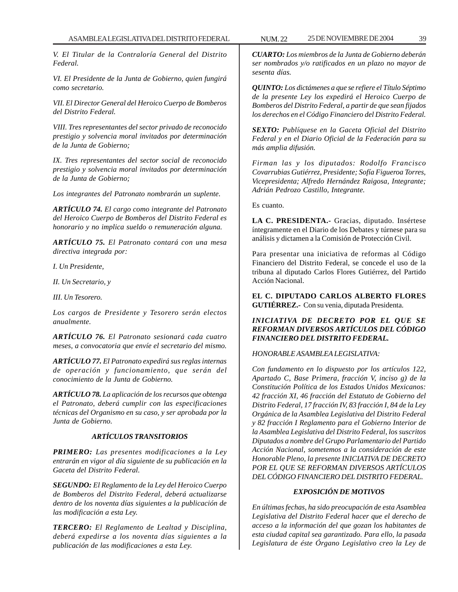*V. El Titular de la Contraloría General del Distrito Federal.*

*VI. El Presidente de la Junta de Gobierno, quien fungirá como secretario.*

*VII. El Director General del Heroico Cuerpo de Bomberos del Distrito Federal.*

*VIII. Tres representantes del sector privado de reconocido prestigio y solvencia moral invitados por determinación de la Junta de Gobierno;*

*IX. Tres representantes del sector social de reconocido prestigio y solvencia moral invitados por determinación de la Junta de Gobierno;*

*Los integrantes del Patronato nombrarán un suplente.*

*ARTÍCULO 74. El cargo como integrante del Patronato del Heroico Cuerpo de Bomberos del Distrito Federal es honorario y no implica sueldo o remuneración alguna.*

*ARTÍCULO 75. El Patronato contará con una mesa directiva integrada por:*

*I. Un Presidente,*

*II. Un Secretario, y*

*III. Un Tesorero.*

*Los cargos de Presidente y Tesorero serán electos anualmente.*

*ARTÍCULO 76. El Patronato sesionará cada cuatro meses, a convocatoria que envíe el secretario del mismo.*

*ARTÍCULO 77. El Patronato expedirá sus reglas internas de operación y funcionamiento, que serán del conocimiento de la Junta de Gobierno.*

*ARTÍCULO 78. La aplicación de los recursos que obtenga el Patronato, deberá cumplir con las especificaciones técnicas del Organismo en su caso, y ser aprobada por la Junta de Gobierno.*

# *ARTÍCULOS TRANSITORIOS*

*PRIMERO: Las presentes modificaciones a la Ley entrarán en vigor al día siguiente de su publicación en la Gaceta del Distrito Federal.*

*SEGUNDO: El Reglamento de la Ley del Heroico Cuerpo de Bomberos del Distrito Federal, deberá actualizarse dentro de los noventa días siguientes a la publicación de las modificación a esta Ley.*

*TERCERO: El Reglamento de Lealtad y Disciplina, deberá expedirse a los noventa días siguientes a la publicación de las modificaciones a esta Ley.*

*CUARTO: Los miembros de la Junta de Gobierno deberán ser nombrados y/o ratificados en un plazo no mayor de sesenta días.*

*QUINTO: Los dictámenes a que se refiere el Título Séptimo de la presente Ley los expedirá el Heroico Cuerpo de Bomberos del Distrito Federal, a partir de que sean fijados los derechos en el Código Financiero del Distrito Federal.*

*SEXTO: Publíquese en la Gaceta Oficial del Distrito Federal y en el Diario Oficial de la Federación para su más amplia difusión.*

*Firman las y los diputados: Rodolfo Francisco Covarrubias Gutiérrez, Presidente; Sofía Figueroa Torres, Vicepresidenta; Alfredo Hernández Raigosa, Integrante; Adrián Pedrozo Castillo, Integrante.*

Es cuanto.

**LA C. PRESIDENTA.-** Gracias, diputado. Insértese íntegramente en el Diario de los Debates y túrnese para su análisis y dictamen a la Comisión de Protección Civil.

Para presentar una iniciativa de reformas al Código Financiero del Distrito Federal, se concede el uso de la tribuna al diputado Carlos Flores Gutiérrez, del Partido Acción Nacional.

**EL C. DIPUTADO CARLOS ALBERTO FLORES GUTIÉRREZ.-** Con su venia, diputada Presidenta.

# *INICIATIVA DE DECRETO POR EL QUE SE REFORMAN DIVERSOS ARTÍCULOS DEL CÓDIGO FINANCIERO DEL DISTRITO FEDERAL.*

## *HONORABLE ASAMBLEA LEGISLATIVA:*

*Con fundamento en lo dispuesto por los artículos 122, Apartado C, Base Primera, fracción V, inciso g) de la Constitución Política de los Estados Unidos Mexicanos: 42 fracción XI, 46 fracción del Estatuto de Gobierno del Distrito Federal, 17 fracción IV, 83 fracción I, 84 de la Ley Orgánica de la Asamblea Legislativa del Distrito Federal y 82 fracción I Reglamento para el Gobierno Interior de la Asamblea Legislativa del Distrito Federal, los suscritos Diputados a nombre del Grupo Parlamentario del Partido Acción Nacional, sometemos a la consideración de este Honorable Pleno, la presente INICIATIVA DE DECRETO POR EL QUE SE REFORMAN DIVERSOS ARTÍCULOS DEL CÓDIGO FINANCIERO DEL DISTRITO FEDERAL.*

## *EXPOSICIÓN DE MOTIVOS*

*En últimas fechas, ha sido preocupación de esta Asamblea Legislativa del Distrito Federal hacer que el derecho de acceso a la información del que gozan los habitantes de esta ciudad capital sea garantizado. Para ello, la pasada Legislatura de éste Órgano Legislativo creo la Ley de*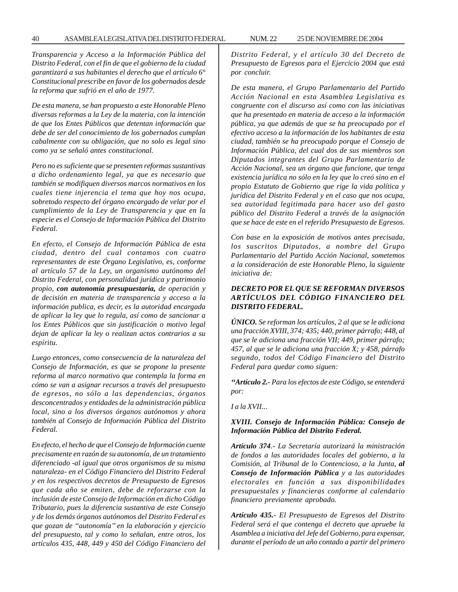*Transparencia y Acceso a la Información Pública del Distrito Federal, con el fin de que el gobierno de la ciudad garantizará a sus habitantes el derecho que el artículo 6° Constitucional prescribe en favor de los gobernados desde la reforma que sufrió en el año de 1977.*

*De esta manera, se han propuesto a este Honorable Pleno diversas reformas a la Ley de la materia, con la intención de que los Entes Públicos que detentan información que debe de ser del conocimiento de los gobernados cumplan cabalmente con su obligación, que no solo es legal sino como ya se señaló antes constitucional.*

*Pero no es suficiente que se presenten reformas sustantivas a dicho ordenamiento legal, ya que es necesario que también se modifiquen diversos marcos normativos en los cuales tiene injerencia el tema que hoy nos ocupa, sobretodo respecto del órgano encargado de velar por el cumplimiento de la Ley de Transparencia y que en la especie es el Consejo de Información Pública del Distrito Federal.*

*En efecto, el Consejo de Información Pública de esta ciudad, dentro del cual contamos con cuatro representantes de este Órgano Legislativo, es, conforme al artículo 57 de la Ley, un organismo autónomo del Distrito Federal, con personalidad jurídica y patrimonio propio, con autonomía presupuestaria, de operación y de decisión en materia de transparencia y acceso a la información publica, es decir, es la autoridad encargada de aplicar la ley que lo regula, así como de sancionar a los Entes Públicos que sin justificación o motivo legal dejan de aplicar la ley o realizan actos contrarios a su espíritu.*

*Luego entonces, como consecuencia de la naturaleza del Consejo de Información, es que se propone la presente reforma al marco normativo que contempla la forma en cómo se van a asignar recursos a través del presupuesto de egresos, no sólo a las dependencias, órganos desconcentrados y entidades de la administración pública local, sino a los diversos órganos autónomos y ahora también al Consejo de Información Pública del Distrito Federal.*

*En efecto, el hecho de que el Consejo de Información cuente precisamente en razón de su autonomía, de un tratamiento diferenciado -al igual que otros organismos de su misma naturaleza- en el Código Financiero del Distrito Federal y en los respectivos decretos de Presupuesto de Egresos que cada año se emiten, debe de reforzarse con la inclusión de este Consejo de Información en dicho Código Tributario, pues la diferencia sustantiva de este Consejo y de los demás órganos autónomos del Distrito Federal es que gozan de ''autonomía'' en la elaboración y ejercicio del presupuesto, tal y como lo señalan, entre otros, los artículos 435, 448, 449 y 450 del Código Financiero del* *Distrito Federal, y el artículo 30 del Decreto de Presupuesto de Egresos para el Ejercicio 2004 que está por concluir.*

*De esta manera, el Grupo Parlamentario del Partido Acción Nacional en esta Asamblea Legislativa es congruente con el discurso así como con las iniciativas que ha presentado en materia de acceso a la información pública, ya que además de que se ha preocupado por el efectivo acceso a la información de los habitantes de esta ciudad, también se ha preocupado porque el Consejo de Información Pública, del cual dos de sus miembros son Diputados integrantes del Grupo Parlamentario de Acción Nacional, sea un órgano que funcione, que tenga existencia jurídica no sólo en la ley que lo creó sino en el propio Estatuto de Gobierno que rige la vida política y jurídica del Distrito Federal y en el caso que nos ocupa, sea autoridad legitimada para hacer uso del gasto público del Distrito Federal a través de la asignación que se hace de este en el referido Presupuesto de Egresos.*

*Con base en la exposición de motivos antes precisada, los suscritos Diputados, a nombre del Grupo Parlamentario del Partido Acción Nacional, sometemos a la consideración de este Honorable Pleno, la siguiente iniciativa de:*

# *DECRETO POR EL QUE SE REFORMAN DIVERSOS ARTÍCULOS DEL CÓDIGO FINANCIERO DEL DISTRITO FEDERAL.*

*ÚNICO. Se reforman los artículos, 2 al que se le adiciona una fracción XVIII, 374; 435; 440, primer párrafo; 448, al que se le adiciona una fracción VII; 449, primer párrafo; 457, al que se le adiciona una fracción X; y 458, párrafo segundo, todos del Código Financiero del Distrito Federal para quedar como siguen:*

*''Artículo 2.- Para los efectos de este Código, se entenderá por:*

*I a la XVII...*

## *XVIII. Consejo de Información Pública: Consejo de Información Pública del Distrito Federal.*

*Artículo 374.- La Secretaría autorizará la ministración de fondos a las autoridades locales del gobierno, a la Comisión, al Tribunal de lo Contencioso, a la Junta, al Consejo de Información Pública y a las autoridades electorales en función a sus disponibilidades presupuestales y financieras conforme al calendario financiero previamente aprobado.*

*Artículo 435.- El Presupuesto de Egresos del Distrito Federal será el que contenga el decreto que apruebe la Asamblea a iniciativa del Jefe del Gobierno, para expensar, durante el período de un año contado a partir del primero*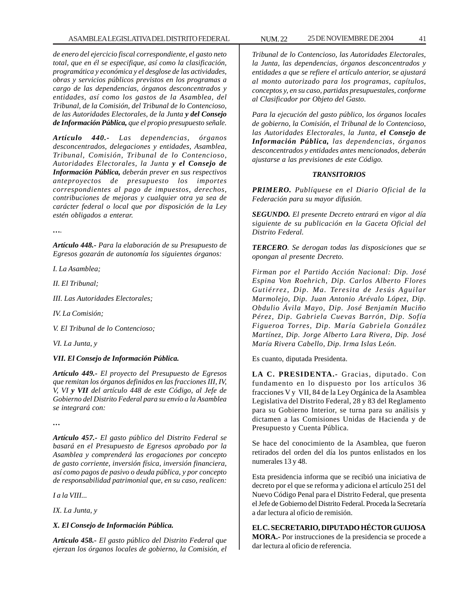*de enero del ejercicio fiscal correspondiente, el gasto neto total, que en él se especifique, así como la clasificación, programática y económica y el desglose de las actividades, obras y servicios públicos previstos en los programas a cargo de las dependencias, órganos desconcentrados y entidades, así como los gastos de la Asamblea, del Tribunal, de la Comisión, del Tribunal de lo Contencioso, de las Autoridades Electorales, de la Junta y del Consejo de Información Pública, que el propio presupuesto señale.*

*Artículo 440.- Las dependencias, órganos desconcentrados, delegaciones y entidades, Asamblea, Tribunal, Comisión, Tribunal de lo Contencioso, Autoridades Electorales, la Junta y el Consejo de Información Pública, deberán prever en sus respectivos anteproyectos de presupuesto los importes correspondientes al pago de impuestos, derechos, contribuciones de mejoras y cualquier otra ya sea de carácter federal o local que por disposición de la Ley estén obligados a enterar.*

*….*

*Artículo 448.- Para la elaboración de su Presupuesto de Egresos gozarán de autonomía los siguientes órganos:*

*I. La Asamblea;*

*II. El Tribunal;*

*III. Las Autoridades Electorales;*

*IV. La Comisión;*

*V. El Tribunal de lo Contencioso;*

*VI. La Junta, y*

# *VII. El Consejo de Información Pública.*

*Artículo 449.- El proyecto del Presupuesto de Egresos que remitan los órganos definidos en las fracciones III, IV, V, VI y VII del artículo 448 de este Código, al Jefe de Gobierno del Distrito Federal para su envío a la Asamblea se integrará con:*

*…*

*Artículo 457.- El gasto público del Distrito Federal se basará en el Presupuesto de Egresos aprobado por la Asamblea y comprenderá las erogaciones por concepto de gasto corriente, inversión física, inversión financiera, así como pagos de pasivo o deuda pública, y por concepto de responsabilidad patrimonial que, en su caso, realicen:*

*I a la VIII...*

*IX. La Junta, y*

# *X. El Consejo de Información Pública.*

*Artículo 458.- El gasto público del Distrito Federal que ejerzan los órganos locales de gobierno, la Comisión, el* *Tribunal de lo Contencioso, las Autoridades Electorales, la Junta, las dependencias, órganos desconcentrados y entidades a que se refiere el artículo anterior, se ajustará al monto autorizado para los programas, capítulos, conceptos y, en su caso, partidas presupuestales, conforme al Clasificador por Objeto del Gasto.*

*Para la ejecución del gasto público, los órganos locales de gobierno, la Comisión, el Tribunal de lo Contencioso, las Autoridades Electorales, la Junta, el Consejo de Información Pública, las dependencias, órganos desconcentrados y entidades antes mencionados, deberán ajustarse a las previsiones de este Código.*

# *TRANSITORIOS*

*PRIMERO. Publíquese en el Diario Oficial de la Federación para su mayor difusión.*

*SEGUNDO. El presente Decreto entrará en vigor al día siguiente de su publicación en la Gaceta Oficial del Distrito Federal.*

*TERCERO. Se derogan todas las disposiciones que se opongan al presente Decreto.*

*Firman por el Partido Acción Nacional: Dip. José Espina Von Roehrich, Dip. Carlos Alberto Flores Gutiérrez, Dip. Ma. Teresita de Jesús Aguilar Marmolejo, Dip. Juan Antonio Arévalo López, Dip. Obdulio Ávila Mayo, Dip. José Benjamín Muciño Pérez, Dip. Gabriela Cuevas Barrón, Dip. Sofía Figueroa Torres, Dip. María Gabriela González Martínez, Dip. Jorge Alberto Lara Rivera, Dip. José María Rivera Cabello, Dip. Irma Islas León.*

Es cuanto, diputada Presidenta.

**LA C. PRESIDENTA.-** Gracias, diputado. Con fundamento en lo dispuesto por los artículos 36 fracciones V y VII, 84 de la Ley Orgánica de la Asamblea Legislativa del Distrito Federal, 28 y 83 del Reglamento para su Gobierno Interior, se turna para su análisis y dictamen a las Comisiones Unidas de Hacienda y de Presupuesto y Cuenta Pública.

Se hace del conocimiento de la Asamblea, que fueron retirados del orden del día los puntos enlistados en los numerales 13 y 48.

Esta presidencia informa que se recibió una iniciativa de decreto por el que se reforma y adiciona el artículo 251 del Nuevo Código Penal para el Distrito Federal, que presenta el Jefe de Gobierno del Distrito Federal. Proceda la Secretaría a dar lectura al oficio de remisión.

# **EL C. SECRETARIO, DIPUTADO HÉCTOR GUIJOSA**

**MORA.-** Por instrucciones de la presidencia se procede a dar lectura al oficio de referencia.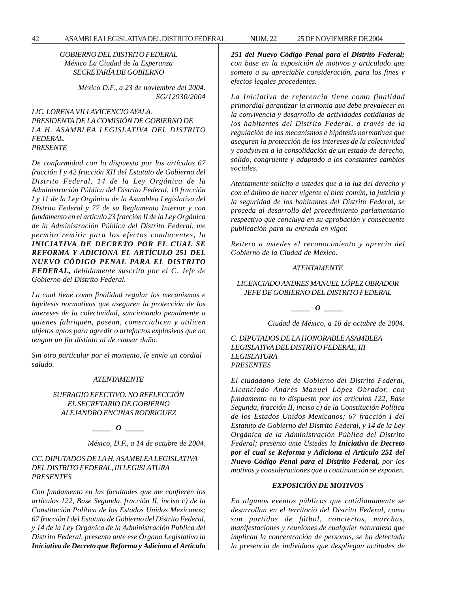*GOBIERNO DEL DISTRITO FEDERAL México La Ciudad de la Esperanza SECRETARÍA DE GOBIERNO*

> *México D.F., a 23 de noviembre del 2004. SG/12930/2004*

# *LIC. LORENA VILLAVICENCIO AYALA. PRESIDENTA DE LA COMISIÓN DE GOBIERNO DE LA H. ASAMBLEA LEGISLATIVA DEL DISTRITO FEDERAL. PRESENTE*

*De conformidad con lo dispuesto por los artículos 67 fracción I y 42 fracción XII del Estatuto de Gobierno del Distrito Federal, 14 de la Ley Orgánica de la Administración Pública del Distrito Federal, 10 fracción I y 11 de la Ley Orgánica de la Asamblea Legislativa del Distrito Federal y 77 de su Reglamento Interior y con fundamento en el artículo 23 fracción II de la Ley Orgánica de la Administración Pública del Distrito Federal, me permito remitir para los efectos conducentes, la INICIATIVA DE DECRETO POR EL CUAL SE REFORMA Y ADICIONA EL ARTÍCULO 251 DEL NUEVO CÓDIGO PENAL PARA EL DISTRITO FEDERAL, debidamente suscrita por el C. Jefe de Gobierno del Distrito Federal.*

*La cual tiene como finalidad regular los mecanismos e hipótesis normativas que aseguren la protección de los intereses de la colectividad, sancionando penalmente a quienes fabriquen, posean, comercialicen y utilicen objetos aptos para agredir o artefactos explosivos que no tengan un fin distinto al de causar daño.*

*Sin otro particular por el momento, le envío un cordial saludo.*

#### *ATENTAMENTE*

# *SUFRAGIO EFECTIVO. NO REELECCIÓN EL SECRETARIO DE GOBIERNO ALEJANDRO ENCINAS RODRIGUEZ*

*\_\_\_\_\_ O \_\_\_\_\_*

*México, D.F., a 14 de octubre de 2004.*

### *CC. DIPUTADOS DE LA H. ASAMBLEA LEGISLATIVA DEL DISTRITO FEDERAL, III LEGISLATURA PRESENTES*

*Con fundamento en las facultades que me confieren los artículos 122, Base Segunda, fracción II, inciso c) de la Constitución Política de los Estados Unidos Mexicanos; 67 fracción I del Estatuto de Gobierno del Distrito Federal, y 14 de la Ley Orgánica de la Administración Publica del Distrito Federal, presento ante ese Órgano Legislativo la Iniciativa de Decreto que Reforma y Adiciona el Artículo* *251 del Nuevo Código Penal para el Distrito Federal; con base en la exposición de motivos y articulado que someto a su apreciable consideración, para los fines y efectos legales procedentes.*

*La Iniciativa de referencia tiene como finalidad primordial garantizar la armonía que debe prevalecer en la convivencia y desarrollo de actividades cotidianas de los habitantes del Distrito Federal, a través de la regulación de los mecanismos e hipótesis normativas que aseguren la protección de los intereses de la colectividad y coadyuven a la consolidación de un estado de derecho, sólido, congruente y adaptado a los constantes cambios sociales.*

*Atentamente solicito a ustedes que a la luz del derecho y con el ánimo de hacer vigente el bien común, la justicia y la seguridad de los habitantes del Distrito Federal, se proceda al desarrollo del procedimiento parlamentario respectivo que concluya en su aprobación y consecuente publicación para su entrada en vigor.*

*Reitero a ustedes el reconocimiento y aprecio del Gobierno de la Ciudad de México.*

#### *ATENTAMENTE*

# *LICENCIADO ANDRES MANUEL LÓPEZ OBRADOR JEFE DE GOBIERNO DEL DISTRITO FEDERAL*

*\_\_\_\_\_ O \_\_\_\_\_*

*Ciudad de México, a 18 de octubre de 2004.*

*C. DIPUTADOS DE LA HONORABLE ASAMBLEA LEGISLATIVA DEL DISTRITO FEDERAL, III LEGISLATURA PRESENTES*

*El ciudadano Jefe de Gobierno del Distrito Federal, Licenciado Andrés Manuel López Obrador, con fundamento en lo dispuesto por los artículos 122, Base Segunda, fracción II, inciso c) de la Constitución Política de los Estados Unidos Mexicanos; 67 fracción I del Estatuto de Gobierno del Distrito Federal, y 14 de la Ley Orgánica de la Administración Pública del Distrito Federal; presento ante Ustedes la Iniciativa de Decreto por el cual se Reforma y Adiciona el Artículo 251 del Nuevo Código Penal para el Distrito Federal, por los motivos y consideraciones que a continuación se exponen.*

#### *EXPOSICIÓN DE MOTIVOS*

*En algunos eventos públicos que cotidianamente se desarrollan en el territorio del Distrito Federal, como son partidos de fútbol, conciertos, marchas, manifestaciones y reuniones de cualquier naturaleza que implican la concentración de personas, se ha detectado la presencia de individuos que despliegan actitudes de*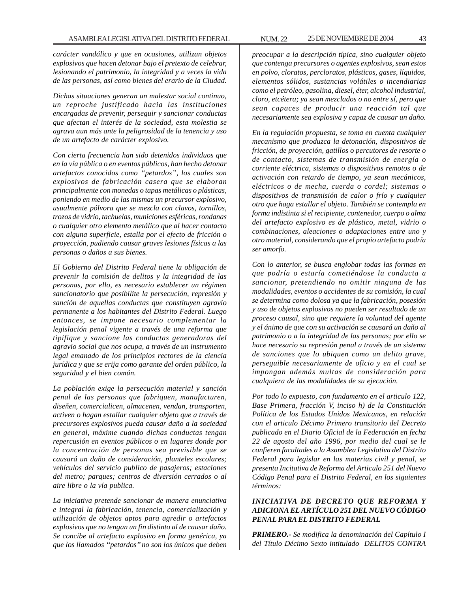*carácter vandálico y que en ocasiones, utilizan objetos explosivos que hacen detonar bajo el pretexto de celebrar, lesionando el patrimonio, la integridad y a veces la vida de las personas, así como bienes del erario de la Ciudad.*

*Dichas situaciones generan un malestar social continuo, un reproche justificado hacia las instituciones encargadas de prevenir, perseguir y sancionar conductas que afectan el interés de la sociedad, esta molestia se agrava aun más ante la peligrosidad de la tenencia y uso de un artefacto de carácter explosivo.*

*Con cierta frecuencia han sido detenidos individuos que en la vía pública o en eventos públicos, han hecho detonar artefactos conocidos como ''petardos'', los cuales son explosivos de fabricación casera que se elaboran principalmente con monedas o tapas metálicas o plásticas, poniendo en medio de las mismas un precursor explosivo, usualmente pólvora que se mezcla con clavos, tornillos, trozos de vidrio, tachuelas, municiones esféricas, rondanas o cualquier otro elemento metálico que al hacer contacto con alguna superficie, estalla por el efecto de fricción o proyección, pudiendo causar graves lesiones físicas a las personas o daños a sus bienes.*

*El Gobierno del Distrito Federal tiene la obligación de prevenir la comisión de delitos y la integridad de las personas, por ello, es necesario establecer un régimen sancionatorio que posibilite la persecución, represión y sanción de aquellas conductas que constituyen agravio permanente a los habitantes del Distrito Federal. Luego entonces, se impone necesario complementar la legislación penal vigente a través de una reforma que tipifique y sancione las conductas generadoras del agravio social que nos ocupa, a través de un instrumento legal emanado de los principios rectores de la ciencia jurídica y que se erija como garante del orden público, la seguridad y el bien común.*

*La población exige la persecución material y sanción penal de las personas que fabriquen, manufacturen, diseñen, comercialicen, almacenen, vendan, transporten, activen o hagan estallar cualquier objeto que a través de precursores explosivos pueda causar daño a la sociedad en general, máxime cuando dichas conductas tengan repercusión en eventos públicos o en lugares donde por la concentración de personas sea previsible que se causará un daño de consideración, planteles escolares; vehículos del servicio publico de pasajeros; estaciones del metro; parques; centros de diversión cerrados o al aire libre o la vía publica.*

*La iniciativa pretende sancionar de manera enunciativa e integral la fabricación, tenencia, comercialización y utilización de objetos aptos para agredir o artefactos explosivos que no tengan un fin distinto al de causar daño. Se concibe al artefacto explosivo en forma genérica, ya que los llamados ''petardos'' no son los únicos que deben*

*preocupar a la descripción típica, sino cualquier objeto que contenga precursores o agentes explosivos, sean estos en polvo, cloratos, percloratos, plásticos, gases, líquidos, elementos sólidos, sustancias volátiles o incendiarias como el petróleo, gasolina, diesel, éter, alcohol industrial, cloro, etcétera; ya sean mezclados o no entre sí, pero que sean capaces de producir una reacción tal que necesariamente sea explosiva y capaz de causar un daño.*

*En la regulación propuesta, se toma en cuenta cualquier mecanismo que produzca la detonación, dispositivos de fricción, de proyección, gatillos o percutores de resorte o de contacto, sistemas de transmisión de energía o corriente eléctrica, sistemas o dispositivos remotos o de activación con retardo de tiempo, ya sean mecánicos, eléctricos o de mecha, cuerda o cordel; sistemas o dispositivos de transmisión de calor o frío y cualquier otro que haga estallar el objeto. También se contempla en forma indistinta si el recipiente, contenedor, cuerpo o alma del artefacto explosivo es de plástico, metal, vidrio o combinaciones, aleaciones o adaptaciones entre uno y otro material, considerando que el propio artefacto podría ser amorfo.*

*Con lo anterior, se busca englobar todas las formas en que podría o estaría cometiéndose la conducta a sancionar, pretendiendo no omitir ninguna de las modalidades, eventos o accidentes de su comisión, la cual se determina como dolosa ya que la fabricación, posesión y uso de objetos explosivos no pueden ser resultado de un proceso causal, sino que requiere la voluntad del agente y el ánimo de que con su activación se causará un daño al patrimonio o a la integridad de las personas; por ello se hace necesario su represión penal a través de un sistema de sanciones que lo ubiquen como un delito grave, perseguible necesariamente de oficio y en el cual se impongan además multas de consideración para cualquiera de las modalidades de su ejecución.*

*Por todo lo expuesto, con fundamento en el articulo 122, Base Primera, fracción V, inciso h) de la Constitución Política de los Estados Unidos Mexicanos, en relación con el articulo Décimo Primero transitorio del Decreto publicado en el Diario Oficial de la Federación en fecha 22 de agosto del año 1996, por medio del cual se le confieren facultades a la Asamblea Legislativa del Distrito Federal para legislar en las materias civil y penal, se presenta Incitativa de Reforma del Articulo 251 del Nuevo Código Penal para el Distrito Federal, en los siguientes términos:*

# *INICIATIVA DE DECRETO QUE REFORMA Y ADICIONA EL ARTÍCULO 251 DEL NUEVO CÓDIGO PENAL PARA EL DISTRITO FEDERAL*

*PRIMERO.- Se modifica la denominación del Capítulo I del Título Décimo Sexto intitulado DELITOS CONTRA*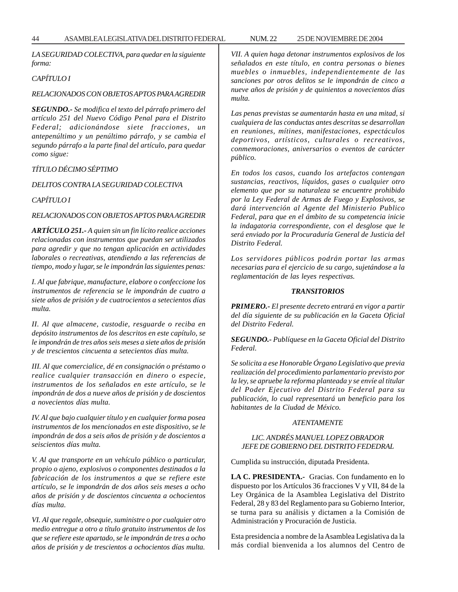*LA SEGURIDAD COLECTIVA, para quedar en la siguiente forma:*

# *CAPÍTULO I*

### *RELACIONADOS CON OBJETOS APTOS PARA AGREDIR*

*SEGUNDO.- Se modifica el texto del párrafo primero del artículo 251 del Nuevo Código Penal para el Distrito Federal; adicionándose siete fracciones, un antepenúltimo y un penúltimo párrafo, y se cambia el segundo párrafo a la parte final del artículo, para quedar como sigue:*

# *TÍTULO DÉCIMO SÉPTIMO*

## *DELITOS CONTRA LA SEGURIDAD COLECTIVA*

*CAPÍTULO I*

## *RELACIONADOS CON OBJETOS APTOS PARA AGREDIR*

*ARTÍCULO 251.- A quien sin un fin lícito realice acciones relacionadas con instrumentos que puedan ser utilizados para agredir y que no tengan aplicación en actividades laborales o recreativas, atendiendo a las referencias de tiempo, modo y lugar, se le impondrán las siguientes penas:*

*I. Al que fabrique, manufacture, elabore o confeccione los instrumentos de referencia se le impondrán de cuatro a siete años de prisión y de cuatrocientos a setecientos días multa.*

*II. Al que almacene, custodie, resguarde o reciba en depósito instrumentos de los descritos en este capítulo, se le impondrán de tres años seis meses a siete años de prisión y de trescientos cincuenta a setecientos días multa.*

*III. Al que comercialice, dé en consignación o préstamo o realice cualquier transacción en dinero o especie, instrumentos de los señalados en este artículo, se le impondrán de dos a nueve años de prisión y de doscientos a novecientos días multa.*

*IV. Al que bajo cualquier título y en cualquier forma posea instrumentos de los mencionados en este dispositivo, se le impondrán de dos a seis años de prisión y de doscientos a seiscientos días multa.*

*V. Al que transporte en un vehículo público o particular, propio o ajeno, explosivos o componentes destinados a la fabricación de los instrumentos a que se refiere este artículo, se le impondrán de dos años seis meses a ocho años de prisión y de doscientos cincuenta a ochocientos días multa.*

*VI. Al que regale, obsequie, suministre o por cualquier otro medio entregue a otro a título gratuito instrumentos de los que se refiere este apartado, se le impondrán de tres a ocho años de prisión y de trescientos a ochocientos días multa.*

*VII. A quien haga detonar instrumentos explosivos de los señalados en este título, en contra personas o bienes muebles o inmuebles, independientemente de las sanciones por otros delitos se le impondrán de cinco a nueve años de prisión y de quinientos a novecientos días multa.*

*Las penas previstas se aumentarán hasta en una mitad, si cualquiera de las conductas antes descritas se desarrollan en reuniones, mítines, manifestaciones, espectáculos deportivos, artísticos, culturales o recreativos, conmemoraciones, aniversarios o eventos de carácter público.*

*En todos los casos, cuando los artefactos contengan sustancias, reactivos, líquidos, gases o cualquier otro elemento que por su naturaleza se encuentre prohibido por la Ley Federal de Armas de Fuego y Explosivos, se dará intervención al Agente del Ministerio Publico Federal, para que en el ámbito de su competencia inicie la indagatoria correspondiente, con el desglose que le será enviado por la Procuraduría General de Justicia del Distrito Federal.*

*Los servidores públicos podrán portar las armas necesarias para el ejercicio de su cargo, sujetándose a la reglamentación de las leyes respectivas.*

## *TRANSITORIOS*

*PRIMERO.- El presente decreto entrará en vigor a partir del día siguiente de su publicación en la Gaceta Oficial del Distrito Federal.*

*SEGUNDO.- Publíquese en la Gaceta Oficial del Distrito Federal.*

*Se solicita a ese Honorable Órgano Legislativo que previa realización del procedimiento parlamentario previsto por la ley, se apruebe la reforma planteada y se envíe al titular del Poder Ejecutivo del Distrito Federal para su publicación, lo cual representará un beneficio para los habitantes de la Ciudad de México.*

#### *ATENTAMENTE*

### *LIC. ANDRÉS MANUEL LOPEZ OBRADOR JEFE DE GOBIERNO DEL DISTRITO FEDEDRAL*

Cumplida su instrucción, diputada Presidenta.

**LA C. PRESIDENTA.-** Gracias. Con fundamento en lo dispuesto por los Artículos 36 fracciones V y VII, 84 de la Ley Orgánica de la Asamblea Legislativa del Distrito Federal, 28 y 83 del Reglamento para su Gobierno Interior, se turna para su análisis y dictamen a la Comisión de Administración y Procuración de Justicia.

Esta presidencia a nombre de la Asamblea Legislativa da la más cordial bienvenida a los alumnos del Centro de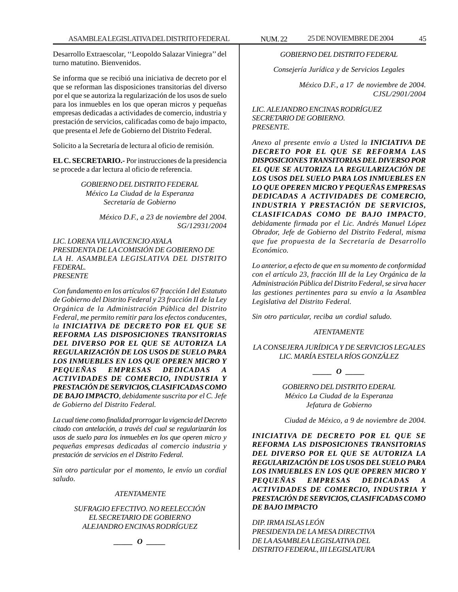Desarrollo Extraescolar, ''Leopoldo Salazar Viniegra'' del turno matutino. Bienvenidos.

Se informa que se recibió una iniciativa de decreto por el que se reforman las disposiciones transitorias del diverso por el que se autoriza la regularización de los usos de suelo para los inmuebles en los que operan micros y pequeñas empresas dedicadas a actividades de comercio, industria y prestación de servicios, calificadas como de bajo impacto, que presenta el Jefe de Gobierno del Distrito Federal.

Solicito a la Secretaría de lectura al oficio de remisión.

**EL C. SECRETARIO.-** Por instrucciones de la presidencia se procede a dar lectura al oficio de referencia.

> *GOBIERNO DEL DISTRITO FEDERAL México La Ciudad de la Esperanza Secretaría de Gobierno*

> > *México D.F., a 23 de noviembre del 2004. SG/12931/2004*

*LIC. LORENA VILLAVICENCIO AYALA PRESIDENTA DE LA COMISIÓN DE GOBIERNO DE LA H. ASAMBLEA LEGISLATIVA DEL DISTRITO FEDERAL. PRESENTE*

*Con fundamento en los artículos 67 fracción I del Estatuto de Gobierno del Distrito Federal y 23 fracción II de la Ley Orgánica de la Administración Pública del Distrito Federal, me permito remitir para los efectos conducentes, la INICIATIVA DE DECRETO POR EL QUE SE REFORMA LAS DISPOSICIONES TRANSITORIAS DEL DIVERSO POR EL QUE SE AUTORIZA LA REGULARIZACIÓN DE LOS USOS DE SUELO PARA LOS INMUEBLES EN LOS QUE OPEREN MICRO Y PEQUEÑAS EMPRESAS DEDICADAS A ACTIVIDADES DE COMERCIO, INDUSTRIA Y PRESTACIÓN DE SERVICIOS, CLASIFICADAS COMO DE BAJO IMPACTO, debidamente suscrita por el C. Jefe de Gobierno del Distrito Federal.*

*La cual tiene como finalidad prorrogar la vigencia del Decreto citado con antelación, a través del cual se regularizarán los usos de suelo para los inmuebles en los que operen micro y pequeñas empresas dedicadas al comercio industria y prestación de servicios en el Distrito Federal.*

*Sin otro particular por el momento, le envío un cordial saludo.*

## *ATENTAMENTE*

# *SUFRAGIO EFECTIVO. NO REELECCIÓN EL SECRETARIO DE GOBIERNO ALEJANDRO ENCINAS RODRÍGUEZ*

*\_\_\_\_\_ O \_\_\_\_\_*

# *GOBIERNO DEL DISTRITO FEDERAL*

*Consejería Jurídica y de Servicios Legales*

*México D.F., a 17 de noviembre de 2004. CJSL/2901/2004*

*LIC. ALEJANDRO ENCINAS RODRÍGUEZ SECRETARIO DE GOBIERNO. PRESENTE.*

*Anexo al presente envío a Usted la INICIATIVA DE DECRETO POR EL QUE SE REFORMA LAS DISPOSICIONES TRANSITORIAS DEL DIVERSO POR EL QUE SE AUTORIZA LA REGULARIZACIÓN DE LOS USOS DEL SUELO PARA LOS INMUEBLES EN LO QUE OPEREN MICRO Y PEQUEÑAS EMPRESAS DEDICADAS A ACTIVIDADES DE COMERCIO, INDUSTRIA Y PRESTACIÓN DE SERVICIOS, CLASIFICADAS COMO DE BAJO IMPACTO, debidamente firmada por el Lic. Andrés Manuel López Obrador, Jefe de Gobierno del Distrito Federal, misma que fue propuesta de la Secretaría de Desarrollo Económico.*

*Lo anterior, a efecto de que en su momento de conformidad con el artículo 23, fracción III de la Ley Orgánica de la Administración Pública del Distrito Federal, se sirva hacer las gestiones pertinentes para su envío a la Asamblea Legislativa del Distrito Federal.*

*Sin otro particular, reciba un cordial saludo.*

#### *ATENTAMENTE*

*LA CONSEJERA JURÍDICA Y DE SERVICIOS LEGALES LIC. MARÍA ESTELA RÍOS GONZÁLEZ*

*\_\_\_\_\_ O \_\_\_\_\_*

*GOBIERNO DEL DISTRITO EDERAL México La Ciudad de la Esperanza Jefatura de Gobierno*

*Ciudad de México, a 9 de noviembre de 2004.*

*INICIATIVA DE DECRETO POR EL QUE SE REFORMA LAS DISPOSICIONES TRANSITORIAS DEL DIVERSO POR EL QUE SE AUTORIZA LA REGULARIZACIÓN DE LOS USOS DEL SUELO PARA LOS INMUEBLES EN LOS QUE OPEREN MICRO Y PEQUEÑAS EMPRESAS DEDICADAS A ACTIVIDADES DE COMERCIO, INDUSTRIA Y PRESTACIÓN DE SERVICIOS, CLASIFICADAS COMO DE BAJO IMPACTO*

*DIP. IRMA ISLAS LEÓN PRESIDENTA DE LA MESA DIRECTIVA DE LA ASAMBLEA LEGISLATIVA DEL DISTRITO FEDERAL, III LEGISLATURA*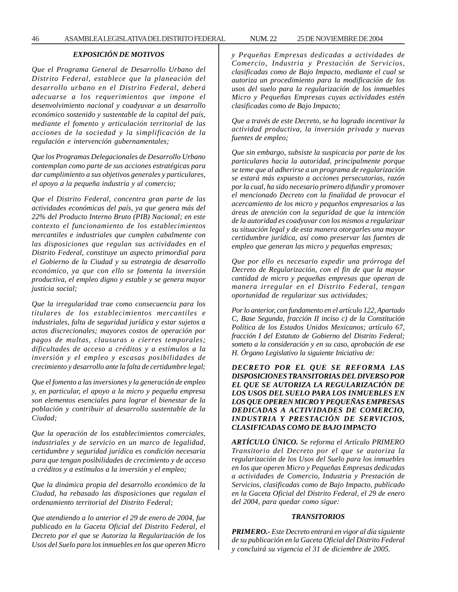# *EXPOSICIÓN DE MOTIVOS*

*Que el Programa General de Desarrollo Urbano del Distrito Federal, establece que la planeación del desarrollo urbano en el Distrito Federal, deberá adecuarse a los requerimientos que impone el desenvolvimiento nacional y coadyuvar a un desarrollo económico sostenido y sustentable de la capital del país, mediante el fomento y articulación territorial de las acciones de la sociedad y la simplificación de la regulación e intervención gubernamentales;*

*Que los Programas Delegacionales de Desarrollo Urbano contemplan como parte de sus acciones estratégicas para dar cumplimiento a sus objetivos generales y particulares, el apoyo a la pequeña industria y al comercio;*

*Que el Distrito Federal, concentra gran parte de las actividades económicas del país, ya que genera más del 22% del Producto Interno Bruto (PIB) Nacional; en este contexto el funcionamiento de los establecimientos mercantiles e industriales que cumplen cabalmente con las disposiciones que regulan sus actividades en el Distrito Federal, constituye un aspecto primordial para el Gobierno de la Ciudad y su estrategia de desarrollo económico, ya que con ello se fomenta la inversión productiva, el empleo digno y estable y se genera mayor justicia social;*

*Que la irregularidad trae como consecuencia para los titulares de los establecimientos mercantiles e industriales, falta de seguridad jurídica y estar sujetos a actos discrecionales; mayores costos de operación por pagos de multas, clausuras o cierres temporales; dificultades de acceso a créditos y a estímulos a la inversión y el empleo y escasas posibilidades de crecimiento y desarrollo ante la falta de certidumbre legal;*

*Que el fomento a las inversiones y la generación de empleo y, en particular, el apoyo a la micro y pequeña empresa son elementos esenciales para lograr el bienestar de la población y contribuir al desarrollo sustentable de la Ciudad;*

*Que la operación de los establecimientos comerciales, industriales y de servicio en un marco de legalidad, certidumbre y seguridad jurídica es condición necesaria para que tengan posibilidades de crecimiento y de acceso a créditos y a estímulos a la inversión y el empleo;*

*Que la dinámica propia del desarrollo económico de la Ciudad, ha rebasado las disposiciones que regulan el ordenamiento territorial del Distrito Federal;*

*Que atendiendo a lo anterior el 29 de enero de 2004, fue publicado en la Gaceta Oficial del Distrito Federal, el Decreto por el que se Autoriza la Regularización de los Usos del Suelo para los inmuebles en los que operen Micro* *y Pequeñas Empresas dedicadas a actividades de Comercio, Industria y Prestación de Servicios, clasificadas como de Bajo Impacto, mediante el cual se autoriza un procedimiento para la modificación de los usos del suelo para la regularización de los inmuebles Micro y Pequeñas Empresas cuyas actividades estén clasificadas como de Bajo Impacto;*

*Que a través de este Decreto, se ha logrado incentivar la actividad productiva, la inversión privada y nuevas fuentes de empleo;*

*Que sin embargo, subsiste la suspicacia por parte de los particulares hacia la autoridad, principalmente porque se teme que al adherirse a un programa de regularización se estará más expuesto a acciones persecutorias, razón por la cual, ha sido necesario primero difundir y promover el mencionado Decreto con la finalidad de provocar el acercamiento de los micro y pequeños empresarios a las áreas de atención con la seguridad de que la intención de la autoridad es coadyuvar con los mismos a regularizar su situación legal y de esta manera otorgarles una mayor certidumbre jurídica, así como preservar las fuentes de empleo que generan las micro y pequeñas empresas;*

*Que por ello es necesario expedir una prórroga del Decreto de Regularización, con el fin de que la mayor cantidad de micro y pequeñas empresas que operan de manera irregular en el Distrito Federal, tengan oportunidad de regularizar sus actividades;*

*Por lo anterior, con fundamento en el artículo 122, Apartado C, Base Segunda, fracción II inciso c) de la Constitución Política de los Estados Unidos Mexicanos; artículo 67, fracción I del Estatuto de Gobierno del Distrito Federal; someto a la consideración y en su caso, aprobación de ese H. Órgano Legislativo la siguiente Iniciativa de:*

*DECRETO POR EL QUE SE REFORMA LAS DISPOSICIONES TRANSITORIAS DEL DIVERSO POR EL QUE SE AUTORIZA LA REGULARIZACIÓN DE LOS USOS DEL SUELO PARA LOS INMUEBLES EN LOS QUE OPEREN MICRO Y PEQUEÑAS EMPRESAS DEDICADAS A ACTIVIDADES DE COMERCIO, INDUSTRIA Y PRESTACIÓN DE SERVICIOS, CLASIFICADAS COMO DE BAJO IMPACTO*

*ARTÍCULO ÚNICO. Se reforma el Artículo PRIMERO Transitorio del Decreto por el que se autoriza la regularización de los Usos del Suelo para los inmuebles en los que operen Micro y Pequeñas Empresas dedicadas a actividades de Comercio, Industria y Prestación de Servicios, clasificadas como de Bajo Impacto, publicado en la Gaceta Oficial del Distrito Federal, el 29 de enero del 2004, para quedar como sigue:*

#### *TRANSITORIOS*

*PRIMERO.- Este Decreto entrará en vigor al día siguiente de su publicación en la Gaceta Oficial del Distrito Federal y concluirá su vigencia el 31 de diciembre de 2005.*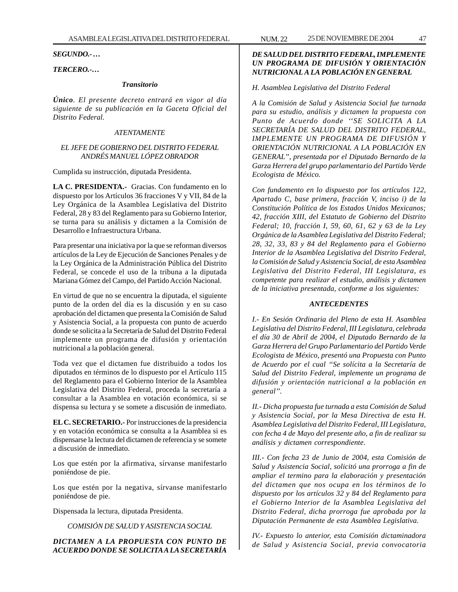*SEGUNDO.- …*

# *TERCERO.-…*

#### *Transitorio*

*Único. El presente decreto entrará en vigor al día siguiente de su publicación en la Gaceta Oficial del Distrito Federal.*

## *ATENTAMENTE*

## *EL JEFE DE GOBIERNO DEL DISTRITO FEDERAL ANDRÉS MANUEL LÓPEZ OBRADOR*

Cumplida su instrucción, diputada Presidenta.

**LA C. PRESIDENTA.-** Gracias. Con fundamento en lo dispuesto por los Artículos 36 fracciones V y VII, 84 de la Ley Orgánica de la Asamblea Legislativa del Distrito Federal, 28 y 83 del Reglamento para su Gobierno Interior, se turna para su análisis y dictamen a la Comisión de Desarrollo e Infraestructura Urbana.

Para presentar una iniciativa por la que se reforman diversos artículos de la Ley de Ejecución de Sanciones Penales y de la Ley Orgánica de la Administración Pública del Distrito Federal, se concede el uso de la tribuna a la diputada Mariana Gómez del Campo, del Partido Acción Nacional.

En virtud de que no se encuentra la diputada, el siguiente punto de la orden del día es la discusión y en su caso aprobación del dictamen que presenta la Comisión de Salud y Asistencia Social, a la propuesta con punto de acuerdo donde se solicita a la Secretaría de Salud del Distrito Federal implemente un programa de difusión y orientación nutricional a la población general.

Toda vez que el dictamen fue distribuido a todos los diputados en términos de lo dispuesto por el Artículo 115 del Reglamento para el Gobierno Interior de la Asamblea Legislativa del Distrito Federal, proceda la secretaría a consultar a la Asamblea en votación económica, si se dispensa su lectura y se somete a discusión de inmediato.

**EL C. SECRETARIO.-** Por instrucciones de la presidencia y en votación económica se consulta a la Asamblea si es dispensarse la lectura del dictamen de referencia y se somete a discusión de inmediato.

Los que estén por la afirmativa, sírvanse manifestarlo poniéndose de pie.

Los que estén por la negativa, sírvanse manifestarlo poniéndose de pie.

Dispensada la lectura, diputada Presidenta.

*COMISIÓN DE SALUD Y ASISTENCIA SOCIAL*

*DICTAMEN A LA PROPUESTA CON PUNTO DE ACUERDO DONDE SE SOLICITA A LA SECRETARÍA*

# *DE SALUD DEL DISTRITO FEDERAL, IMPLEMENTE UN PROGRAMA DE DIFUSIÓN Y ORIENTACIÓN NUTRICIONAL A LA POBLACIÓN EN GENERAL*

#### *H. Asamblea Legislativa del Distrito Federal*

*A la Comisión de Salud y Asistencia Social fue turnada para su estudio, análisis y dictamen la propuesta con Punto de Acuerdo donde ''SE SOLICITA A LA SECRETARÍA DE SALUD DEL DISTRITO FEDERAL, IMPLEMENTE UN PROGRAMA DE DIFUSIÓN Y ORIENTACIÓN NUTRICIONAL A LA POBLACIÓN EN GENERAL'', presentada por el Diputado Bernardo de la Garza Herrera del grupo parlamentario del Partido Verde Ecologista de México.*

*Con fundamento en lo dispuesto por los artículos 122, Apartado C, base primera, fracción V, inciso i) de la Constitución Política de los Estados Unidos Mexicanos; 42, fracción XIII, del Estatuto de Gobierno del Distrito Federal; 10, fracción I, 59, 60, 61, 62 y 63 de la Ley Orgánica de la Asamblea Legislativa del Distrito Federal; 28, 32, 33, 83 y 84 del Reglamento para el Gobierno Interior de la Asamblea Legislativa del Distrito Federal, la Comisión de Salud y Asistencia Social, de esta Asamblea Legislativa del Distrito Federal, III Legislatura, es competente para realizar el estudio, análisis y dictamen de la iniciativa presentada, conforme a los siguientes:*

## *ANTECEDENTES*

*I.- En Sesión Ordinaria del Pleno de esta H. Asamblea Legislativa del Distrito Federal, III Legislatura, celebrada el día 30 de Abril de 2004, el Diputado Bernardo de la Garza Herrera del Grupo Parlamentario del Partido Verde Ecologista de México, presentó una Propuesta con Punto de Acuerdo por el cual ''Se solícita a la Secretaría de Salud del Distrito Federal, implemente un programa de difusión y orientación nutricional a la población en general''.*

*II.- Dicha propuesta fue turnada a esta Comisión de Salud y Asistencia Social, por la Mesa Directiva de esta H. Asamblea Legislativa del Distrito Federal, III Legislatura, con fecha 4 de Mayo del presente año, a fin de realizar su análisis y dictamen correspondiente.*

*III.- Con fecha 23 de Junio de 2004, esta Comisión de Salud y Asistencia Social, solicitó una prorroga a fin de ampliar el termino para la elaboración y presentación del dictamen que nos ocupa en los términos de lo dispuesto por los artículos 32 y 84 del Reglamento para el Gobierno Interior de la Asamblea Legislativa del Distrito Federal, dicha prorroga fue aprobada por la Diputación Permanente de esta Asamblea Legislativa.*

*IV.- Expuesto lo anterior, esta Comisión dictaminadora de Salud y Asistencia Social, previa convocatoria*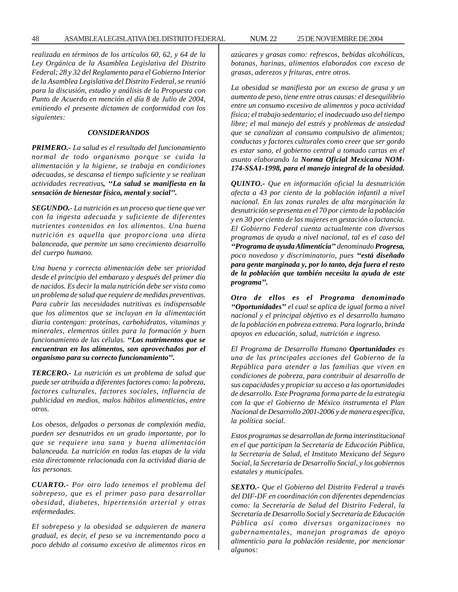*realizada en términos de los artículos 60, 62, y 64 de la Ley Orgánica de la Asamblea Legislativa del Distrito Federal; 28 y 32 del Reglamento para el Gobierno Interior de la Asamblea Legislativa del Distrito Federal, se reunió para la discusión, estudio y análisis de la Propuesta con Punto de Acuerdo en mención el día 8 de Julio de 2004, emitiendo el presente dictamen de conformidad con los siguientes:*

#### *CONSIDERANDOS*

*PRIMERO.- La salud es el resultado del funcionamiento normal de todo organismo porque se cuida la alimentación y la higiene, se trabaja en condiciones adecuadas, se descansa el tiempo suficiente y se realizan actividades recreativas, ''La salud se manifiesta en la sensación de bienestar físico, mental y social''.*

*SEGUNDO.- La nutrición es un proceso que tiene que ver con la ingesta adecuada y suficiente de diferentes nutrientes contenidos en los alimentos. Una buena nutrición es aquella que proporciona una dieta balanceada, que permite un sano crecimiento desarrollo del cuerpo humano.*

*Una buena y correcta alimentación debe ser prioridad desde el principio del embarazo y después del primer día de nacidos. Es decir la mala nutrición debe ser vista como un problema de salud que requiere de medidas preventivas. Para cubrir las necesidades nutritivas es indispensable que los alimentos que se incluyan en la alimentación diaria contengan: proteínas, carbohidratos, vitaminas y minerales, elementos útiles para la formación y buen funcionamiento de las células. ''Los nutrimentos que se encuentran en los alimentos, son aprovechados por el organismo para su correcto funcionamiento''.*

*TERCERO.- La nutrición es un problema de salud que puede ser atribuida a diferentes factores como: la pobreza, factores culturales, factores sociales, influencia de publicidad en medios, malos hábitos alimenticios, entre otros.*

*Los obesos, delgados o personas de complexión media, pueden ser desnutridos en un grado importante, por lo que se requiere una sana y buena alimentación balanceada. La nutrición en todas las etapas de la vida esta directamente relacionada con la actividad diaria de las personas.*

*CUARTO.- Por otro lado tenemos el problema del sobrepeso, que es el primer paso para desarrollar obesidad, diabetes, hipertensión arterial y otras enfermedades.*

*El sobrepeso y la obesidad se adquieren de manera gradual, es decir, el peso se va incrementando poco a poco debido al consumo excesivo de alimentos ricos en* *azúcares y grasas como: refrescos, bebidas alcohólicas, botanas, harinas, alimentos elaborados con exceso de grasas, aderezos y frituras, entre otros.*

*La obesidad se manifiesta por un exceso de grasa y un aumento de peso, tiene entre otras causas: el desequilibrio entre un consumo excesivo de alimentos y poca actividad física; el trabajo sedentario; el inadecuado uso del tiempo libre; el mal manejo del estrés y problemas de ansiedad que se canalizan al consumo compulsivo de alimentos; conductas y factores culturales como creer que ser gordo es estar sano, el gobierno central a tomado cartas en el asunto elaborando la Norma Oficial Mexicana NOM-174-SSA1-1998, para el manejo integral de la obesidad.*

*QUINTO.- Que en información oficial la desnutrición afecta a 43 por ciento de la población infantil a nivel nacional. En las zonas rurales de alta marginación la desnutrición se presenta en el 70 por ciento de la población y en 30 por ciento de las mujeres en gestación o lactancia. El Gobierno Federal cuenta actualmente con diversos programas de ayuda a nivel nacional, tal es el caso del ''Programa de ayuda Alimenticia'' denominado Progresa, poco novedoso y discriminatorio, pues ''está diseñado para gente marginada y, por lo tanto, deja fuera el resto de la población que también necesita la ayuda de este programa''.*

*Otro de ellos es el Programa denominado ''Oportunidades'' el cual se aplica de igual forma a nivel nacional y el principal objetivo es el desarrollo humano de la población en pobreza extrema. Para lograrlo, brinda apoyos en educación, salud, nutrición e ingreso.*

*El Programa de Desarrollo Humano Oportunidades es una de las principales acciones del Gobierno de la República para atender a las familias que viven en condiciones de pobreza, para contribuir al desarrollo de sus capacidades y propiciar su acceso a las oportunidades de desarrollo. Este Programa forma parte de la estrategia con la que el Gobierno de México instrumenta el Plan Nacional de Desarrollo 2001-2006 y de manera específica, la política social.*

*Estos programas se desarrollan de forma interinstitucional en el que participan la Secretaría de Educación Pública, la Secretaría de Salud, el Instituto Mexicano del Seguro Social, la Secretaría de Desarrollo Social, y los gobiernos estatales y municipales.*

*SEXTO.- Que el Gobierno del Distrito Federal a través del DIF-DF en coordinación con diferentes dependencias como: la Secretaría de Salud del Distrito Federal, la Secretaría de Desarrollo Social y Secretaría de Educación Pública así como diversas organizaciones no gubernamentales, manejan programas de apoyo alimenticio para la población residente, por mencionar algunos:*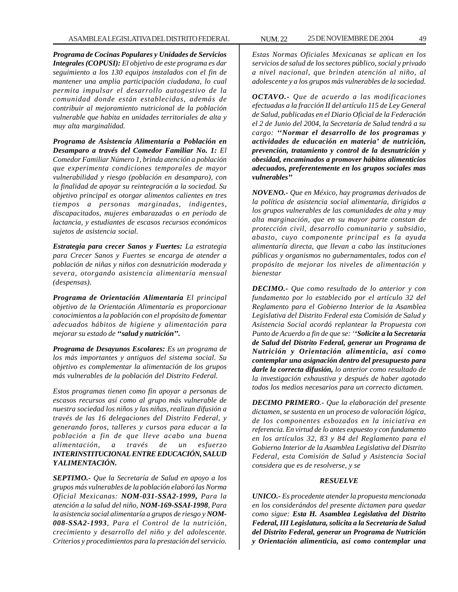*Programa de Cocinas Populares y Unidades de Servicios Integrales (COPUSI): El objetivo de este programa es dar seguimiento a los 130 equipos instalados con el fin de mantener una amplia participación ciudadana, lo cual permita impulsar el desarrollo autogestivo de la comunidad donde están establecidas, además de contribuir al mejoramiento nutricional de la población vulnerable que habita en unidades territoriales de alta y muy alta marginalidad.*

*Programa de Asistencia Alimentaría a Población en Desamparo a través del Comedor Familiar No. 1: El Comedor Familiar Número 1, brinda atención a población que experimenta condiciones temporales de mayor vulnerabilidad y riesgo (población en desamparo), con la finalidad de apoyar su reintegración a la sociedad. Su objetivo principal es otorgar alimentos calientes en tres tiempos a personas marginadas, indigentes, discapacitados, mujeres embarazadas o en periodo de lactancia, y estudiantes de escasos recursos económicos sujetos de asistencia social.*

*Estrategia para crecer Sanos y Fuertes: La estrategia para Crecer Sanos y Fuertes se encarga de atender a población de niñas y niños con desnutrición moderada y severa, otorgando asistencia alimentaría mensual (despensas).*

*Programa de Orientación Alimentaría El principal objetivo de la Orientación Alimentaría es proporcionar conocimientos a la población con el propósito de fomentar adecuados hábitos de higiene y alimentación para mejorar su estado de ''salud y nutrición''.*

*Programa de Desayunos Escolares: Es un programa de los más importantes y antiguos del sistema social. Su objetivo es complementar la alimentación de los grupos más vulnerables de la población del Distrito Federal.*

*Estos programas tienen como fin apoyar a personas de escasos recursos así como al grupo más vulnerable de nuestra sociedad los niños y las niñas, realizan difusión a través de las 16 delegaciones del Distrito Federal, y generando foros, talleres y cursos para educar a la población a fin de que lleve acabo una buena alimentación, a través de un esfuerzo INTERINSTITUCIONAL ENTRE EDUCACIÓN, SALUD Y ALIMENTACIÓN.*

*SEPTIMO.- Que la Secretaría de Salud en apoyo a los grupos más vulnerables de la población elaboró las Norma Oficial Mexicanas: NOM-031-SSA2-1999, Para la atención a la salud del niño, NOM-169-SSAI-1998, Para la asistencia social alimentaría a grupos de riesgo y NOM-008-SSA2-1993, Para el Control de la nutrición, crecimiento y desarrollo del niño y del adolescente. Criterios y procedimientos para la prestación del servicio.*

*Estas Normas Oficiales Mexicanas se aplican en los servicios de salud de los sectores público, social y privado a nivel nacional, que brinden atención al niño, al adolescente y a los grupos más vulnerables de la sociedad.*

*OCTAVO.- Que de acuerdo a las modificaciones efectuadas a la fracción II del artículo 115 de Ley General de Salud, publicadas en el Diario Oficial de la Federación el 2 de Junio del 2004, la Secretaría de Salud tendrá a su cargo: ''Normar el desarrollo de los programas y actividades de educación en materia' de nutrición, prevención, tratamiento y control de la desnutrición y obesidad, encaminados a promover hábitos alimenticios adecuados, preferentemente en los grupos sociales mas vulnerables''*

*NOVENO.- Que en México, hay programas derivados de la política de asistencia social alimentaría, dirigidos a los grupos vulnerables de las comunidades de alta y muy alta marginación, que en su mayor parte constan de protección civil, desarrollo comunitario y subsidio, abasto, cuyo componente principal es la ayuda alimentaría directa, que llevan a cabo las instituciones públicas y organismos no gubernamentales, todos con el propósito de mejorar los niveles de alimentación y bienestar*

*DECIMO.- Que como resultado de lo anterior y con fundamento por lo establecido por el artículo 32 del Reglamento para el Gobierno Interior de la Asamblea Legislativa del Distrito Federal esta Comisión de Salud y Asistencia Social acordó replantear la Propuesta con Punto de Acuerdo a fin de que se: ''Solicite a la Secretaría de Salud del Distrito Federal, generar un Programa de Nutrición y Orientación alimenticia, así como contemplar una asignación dentro del presupuesto para darle la correcta difusión, lo anterior como resultado de la investigación exhaustiva y después de haber agotado todos los medios necesarios para un correcto dictamen.*

*DECIMO PRIMERO.- Que la elaboración del presente dictamen, se sustenta en un proceso de valoración lógica, de los componentes esbozados en la iniciativa en referencia. En virtud de lo antes expuesto y con fundamento en los artículos 32, 83 y 84 del Reglamento para el Gobierno Interior de la Asamblea Legislativa del Distrito Federal, esta Comisión de Salud y Asistencia Social considera que es de resolverse, y se*

### *RESUELVE*

*UNICO.- Es procedente atender la propuesta mencionada en los considerándos del presente dictamen para quedar como sigue: Esta H. Asamblea Legislativa del Distrito Federal, III Legislatura, solicita a la Secretaría de Salud del Distrito Federal, generar un Programa de Nutrición y Orientación alimenticia, así como contemplar una*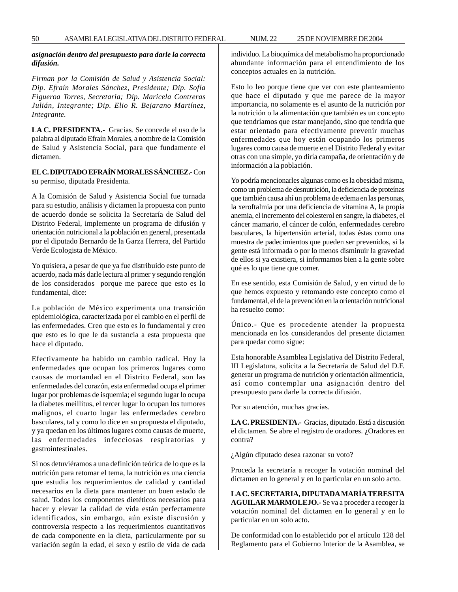### *asignación dentro del presupuesto para darle la correcta difusión.*

*Firman por la Comisión de Salud y Asistencia Social: Dip. Efraín Morales Sánchez, Presidente; Dip. Sofía Figueroa Torres, Secretaria; Dip. Maricela Contreras Julián, Integrante; Dip. Elio R. Bejarano Martínez, Integrante.*

**LA C. PRESIDENTA.-** Gracias. Se concede el uso de la palabra al diputado Efraín Morales, a nombre de la Comisión de Salud y Asistencia Social, para que fundamente el dictamen.

# **EL C. DIPUTADO EFRAÍN MORALES SÁNCHEZ.-** Con su permiso, diputada Presidenta.

A la Comisión de Salud y Asistencia Social fue turnada para su estudio, análisis y dictamen la propuesta con punto de acuerdo donde se solicita la Secretaría de Salud del Distrito Federal, implemente un programa de difusión y orientación nutricional a la población en general, presentada por el diputado Bernardo de la Garza Herrera, del Partido Verde Ecologista de México.

Yo quisiera, a pesar de que ya fue distribuido este punto de acuerdo, nada más darle lectura al primer y segundo renglón de los considerados porque me parece que esto es lo fundamental, dice:

La población de México experimenta una transición epidemiológica, caracterizada por el cambio en el perfil de las enfermedades. Creo que esto es lo fundamental y creo que esto es lo que le da sustancia a esta propuesta que hace el diputado.

Efectivamente ha habido un cambio radical. Hoy la enfermedades que ocupan los primeros lugares como causas de mortandad en el Distrito Federal, son las enfermedades del corazón, esta enfermedad ocupa el primer lugar por problemas de isquemia; el segundo lugar lo ocupa la diabetes meillitus, el tercer lugar lo ocupan los tumores malignos, el cuarto lugar las enfermedades cerebro basculares, tal y como lo dice en su propuesta el diputado, y ya quedan en los últimos lugares como causas de muerte, las enfermedades infecciosas respiratorias y gastrointestinales.

Si nos detuviéramos a una definición teórica de lo que es la nutrición para retomar el tema, la nutrición es una ciencia que estudia los requerimientos de calidad y cantidad necesarios en la dieta para mantener un buen estado de salud. Todos los componentes dietéticos necesarios para hacer y elevar la calidad de vida están perfectamente identificados, sin embargo, aún existe discusión y controversia respecto a los requerimientos cuantitativos de cada componente en la dieta, particularmente por su variación según la edad, el sexo y estilo de vida de cada individuo. La bioquímica del metabolismo ha proporcionado abundante información para el entendimiento de los conceptos actuales en la nutrición.

Esto lo leo porque tiene que ver con este planteamiento que hace el diputado y que me parece de la mayor importancia, no solamente es el asunto de la nutrición por la nutrición o la alimentación que también es un concepto que tendríamos que estar manejando, sino que tendría que estar orientado para efectivamente prevenir muchas enfermedades que hoy están ocupando los primeros lugares como causa de muerte en el Distrito Federal y evitar otras con una simple, yo diría campaña, de orientación y de información a la población.

Yo podría mencionarles algunas como es la obesidad misma, como un problema de desnutrición, la deficiencia de proteínas que también causa ahí un problema de edema en las personas, la xeroftalmia por una deficiencia de vitamina A, la propia anemia, el incremento del colesterol en sangre, la diabetes, el cáncer mamario, el cáncer de colón, enfermedades cerebro basculares, la hipertensión arterial, todas éstas como una muestra de padecimientos que pueden ser prevenidos, si la gente está informada o por lo menos disminuir la gravedad de ellos si ya existiera, si informamos bien a la gente sobre qué es lo que tiene que comer.

En ese sentido, esta Comisión de Salud, y en virtud de lo que hemos expuesto y retomando este concepto como el fundamental, el de la prevención en la orientación nutricional ha resuelto como:

Único.- Que es procedente atender la propuesta mencionada en los considerandos del presente dictamen para quedar como sigue:

Esta honorable Asamblea Legislativa del Distrito Federal, III Legislatura, solicita a la Secretaría de Salud del D.F. generar un programa de nutrición y orientación alimenticia, así como contemplar una asignación dentro del presupuesto para darle la correcta difusión.

Por su atención, muchas gracias.

**LA C. PRESIDENTA.-** Gracias, diputado. Está a discusión el dictamen. Se abre el registro de oradores. ¿Oradores en contra?

¿Algún diputado desea razonar su voto?

Proceda la secretaría a recoger la votación nominal del dictamen en lo general y en lo particular en un solo acto.

**LA C. SECRETARIA, DIPUTADA MARÍA TERESITA AGUILAR MARMOLEJO.-** Se va a proceder a recoger la votación nominal del dictamen en lo general y en lo particular en un solo acto.

De conformidad con lo establecido por el artículo 128 del Reglamento para el Gobierno Interior de la Asamblea, se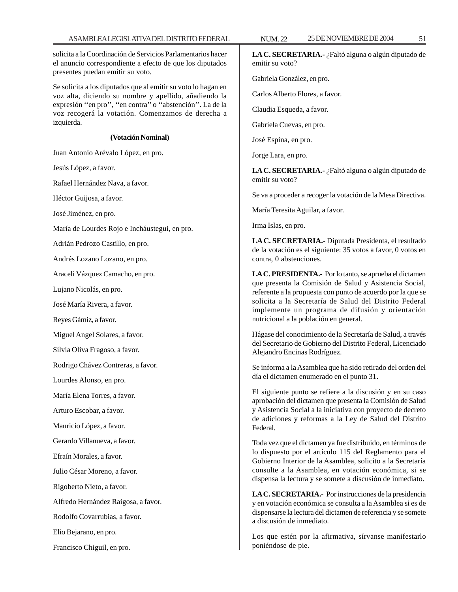solicita a la Coordinación de Servicios Parlamentarios hacer el anuncio correspondiente a efecto de que los diputados presentes puedan emitir su voto.

Se solicita a los diputados que al emitir su voto lo hagan en voz alta, diciendo su nombre y apellido, añadiendo la expresión ''en pro'', ''en contra'' o ''abstención''. La de la voz recogerá la votación. Comenzamos de derecha a izquierda.

#### **(Votación Nominal)**

Juan Antonio Arévalo López, en pro.

Jesús López, a favor.

Rafael Hernández Nava, a favor.

Héctor Guijosa, a favor.

José Jiménez, en pro.

María de Lourdes Rojo e Incháustegui, en pro.

Adrián Pedrozo Castillo, en pro.

Andrés Lozano Lozano, en pro.

Araceli Vázquez Camacho, en pro.

Lujano Nicolás, en pro.

José María Rivera, a favor.

Reyes Gámiz, a favor.

Miguel Angel Solares, a favor.

Silvia Oliva Fragoso, a favor.

Rodrigo Chávez Contreras, a favor.

Lourdes Alonso, en pro.

María Elena Torres, a favor.

Arturo Escobar, a favor.

Mauricio López, a favor.

Gerardo Villanueva, a favor.

Efraín Morales, a favor.

Julio César Moreno, a favor.

Rigoberto Nieto, a favor.

Alfredo Hernández Raigosa, a favor.

Rodolfo Covarrubias, a favor.

Elio Bejarano, en pro.

Francisco Chiguil, en pro.

**LA C. SECRETARIA.-** ¿Faltó alguna o algún diputado de emitir su voto?

Gabriela González, en pro.

Carlos Alberto Flores, a favor.

Claudia Esqueda, a favor.

Gabriela Cuevas, en pro.

José Espina, en pro.

Jorge Lara, en pro.

**LA C. SECRETARIA.-** ¿Faltó alguna o algún diputado de emitir su voto?

Se va a proceder a recoger la votación de la Mesa Directiva.

María Teresita Aguilar, a favor.

Irma Islas, en pro.

**LA C. SECRETARIA.-** Diputada Presidenta, el resultado de la votación es el siguiente: 35 votos a favor, 0 votos en contra, 0 abstenciones.

**LA C. PRESIDENTA.-** Por lo tanto, se aprueba el dictamen que presenta la Comisión de Salud y Asistencia Social, referente a la propuesta con punto de acuerdo por la que se solicita a la Secretaría de Salud del Distrito Federal implemente un programa de difusión y orientación nutricional a la población en general.

Hágase del conocimiento de la Secretaría de Salud, a través del Secretario de Gobierno del Distrito Federal, Licenciado Alejandro Encinas Rodríguez.

Se informa a la Asamblea que ha sido retirado del orden del día el dictamen enumerado en el punto 31.

El siguiente punto se refiere a la discusión y en su caso aprobación del dictamen que presenta la Comisión de Salud y Asistencia Social a la iniciativa con proyecto de decreto de adiciones y reformas a la Ley de Salud del Distrito Federal.

Toda vez que el dictamen ya fue distribuido, en términos de lo dispuesto por el artículo 115 del Reglamento para el Gobierno Interior de la Asamblea, solicito a la Secretaría consulte a la Asamblea, en votación económica, si se dispensa la lectura y se somete a discusión de inmediato.

**LA C. SECRETARIA.-** Por instrucciones de la presidencia y en votación económica se consulta a la Asamblea si es de dispensarse la lectura del dictamen de referencia y se somete a discusión de inmediato.

Los que estén por la afirmativa, sírvanse manifestarlo poniéndose de pie.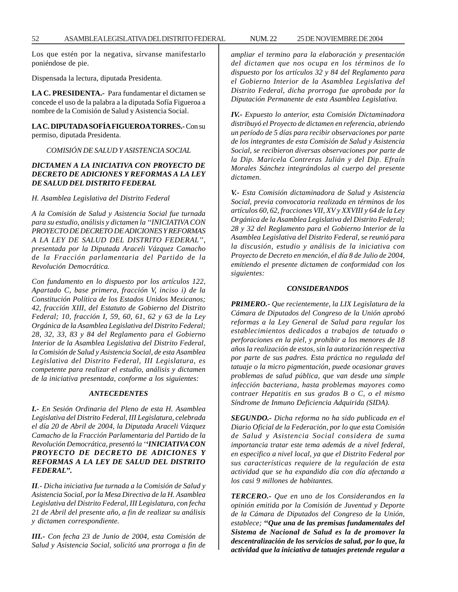Los que estén por la negativa, sírvanse manifestarlo poniéndose de pie.

Dispensada la lectura, diputada Presidenta.

**LA C. PRESIDENTA.-** Para fundamentar el dictamen se concede el uso de la palabra a la diputada Sofía Figueroa a nombre de la Comisión de Salud y Asistencia Social.

**LA C. DIPUTADA SOFÍA FIGUEROA TORRES.-** Con su permiso, diputada Presidenta.

# *COMISIÓN DE SALUD Y ASISTENCIA SOCIAL*

## *DICTAMEN A LA INICIATIVA CON PROYECTO DE DECRETO DE ADICIONES Y REFORMAS A LA LEY DE SALUD DEL DISTRITO FEDERAL*

*H. Asamblea Legislativa del Distrito Federal*

*A la Comisión de Salud y Asistencia Social fue turnada para su estudio, análisis y dictamen la ''INICIATIVA CON PROYECTO DE DECRETO DE ADICIONES Y REFORMAS A LA LEY DE SALUD DEL DISTRITO FEDERAL'', presentada por la Diputada Araceli Vázquez Camacho de la Fracción parlamentaria del Partido de la Revolución Democrática.*

*Con fundamento en lo dispuesto por los artículos 122, Apartado C, base primera, fracción V, inciso i) de la Constitución Política de los Estados Unidos Mexicanos; 42, fracción XIII, del Estatuto de Gobierno del Distrito Federal; 10, fracción I, 59, 60, 61, 62 y 63 de la Ley Orgánica de la Asamblea Legislativa del Distrito Federal; 28, 32, 33, 83 y 84 del Reglamento para el Gobierno Interior de la Asamblea Legislativa del Distrito Federal, la Comisión de Salud y Asistencia Social, de esta Asamblea Legislativa del Distrito Federal, III Legislatura, es competente para realizar el estudio, análisis y dictamen de la iniciativa presentada, conforme a los siguientes:*

# *ANTECEDENTES*

*I.- En Sesión Ordinaria del Pleno de esta H. Asamblea Legislativa del Distrito Federal, III Legislatura, celebrada el día 20 de Abril de 2004, la Diputada Araceli Vázquez Camacho de la Fracción Parlamentaria del Partido de la Revolución Democrática, presentó la ''INICIATIVA CON PROYECTO DE DECRETO DE ADICIONES Y REFORMAS A LA LEY DE SALUD DEL DISTRITO FEDERAL''.*

*II.- Dicha iniciativa fue turnada a la Comisión de Salud y Asistencia Social, por la Mesa Directiva de la H. Asamblea Legislativa del Distrito Federal, III Legislatura, con fecha 21 de Abril del presente año, a fin de realizar su análisis y dictamen correspondiente.*

*III.- Con fecha 23 de Junio de 2004, esta Comisión de Salud y Asistencia Social, solicitó una prorroga a fin de* *ampliar el termino para la elaboración y presentación del dictamen que nos ocupa en los términos de lo dispuesto por los artículos 32 y 84 del Reglamento para el Gobierno Interior de la Asamblea Legislativa del Distrito Federal, dicha prorroga fue aprobada por la Diputación Permanente de esta Asamblea Legislativa.*

*IV.- Expuesto lo anterior, esta Comisión Dictaminadora distribuyó el Proyecto de dictamen en referencia, abriendo un período de 5 días para recibir observaciones por parte de los integrantes de esta Comisión de Salud y Asistencia Social, se recibieron diversas observaciones por parte de la Dip. Maricela Contreras Julián y del Dip. Efraín Morales Sánchez integrándolas al cuerpo del presente dictamen.*

*V.- Esta Comisión dictaminadora de Salud y Asistencia Social, previa convocatoria realizada en términos de los artículos 60, 62, fracciones VII, XV y XXVIII y 64 de la Ley Orgánica de la Asamblea Legislativa del Distrito Federal; 28 y 32 del Reglamento para el Gobierno Interior de la Asamblea Legislativa del Distrito Federal, se reunió para la discusión, estudio y análisis de la iniciativa con Proyecto de Decreto en mención, el día 8 de Julio de 2004, emitiendo el presente dictamen de conformidad con los siguientes:*

#### *CONSIDERANDOS*

*PRIMERO.- Que recientemente, la LIX Legislatura de la Cámara de Diputados del Congreso de la Unión aprobó reformas a la Ley General de Salud para regular los establecimientos dedicados a trabajos de tatuado o perforaciones en la piel, y prohibir a los menores de 18 años la realización de estos, sin la autorización respectiva por parte de sus padres. Esta práctica no regulada del tatuaje o la micro pigmentación, puede ocasionar graves problemas de salud pública, que van desde una simple infección bacteriana, hasta problemas mayores como contraer Hepatitis en sus grados B o C, o el mismo Síndrome de Inmuno Deficiencia Adquirida (SIDA).*

*SEGUNDO.- Dicha reforma no ha sido publicada en el Diario Oficial de la Federación, por lo que esta Comisión de Salud y Asistencia Social considera de suma importancia tratar este tema además de a nivel federal, en especifico a nivel local, ya que el Distrito Federal por sus características requiere de la regulación de esta actividad que se ha expandido día con día afectando a los casi 9 millones de habitantes.*

*TERCERO.- Que en uno de los Considerandos en la opinión emitida por la Comisión de Juventud y Deporte de la Cámara de Diputados del Congreso de la Unión, establece; ''Que una de las premisas fundamentales del Sistema de Nacional de Salud es la de promover la descentralización de los servicios de salud, por lo que, la actividad que la iniciativa de tatuajes pretende regular a*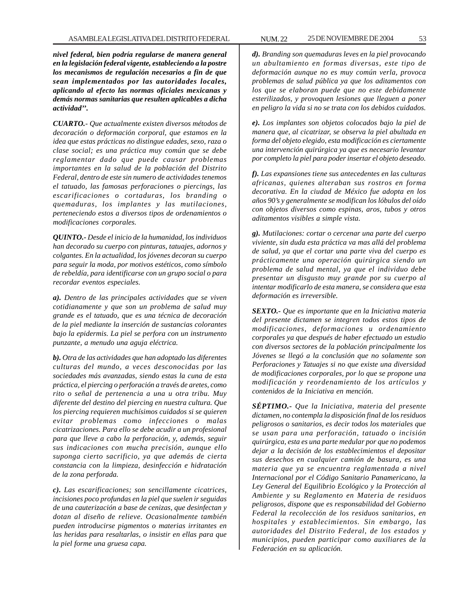*nivel federal, bien podría regularse de manera general en la legislación federal vigente, estableciendo a la postre los mecanismos de regulación necesarios a fin de que sean implementados por las autoridades locales, aplicando al efecto las normas oficiales mexicanas y demás normas sanitarias que resulten aplicables a dicha actividad''.*

*CUARTO.- Que actualmente existen diversos métodos de decoración o deformación corporal, que estamos en la idea que estas prácticas no distingue edades, sexo, raza o clase social; es una práctica muy común que se debe reglamentar dado que puede causar problemas importantes en la salud de la población del Distrito Federal, dentro de este sin numero de actividades tenemos el tatuado, las famosas perforaciones o piercings, las escarificaciones o cortaduras, los branding o quemaduras, los implantes y las mutilaciones, perteneciendo estos a diversos tipos de ordenamientos o modificaciones corporales.*

*QUINTO.- Desde el inicio de la humanidad, los individuos han decorado su cuerpo con pinturas, tatuajes, adornos y colgantes. En la actualidad, los jóvenes decoran su cuerpo para seguir la moda, por motivos estéticos, como símbolo de rebeldía, para identificarse con un grupo social o para recordar eventos especiales.*

*a). Dentro de las principales actividades que se viven cotidianamente y que son un problema de salud muy grande es el tatuado, que es una técnica de decoración de la piel mediante la inserción de sustancias colorantes bajo la epidermis. La piel se perfora con un instrumento punzante, a menudo una aguja eléctrica.*

*b). Otra de las actividades que han adoptado las diferentes culturas del mundo, a veces desconocidas por las sociedades más avanzadas, siendo estas la cuna de esta práctica, el piercing o perforación a través de aretes, como rito o señal de pertenencia a una u otra tribu. Muy diferente del destino del piercing en nuestra cultura. Que los piercing requieren muchísimos cuidados si se quieren evitar problemas como infecciones o malas cicatrizaciones. Para ello se debe acudir a un profesional para que lleve a cabo la perforación, y, además, seguir sus indicaciones con mucha precisión, aunque ello suponga cierto sacrificio, ya que además de cierta constancia con la limpieza, desinfección e hidratación de la zona perforada.*

*c). Las escarificaciones; son sencillamente cicatrices, incisiones poco profundas en la piel que suelen ir seguidas de una cauterización a base de cenizas, que desinfectan y dotan al diseño de relieve. Ocasionalmente también pueden introducirse pigmentos o materias irritantes en las heridas para resaltarlas, o insistir en ellas para que la piel forme una gruesa capa.*

*d). Branding son quemaduras leves en la piel provocando un abultamiento en formas diversas, este tipo de deformación aunque no es muy común verla, provoca problemas de salud pública ya que los aditamentos con los que se elaboran puede que no este debidamente esterilizados, y provoquen lesiones que lleguen a poner en peligro la vida si no se trata con los debidos cuidados.*

*e). Los implantes son objetos colocados bajo la piel de manera que, al cicatrizar, se observa la piel abultada en forma del objeto elegido, esta modificación es ciertamente una intervención quirúrgica ya que es necesario levantar por completo la piel para poder insertar el objeto deseado.*

*f). Las expansiones tiene sus antecedentes en las culturas africanas, quienes alteraban sus rostros en forma decorativa. En la ciudad de México fue adopta en los años 90's y generalmente se modifican los lóbulos del oído con objetos diversos como espinas, aros, tubos y otros aditamentos visibles a simple vista.*

*g). Mutilaciones: cortar o cercenar una parte del cuerpo viviente, sin duda esta práctica va mas allá del problema de salud, ya que el cortar una parte viva del cuerpo es prácticamente una operación quirúrgica siendo un problema de salud mental, ya que el individuo debe presentar un disgusto muy grande por su cuerpo al intentar modificarlo de esta manera, se considera que esta deformación es irreversible.*

*SEXTO.- Que es importante que en la Iniciativa materia del presente dictamen se integren todos estos tipos de modificaciones, deformaciones u ordenamiento corporales ya que después de haber efectuado un estudio con diversos sectores de la población principalmente los Jóvenes se llegó a la conclusión que no solamente son Perforaciones y Tatuajes si no que existe una diversidad de modificaciones corporales, por lo que se propone una modificación y reordenamiento de los artículos y contenidos de la Iniciativa en mención.*

*SÉPTIMO.- Que la Iniciativa, materia del presente dictamen, no contempla la disposición final de los residuos peligrosos o sanitarios, es decir todos los materiales que se usan para una perforación, tatuado o incisión quirúrgica, esta es una parte medular por que no podemos dejar a la decisión de los establecimientos el depositar sus desechos en cualquier camión de basura, es una materia que ya se encuentra reglamentada a nivel Internacional por el Código Sanitario Panamericano, la Ley General del Equilibrio Ecológico y la Protección al Ambiente y su Reglamento en Materia de residuos peligrosos, dispone que es responsabilidad del Gobierno Federal la recolección de los residuos sanitarios, en hospitales y establecimientos. Sin embargo, las autoridades del Distrito Federal, de los estados y municipios, pueden participar como auxiliares de la Federación en su aplicación.*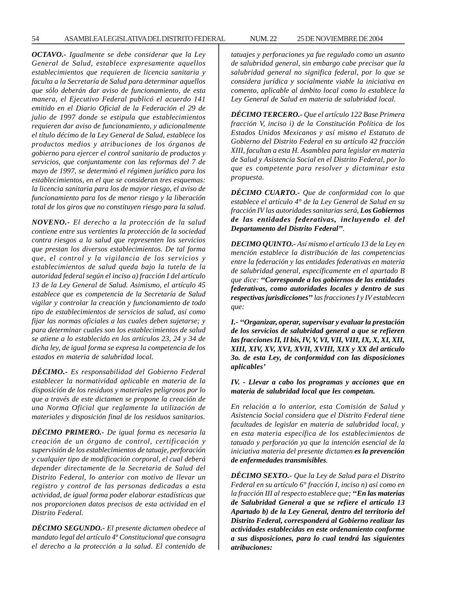54 ASAMBLEA LEGISLATIVA DEL DISTRITO FEDERAL NUM. 22 25 DE NOVIEMBRE DE 2004

*OCTAVO.- Igualmente se debe considerar que la Ley General de Salud, establece expresamente aquellos establecimientos que requieren de licencia sanitaria y faculta a la Secretaría de Salud para determinar aquellos que sólo deberán dar aviso de funcionamiento, de esta manera, el Ejecutivo Federal publicó el acuerdo 141 emitido en el Diario Oficial de la Federación el 29 de julio de 1997 donde se estipula que establecimientos requieren dar aviso de funcionamiento, y adicionalmente el título décimo de la Ley General de Salud, establece los productos medios y atribuciones de los órganos de gobierno para ejercer el control sanitario de productos y servicios, que conjuntamente con las reformas del 7 de mayo de 1997, se determinó el régimen jurídico para los establecimientos, en el que se consideran tres esquemas: la licencia sanitaria para los de mayor riesgo, el aviso de funcionamiento para los de menor riesgo y la liberación total de los giros que no constituyen riesgo para la salud.*

*NOVENO.- El derecho a la protección de la salud contiene entre sus vertientes la protección de la sociedad contra riesgos a la salud que representen los servicios que prestan los diversos establecimientos. De tal forma que, el control y la vigilancia de los servicios y establecimientos de salud queda bajo la tutela de la autoridad federal según el inciso a) fracción I del artículo 13 de la Ley General de Salud. Asimismo, el artículo 45 establece que es competencia de la Secretaría de Salud vigilar y controlar la creación y funcionamiento de todo tipo de establecimientos de servicios de salud, así como fijar las normas oficiales a las cuales deben sujetarse; y para determinar cuales son los establecimientos de salud se atiene a lo establecido en los artículos 23, 24 y 34 de dicha ley, de igual forma se expresa la competencia de los estados en materia de salubridad local.*

*DÉCIMO.- Es responsabilidad del Gobierno Federal establecer la normatividad aplicable en materia de la disposición de los residuos y materiales peligrosos por lo que a través de este dictamen se propone la creación de una Norma Oficial que reglamente la utilización de materiales y disposición final de los residuos sanitarios.*

*DÉCIMO PRIMERO.- De igual forma es necesaria la creación de un órgano de control, certificación y supervisión de los establecimientos de tatuaje, perforación y cualquier tipo de modificación corporal, el cual deberá depender directamente de la Secretaria de Salud del Distrito Federal, lo anterior con motivo de llevar un registro y control de las personas dedicadas a esta actividad, de igual forma poder elaborar estadísticas que nos proporcionen datos precisos de esta actividad en el Distrito Federal.*

*DÉCIMO SEGUNDO.- El presente dictamen obedece al mandato legal del artículo 4º Constitucional que consagra el derecho a la protección a la salud. El contenido de*

*tatuajes y perforaciones ya fue regulado como un asunto de salubridad general, sin embargo cabe precisar que la salubridad general no significa federal, por lo que se considera jurídica y socialmente viable la iniciativa en comento, aplicable al ámbito local como lo establece la Ley General de Salud en materia de salubridad local.*

*DÉCIMO TERCERO.- Que el artículo 122 Base Primera fracción V, inciso i) de la Constitución Política de los Estados Unidos Mexicanos y así mismo el Estatuto de Gobierno del Distrito Federal en su artículo 42 fracción XIII, facultan a esta H. Asamblea para legislar en materia de Salud y Asistencia Social en el Distrito Federal, por lo que es competente para resolver y dictaminar esta propuesta.*

*DÉCIMO CUARTO.- Que de conformidad con lo que establece el artículo 4° de la Ley General de Salud en su fracción IV las autoridades sanitarias será, Los Gobiernos de las entidades federativas, incluyendo el del Departamento del Distrito Federal''.*

*DECIMO QUINTO.- Así mismo el artículo 13 de la Ley en mención establece la distribución de las competencias entre la federación y las entidades federativas en materia de salubridad general, específicamente en el apartado B que dice: ''Corresponde a los gobiernos de las entidades federativas, como autoridades locales y dentro de sus respectivas jurisdicciones'' las fracciones I y IV establecen que:*

*I.- ''Organizar, operar, supervisar y evaluar la prestación de los servicios de salubridad general a que se refieren las fracciones II, II bis, IV, V, VI, VII, VIII, IX, X, XI, XII, XIII, XIV, XV, XVI, XVII, XVIII, XIX y XX del artículo 3o. de esta Ley, de conformidad con las disposiciones aplicables'*

*IV. - Llevar a cabo los programas y acciones que en materia de salubridad local que les competan.*

*En relación a lo anterior, esta Comisión de Salud y Asistencia Social considera que el Distrito Federal tiene facultades de legislar en materia de salubridad local, y en esta materia específica de los establecimientos de tatuado y perforación ya que la intención esencial de la iniciativa materia del presente dictamen es la prevención de enfermedades transmisibles.*

*DÉCIMO SEXTO.- Que la Ley de Salud para el Distrito Federal en su artículo 6° fracción I, inciso n) así como en la fracción III al respecto establece que; ''En las materias de Salubridad General a que se refiere el artículo 13 Apartado b) de la Ley General, dentro del territorio del Distrito Federal, corresponderá al Gobierno realizar las actividades establecidas en este ordenamiento conforme a sus disposiciones, para lo cual tendrá las siguientes atribuciones:*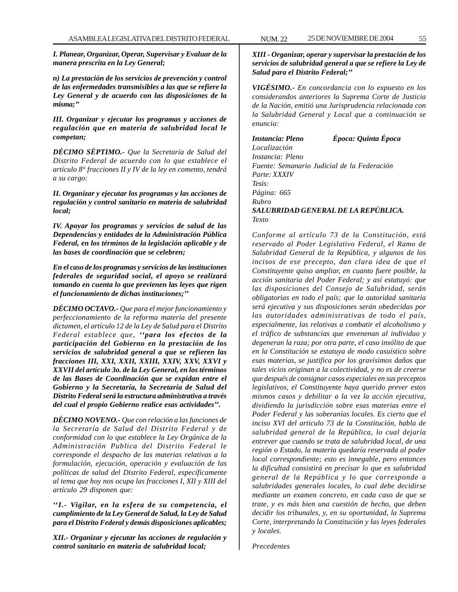*I. Planear, Organizar, Operar, Supervisar y Evaluar de la manera prescrita en la Ley General;*

*n) La prestación de los servicios de prevención y control de las enfermedades transmisibles a las que se refiere la Ley General y de acuerdo con las disposiciones de la misma;''*

*III. Organizar y ejecutar los programas y acciones de regulación que en materia de salubridad local le competan;*

*DÉCIMO SÉPTIMO.- Que la Secretaría de Salud del Distrito Federal de acuerdo con lo que establece el artículo 8° fracciones II y IV de la ley en comento, tendrá a su cargo:*

*II. Organizar y ejecutar los programas y las acciones de regulación y control sanitario en materia de salubridad local;*

*IV. Apoyar los programas y servicios de salud de las Dependencias y entidades de la Administración Pública Federal, en los términos de la legislación aplicable y de las bases de coordinación que se celebren;*

*En el caso de los programas y servicios de las instituciones federales de seguridad social, el apoyo se realizará tomando en cuenta lo que previenen las leyes que rigen el funcionamiento de dichas instituciones;''*

*DÉCIMO OCTAVO.- Que para el mejor funcionamiento y perfeccionamiento de la reforma materia del presente dictamen, el artículo 12 de la Ley de Salud para el Distrito Federal establece que, ''para los efectos de la participación del Gobierno en la prestación de los servicios de salubridad general a que se refieren las fracciones III, XXI, XXII, XXIII, XXIV, XXV, XXVI y XXVII del artículo 3o. de la Ley General, en los términos de las Bases de Coordinación que se expidan entre el Gobierno y la Secretaría, la Secretaría de Salud del Distrito Federal será la estructura administrativa a través del cual el propio Gobierno realice esas actividades''.*

*DÉCIMO NOVENO.- Que con relación a las funciones de la Secretaría de Salud del Distrito Federal y de conformidad con lo que establece la Ley Orgánica de la Administración Publica del Distrito Federal le corresponde el despacho de las materias relativas a la formulación, ejecución, operación y evaluación de las políticas de salud del Distrito Federal, específicamente al tema que hoy nos ocupa las fracciones I, XII y XIII del artículo 29 disponen que:*

*''I.- Vigilar, en la esfera de su competencia, el cumplimiento de la Ley General de Salud, la Ley de Salud para el Distrito Federal y demás disposiciones aplicables;*

*XII.- Organizar y ejecutar las acciones de regulación y control sanitario en materia de salubridad local;*

*XIII - Organizar, operar y supervisar la prestación de los servicios de salubridad general a que se refiere la Ley de Salud para el Distrito Federal;''*

*VIGÉSIMO.- En concordancia con lo expuesto en los considerandos anteriores la Suprema Corte de Justicia de la Nación, emitió una Jurisprudencia relacionada con la Salubridad General y Local que a continuación se enuncia:*

*Instancia: Pleno Época: Quinta Época Localización Instancia: Pleno Fuente: Semanario Judicial de la Federación Parte: XXXIV Tesis: Página: 665 Rubro SALUBRIDAD GENERAL DE LA REPÚBLICA. Texto*

*Conforme al artículo 73 de la Constitución, está reservado al Poder Legislativo Federal, el Ramo de Salubridad General de la República, y algunos de los incisos de ese precepto, dan clara idea de que el Constituyente quiso ampliar, en cuanto fuere posible, la acción sanitaria del Poder Federal; y así estatuyó: que las disposiciones del Consejo de Salubridad, serán obligatorias en todo el país; que la autoridad sanitaria será ejecutiva y sus disposiciones serán obedecidas por las autoridades administrativas de todo el país, especialmente, las relativas a combatir el alcoholismo y el tráfico de substancias que envenenan al individuo y degeneran la raza; por otra parte, el caso insólito de que en la Constitución se estatuya de modo casuístico sobre esas materias, se justifica por los gravísimos daños que tales vicios originan a la colectividad, y no es de creerse que después de consignar casos especiales en sus preceptos legislativos, el Constituyente haya querido prever estos mismos casos y debilitar a la vez la acción ejecutiva, dividiendo la jurisdicción sobre esas materias entre el Poder Federal y las soberanías locales. Es cierto que el inciso XVI del articulo 73 de la Constitución, habla de salubridad general de la República, lo cual dejaría entrever que cuando se trata de salubridad local, de una región o Estado, la materia quedaría reservada al poder local correspondiente; esto es innegable, pero entonces la dificultad consistirá en precisar lo que es salubridad general de la República y lo que corresponde a salubridades generales locales, lo cual debe decidirse mediante un examen concreto, en cada caso de que se trate, y es más bien una cuestión de hecho, que deben decidir los tribunales, y, en su oportunidad, la Suprema Corte, interpretando la Constitución y las leyes federales y locales.*

*Precedentes*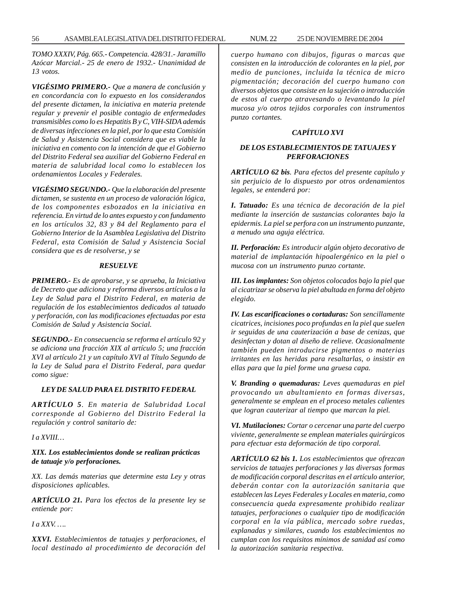*TOMO XXXIV, Pág. 665.- Competencia. 428/31.- Jaramillo Azócar Marcial.- 25 de enero de 1932.- Unanimidad de 13 votos.*

*VIGÉSIMO PRIMERO.- Que a manera de conclusión y en concordancia con lo expuesto en los considerandos del presente dictamen, la iniciativa en materia pretende regular y prevenir el posible contagio de enfermedades transmisibles como lo es Hepatitis B y C, VIH-SIDA además de diversas infecciones en la piel, por lo que esta Comisión de Salud y Asistencia Social considera que es viable la iniciativa en comento con la intención de que el Gobierno del Distrito Federal sea auxiliar del Gobierno Federal en materia de salubridad local como lo establecen los ordenamientos Locales y Federales.*

*VIGÉSIMO SEGUNDO.- Que la elaboración del presente dictamen, se sustenta en un proceso de valoración lógica, de los componentes esbozados en la iniciativa en referencia. En virtud de lo antes expuesto y con fundamento en los artículos 32, 83 y 84 del Reglamento para el Gobierno Interior de la Asamblea Legislativa del Distrito Federal, esta Comisión de Salud y Asistencia Social considera que es de resolverse, y se*

#### *RESUELVE*

*PRIMERO.- Es de aprobarse, y se aprueba, la Iniciativa de Decreto que adiciona y reforma diversos artículos a la Ley de Salud para el Distrito Federal, en materia de regulación de los establecimientos dedicados al tatuado y perforación, con las modificaciones efectuadas por esta Comisión de Salud y Asistencia Social.*

*SEGUNDO.- En consecuencia se reforma el artículo 92 y se adiciona una fracción XIX al artículo 5; una fracción XVI al artículo 21 y un capítulo XVI al Título Segundo de la Ley de Salud para el Distrito Federal, para quedar como sigue:*

#### *LEY DE SALUD PARA EL DISTRITO FEDERAL*

*ARTÍCULO 5. En materia de Salubridad Local corresponde al Gobierno del Distrito Federal la regulación y control sanitario de:*

*I a XVIII…*

*XIX. Los establecimientos donde se realizan prácticas de tatuaje y/o perforaciones.*

*XX. Las demás materias que determine esta Ley y otras disposiciones aplicables.*

*ARTÍCULO 21. Para los efectos de la presente ley se entiende por:*

*I a XXV. ….*

*XXVI. Establecimientos de tatuajes y perforaciones, el local destinado al procedimiento de decoración del* *cuerpo humano con dibujos, figuras o marcas que consisten en la introducción de colorantes en la piel, por medio de punciones, incluida la técnica de micro pigmentación; decoración del cuerpo humano con diversos objetos que consiste en la sujeción o introducción de estos al cuerpo atravesando o levantando la piel mucosa y/o otros tejidos corporales con instrumentos punzo cortantes.*

# *CAPÍTULO XVI*

# *DE LOS ESTABLECIMIENTOS DE TATUAJES Y PERFORACIONES*

*ARTÍCULO 62 bis. Para efectos del presente capítulo y sin perjuicio de lo dispuesto por otros ordenamientos legales, se entenderá por:*

*I. Tatuado: Es una técnica de decoración de la piel mediante la inserción de sustancias colorantes bajo la epidermis. La piel se perfora con un instrumento punzante, a menudo una aguja eléctrica.*

*II. Perforación: Es introducir algún objeto decorativo de material de implantación hipoalergénico en la piel o mucosa con un instrumento punzo cortante.*

*III. Los implantes: Son objetos colocados bajo la piel que al cicatrizar se observa la piel abultada en forma del objeto elegido.*

*IV. Las escarificaciones o cortaduras: Son sencillamente cicatrices, incisiones poco profundas en la piel que suelen ir seguidas de una cauterización a base de cenizas, que desinfectan y dotan al diseño de relieve. Ocasionalmente también pueden introducirse pigmentos o materias irritantes en las heridas para resaltarlas, o insistir en ellas para que la piel forme una gruesa capa.*

*V. Branding o quemaduras: Leves quemaduras en piel provocando un abultamiento en formas diversas, generalmente se emplean en el proceso metales calientes que logran cauterizar al tiempo que marcan la piel.*

*VI. Mutilaciones: Cortar o cercenar una parte del cuerpo viviente, generalmente se emplean materiales quirúrgicos para efectuar esta deformación de tipo corporal.*

*ARTÍCULO 62 bis 1. Los establecimientos que ofrezcan servicios de tatuajes perforaciones y las diversas formas de modificación corporal descritas en el artículo anterior, deberán contar con la autorización sanitaria que establecen las Leyes Federales y Locales en materia, como consecuencia queda expresamente prohibido realizar tatuajes, perforaciones o cualquier tipo de modificación corporal en la vía pública, mercado sobre ruedas, explanadas y similares, cuando los establecimientos no cumplan con los requisitos mínimos de sanidad así como la autorización sanitaria respectiva.*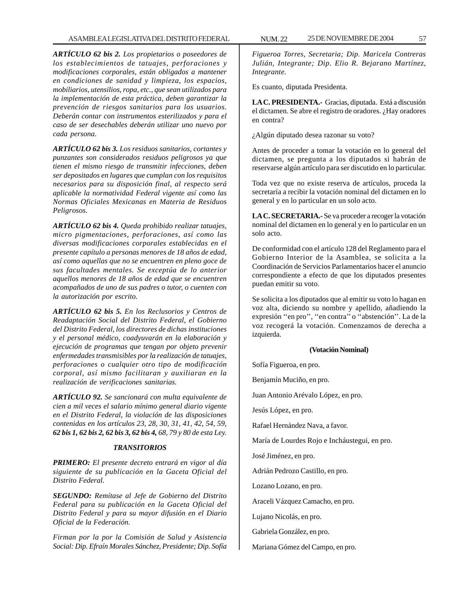*ARTÍCULO 62 bis 2. Los propietarios o poseedores de los establecimientos de tatuajes, perforaciones y modificaciones corporales, están obligados a mantener en condiciones de sanidad y limpieza, los espacios, mobiliarios, utensilios, ropa, etc., que sean utilizados para la implementación de esta práctica, deben garantizar la prevención de riesgos sanitarios para los usuarios. Deberán contar con instrumentos esterilizados y para el caso de ser desechables deberán utilizar uno nuevo por cada persona.*

*ARTÍCULO 62 bis 3. Los residuos sanitarios, cortantes y punzantes son considerados residuos peligrosos ya que tienen el mismo riesgo de transmitir infecciones, deben ser depositados en lugares que cumplan con los requisitos necesarios para su disposición final, al respecto será aplicable la normatividad Federal vigente así como las Normas Oficiales Mexicanas en Materia de Residuos Peligrosos.*

*ARTÍCULO 62 bis 4. Queda prohibido realizar tatuajes, micro pigmentaciones, perforaciones, así como las diversas modificaciones corporales establecidas en el presente capítulo a personas menores de 18 años de edad, así como aquellas que no se encuentren en pleno goce de sus facultades mentales. Se exceptúa de lo anterior aquellos menores de 18 años de edad que se encuentren acompañados de uno de sus padres o tutor, o cuenten con la autorización por escrito.*

*ARTÍCULO 62 bis 5. En los Reclusorios y Centros de Readaptación Social del Distrito Federal, el Gobierno del Distrito Federal, los directores de dichas instituciones y el personal médico, coadyuvarán en la elaboración y ejecución de programas que tengan por objeto prevenir enfermedades transmisibles por la realización de tatuajes, perforaciones o cualquier otro tipo de modificación corporal, así mismo facilitaran y auxiliaran en la realización de verificaciones sanitarias.*

*ARTÍCULO 92. Se sancionará con multa equivalente de cien a mil veces el salario mínimo general diario vigente en el Distrito Federal, la violación de las disposiciones contenidas en los artículos 23, 28, 30, 31, 41, 42, 54, 59, 62 bis 1, 62 bis 2, 62 bis 3, 62 bis 4, 68, 79 y 80 de esta Ley.*

#### *TRANSITORIOS*

*PRIMERO: El presente decreto entrará en vigor al día siguiente de su publicación en la Gaceta Oficial del Distrito Federal.*

*SEGUNDO: Remítase al Jefe de Gobierno del Distrito Federal para su publicación en la Gaceta Oficial del Distrito Federal y para su mayor difusión en el Diario Oficial de la Federación.*

*Firman por la por la Comisión de Salud y Asistencia Social: Dip. Efraín Morales Sánchez, Presidente; Dip. Sofía*

*Figueroa Torres, Secretaria; Dip. Maricela Contreras Julián, Integrante; Dip. Elio R. Bejarano Martínez, Integrante.*

Es cuanto, diputada Presidenta.

**LA C. PRESIDENTA.-** Gracias, diputada. Está a discusión el dictamen. Se abre el registro de oradores. ¿Hay oradores en contra?

¿Algún diputado desea razonar su voto?

Antes de proceder a tomar la votación en lo general del dictamen, se pregunta a los diputados si habrán de reservarse algún artículo para ser discutido en lo particular.

Toda vez que no existe reserva de artículos, proceda la secretaría a recibir la votación nominal del dictamen en lo general y en lo particular en un solo acto.

**LA C. SECRETARIA.-** Se va proceder a recoger la votación nominal del dictamen en lo general y en lo particular en un solo acto.

De conformidad con el artículo 128 del Reglamento para el Gobierno Interior de la Asamblea, se solicita a la Coordinación de Servicios Parlamentarios hacer el anuncio correspondiente a efecto de que los diputados presentes puedan emitir su voto.

Se solicita a los diputados que al emitir su voto lo hagan en voz alta, diciendo su nombre y apellido, añadiendo la expresión ''en pro'', ''en contra'' o ''abstención''. La de la voz recogerá la votación. Comenzamos de derecha a izquierda.

### **(Votación Nominal)**

Sofía Figueroa, en pro.

Benjamín Muciño, en pro.

Juan Antonio Arévalo López, en pro.

Jesús López, en pro.

Rafael Hernández Nava, a favor.

María de Lourdes Rojo e Incháustegui, en pro.

José Jiménez, en pro.

Adrián Pedrozo Castillo, en pro.

Lozano Lozano, en pro.

Araceli Vázquez Camacho, en pro.

Lujano Nicolás, en pro.

Gabriela González, en pro.

Mariana Gómez del Campo, en pro.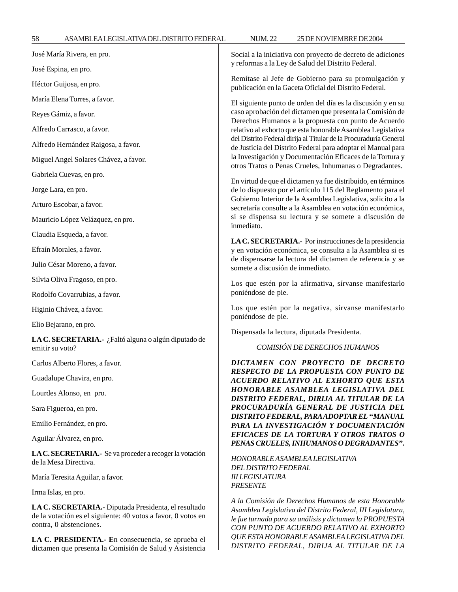| José María Rivera, en pro.                                                                                           | Social a la iniciativa con proyecto de decreto de adiciones                                                                                                                                                                                                                                                                                                                                                                                                                                                                                                                                                                                                                                                                                                                                                                               |
|----------------------------------------------------------------------------------------------------------------------|-------------------------------------------------------------------------------------------------------------------------------------------------------------------------------------------------------------------------------------------------------------------------------------------------------------------------------------------------------------------------------------------------------------------------------------------------------------------------------------------------------------------------------------------------------------------------------------------------------------------------------------------------------------------------------------------------------------------------------------------------------------------------------------------------------------------------------------------|
| José Espina, en pro.                                                                                                 | y reformas a la Ley de Salud del Distrito Federal.                                                                                                                                                                                                                                                                                                                                                                                                                                                                                                                                                                                                                                                                                                                                                                                        |
| Héctor Guijosa, en pro.                                                                                              | Remítase al Jefe de Gobierno para su promulgación y<br>publicación en la Gaceta Oficial del Distrito Federal.                                                                                                                                                                                                                                                                                                                                                                                                                                                                                                                                                                                                                                                                                                                             |
| María Elena Torres, a favor.                                                                                         | El siguiente punto de orden del día es la discusión y en su<br>caso aprobación del dictamen que presenta la Comisión de<br>Derechos Humanos a la propuesta con punto de Acuerdo<br>relativo al exhorto que esta honorable Asamblea Legislativa<br>del Distrito Federal dirija al Titular de la Procuraduría General<br>de Justicia del Distrito Federal para adoptar el Manual para<br>la Investigación y Documentación Eficaces de la Tortura y<br>otros Tratos o Penas Crueles, Inhumanas o Degradantes.<br>En virtud de que el dictamen ya fue distribuido, en términos<br>de lo dispuesto por el artículo 115 del Reglamento para el<br>Gobierno Interior de la Asamblea Legislativa, solicito a la<br>secretaría consulte a la Asamblea en votación económica,<br>si se dispensa su lectura y se somete a discusión de<br>inmediato. |
| Reyes Gámiz, a favor.                                                                                                |                                                                                                                                                                                                                                                                                                                                                                                                                                                                                                                                                                                                                                                                                                                                                                                                                                           |
| Alfredo Carrasco, a favor.                                                                                           |                                                                                                                                                                                                                                                                                                                                                                                                                                                                                                                                                                                                                                                                                                                                                                                                                                           |
| Alfredo Hernández Raigosa, a favor.                                                                                  |                                                                                                                                                                                                                                                                                                                                                                                                                                                                                                                                                                                                                                                                                                                                                                                                                                           |
| Miguel Angel Solares Chávez, a favor.                                                                                |                                                                                                                                                                                                                                                                                                                                                                                                                                                                                                                                                                                                                                                                                                                                                                                                                                           |
| Gabriela Cuevas, en pro.                                                                                             |                                                                                                                                                                                                                                                                                                                                                                                                                                                                                                                                                                                                                                                                                                                                                                                                                                           |
| Jorge Lara, en pro.                                                                                                  |                                                                                                                                                                                                                                                                                                                                                                                                                                                                                                                                                                                                                                                                                                                                                                                                                                           |
| Arturo Escobar, a favor.                                                                                             |                                                                                                                                                                                                                                                                                                                                                                                                                                                                                                                                                                                                                                                                                                                                                                                                                                           |
| Mauricio López Velázquez, en pro.                                                                                    |                                                                                                                                                                                                                                                                                                                                                                                                                                                                                                                                                                                                                                                                                                                                                                                                                                           |
| Claudia Esqueda, a favor.                                                                                            | LA C. SECRETARIA.- Por instrucciones de la presidencia<br>y en votación económica, se consulta a la Asamblea si es<br>de dispensarse la lectura del dictamen de referencia y se<br>somete a discusión de inmediato.                                                                                                                                                                                                                                                                                                                                                                                                                                                                                                                                                                                                                       |
| Efraín Morales, a favor.                                                                                             |                                                                                                                                                                                                                                                                                                                                                                                                                                                                                                                                                                                                                                                                                                                                                                                                                                           |
| Julio César Moreno, a favor.                                                                                         |                                                                                                                                                                                                                                                                                                                                                                                                                                                                                                                                                                                                                                                                                                                                                                                                                                           |
| Silvia Oliva Fragoso, en pro.                                                                                        | Los que estén por la afirmativa, sírvanse manifestarlo<br>poniéndose de pie.<br>Los que estén por la negativa, sírvanse manifestarlo<br>poniéndose de pie.<br>Dispensada la lectura, diputada Presidenta.<br>COMISIÓN DE DERECHOS HUMANOS<br>DICTAMEN CON PROYECTO DE DECRETO<br>RESPECTO DE LA PROPUESTA CON PUNTO DE<br>ACUERDO RELATIVO AL EXHORTO QUE ESTA<br>HONORABLE ASAMBLEA LEGISLATIVA DEL<br>DISTRITO FEDERAL, DIRIJA AL TITULAR DE LA<br>PROCURADURÍA GENERAL DE JUSTICIA DEL<br>DISTRITO FEDERAL, PARA ADOPTAR EL "MANUAL<br>PARA LA INVESTIGACIÓN Y DOCUMENTACIÓN<br>EFICACES DE LA TORTURA Y OTROS TRATOS O<br>PENAS CRUELES, INHUMANOS O DEGRADANTES".<br>HONORABLE ASAMBLEA LEGISLATIVA<br><b>DEL DISTRITO FEDERAL</b><br><b>III LEGISLATURA</b><br><b>PRESENTE</b>                                                      |
| Rodolfo Covarrubias, a favor.                                                                                        |                                                                                                                                                                                                                                                                                                                                                                                                                                                                                                                                                                                                                                                                                                                                                                                                                                           |
| Higinio Chávez, a favor.                                                                                             |                                                                                                                                                                                                                                                                                                                                                                                                                                                                                                                                                                                                                                                                                                                                                                                                                                           |
| Elio Bejarano, en pro.                                                                                               |                                                                                                                                                                                                                                                                                                                                                                                                                                                                                                                                                                                                                                                                                                                                                                                                                                           |
| LA C. SECRETARIA.- ¿Faltó alguna o algún diputado de<br>emitir su voto?                                              |                                                                                                                                                                                                                                                                                                                                                                                                                                                                                                                                                                                                                                                                                                                                                                                                                                           |
| Carlos Alberto Flores, a favor.                                                                                      |                                                                                                                                                                                                                                                                                                                                                                                                                                                                                                                                                                                                                                                                                                                                                                                                                                           |
| Guadalupe Chavira, en pro.                                                                                           |                                                                                                                                                                                                                                                                                                                                                                                                                                                                                                                                                                                                                                                                                                                                                                                                                                           |
| Lourdes Alonso, en pro.                                                                                              |                                                                                                                                                                                                                                                                                                                                                                                                                                                                                                                                                                                                                                                                                                                                                                                                                                           |
| Sara Figueroa, en pro.                                                                                               |                                                                                                                                                                                                                                                                                                                                                                                                                                                                                                                                                                                                                                                                                                                                                                                                                                           |
| Emilio Fernández, en pro.                                                                                            |                                                                                                                                                                                                                                                                                                                                                                                                                                                                                                                                                                                                                                                                                                                                                                                                                                           |
| Aguilar Álvarez, en pro.                                                                                             |                                                                                                                                                                                                                                                                                                                                                                                                                                                                                                                                                                                                                                                                                                                                                                                                                                           |
| LA C. SECRETARIA.- Se va proceder a recoger la votación<br>de la Mesa Directiva.                                     |                                                                                                                                                                                                                                                                                                                                                                                                                                                                                                                                                                                                                                                                                                                                                                                                                                           |
| María Teresita Aguilar, a favor.                                                                                     |                                                                                                                                                                                                                                                                                                                                                                                                                                                                                                                                                                                                                                                                                                                                                                                                                                           |
| Irma Islas, en pro.                                                                                                  |                                                                                                                                                                                                                                                                                                                                                                                                                                                                                                                                                                                                                                                                                                                                                                                                                                           |
| LA C. SECRETARIA.- Diputada Presidenta, el resultado<br>de la votación es el siguiente: 40 votos a favor, 0 votos en | A la Comisión de Derechos Humanos de esta Honorable<br>Asamblea Legislativa del Distrito Federal, III Legislatura,<br>le fue turnada para su análisis y dictamen la PROPUESTA                                                                                                                                                                                                                                                                                                                                                                                                                                                                                                                                                                                                                                                             |

*CON PUNTO DE ACUERDO RELATIVO AL EXHORTO QUE ESTA HONORABLE ASAMBLEA LEGISLATIVA DEL DISTRITO FEDERAL, DIRIJA AL TITULAR DE LA*

**LA C. PRESIDENTA.- E**n consecuencia, se aprueba el dictamen que presenta la Comisión de Salud y Asistencia

contra, 0 abstenciones.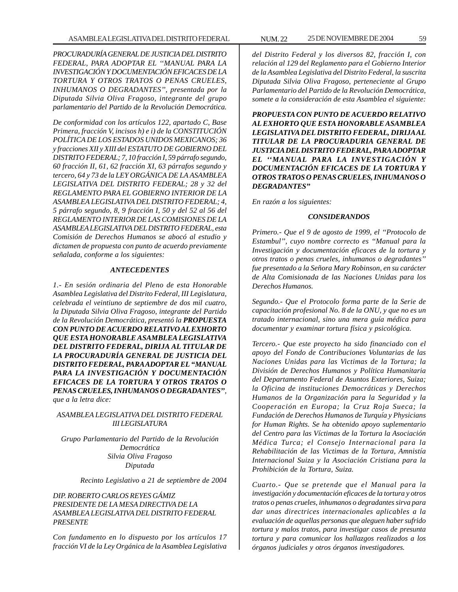*PROCURADURÍA GENERAL DE JUSTICIA DEL DISTRITO FEDERAL, PARA ADOPTAR EL ''MANUAL PARA LA INVESTIGACIÓN Y DOCUMENTACIÓN EFICACES DE LA TORTURA Y OTROS TRATOS O PENAS CRUELES, INHUMANOS O DEGRADANTES'', presentada por la Diputada Silvia Oliva Fragoso, integrante del grupo parlamentario del Partido de la Revolución Democrática.*

*De conformidad con los artículos 122, apartado C, Base Primera, fracción V, incisos h) e i) de la CONSTITUCIÓN POLÍTICA DE LOS ESTADOS UNIDOS MEXICANOS; 36 y fracciones XII y XIII del ESTATUTO DE GOBIERNO DEL DISTRITO FEDERAL; 7, 10 fracción I, 59 párrafo segundo, 60 fracción II, 61, 62 fracción XI, 63 párrafos segundo y tercero, 64 y 73 de la LEY ORGÁNICA DE LA ASAMBLEA LEGISLATIVA DEL DISTRITO FEDERAL; 28 y 32 del REGLAMENTO PARA EL GOBIERNO INTERIOR DE LA ASAMBLEA LEGISLATIVA DEL DISTRITO FEDERAL; 4, 5 párrafo segundo, 8, 9 fracción I, 50 y del 52 al 56 del REGLAMENTO INTERIOR DE LAS COMISIONES DE LA ASAMBLEA LEGISLATIVA DEL DISTRITO FEDERAL, esta Comisión de Derechos Humanos se abocó al estudio y dictamen de propuesta con punto de acuerdo previamente señalada, conforme a los siguientes:*

#### *ANTECEDENTES*

*1.- En sesión ordinaria del Pleno de esta Honorable Asamblea Legislativa del Distrito Federal, III Legislatura, celebrada el veintiuno de septiembre de dos mil cuatro, la Diputada Silvia Oliva Fragoso, integrante del Partido de la Revolución Democrática, presentó la PROPUESTA CON PUNTO DE ACUERDO RELATIVO AL EXHORTO QUE ESTA HONORABLE ASAMBLEA LEGISLATIVA DEL DISTRITO FEDERAL, DIRIJA AL TITULAR DE LA PROCURADURÍA GENERAL DE JUSTICIA DEL DISTRITO FEDERAL, PARA ADOPTAR EL ''MANUAL PARA LA INVESTIGACIÓN Y DOCUMENTACIÓN EFICACES DE LA TORTURA Y OTROS TRATOS O PENAS CRUELES, INHUMANOS O DEGRADANTES'', que a la letra dice:*

# *ASAMBLEA LEGISLATIVA DEL DISTRITO FEDERAL III LEGISLATURA*

*Grupo Parlamentario del Partido de la Revolución Democrática Silvia Oliva Fragoso Diputada*

*Recinto Legislativo a 21 de septiembre de 2004*

# *DIP. ROBERTO CARLOS REYES GÁMIZ PRESIDENTE DE LA MESA DIRECTIVA DE LA ASAMBLEA LEGISLATIVA DEL DISTRITO FEDERAL PRESENTE*

*Con fundamento en lo dispuesto por los artículos 17 fracción VI de la Ley Orgánica de la Asamblea Legislativa*

*del Distrito Federal y los diversos 82, fracción I, con*

*relación al 129 del Reglamento para el Gobierno Interior de la Asamblea Legislativa del Distrito Federal, la suscrita Diputada Silvia Oliva Fragoso, perteneciente al Grupo Parlamentario del Partido de la Revolución Democrática, somete a la consideración de esta Asamblea el siguiente:*

*PROPUESTA CON PUNTO DE ACUERDO RELATIVO AL EXHORTO QUE ESTA HONORABLE ASAMBLEA LEGISLATIVA DEL DISTRITO FEDERAL, DIRIJA AL TITULAR DE LA PROCURADURIA GENERAL DE JUSTICIA DEL DISTRITO FEDERAL, PARA ADOPTAR EL ''MANUAL PARA LA INVESTIGACIÓN Y DOCUMENTACIÓN EFICACES DE LA TORTURA Y OTROS TRATOS O PENAS CRUELES, INHUMANOS O DEGRADANTES''*

*En razón a los siguientes:*

#### *CONSIDERANDOS*

*Primero.- Que el 9 de agosto de 1999, el ''Protocolo de Estambul'', cuyo nombre correcto es ''Manual para la Investigación y documentación eficaces de la tortura y otros tratos o penas crueles, inhumanos o degradantes'' fue presentado a la Señora Mary Robinson, en su carácter de Alta Comisionada de las Naciones Unidas para los Derechos Humanos.*

*Segundo.- Que el Protocolo forma parte de la Serie de capacitación profesional No. 8 de la ONU, y que no es un tratado internacional, sino una mera guía médica para documentar y examinar tortura física y psicológica.*

*Tercero.- Que este proyecto ha sido financiado con el apoyo del Fondo de Contribuciones Voluntarias de las Naciones Unidas para las Victimas de la Tortura; la División de Derechos Humanos y Política Humanitaria del Departamento Federal de Asuntos Exteriores, Suiza; la Oficina de instituciones Democráticas y Derechos Humanos de la Organización para la Seguridad y la Cooperación en Europa; la Cruz Roja Sueca; la Fundación de Derechos Humanos de Turquía y Physicians for Human Rights. Se ha obtenido apoyo suplementario del Centro para las Víctimas de la Tortura la Asociación Médica Turca; el Consejo Internacional para la Rehabilitación de las Victimas de la Tortura, Amnistía Internacional Suiza y la Asociación Cristiana para la Prohibición de la Tortura, Suiza.*

*Cuarto.- Que se pretende que el Manual para la investigación y documentación eficaces de la tortura y otros tratos o penas crueles, inhumanos o degradantes sirva para dar unas directrices internacionales aplicables a la evaluación de aquellas personas que aleguen haber sufrido tortura y malos tratos, para investigar casos de presunta tortura y para comunicar los hallazgos realizados a los órganos judiciales y otros órganos investigadores.*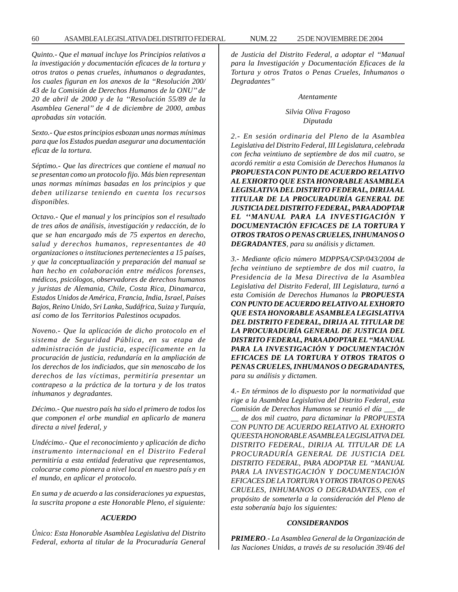#### 60 ASAMBLEA LEGISLATIVA DEL DISTRITO FEDERAL 25 NUM. 22 DE NOVIEMBRE DE 2004

*Quinto.- Que el manual incluye los Principios relativos a la investigación y documentación eficaces de la tortura y otros tratos o penas crueles, inhumanos o degradantes, los cuales figuran en los anexos de la ''Resolución 200/ 43 de la Comisión de Derechos Humanos de la ONU'' de 20 de abril de 2000 y de la ''Resolución 55/89 de la Asamblea General'' de 4 de diciembre de 2000, ambas aprobadas sin votación.*

*Sexto.- Que estos principios esbozan unas normas mínimas para que los Estados puedan asegurar una documentación eficaz de la tortura.*

*Séptimo.- Que las directrices que contiene el manual no se presentan como un protocolo fijo. Más bien representan unas normas mínimas basadas en los principios y que deben utilizarse teniendo en cuenta los recursos disponibles.*

*Octavo.- Que el manual y los principios son el resultado de tres años de análisis, investigación y redacción, de lo que se han encargado más de 75 expertos en derecho, salud y derechos humanos, representantes de 40 organizaciones o instituciones pertenecientes a 15 países, y que la conceptualización y preparación del manual se han hecho en colaboración entre médicos forenses, médicos, psicólogos, observadores de derechos humanos y juristas de Alemania, Chile, Costa Rica, Dinamarca, Estados Unidos de América, Francia, India, Israel, Países Bajos, Reino Unido, Sri Lanka, Sudáfrica, Suiza y Turquía, así como de los Territorios Palestinos ocupados.*

*Noveno.- Que la aplicación de dicho protocolo en el sistema de Seguridad Pública, en su etapa de administración de justicia, específicamente en la procuración de justicia, redundaría en la ampliación de los derechos de los indiciados, que sin menoscabo de los derechos de las víctimas, permitiría presentar un contrapeso a la práctica de la tortura y de los tratos inhumanos y degradantes.*

*Décimo.- Que nuestro país ha sido el primero de todos los que componen el orbe mundial en aplicarlo de manera directa a nivel federal, y*

*Undécimo.- Que el reconocimiento y aplicación de dicho instrumento internacional en el Distrito Federal permitiría a esta entidad federativa que representamos, colocarse como pionera a nivel local en nuestro país y en el mundo, en aplicar el protocolo.*

*En suma y de acuerdo a las consideraciones ya expuestas, la suscrita propone a este Honorable Pleno, el siguiente:*

#### *ACUERDO*

*Único: Esta Honorable Asamblea Legislativa del Distrito Federal, exhorta al titular de la Procuraduría General* *de Justicia del Distrito Federal, a adoptar el ''Manual para la Investigación y Documentación Eficaces de la Tortura y otros Tratos o Penas Crueles, Inhumanos o Degradantes''*

#### *Atentamente*

*Silvia Oliva Fragoso Diputada*

*2.- En sesión ordinaria del Pleno de la Asamblea Legislativa del Distrito Federal, III Legislatura, celebrada con fecha veintiuno de septiembre de dos mil cuatro, se acordó remitir a esta Comisión de Derechos Humanos la PROPUESTA CON PUNTO DE ACUERDO RELATIVO AL EXHORTO QUE ESTA HONORABLE ASAMBLEA LEGISLATIVA DEL DISTRITO FEDERAL, DIRIJA AL TITULAR DE LA PROCURADURÍA GENERAL DE JUSTICIA DEL DISTRITO FEDERAL, PARA ADOPTAR EL ''MANUAL PARA LA INVESTIGACIÓN Y DOCUMENTACIÓN EFICACES DE LA TORTURA Y OTROS TRATOS O PENAS CRUELES, INHUMANOS O DEGRADANTES, para su análisis y dictamen.*

*3.- Mediante oficio número MDPPSA/CSP/043/2004 de fecha veintiuno de septiembre de dos mil cuatro, la Presidencia de la Mesa Directiva de la Asamblea Legislativa del Distrito Federal, III Legislatura, turnó a esta Comisión de Derechos Humanos la PROPUESTA CON PUNTO DE ACUERDO RELATIVO AL EXHORTO QUE ESTA HONORABLE ASAMBLEA LEGISLATIVA DEL DISTRITO FEDERAL, DIRIJA AL TITULAR DE LA PROCURADURÍA GENERAL DE JUSTICIA DEL DISTRITO FEDERAL, PARA ADOPTAR EL ''MANUAL PARA LA INVESTIGACIÓN Y DOCUMENTACIÓN EFICACES DE LA TORTURA Y OTROS TRATOS O PENAS CRUELES, INHUMANOS O DEGRADANTES, para su análisis y dictamen.*

*4.- En términos de lo dispuesto por la normatividad que rige a la Asamblea Legislativa del Distrito Federal, esta Comisión de Derechos Humanos se reunió el día \_\_\_ de \_\_ de dos mil cuatro, para dictaminar la PROPUESTA CON PUNTO DE ACUERDO RELATIVO AL EXHORTO QUEESTA HONORABLE ASAMBLEA LEGISLATIVA DEL DISTRITO FEDERAL, DIRIJA AL TITULAR DE LA PROCURADURÍA GENERAL DE JUSTICIA DEL DISTRITO FEDERAL, PARA ADOPTAR EL ''MANUAL PARA LA INVESTIGACIÓN Y DOCUMENTACIÓN EFICACES DE LA TORTURA Y OTROS TRATOS O PENAS CRUELES, INHUMANOS O DEGRADANTES, con el propósito de someterla a la consideración del Pleno de esta soberanía bajo los siguientes:*

#### *CONSIDERANDOS*

*PRIMERO.- La Asamblea General de la Organización de las Naciones Unidas, a través de su resolución 39/46 del*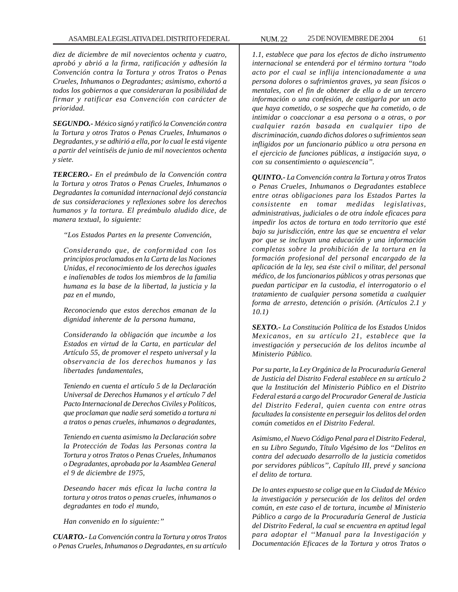*diez de diciembre de mil novecientos ochenta y cuatro, aprobó y abrió a la firma, ratificación y adhesión la Convención contra la Tortura y otros Tratos o Penas Crueles, Inhumanos o Degradantes; asimismo, exhortó a todos los gobiernos a que consideraran la posibilidad de firmar y ratificar esa Convención con carácter de prioridad.*

*SEGUNDO.- México signó y ratificó la Convención contra la Tortura y otros Tratos o Penas Crueles, Inhumanos o Degradantes, y se adhirió a ella, por lo cual le está vigente a partir del veintiséis de junio de mil novecientos ochenta y siete.*

*TERCERO.- En el preámbulo de la Convención contra la Tortura y otros Tratos o Penas Crueles, Inhumanos o Degradantes la comunidad internacional dejó constancia de sus consideraciones y reflexiones sobre los derechos humanos y la tortura. El preámbulo aludido dice, de manera textual, lo siguiente:*

*''Los Estados Partes en la presente Convención,*

*Considerando que, de conformidad con los principios proclamados en la Carta de las Naciones Unidas, el reconocimiento de los derechos iguales e inalienables de todos los miembros de la familia humana es la base de la libertad, la justicia y la paz en el mundo,*

*Reconociendo que estos derechos emanan de la dignidad inherente de la persona humana,*

*Considerando la obligación que incumbe a los Estados en virtud de la Carta, en particular del Artículo 55, de promover el respeto universal y la observancia de los derechos humanos y las libertades fundamentales,*

*Teniendo en cuenta el artículo 5 de la Declaración Universal de Derechos Humanos y el artículo 7 del Pacto Internacional de Derechos Civiles y Políticos, que proclaman que nadie será sometido a tortura ni a tratos o penas crueles, inhumanos o degradantes,*

*Teniendo en cuenta asimismo la Declaración sobre la Protección de Todas las Personas contra la Tortura y otros Tratos o Penas Crueles, Inhumanos o Degradantes, aprobada por la Asamblea General el 9 de diciembre de 1975,*

*Deseando hacer más eficaz la lucha contra la tortura y otros tratos o penas crueles, inhumanos o degradantes en todo el mundo,*

*Han convenido en lo siguiente:''*

*CUARTO.- La Convención contra la Tortura y otros Tratos o Penas Crueles, Inhumanos o Degradantes, en su artículo*

*1.1, establece que para los efectos de dicho instrumento internacional se entenderá por el término tortura ''todo acto por el cual se inflija intencionadamente a una persona dolores o sufrimientos graves, ya sean físicos o mentales, con el fin de obtener de ella o de un tercero información o una confesión, de castigarla por un acto que haya cometido, o se sospeche que ha cometido, o de intimidar o coaccionar a esa persona o a otras, o por cualquier razón basada en cualquier tipo de discriminación, cuando dichos dolores o sufrimientos sean infligidos por un funcionario público u otra persona en el ejercicio de funciones públicas, a instigación suya, o con su consentimiento o aquiescencia''.*

*QUINTO.- La Convención contra la Tortura y otros Tratos o Penas Crueles, Inhumanos o Degradantes establece entre otras obligaciones para los Estados Partes la consistente en tomar medidas legislativas, administrativas, judiciales o de otra índole eficaces para impedir los actos de tortura en todo territorio que esté bajo su jurisdicción, entre las que se encuentra el velar por que se incluyan una educación y una información completas sobre la prohibición de la tortura en la formación profesional del personal encargado de la aplicación de la ley, sea éste civil o militar, del personal médico, de los funcionarios públicos y otras personas que puedan participar en la custodia, el interrogatorio o el tratamiento de cualquier persona sometida a cualquier forma de arresto, detención o prisión. (Artículos 2.1 y 10.1)*

*SEXTO.- La Constitución Política de los Estados Unidos Mexicanos, en su artículo 21, establece que la investigación y persecución de los delitos incumbe al Ministerio Público.*

*Por su parte, la Ley Orgánica de la Procuraduría General de Justicia del Distrito Federal establece en su artículo 2 que la Institución del Ministerio Público en el Distrito Federal estará a cargo del Procurador General de Justicia del Distrito Federal, quien cuenta con entre otras facultades la consistente en perseguir los delitos del orden común cometidos en el Distrito Federal.*

*Asimismo, el Nuevo Código Penal para el Distrito Federal, en su Libro Segundo, Título Vigésimo de los ''Delitos en contra del adecuado desarrollo de la justicia cometidos por servidores públicos'', Capítulo III, prevé y sanciona el delito de tortura.*

*De lo antes expuesto se colige que en la Ciudad de México la investigación y persecución de los delitos del orden común, en este caso el de tortura, incumbe al Ministerio Público a cargo de la Procuraduría General de Justicia del Distrito Federal, la cual se encuentra en aptitud legal para adoptar el ''Manual para la Investigación y Documentación Eficaces de la Tortura y otros Tratos o*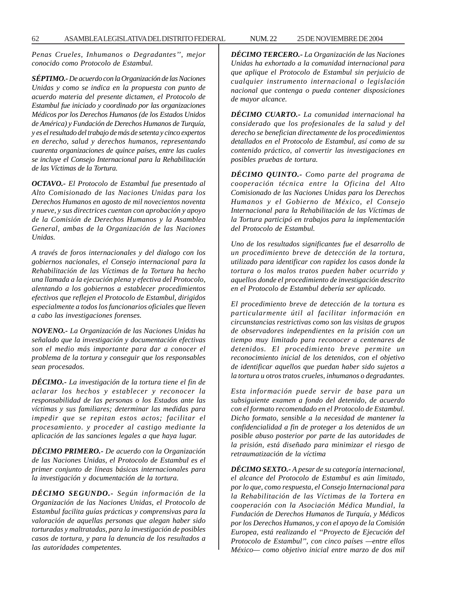*Penas Crueles, Inhumanos o Degradantes'', mejor conocido como Protocolo de Estambul.*

*SÉPTIMO.- De acuerdo con la Organización de las Naciones Unidas y como se indica en la propuesta con punto de acuerdo materia del presente dictamen, el Protocolo de Estambul fue iniciado y coordinado por las organizaciones Médicos por los Derechos Humanos (de los Estados Unidos de América) y Fundación de Derechos Humanos de Turquía, y es el resultado del trabajo de más de setenta y cinco expertos en derecho, salud y derechos humanos, representando cuarenta organizaciones de quince países, entre las cuales se incluye el Consejo Internacional para la Rehabilitación de las Víctimas de la Tortura.*

*OCTAVO.- El Protocolo de Estambul fue presentado al Alto Comisionado de las Naciones Unidas para los Derechos Humanos en agosto de mil novecientos noventa y nueve, y sus directrices cuentan con aprobación y apoyo de la Comisión de Derechos Humanos y la Asamblea General, ambas de la Organización de las Naciones Unidas.*

*A través de foros internacionales y del dialogo con los gobiernos nacionales, el Consejo internacional para la Rehabilitación de las Víctimas de la Tortura ha hecho una llamada a la ejecución plena y efectiva del Protocolo, alentando a los gobiernos a establecer procedimientos efectivos que reflejen el Protocolo de Estambul, dirigidos especialmente a todos los funcionarios oficiales que lleven a cabo las investigaciones forenses.*

*NOVENO.- La Organización de las Naciones Unidas ha señalado que la investigación y documentación efectivas son el medio más importante para dar a conocer el problema de la tortura y conseguir que los responsables sean procesados.*

*DÉCIMO.- La investigación de la tortura tiene el fin de aclarar los hechos y establecer y reconocer la responsabilidad de las personas o los Estados ante las víctimas y sus familiares; determinar las medidas para impedir que se repitan estos actos; facilitar el procesamiento. y proceder al castigo mediante la aplicación de las sanciones legales a que haya lugar.*

*DÉCIMO PRIMERO.- De acuerdo con la Organización de las Naciones Unidas, el Protocolo de Estambul es el primer conjunto de líneas básicas internacionales para la investigación y documentación de la tortura.*

*DÉCIMO SEGUNDO.- Según información de la Organización de las Naciones Unidas, el Protocolo de Estambul facilita guías prácticas y comprensivas para la valoración de aquellas personas que alegan haber sido torturadas y maltratadas, para la investigación de posibles casos de tortura, y para la denuncia de los resultados a las autoridades competentes.*

*DÉCIMO TERCERO.- La Organización de las Naciones Unidas ha exhortado a la comunidad internacional para que aplique el Protocolo de Estambul sin perjuicio de cualquier instrumento internacional o legislación nacional que contenga o pueda contener disposiciones de mayor alcance.*

*DÉCIMO CUARTO.- La comunidad internacional ha considerado que los profesionales de la salud y del derecho se benefician directamente de los procedimientos detallados en el Protocolo de Estambul, así como de su contenido práctico, al convertir las investigaciones en posibles pruebas de tortura.*

*DÉCIMO QUINTO.- Como parte del programa de cooperación técnica entre la Oficina del Alto Comisionado de las Naciones Unidas para los Derechos Humanos y el Gobierno de México, el Consejo Internacional para la Rehabilitación de las Víctimas de la Tortura participó en trabajos para la implementación del Protocolo de Estambul.*

*Uno de los resultados significantes fue el desarrollo de un procedimiento breve de detección de la tortura, utilizado para identificar con rapidez los casos donde la tortura o los malos tratos pueden haber ocurrido y aquellos donde el procedimiento de investigación descrito en el Protocolo de Estambul debería ser aplicado.*

*El procedimiento breve de detección de la tortura es particularmente útil al facilitar información en circunstancias restrictivas como son las visitas de grupos de observadores independientes en la prisión con un tiempo muy limitado para reconocer a centenares de detenidos. El procedimiento breve permite un reconocimiento inicial de los detenidos, con el objetivo de identificar aquellos que puedan haber sido sujetos a la tortura u otros tratos crueles, inhumanos o degradantes.*

*Esta información puede servir de base para un subsiguiente examen a fondo del detenido, de acuerdo con el formato recomendado en el Protocolo de Estambul. Dicho formato, sensible a la necesidad de mantener la confidencialidad a fin de proteger a los detenidos de un posible abuso posterior por parte de las autoridades de la prisión, está diseñado para minimizar el riesgo de retraumatización de la víctima*

*DÉCIMO SEXTO.- A pesar de su categoría internacional, el alcance del Protocolo de Estambul es aún limitado, por lo que, como respuesta, el Consejo Internacional para la Rehabilitación de las Víctimas de la Tortera en cooperación con la Asociación Médica Mundial, la Fundación de Derechos Humanos de Turquía, y Médicos por los Derechos Humanos, y con el apoyo de la Comisión Europea, está realizando el ''Proyecto de Ejecución del Protocolo de Estambul'', con cinco países —entre ellos México— como objetivo inicial entre marzo de dos mil*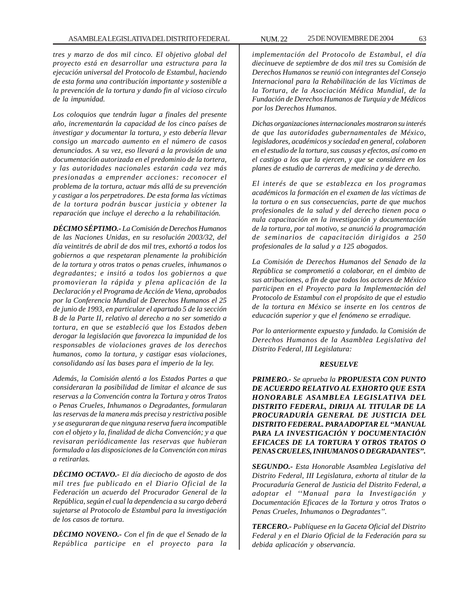*tres y marzo de dos mil cinco. El objetivo global del proyecto está en desarrollar una estructura para la ejecución universal del Protocolo de Estambul, haciendo de esta forma una contribución importante y sostenible a la prevención de la tortura y dando fin al vicioso circulo de la impunidad.*

*Los coloquios que tendrán lugar a finales del presente año, incrementarán la capacidad de los cinco países de investigar y documentar la tortura, y esto debería llevar consigo un marcado aumento en el número de casos denunciados. A su vez, eso llevará a la provisión de una documentación autorizada en el predominio de la tortera, y las autoridades nacionales estarán cada vez más presionadas a emprender acciones: reconocer el problema de la tortura, actuar más allá de su prevención y castigar a los perpetradores. De esta forma las víctimas de la tortura podrán buscar justicia y obtener la reparación que incluye el derecho a la rehabilitación.*

*DÉCIMO SÉPTIMO.- La Comisión de Derechos Humanos de las Naciones Unidas, en su resolución 2003/32, del día veintitrés de abril de dos mil tres, exhortó a todos los gobiernos a que respetaran plenamente la prohibición de la tortura y otros tratos o penas crueles, inhumanos o degradantes; e insitó a todos los gobiernos a que promovieran la rápida y plena aplicación de la Declaración y el Programa de Acción de Viena, aprobados por la Conferencia Mundial de Derechos Humanos el 25 de junio de 1993, en particular el apartado 5 de la sección B de la Parte II, relativo al derecho a no ser sometido a tortura, en que se estableció que los Estados deben derogar la legislación que favorezca la impunidad de los responsables de violaciones graves de los derechos humanos, como la tortura, y castigar esas violaciones, consolidando así las bases para el imperio de la ley.*

*Además, la Comisión alentó a los Estados Partes a que consideraran la posibilidad de limitar el alcance de sus reservas a la Convención contra la Tortura y otros Tratos o Penas Crueles, Inhumanos o Degradantes, formularan las reservas de la manera más precisa y restrictiva posible y se aseguraran de que ninguna reserva fuera incompatible con el objeto y la, finalidad de dicha Convención; y a que revisaran periódicamente las reservas que hubieran formulado a las disposiciones de la Convención con miras a retirarlas.*

*DÉCIMO OCTAVO.- El día dieciocho de agosto de dos mil tres fue publicado en el Diario Oficial de la Federación un acuerdo del Procurador General de la República, según el cual la dependencia a su cargo deberá sujetarse al Protocolo de Estambul para la investigación de los casos de tortura.*

*DÉCIMO NOVENO.- Con el fin de que el Senado de la República participe en el proyecto para la* *implementación del Protocolo de Estambul, el día diecinueve de septiembre de dos mil tres su Comisión de Derechos Humanos se reunió con integrantes del Consejo Internacional para la Rehabilitación de las Víctimas de la Tortura, de la Asociación Médica Mundial, de la Fundación de Derechos Humanos de Turquía y de Médicos por los Derechos Humanos.*

*Dichas organizaciones internacionales mostraron su interés de que las autoridades gubernamentales de México, legisladores, académicos y sociedad en general, colaboren en el estudio de la tortura, sus causas y efectos, así como en el castigo a los que la ejercen, y que se considere en los planes de estudio de carreras de medicina y de derecho.*

*El interés de que se establezca en los programas académicos la formación en el examen de las víctimas de la tortura o en sus consecuencias, parte de que muchos profesionales de la salud y del derecho tienen poca o nula capacitación en la investigación y documentación de la tortura, por tal motivo, se anunció la programación de seminarios de capacitación dirigidos a 250 profesionales de la salud y a 125 abogados.*

*La Comisión de Derechos Humanos del Senado de la República se comprometió a colaborar, en el ámbito de sus atribuciones, a fin de que todos los actores de México participen en el Proyecto para la Implementación del Protocolo de Estambul con el propósito de que el estudio de la tortura en México se inserte en los centros de educación superior y que el fenómeno se erradique.*

*Por lo anteriormente expuesto y fundado. la Comisión de Derechos Humanos de la Asamblea Legislativa del Distrito Federal, III Legislatura:*

#### *RESUELVE*

*PRIMERO.- Se aprueba la PROPUESTA CON PUNTO DE ACUERDO RELATIVO AL EXHORTO QUE ESTA HONORABLE ASAMBLEA LEGISLATIVA DEL DISTRITO FEDERAL, DIRIJA AL TITULAR DE LA PROCURADURÍA GENERAL DE JUSTICIA DEL DISTRITO FEDERAL. PARA ADOPTAR EL ''MANUAL PARA LA INVESTIGACIÓN Y DOCUMENTACIÓN EFICACES DE LA TORTURA Y OTROS TRATOS O PENAS CRUELES, INHUMANOS O DEGRADANTES''.*

*SEGUNDO.- Esta Honorable Asamblea Legislativa del Distrito Federal, III Legislatura, exhorta al titular de la Procuraduría General de Justicia del Distrito Federal, a adoptar el ''Manual para la Investigación y Documentación Eficaces de la Tortura y otros Tratos o Penas Crueles, Inhumanos o Degradantes''.*

*TERCERO.- Publíquese en la Gaceta Oficial del Distrito Federal y en el Diario Oficial de la Federación para su debida aplicación y observancia.*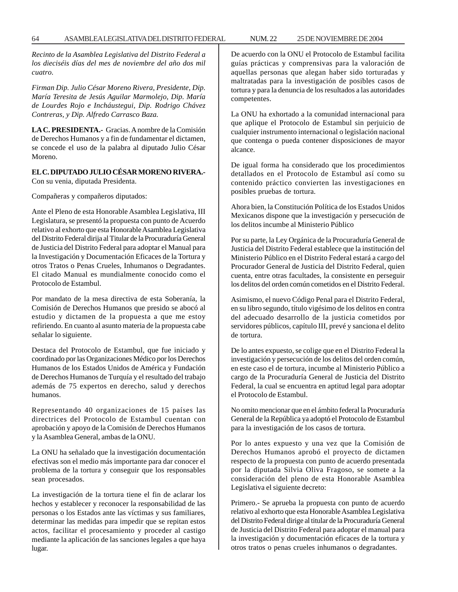*Recinto de la Asamblea Legislativa del Distrito Federal a los dieciséis días del mes de noviembre del año dos mil cuatro.*

*Firman Dip. Julio César Moreno Rivera, Presidente, Dip. María Teresita de Jesús Aguilar Marmolejo, Dip. María de Lourdes Rojo e Incháustegui, Dip. Rodrigo Chávez Contreras, y Dip. Alfredo Carrasco Baza.*

**LA C. PRESIDENTA.-** Gracias. A nombre de la Comisión de Derechos Humanos y a fin de fundamentar el dictamen, se concede el uso de la palabra al diputado Julio César Moreno.

# **EL C. DIPUTADO JULIO CÉSAR MORENO RIVERA.-** Con su venia, diputada Presidenta.

Compañeras y compañeros diputados:

Ante el Pleno de esta Honorable Asamblea Legislativa, III Legislatura, se presentó la propuesta con punto de Acuerdo relativo al exhorto que esta Honorable Asamblea Legislativa del Distrito Federal dirija al Titular de la Procuraduría General de Justicia del Distrito Federal para adoptar el Manual para la Investigación y Documentación Eficaces de la Tortura y otros Tratos o Penas Crueles, Inhumanos o Degradantes. El citado Manual es mundialmente conocido como el Protocolo de Estambul.

Por mandato de la mesa directiva de esta Soberanía, la Comisión de Derechos Humanos que presido se abocó al estudio y dictamen de la propuesta a que me estoy refiriendo. En cuanto al asunto materia de la propuesta cabe señalar lo siguiente.

Destaca del Protocolo de Estambul, que fue iniciado y coordinado por las Organizaciones Médico por los Derechos Humanos de los Estados Unidos de América y Fundación de Derechos Humanos de Turquía y el resultado del trabajo además de 75 expertos en derecho, salud y derechos humanos.

Representando 40 organizaciones de 15 países las directrices del Protocolo de Estambul cuentan con aprobación y apoyo de la Comisión de Derechos Humanos y la Asamblea General, ambas de la ONU.

La ONU ha señalado que la investigación documentación efectivas son el medio más importante para dar conocer el problema de la tortura y conseguir que los responsables sean procesados.

La investigación de la tortura tiene el fin de aclarar los hechos y establecer y reconocer la responsabilidad de las personas o los Estados ante las víctimas y sus familiares, determinar las medidas para impedir que se repitan estos actos, facilitar el procesamiento y proceder al castigo mediante la aplicación de las sanciones legales a que haya lugar.

De acuerdo con la ONU el Protocolo de Estambul facilita guías prácticas y comprensivas para la valoración de aquellas personas que alegan haber sido torturadas y maltratadas para la investigación de posibles casos de tortura y para la denuncia de los resultados a las autoridades competentes.

La ONU ha exhortado a la comunidad internacional para que aplique el Protocolo de Estambul sin perjuicio de cualquier instrumento internacional o legislación nacional que contenga o pueda contener disposiciones de mayor alcance.

De igual forma ha considerado que los procedimientos detallados en el Protocolo de Estambul así como su contenido práctico convierten las investigaciones en posibles pruebas de tortura.

Ahora bien, la Constitución Política de los Estados Unidos Mexicanos dispone que la investigación y persecución de los delitos incumbe al Ministerio Público

Por su parte, la Ley Orgánica de la Procuraduría General de Justicia del Distrito Federal establece que la institución del Ministerio Público en el Distrito Federal estará a cargo del Procurador General de Justicia del Distrito Federal, quien cuenta, entre otras facultades, la consistente en perseguir los delitos del orden común cometidos en el Distrito Federal.

Asimismo, el nuevo Código Penal para el Distrito Federal, en su libro segundo, título vigésimo de los delitos en contra del adecuado desarrollo de la justicia cometidos por servidores públicos, capítulo III, prevé y sanciona el delito de tortura.

De lo antes expuesto, se colige que en el Distrito Federal la investigación y persecución de los delitos del orden común, en este caso el de tortura, incumbe al Ministerio Público a cargo de la Procuraduría General de Justicia del Distrito Federal, la cual se encuentra en aptitud legal para adoptar el Protocolo de Estambul.

No omito mencionar que en el ámbito federal la Procuraduría General de la República ya adoptó el Protocolo de Estambul para la investigación de los casos de tortura.

Por lo antes expuesto y una vez que la Comisión de Derechos Humanos aprobó el proyecto de dictamen respecto de la propuesta con punto de acuerdo presentada por la diputada Silvia Oliva Fragoso, se somete a la consideración del pleno de esta Honorable Asamblea Legislativa el siguiente decreto:

Primero.- Se aprueba la propuesta con punto de acuerdo relativo al exhorto que esta Honorable Asamblea Legislativa del Distrito Federal dirige al titular de la Procuraduría General de Justicia del Distrito Federal para adoptar el manual para la investigación y documentación eficaces de la tortura y otros tratos o penas crueles inhumanos o degradantes.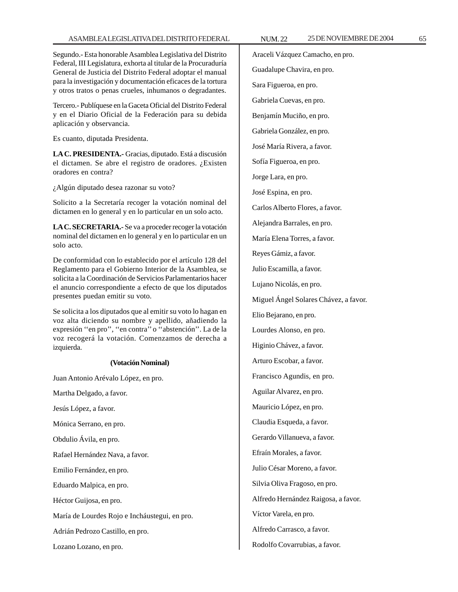Segundo.- Esta honorable Asamblea Legislativa del Distrito Federal, III Legislatura, exhorta al titular de la Procuraduría General de Justicia del Distrito Federal adoptar el manual para la investigación y documentación eficaces de la tortura y otros tratos o penas crueles, inhumanos o degradantes.

Tercero.- Publíquese en la Gaceta Oficial del Distrito Federal y en el Diario Oficial de la Federación para su debida aplicación y observancia.

Es cuanto, diputada Presidenta.

**LA C. PRESIDENTA.-** Gracias, diputado. Está a discusión el dictamen. Se abre el registro de oradores. ¿Existen oradores en contra?

¿Algún diputado desea razonar su voto?

Solicito a la Secretaría recoger la votación nominal del dictamen en lo general y en lo particular en un solo acto.

**LA C. SECRETARIA.-** Se va a proceder recoger la votación nominal del dictamen en lo general y en lo particular en un solo acto.

De conformidad con lo establecido por el artículo 128 del Reglamento para el Gobierno Interior de la Asamblea, se solicita a la Coordinación de Servicios Parlamentarios hacer el anuncio correspondiente a efecto de que los diputados presentes puedan emitir su voto.

Se solicita a los diputados que al emitir su voto lo hagan en voz alta diciendo su nombre y apellido, añadiendo la expresión ''en pro'', ''en contra'' o ''abstención''. La de la voz recogerá la votación. Comenzamos de derecha a izquierda.

## **(Votación Nominal)**

Juan Antonio Arévalo López, en pro. Martha Delgado, a favor. Jesús López, a favor. Mónica Serrano, en pro. Obdulio Ávila, en pro. Rafael Hernández Nava, a favor. Emilio Fernández, en pro. Eduardo Malpica, en pro. Héctor Guijosa, en pro. María de Lourdes Rojo e Incháustegui, en pro. Adrián Pedrozo Castillo, en pro. Lozano Lozano, en pro.

Araceli Vázquez Camacho, en pro. Guadalupe Chavira, en pro. Sara Figueroa, en pro. Gabriela Cuevas, en pro. Benjamín Muciño, en pro. Gabriela González, en pro. José María Rivera, a favor. Sofía Figueroa, en pro. Jorge Lara, en pro. José Espina, en pro. Carlos Alberto Flores, a favor. Alejandra Barrales, en pro. María Elena Torres, a favor. Reyes Gámiz, a favor. Julio Escamilla, a favor. Lujano Nicolás, en pro. Miguel Ángel Solares Chávez, a favor. Elio Bejarano, en pro. Lourdes Alonso, en pro. Higinio Chávez, a favor. Arturo Escobar, a favor. Francisco Agundis, en pro. Aguilar Alvarez, en pro. Mauricio López, en pro. Claudia Esqueda, a favor. Gerardo Villanueva, a favor. Efraín Morales, a favor. Julio César Moreno, a favor. Silvia Oliva Fragoso, en pro. Alfredo Hernández Raigosa, a favor. Víctor Varela, en pro. Alfredo Carrasco, a favor.

Rodolfo Covarrubias, a favor.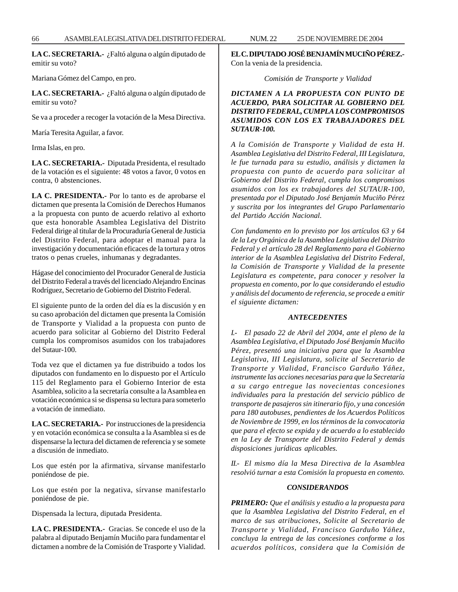**LA C. SECRETARIA.-** ¿Faltó alguna o algún diputado de emitir su voto?

Mariana Gómez del Campo, en pro.

**LA C. SECRETARIA.-** ¿Faltó alguna o algún diputado de emitir su voto?

Se va a proceder a recoger la votación de la Mesa Directiva.

María Teresita Aguilar, a favor.

Irma Islas, en pro.

**LA C. SECRETARIA.-** Diputada Presidenta, el resultado de la votación es el siguiente: 48 votos a favor, 0 votos en contra, 0 abstenciones.

**LA C. PRESIDENTA.-** Por lo tanto es de aprobarse el dictamen que presenta la Comisión de Derechos Humanos a la propuesta con punto de acuerdo relativo al exhorto que esta honorable Asamblea Legislativa del Distrito Federal dirige al titular de la Procuraduría General de Justicia del Distrito Federal, para adoptar el manual para la investigación y documentación eficaces de la tortura y otros tratos o penas crueles, inhumanas y degradantes.

Hágase del conocimiento del Procurador General de Justicia del Distrito Federal a través del licenciado Alejandro Encinas Rodríguez, Secretario de Gobierno del Distrito Federal.

El siguiente punto de la orden del día es la discusión y en su caso aprobación del dictamen que presenta la Comisión de Transporte y Vialidad a la propuesta con punto de acuerdo para solicitar al Gobierno del Distrito Federal cumpla los compromisos asumidos con los trabajadores del Sutaur-100.

Toda vez que el dictamen ya fue distribuido a todos los diputados con fundamento en lo dispuesto por el Artículo 115 del Reglamento para el Gobierno Interior de esta Asamblea, solicito a la secretaría consulte a la Asamblea en votación económica si se dispensa su lectura para someterlo a votación de inmediato.

**LA C. SECRETARIA.-** Por instrucciones de la presidencia y en votación económica se consulta a la Asamblea si es de dispensarse la lectura del dictamen de referencia y se somete a discusión de inmediato.

Los que estén por la afirmativa, sírvanse manifestarlo poniéndose de pie.

Los que estén por la negativa, sírvanse manifestarlo poniéndose de pie.

Dispensada la lectura, diputada Presidenta.

**LA C. PRESIDENTA.-** Gracias. Se concede el uso de la palabra al diputado Benjamín Muciño para fundamentar el dictamen a nombre de la Comisión de Trasporte y Vialidad. **EL C. DIPUTADO JOSÉ BENJAMÍN MUCIÑO PÉREZ.-** Con la venia de la presidencia.

*Comisión de Transporte y Vialidad*

# *DICTAMEN A LA PROPUESTA CON PUNTO DE ACUERDO, PARA SOLICITAR AL GOBIERNO DEL DISTRITO FEDERAL, CUMPLA LOS COMPROMISOS ASUMIDOS CON LOS EX TRABAJADORES DEL SUTAUR-100.*

*A la Comisión de Transporte y Vialidad de esta H. Asamblea Legislativa del Distrito Federal, III Legislatura, le fue turnada para su estudio, análisis y dictamen la propuesta con punto de acuerdo para solicitar al Gobierno del Distrito Federal, cumpla los compromisos asumidos con los ex trabajadores del SUTAUR-100, presentada por el Diputado José Benjamín Muciño Pérez y suscrita por los integrantes del Grupo Parlamentario del Partido Acción Nacional.*

*Con fundamento en lo previsto por los artículos 63 y 64 de la Ley Orgánica de la Asamblea Legislativa del Distrito Federal y el artículo 28 del Reglamento para el Gobierno interior de la Asamblea Legislativa del Distrito Federal, la Comisión de Transporte y Vialidad de la presente Legislatura es competente, para conocer y resolver la propuesta en comento, por lo que considerando el estudio y análisis del documento de referencia, se procede a emitir el siguiente dictamen:*

### *ANTECEDENTES*

*I.- El pasado 22 de Abril del 2004, ante el pleno de la Asamblea Legislativa, el Diputado José Benjamín Muciño Pérez, presentó una iniciativa para que la Asamblea Legislativa, III Legislatura, solicite al Secretario de Transporte y Vialidad, Francisco Garduño Yáñez, instrumente las acciones necesarias para que la Secretaría a su cargo entregue las novecientas concesiones individuales para la prestación del servicio público de transporte de pasajeros sin itinerario fijo, y una concesión para 180 autobuses, pendientes de los Acuerdos Políticos de Noviembre de 1999, en los términos de la convocatoria que para el efecto se expida y de acuerdo a lo establecido en la Ley de Transporte del Distrito Federal y demás disposiciones jurídicas aplicables.*

*II.- El mismo día la Mesa Directiva de la Asamblea resolvió turnar a esta Comisión la propuesta en comento.*

### *CONSIDERANDOS*

*PRIMERO: Que el análisis y estudio a la propuesta para que la Asamblea Legislativa del Distrito Federal, en el marco de sus atribuciones, Solicite al Secretario de Transporte y Vialidad, Francisco Garduño Yáñez, concluya la entrega de las concesiones conforme a los acuerdos políticos, considera que la Comisión de*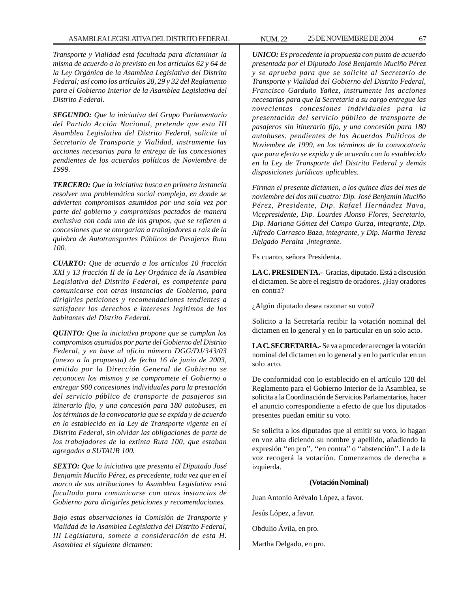*Transporte y Vialidad está facultada para dictaminar la misma de acuerdo a lo previsto en los artículos 62 y 64 de la Ley Orgánica de la Asamblea Legislativa del Distrito Federal; así como los artículos 28, 29 y 32 del Reglamento para el Gobierno Interior de la Asamblea Legislativa del Distrito Federal.*

*SEGUNDO: Que la iniciativa del Grupo Parlamentario del Partido Acción Nacional, pretende que esta III Asamblea Legislativa del Distrito Federal, solicite al Secretario de Transporte y Vialidad, instrumente las acciones necesarias para la entrega de las concesiones pendientes de los acuerdos políticos de Noviembre de 1999.*

*TERCERO: Que la iniciativa busca en primera instancia resolver una problemática social compleja, en donde se advierten compromisos asumidos por una sola vez por parte del gobierno y compromisos pactados de manera exclusiva con cada uno de los grupos, que se refieren a concesiones que se otorgarían a trabajadores a raíz de la quiebra de Autotransportes Públicos de Pasajeros Ruta 100.*

*CUARTO: Que de acuerdo a los artículos 10 fracción XXI y 13 fracción II de la Ley Orgánica de la Asamblea Legislativa del Distrito Federal, es competente para comunicarse con otras instancias de Gobierno, para dirigirles peticiones y recomendaciones tendientes a satisfacer los derechos e intereses legítimos de los habitantes del Distrito Federal.*

*QUINTO: Que la iniciativa propone que se cumplan los compromisos asumidos por parte del Gobierno del Distrito Federal, y en base al oficio número DGG/DJ/343/03 (anexo a la propuesta) de fecha 16 de junio de 2003, emitido por la Dirección General de Gobierno se reconocen los mismos y se compromete el Gobierno a entregar 900 concesiones individuales para la prestación del servicio público de transporte de pasajeros sin itinerario fijo, y una concesión para 180 autobuses, en los términos de la convocatoria que se expida y de acuerdo en lo establecido en la Ley de Transporte vigente en el Distrito Federal, sin olvidar las obligaciones de parte de los trabajadores de la extinta Ruta 100, que estaban agregados a SUTAUR 100.*

*SEXTO: Que la iniciativa que presenta el Diputado José Benjamín Muciño Pérez, es precedente, toda vez que en el marco de sus atribuciones la Asamblea Legislativa está facultada para comunicarse con otras instancias de Gobierno para dirigirles peticiones y recomendaciones.*

*Bajo estas observaciones la Comisión de Transporte y Vialidad de la Asamblea Legislativa del Distrito Federal, III Legislatura, somete a consideración de esta H. Asamblea el siguiente dictamen:*

*UNICO: Es procedente la propuesta con punto de acuerdo presentada por el Diputado José Benjamín Muciño Pérez y se aprueba para que se solicite al Secretario de Transporte y Vialidad del Gobierno del Distrito Federal, Francisco Garduño Yañez, instrumente las acciones necesarias para que la Secretaría a su cargo entregue las novecientas concesiones individuales para la presentación del servicio público de transporte de pasajeros sin itinerario fijo, y una concesión para 180 autobuses, pendientes de los Acuerdos Políticos de Noviembre de 1999, en los términos de la convocatoria que para efecto se expida y de acuerdo con lo establecido en la Ley de Transporte del Distrito Federal y demás disposiciones jurídicas aplicables.*

*Firman el presente dictamen, a los quince días del mes de noviembre del dos mil cuatro: Dip. José Benjamín Muciño Pérez, Presidente, Dip. Rafael Hernández Nava, Vicepresidente, Dip. Lourdes Alonso Flores, Secretario, Dip. Mariana Gómez del Campo Gurza, integrante, Dip. Alfredo Carrasco Baza, integrante, y Dip. Martha Teresa Delgado Peralta ,integrante.*

Es cuanto, señora Presidenta.

**LA C. PRESIDENTA.-** Gracias, diputado. Está a discusión el dictamen. Se abre el registro de oradores. ¿Hay oradores en contra?

¿Algún diputado desea razonar su voto?

Solicito a la Secretaría recibir la votación nominal del dictamen en lo general y en lo particular en un solo acto.

**LA C. SECRETARIA.-** Se va a proceder a recoger la votación nominal del dictamen en lo general y en lo particular en un solo acto.

De conformidad con lo establecido en el artículo 128 del Reglamento para el Gobierno Interior de la Asamblea, se solicita a la Coordinación de Servicios Parlamentarios, hacer el anuncio correspondiente a efecto de que los diputados presentes puedan emitir su voto.

Se solicita a los diputados que al emitir su voto, lo hagan en voz alta diciendo su nombre y apellido, añadiendo la expresión ''en pro'', ''en contra'' o ''abstención''. La de la voz recogerá la votación. Comenzamos de derecha a izquierda.

#### **(Votación Nominal)**

Juan Antonio Arévalo López, a favor.

Jesús López, a favor.

Obdulio Ávila, en pro.

Martha Delgado, en pro.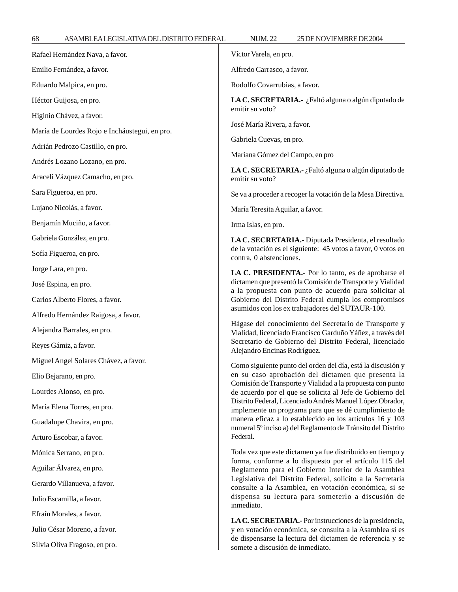Alfredo Carrasco, a favor.

Rodolfo Covarrubias, a favor.

**LA C. SECRETARIA.-** ¿Faltó alguna o algún diputado de emitir su voto?

José María Rivera, a favor.

Gabriela Cuevas, en pro.

Mariana Gómez del Campo, en pro

**LA C. SECRETARIA.-** ¿Faltó alguna o algún diputado de emitir su voto?

Se va a proceder a recoger la votación de la Mesa Directiva.

María Teresita Aguilar, a favor.

Irma Islas, en pro.

**LA C. SECRETARIA.-** Diputada Presidenta, el resultado de la votación es el siguiente: 45 votos a favor, 0 votos en contra, 0 abstenciones.

**LA C. PRESIDENTA.-** Por lo tanto, es de aprobarse el dictamen que presentó la Comisión de Transporte y Vialidad a la propuesta con punto de acuerdo para solicitar al Gobierno del Distrito Federal cumpla los compromisos asumidos con los ex trabajadores del SUTAUR-100.

Hágase del conocimiento del Secretario de Transporte y Vialidad, licenciado Francisco Garduño Yáñez, a través del Secretario de Gobierno del Distrito Federal, licenciado Alejandro Encinas Rodríguez.

Como siguiente punto del orden del día, está la discusión y en su caso aprobación del dictamen que presenta la Comisión de Transporte y Vialidad a la propuesta con punto de acuerdo por el que se solicita al Jefe de Gobierno del Distrito Federal, Licenciado Andrés Manuel López Obrador, implemente un programa para que se dé cumplimiento de manera eficaz a lo establecido en los artículos 16 y 103 numeral 5º inciso a) del Reglamento de Tránsito del Distrito Federal.

Toda vez que este dictamen ya fue distribuido en tiempo y forma, conforme a lo dispuesto por el artículo 115 del Reglamento para el Gobierno Interior de la Asamblea Legislativa del Distrito Federal, solicito a la Secretaría consulte a la Asamblea, en votación económica, si se dispensa su lectura para someterlo a discusión de inmediato.

**LA C. SECRETARIA.-** Por instrucciones de la presidencia, y en votación económica, se consulta a la Asamblea si es de dispensarse la lectura del dictamen de referencia y se somete a discusión de inmediato.

Héctor Guijosa, en pro. Higinio Chávez, a favor. María de Lourdes Rojo e Incháustegui, en pro. Adrián Pedrozo Castillo, en pro. Andrés Lozano Lozano, en pro. Araceli Vázquez Camacho, en pro. Sara Figueroa, en pro. Lujano Nicolás, a favor. Benjamín Muciño, a favor. Gabriela González, en pro. Sofía Figueroa, en pro. Jorge Lara, en pro. José Espina, en pro. Carlos Alberto Flores, a favor. Alfredo Hernández Raigosa, a favor. Alejandra Barrales, en pro. Reyes Gámiz, a favor. Miguel Angel Solares Chávez, a favor. Elio Bejarano, en pro. Lourdes Alonso, en pro. María Elena Torres, en pro. Guadalupe Chavira, en pro. Arturo Escobar, a favor. Mónica Serrano, en pro. Aguilar Álvarez, en pro. Gerardo Villanueva, a favor. Julio Escamilla, a favor. Efraín Morales, a favor. Julio César Moreno, a favor.

Silvia Oliva Fragoso, en pro.

Emilio Fernández, a favor.

Eduardo Malpica, en pro.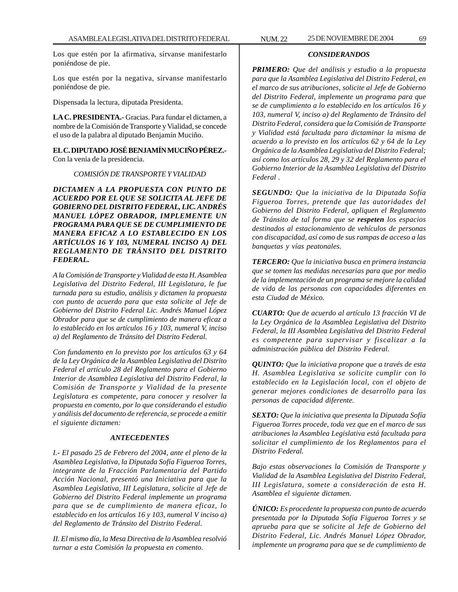Los que estén por la afirmativa, sírvanse manifestarlo poniéndose de pie.

Los que estén por la negativa, sírvanse manifestarlo poniéndose de pie.

Dispensada la lectura, diputada Presidenta.

**LA C. PRESIDENTA.-** Gracias. Para fundar el dictamen, a nombre de la Comisión de Transporte y Vialidad, se concede el uso de la palabra al diputado Benjamín Muciño.

**EL C. DIPUTADO JOSÉ BENJAMÍN MUCIÑO PÉREZ.-** Con la venia de la presidencia.

### *COMISIÓN DE TRANSPORTE Y VIALIDAD*

*DICTAMEN A LA PROPUESTA CON PUNTO DE ACUERDO POR EL QUE SE SOLICITA AL JEFE DE GOBIERNO DEL DISTRITO FEDERAL, LIC. ANDRÉS MANUEL LÓPEZ OBRADOR, IMPLEMENTE UN PROGRAMA PARA QUE SE DE CUMPLIMIENTO DE MANERA EFICAZ A LO ESTABLECIDO EN LOS ARTÍCULOS 16 Y 103, NUMERAL INCISO A) DEL REGLAMENTO DE TRÁNSITO DEL DISTRITO FEDERAL.*

*A la Comisión de Transporte y Vialidad de esta H. Asamblea Legislativa del Distrito Federal, III Legislatura, le fue turnada para su estudio, análisis y dictamen la propuesta con punto de acuerdo para que esta solicite al Jefe de Gobierno del Distrito Federal Lic. Andrés Manuel López Obrador para que se de cumplimiento de manera eficaz a lo establecido en los artículos 16 y 103, numeral V, inciso a) del Reglamento de Tránsito del Distrito Federal.*

*Con fundamento en lo previsto por los artículos 63 y 64 de la Ley Orgánica de la Asamblea Legislativa del Distrito Federal el artículo 28 del Reglamento para el Gobierno Interior de Asamblea Legislativa del Distrito Federal, la Comisión de Transporte y Vialidad de la presente Legislatura es competente, para conocer y resolver la propuesta en comento, por lo que considerando el estudio y análisis del documento de referencia, se procede a emitir el siguiente dictamen:*

### *ANTECEDENTES*

*I.- El pasado 25 de Febrero del 2004, ante el pleno de la Asamblea Legislativa, la Diputada Sofía Figueroa Torres, integrante de la Fracción Parlamentaria del Partido Acción Nacional, presentó una Iniciativa para que la Asamblea Legislativa, III Legislatura, solicite al Jefe de Gobierno del Distrito Federal implemente un programa para que se de cumplimiento de manera eficaz, lo establecido en los artículos 16 y 103, numeral V inciso a) del Reglamento de Tránsito del Distrito Federal.*

*II. El mismo día, la Mesa Directiva de la Asamblea resolvió turnar a esta Comisión la propuesta en comento.*

## *CONSIDERANDOS*

*PRIMERO: Que del análisis y estudio a la propuesta para que la Asamblea Legislativa del Distrito Federal, en el marco de sus atribuciones, solicite al Jefe de Gobierno del Distrito Federal, implemente un programa para que se de cumplimiento a lo establecido en los artículos 16 y 103, numeral V, inciso a) del Reglamento de Tránsito del Distrito Federal, considera que la Comisión de Transporte y Vialidad está facultada para dictaminar la misma de acuerdo a lo previsto en los artículos 62 y 64 de la Ley Orgánica de la Asamblea Legislativa del Distrito Federal; así como los artículos 28, 29 y 32 del Reglamento para el Gobierno Interior de la Asamblea Legislativa del Distrito Federal .*

*SEGUNDO: Que la iniciativa de la Diputada Sofía Figueroa Torres, pretende que las autoridades del Gobierno del Distrito Federal, apliquen el Reglamento de Tránsito de tal forma que se respeten los espacios destinados al estacionamiento de vehículos de personas con discapacidad, así como de sus rampas de acceso a las banquetas y vías peatonales.*

*TERCERO: Que la iniciativa busca en primera instancia que se tomen las medidas necesarias para que por medio de la implementación de un programa se mejore la calidad de vida de las personas con capacidades diferentes en esta Ciudad de México.*

*CUARTO: Que de acuerdo al artículo 13 fracción VI de la Ley Orgánica de la Asamblea Legislativa del Distrito Federal, la III Asamblea Legislativa del Distrito Federal es competente para supervisar y fiscalizar a la administración pública del Distrito Federal.*

*QUINTO: Que la iniciativa propone que a través de esta H. Asamblea Legislativa se solicite cumplir con lo establecido en la Legislación local, con el objeto de generar mejores condiciones de desarrollo para las personas de capacidad diferente.*

*SEXTO: Que la iniciativa que presenta la Diputada Sofía Figueroa Torres procede, toda vez que en el marco de sus atribuciones la Asamblea Legislativa está facultada para solicitar el cumplimiento de los Reglamentos para el Distrito Federal.*

*Bajo estas observaciones la Comisión de Transporte y Vialidad de la Asamblea Legislativa del Distrito Federal, III Legislatura, somete a consideración de esta H. Asamblea el siguiente dictamen.*

*ÚNICO: Es procedente la propuesta con punto de acuerdo presentada por la Diputada Sofía Figueroa Torres y se aprueba para que se solicite al Jefe de Gobierno del Distrito Federal, Lic. Andrés Manuel López Obrador, implemente un programa para que se de cumplimiento de*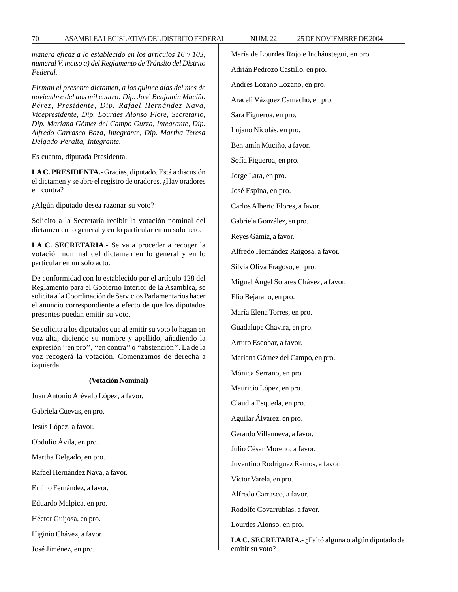*manera eficaz a lo establecido en los artículos 16 y 103, numeral V, inciso a) del Reglamento de Tránsito del Distrito Federal.*

*Firman el presente dictamen, a los quince días del mes de noviembre del dos mil cuatro: Dip. José Benjamín Muciño Pérez, Presidente, Dip. Rafael Hernández Nava, Vicepresidente, Dip. Lourdes Alonso Flore, Secretario, Dip. Mariana Gómez del Campo Gurza, Integrante, Dip. Alfredo Carrasco Baza, Integrante, Dip. Martha Teresa Delgado Peralta, Integrante.*

Es cuanto, diputada Presidenta.

**LA C. PRESIDENTA.-** Gracias, diputado. Está a discusión el dictamen y se abre el registro de oradores. ¿Hay oradores en contra?

¿Algún diputado desea razonar su voto?

Solicito a la Secretaría recibir la votación nominal del dictamen en lo general y en lo particular en un solo acto.

**LA C. SECRETARIA.-** Se va a proceder a recoger la votación nominal del dictamen en lo general y en lo particular en un solo acto.

De conformidad con lo establecido por el artículo 128 del Reglamento para el Gobierno Interior de la Asamblea, se solicita a la Coordinación de Servicios Parlamentarios hacer el anuncio correspondiente a efecto de que los diputados presentes puedan emitir su voto.

Se solicita a los diputados que al emitir su voto lo hagan en voz alta, diciendo su nombre y apellido, añadiendo la expresión ''en pro'', ''en contra'' o ''abstención''. La de la voz recogerá la votación. Comenzamos de derecha a izquierda.

#### **(Votación Nominal)**

Juan Antonio Arévalo López, a favor.

Gabriela Cuevas, en pro.

Jesús López, a favor.

Obdulio Ávila, en pro.

Martha Delgado, en pro.

Rafael Hernández Nava, a favor.

Emilio Fernández, a favor.

Eduardo Malpica, en pro.

Héctor Guijosa, en pro.

Higinio Chávez, a favor.

José Jiménez, en pro.

María de Lourdes Rojo e Incháustegui, en pro. Adrián Pedrozo Castillo, en pro. Andrés Lozano Lozano, en pro. Araceli Vázquez Camacho, en pro. Sara Figueroa, en pro. Lujano Nicolás, en pro. Benjamín Muciño, a favor. Sofía Figueroa, en pro. Jorge Lara, en pro. José Espina, en pro. Carlos Alberto Flores, a favor. Gabriela González, en pro. Reyes Gámiz, a favor. Alfredo Hernández Raigosa, a favor. Silvia Oliva Fragoso, en pro. Miguel Ángel Solares Chávez, a favor. Elio Bejarano, en pro. María Elena Torres, en pro. Guadalupe Chavira, en pro. Arturo Escobar, a favor. Mariana Gómez del Campo, en pro. Mónica Serrano, en pro. Mauricio López, en pro. Claudia Esqueda, en pro. Aguilar Álvarez, en pro. Gerardo Villanueva, a favor. Julio César Moreno, a favor. Juventino Rodríguez Ramos, a favor. Víctor Varela, en pro. Alfredo Carrasco, a favor. Rodolfo Covarrubias, a favor. Lourdes Alonso, en pro. **LA C. SECRETARIA.-** ¿Faltó alguna o algún diputado de

emitir su voto?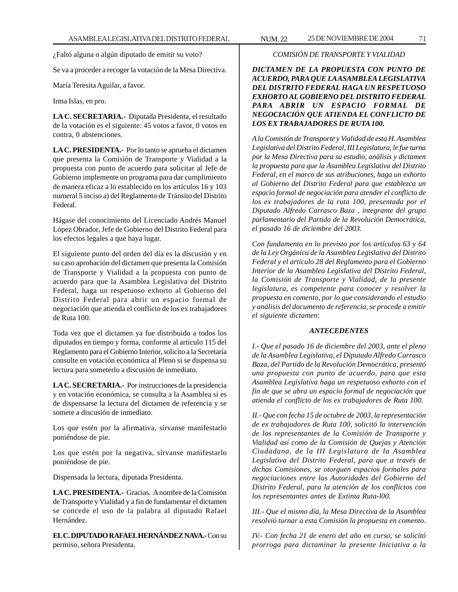Se va a proceder a recoger la votación de la Mesa Directiva.

María Teresita Aguilar, a favor.

Irma Islas, en pro.

**LA C. SECRETARIA.-** Diputada Presidenta, el resultado de la votación es el siguiente: 45 votos a favor, 0 votos en contra, 0 abstenciones.

**LA C. PRESIDENTA.-** Por lo tanto se aprueba el dictamen que presenta la Comisión de Transporte y Vialidad a la propuesta con punto de acuerdo para solicitar al Jefe de Gobierno implemente un programa para dar cumplimiento de manera eficaz a lo establecido en los artículos 16 y 103 numeral 5 inciso a) del Reglamento de Tránsito del Distrito Federal.

Hágase del conocimiento del Licenciado Andrés Manuel López Obrador, Jefe de Gobierno del Distrito Federal para los efectos legales a que haya lugar.

El siguiente punto del orden del día es la discusión y en su caso aprobación del dictamen que presenta la Comisión de Transporte y Vialidad a la propuesta con punto de acuerdo para que la Asamblea Legislativa del Distrito Federal, haga un respetuoso exhorto al Gobierno del Distrito Federal para abrir un espacio formal de negociación que atienda el conflicto de los ex trabajadores de Ruta 100.

Toda vez que el dictamen ya fue distribuido a todos los diputados en tiempo y forma, conforme al artículo 115 del Reglamento para el Gobierno Interior, solicito a la Secretaría consulte en votación económica al Pleno si se dispensa su lectura para someterlo a discusión de inmediato.

**LA C. SECRETARIA.-** Por instrucciones de la presidencia y en votación económica, se consulta a la Asamblea si es de dispensarse la lectura del dictamen de referencia y se somete a discusión de inmediato.

Los que estén por la afirmativa, sírvanse manifestarlo poniéndose de pie.

Los que estén por la negativa, sírvanse manifestarlo poniéndose de pie.

Dispensada la lectura, diputada Presidenta.

**LA C. PRESIDENTA.-** Gracias. A nombre de la Comisión de Transporte y Vialidad y a fin de fundamentar el dictamen se concede el uso de la palabra al diputado Rafael Hernández.

**EL C. DIPUTADO RAFAEL HERNÁNDEZ NAVA.-** Con su permiso, señora Presidenta.

## *COMISIÓN DE TRANSPORTE Y VIALIDAD*

*DICTAMEN DE LA PROPUESTA CON PUNTO DE ACUERDO, PARA QUE LA ASAMBLEA LEGISLATIVA DEL DISTRITO FEDERAL HAGA UN RESPETUOSO EXHORTO AL GOBIERNO DEL DISTRITO FEDERAL PARA ABRIR UN ESPACIO FORMAL DE NEGOCIACIÓN QUE ATIENDA EL CONFLICTO DE LOS EX TRABAJADORES DE RUTA 100.*

*A la Comisión de Transporte y Vialidad de esta H. Asamblea Legislativa del Distrito Federal, III Legislatura, le fue turna por la Mesa Directiva para su estudio, análisis y dictamen la propuesta para que la Asamblea Legislativa del Distrito Federal, en el marco de sus atribuciones, haga un exhorto al Gobierno del Distrito Federal para que establezca un espacio formal de negociación para atender el conflicto de los ex trabajadores de la ruta 100, presentada por el Diputado Alfredo Carrasco Baza , integrante del grupo parlamentario del Partido de la Revolución Democrática, el pasado 16 de diciembre del 2003.*

*Con fundamento en lo previsto por los artículos 63 y 64 de la Ley Orgánica de la Asamblea Legislativa del Distrito Federal y el artículo 28 del Reglamento para el Gobierno Interior de la Asamblea Legislativa del Distrito Federal, la Comisión de Transporte y Vialidad, de la presente legislatura, es competente para conocer y resolver la propuesta en comento, por lo que considerando el estudio y análisis del documento de referencia, se procede a emitir el siguiente dictamen:*

### *ANTECEDENTES*

*I.- Que el pasado 16 de diciembre del 2003, ante el pleno de la Asamblea Legislativa, el Diputado Alfredo Carrasco Baza, del Partido de la Revolución Democrática, presentó una propuesta con punto de acuerdo, para que esta Asamblea Legislativa haga un respetuoso exhorto con el fin de que se abra un espacio formal de negociación que atienda el conflicto de los ex trabajadores de Ruta 100.*

*II.- Que con fecha 15 de octubre de 2003, la representación de ex trabajadores de Ruta 100, solicitó la intervención de los representantes de la Comisión de Transporte y Vialidad así como de la Comisión de Quejas y Atención Ciudadana, de la III Legislatura de la Asamblea Legislativa del Distrito Federal, para que a través de dichas Comisiones, se otorguen espacios formales para negociaciones entre las Autoridades del Gobierno del Distrito Federal, para la atención de los conflictos con los representantes antes de Extinta Ruta-l00.*

*III.- Que el mismo día, la Mesa Directiva de la Asamblea resolvió turnar a esta Comisión la propuesta en comento.*

*IV.- Con fecha 21 de enero del año en curso, se solicitó prorroga para dictaminar la presente Iniciativa a la*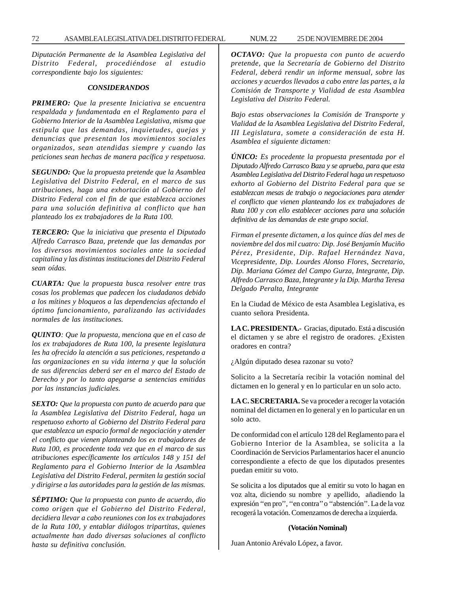*Diputación Permanente de la Asamblea Legislativa del Distrito Federal, procediéndose al estudio correspondiente bajo los siguientes:*

### *CONSIDERANDOS*

*PRIMERO: Que la presente Iniciativa se encuentra respaldada y fundamentada en el Reglamento para el Gobierno Interior de la Asamblea Legislativa, misma que estipula que las demandas, inquietudes, quejas y denuncias que presentan los movimientos sociales organizados, sean atendidas siempre y cuando las peticiones sean hechas de manera pacífica y respetuosa.*

*SEGUNDO: Que la propuesta pretende que la Asamblea Legislativa del Distrito Federal, en el marco de sus atribuciones, haga una exhortación al Gobierno del Distrito Federal con el fin de que establezca acciones para una solución definitiva al conflicto que han planteado los ex trabajadores de la Ruta 100.*

*TERCERO: Que la iniciativa que presenta el Diputado Alfredo Carrasco Baza, pretende que las demandas por los diversos movimientos sociales ante la sociedad capitalina y las distintas instituciones del Distrito Federal sean oídas.*

*CUARTA: Que la propuesta busca resolver entre tras cosas los problemas que padecen los ciudadanos debido a los mítines y bloqueos a las dependencias afectando el óptimo funcionamiento, paralizando las actividades normales de las instituciones.*

*QUINTO: Que la propuesta, menciona que en el caso de los ex trabajadores de Ruta 100, la presente legislatura les ha ofrecido la atención a sus peticiones, respetando a las organizaciones en su vida interna y que la solución de sus diferencias deberá ser en el marco del Estado de Derecho y por lo tanto apegarse a sentencias emitidas por las instancias judiciales.*

*SEXTO: Que la propuesta con punto de acuerdo para que la Asamblea Legislativa del Distrito Federal, haga un respetuoso exhorto al Gobierno del Distrito Federal para que establezca un espacio formal de negociación y atender el conflicto que vienen planteando los ex trabajadores de Ruta 100, es procedente toda vez que en el marco de sus atribuciones específicamente los artículos 148 y 151 del Reglamento para el Gobierno Interior de la Asamblea Legislativa del Distrito Federal, permiten la gestión social y dirigirse a las autoridades para la gestión de las mismas.*

*SÉPTIMO: Que la propuesta con punto de acuerdo, dio como origen que el Gobierno del Distrito Federal, decidiera llevar a cabo reuniones con los ex trabajadores de la Ruta 100, y entablar diálogos tripartitas, quienes actualmente han dado diversas soluciones al conflicto hasta su definitiva conclusión.*

*OCTAVO: Que la propuesta con punto de acuerdo pretende, que la Secretaría de Gobierno del Distrito Federal, deberá rendir un informe mensual, sobre las acciones y acuerdos llevados a cabo entre las partes, a la Comisión de Transporte y Vialidad de esta Asamblea Legislativa del Distrito Federal.*

*Bajo estas observaciones la Comisión de Transporte y Vialidad de la Asamblea Legislativa del Distrito Federal, III Legislatura, somete a consideración de esta H. Asamblea el siguiente dictamen:*

*ÚNICO: Es procedente la propuesta presentada por el Diputado Alfredo Carrasco Baza y se aprueba, para que esta Asamblea Legislativa del Distrito Federal haga un respetuoso exhorto al Gobierno del Distrito Federal para que se establezcan mesas de trabajo o negociaciones para atender el conflicto que vienen planteando los ex trabajadores de Ruta 100 y con ello establecer acciones para una solución definitiva de las demandas de este grupo social.*

*Firman el presente dictamen, a los quince días del mes de noviembre del dos mil cuatro: Dip. José Benjamín Muciño Pérez, Presidente, Dip. Rafael Hernández Nava, Vicepresidente, Dip. Lourdes Alonso Flores, Secretario, Dip. Mariana Gómez del Campo Gurza, Integrante, Dip. Alfredo Carrasco Baza, Integrante y la Dip. Martha Teresa Delgado Peralta, Integrante*

En la Ciudad de México de esta Asamblea Legislativa, es cuanto señora Presidenta.

**LA C. PRESIDENTA.-** Gracias, diputado. Está a discusión el dictamen y se abre el registro de oradores. ¿Existen oradores en contra?

¿Algún diputado desea razonar su voto?

Solicito a la Secretaría recibir la votación nominal del dictamen en lo general y en lo particular en un solo acto.

**LA C. SECRETARIA.** Se va proceder a recoger la votación nominal del dictamen en lo general y en lo particular en un solo acto.

De conformidad con el artículo 128 del Reglamento para el Gobierno Interior de la Asamblea, se solicita a la Coordinación de Servicios Parlamentarios hacer el anuncio correspondiente a efecto de que los diputados presentes puedan emitir su voto.

Se solicita a los diputados que al emitir su voto lo hagan en voz alta, diciendo su nombre y apellido, añadiendo la expresión ''en pro'', ''en contra'' o ''abstención''. La de la voz recogerá la votación. Comenzamos de derecha a izquierda.

#### **(Votación Nominal)**

Juan Antonio Arévalo López, a favor.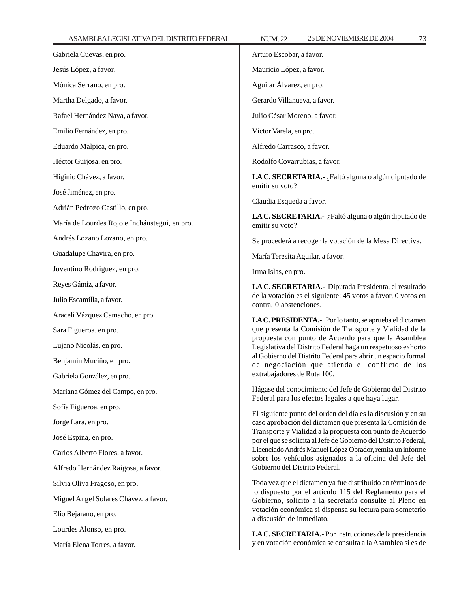| ASAMBLEALLOISLATI VADLEDISTINTOI LDLIVAL      |                                                                                                                                                                                                                                                                           |
|-----------------------------------------------|---------------------------------------------------------------------------------------------------------------------------------------------------------------------------------------------------------------------------------------------------------------------------|
| Gabriela Cuevas, en pro.                      | Arturo Escobar, a favor.                                                                                                                                                                                                                                                  |
| Jesús López, a favor.                         | Mauricio López, a favor.                                                                                                                                                                                                                                                  |
| Mónica Serrano, en pro.                       | Aguilar Álvarez, en pro.                                                                                                                                                                                                                                                  |
| Martha Delgado, a favor.                      | Gerardo Villanueva, a favor.                                                                                                                                                                                                                                              |
| Rafael Hernández Nava, a favor.               | Julio César Moreno, a favor.                                                                                                                                                                                                                                              |
| Emilio Fernández, en pro.                     | Víctor Varela, en pro.                                                                                                                                                                                                                                                    |
| Eduardo Malpica, en pro.                      | Alfredo Carrasco, a favor.                                                                                                                                                                                                                                                |
| Héctor Guijosa, en pro.                       | Rodolfo Covarrubias, a favor.                                                                                                                                                                                                                                             |
| Higinio Chávez, a favor.                      | LA C. SECRETARIA.- ¿Faltó alguna o algún diputado de                                                                                                                                                                                                                      |
| José Jiménez, en pro.                         | emitir su voto?<br>Claudia Esqueda a favor.                                                                                                                                                                                                                               |
| Adrián Pedrozo Castillo, en pro.              |                                                                                                                                                                                                                                                                           |
| María de Lourdes Rojo e Incháustegui, en pro. | LA C. SECRETARIA.- ¿Faltó alguna o algún diputado de<br>emitir su voto?                                                                                                                                                                                                   |
| Andrés Lozano Lozano, en pro.                 | Se procederá a recoger la votación de la Mesa Directiva.                                                                                                                                                                                                                  |
| Guadalupe Chavira, en pro.                    | María Teresita Aguilar, a favor.                                                                                                                                                                                                                                          |
| Juventino Rodríguez, en pro.                  | Irma Islas, en pro.                                                                                                                                                                                                                                                       |
| Reyes Gámiz, a favor.                         | LA C. SECRETARIA.- Diputada Presidenta, el resultado<br>de la votación es el siguiente: 45 votos a favor, 0 votos en<br>contra, 0 abstenciones.                                                                                                                           |
| Julio Escamilla, a favor.                     |                                                                                                                                                                                                                                                                           |
| Araceli Vázquez Camacho, en pro.              | LA C. PRESIDENTA.- Por lo tanto, se aprueba el dictamen<br>que presenta la Comisión de Transporte y Vialidad de la<br>propuesta con punto de Acuerdo para que la Asamblea<br>Legislativa del Distrito Federal haga un respetuoso exhorto                                  |
| Sara Figueroa, en pro.                        |                                                                                                                                                                                                                                                                           |
| Lujano Nicolás, en pro.                       |                                                                                                                                                                                                                                                                           |
| Benjamín Muciño, en pro.                      | al Gobierno del Distrito Federal para abrir un espacio formal<br>de negociación que atienda el conflicto de los                                                                                                                                                           |
| Gabriela González, en pro.                    | extrabajadores de Ruta 100.                                                                                                                                                                                                                                               |
| Mariana Gómez del Campo, en pro.              | Hágase del conocimiento del Jefe de Gobierno del Distrito<br>Federal para los efectos legales a que haya lugar.                                                                                                                                                           |
| Sofía Figueroa, en pro.                       | El siguiente punto del orden del día es la discusión y en su<br>caso aprobación del dictamen que presenta la Comisión de                                                                                                                                                  |
| Jorge Lara, en pro.                           |                                                                                                                                                                                                                                                                           |
| José Espina, en pro.                          | Transporte y Vialidad a la propuesta con punto de Acuerdo<br>por el que se solicita al Jefe de Gobierno del Distrito Federal,                                                                                                                                             |
| Carlos Alberto Flores, a favor.               | Licenciado Andrés Manuel López Obrador, remita un informe<br>sobre los vehículos asignados a la oficina del Jefe del<br>Gobierno del Distrito Federal.                                                                                                                    |
| Alfredo Hernández Raigosa, a favor.           |                                                                                                                                                                                                                                                                           |
| Silvia Oliva Fragoso, en pro.                 | Toda vez que el dictamen ya fue distribuido en términos de<br>lo dispuesto por el artículo 115 del Reglamento para el<br>Gobierno, solicito a la secretaría consulte al Pleno en<br>votación económica si dispensa su lectura para someterlo<br>a discusión de inmediato. |
| Miguel Angel Solares Chávez, a favor.         |                                                                                                                                                                                                                                                                           |
| Elio Bejarano, en pro.                        |                                                                                                                                                                                                                                                                           |
| Lourdes Alonso, en pro.                       | LA C. SECRETARIA.- Por instrucciones de la presidencia<br>y en votación económica se consulta a la Asamblea si es de                                                                                                                                                      |
| María Elena Torres, a favor.                  |                                                                                                                                                                                                                                                                           |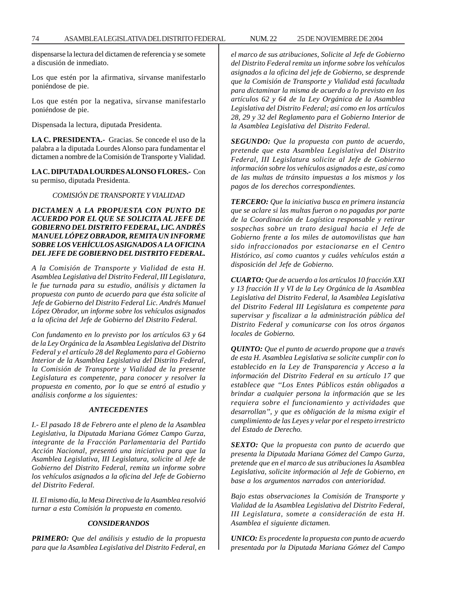dispensarse la lectura del dictamen de referencia y se somete a discusión de inmediato.

Los que estén por la afirmativa, sírvanse manifestarlo poniéndose de pie.

Los que estén por la negativa, sírvanse manifestarlo poniéndose de pie.

Dispensada la lectura, diputada Presidenta.

**LA C. PRESIDENTA.-** Gracias. Se concede el uso de la palabra a la diputada Lourdes Alonso para fundamentar el dictamen a nombre de la Comisión de Transporte y Vialidad.

### **LA C. DIPUTADA LOURDES ALONSO FLORES.-** Con su permiso, diputada Presidenta.

#### *COMISIÓN DE TRANSPORTE Y VIALIDAD*

### *DICTAMEN A LA PROPUESTA CON PUNTO DE ACUERDO POR EL QUE SE SOLICITA AL JEFE DE GOBIERNO DEL DISTRITO FEDERAL, LIC. ANDRÉS MANUEL LÓPEZ OBRADOR, REMITA UN INFORME SOBRE LOS VEHÍCULOS ASIGNADOS A LA OFICINA DEL JEFE DE GOBIERNO DEL DISTRITO FEDERAL.*

*A la Comisión de Transporte y Vialidad de esta H. Asamblea Legislativa del Distrito Federal, III Legislatura, le fue turnada para su estudio, análisis y dictamen la propuesta con punto de acuerdo para que ésta solicite al Jefe de Gobierno del Distrito Federal Lic. Andrés Manuel López Obrador, un informe sobre los vehículos asignados a la oficina del Jefe de Gobierno del Distrito Federal.*

*Con fundamento en lo previsto por los artículos 63 y 64 de la Ley Orgánica de la Asamblea Legislativa del Distrito Federal y el artículo 28 del Reglamento para el Gobierno Interior de la Asamblea Legislativa del Distrito Federal, la Comisión de Transporte y Vialidad de la presente Legislatura es competente, para conocer y resolver la propuesta en comento, por lo que se entró al estudio y análisis conforme a los siguientes:*

#### *ANTECEDENTES*

*I.- El pasado 18 de Febrero ante el pleno de la Asamblea Legislativa, la Diputada Mariana Gómez Campo Gurza, integrante de la Fracción Parlamentaria del Partido Acción Nacional, presentó una iniciativa para que la Asamblea Legislativa, III Legislatura, solicite al Jefe de Gobierno del Distrito Federal, remita un informe sobre los vehículos asignados a la oficina del Jefe de Gobierno del Distrito Federal.*

*II. El mismo día, la Mesa Directiva de la Asamblea resolvió turnar a esta Comisión la propuesta en comento.*

#### *CONSIDERANDOS*

*PRIMERO: Que del análisis y estudio de la propuesta para que la Asamblea Legislativa del Distrito Federal, en* *el marco de sus atribuciones, Solicite al Jefe de Gobierno del Distrito Federal remita un informe sobre los vehículos asignados a la oficina del jefe de Gobierno, se desprende que la Comisión de Transporte y Vialidad está facultada para dictaminar la misma de acuerdo a lo previsto en los artículos 62 y 64 de la Ley Orgánica de la Asamblea Legislativa del Distrito Federal; así como en los artículos 28, 29 y 32 del Reglamento para el Gobierno Interior de la Asamblea Legislativa del Distrito Federal.*

*SEGUNDO: Que la propuesta con punto de acuerdo, pretende que esta Asamblea Legislativa del Distrito Federal, III Legislatura solicite al Jefe de Gobierno información sobre los vehículos asignados a este, así como de las multas de tránsito impuestas a los mismos y los pagos de los derechos correspondientes.*

*TERCERO: Que la iniciativa busca en primera instancia que se aclare si las multas fueron o no pagadas por parte de la Coordinación de Logística responsable y retirar sospechas sobre un trato desigual hacia el Jefe de Gobierno frente a los miles de automovilistas que han sido infraccionados por estacionarse en el Centro Histórico, así como cuantos y cuáles vehículos están a disposición del Jefe de Gobierno.*

*CUARTO: Que de acuerdo a los artículos 10 fracción XXI y 13 fracción II y VI de la Ley Orgánica de la Asamblea Legislativa del Distrito Federal, la Asamblea Legislativa del Distrito Federal III Legislatura es competente para supervisar y fiscalizar a la administración pública del Distrito Federal y comunicarse con los otros órganos locales de Gobierno.*

*QUINTO: Que el punto de acuerdo propone que a través de esta H. Asamblea Legislativa se solicite cumplir con lo establecido en la Ley de Transparencia y Acceso a la información del Distrito Federal en su artículo 17 que establece que ''Los Entes Públicos están obligados a brindar a cualquier persona la información que se les requiera sobre el funcionamiento y actividades que desarrollan'', y que es obligación de la misma exigir el cumplimiento de las Leyes y velar por el respeto irrestricto del Estado de Derecho.*

*SEXTO: Que la propuesta con punto de acuerdo que presenta la Diputada Mariana Gómez del Campo Gurza, pretende que en el marco de sus atribuciones la Asamblea Legislativa, solicite información al Jefe de Gobierno, en base a los argumentos narrados con anterioridad.*

*Bajo estas observaciones la Comisión de Transporte y Vialidad de la Asamblea Legislativa del Distrito Federal, III Legislatura, somete a consideración de esta H. Asamblea el siguiente dictamen.*

*UNICO: Es procedente la propuesta con punto de acuerdo presentada por la Diputada Mariana Gómez del Campo*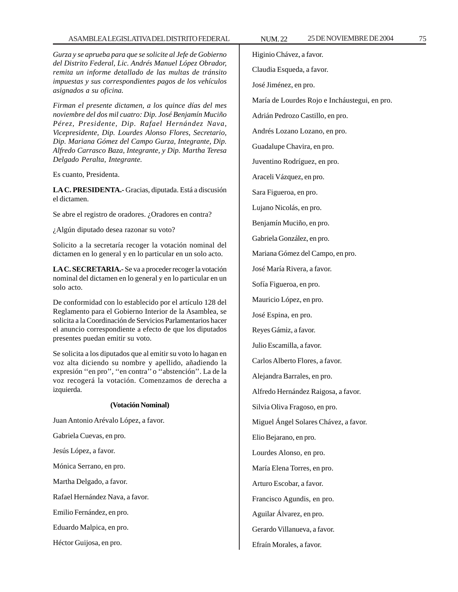#### ASAMBLEA LEGISLATIVA DEL DISTRITO FEDERAL NUM. 22 25 DE NOVIEMBRE DE 2004 75

*Gurza y se aprueba para que se solicite al Jefe de Gobierno del Distrito Federal, Lic. Andrés Manuel López Obrador, remita un informe detallado de las multas de tránsito impuestas y sus correspondientes pagos de los vehículos asignados a su oficina.*

*Firman el presente dictamen, a los quince días del mes noviembre del dos mil cuatro: Dip. José Benjamín Muciño Pérez, Presidente, Dip. Rafael Hernández Nava, Vicepresidente, Dip. Lourdes Alonso Flores, Secretario, Dip. Mariana Gómez del Campo Gurza, Integrante, Dip. Alfredo Carrasco Baza, Integrante, y Dip. Martha Teresa Delgado Peralta, Integrante.*

Es cuanto, Presidenta.

**LA C. PRESIDENTA.-** Gracias, diputada. Está a discusión el dictamen.

Se abre el registro de oradores. ¿Oradores en contra?

¿Algún diputado desea razonar su voto?

Solicito a la secretaría recoger la votación nominal del dictamen en lo general y en lo particular en un solo acto.

**LA C. SECRETARIA.-** Se va a proceder recoger la votación nominal del dictamen en lo general y en lo particular en un solo acto.

De conformidad con lo establecido por el artículo 128 del Reglamento para el Gobierno Interior de la Asamblea, se solicita a la Coordinación de Servicios Parlamentarios hacer el anuncio correspondiente a efecto de que los diputados presentes puedan emitir su voto.

Se solicita a los diputados que al emitir su voto lo hagan en voz alta diciendo su nombre y apellido, añadiendo la expresión ''en pro'', ''en contra'' o ''abstención''. La de la voz recogerá la votación. Comenzamos de derecha a izquierda.

#### **(Votación Nominal)**

Juan Antonio Arévalo López, a favor. Gabriela Cuevas, en pro.

Jesús López, a favor.

Mónica Serrano, en pro.

Martha Delgado, a favor.

Rafael Hernández Nava, a favor.

Emilio Fernández, en pro.

Eduardo Malpica, en pro.

Héctor Guijosa, en pro.

Higinio Chávez, a favor. Claudia Esqueda, a favor. José Jiménez, en pro. María de Lourdes Rojo e Incháustegui, en pro. Adrián Pedrozo Castillo, en pro. Andrés Lozano Lozano, en pro. Guadalupe Chavira, en pro. Juventino Rodríguez, en pro. Araceli Vázquez, en pro. Sara Figueroa, en pro. Lujano Nicolás, en pro. Benjamín Muciño, en pro. Gabriela González, en pro. Mariana Gómez del Campo, en pro. José María Rivera, a favor. Sofía Figueroa, en pro. Mauricio López, en pro. José Espina, en pro. Reyes Gámiz, a favor. Julio Escamilla, a favor. Carlos Alberto Flores, a favor. Alejandra Barrales, en pro. Alfredo Hernández Raigosa, a favor. Silvia Oliva Fragoso, en pro. Miguel Ángel Solares Chávez, a favor. Elio Bejarano, en pro. Lourdes Alonso, en pro. María Elena Torres, en pro. Arturo Escobar, a favor. Francisco Agundis, en pro. Aguilar Álvarez, en pro. Gerardo Villanueva, a favor.

Efraín Morales, a favor.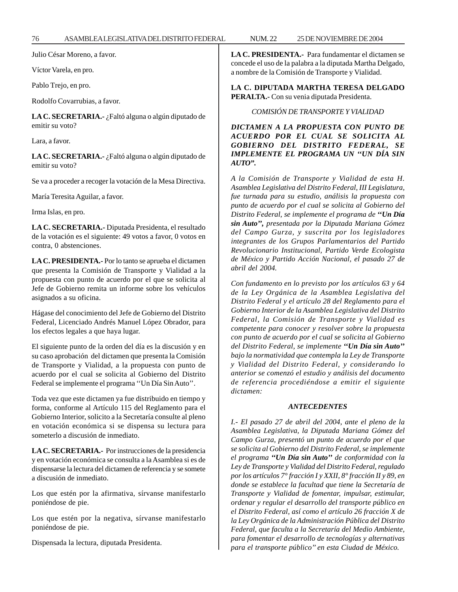Julio César Moreno, a favor.

Víctor Varela, en pro.

Pablo Trejo, en pro.

Rodolfo Covarrubias, a favor.

**LA C. SECRETARIA.-** ¿Faltó alguna o algún diputado de emitir su voto?

Lara, a favor.

**LA C. SECRETARIA.-** ¿Faltó alguna o algún diputado de emitir su voto?

Se va a proceder a recoger la votación de la Mesa Directiva.

María Teresita Aguilar, a favor.

Irma Islas, en pro.

**LA C. SECRETARIA.-** Diputada Presidenta, el resultado de la votación es el siguiente: 49 votos a favor, 0 votos en contra, 0 abstenciones.

**LA C. PRESIDENTA.-** Por lo tanto se aprueba el dictamen que presenta la Comisión de Transporte y Vialidad a la propuesta con punto de acuerdo por el que se solicita al Jefe de Gobierno remita un informe sobre los vehículos asignados a su oficina.

Hágase del conocimiento del Jefe de Gobierno del Distrito Federal, Licenciado Andrés Manuel López Obrador, para los efectos legales a que haya lugar.

El siguiente punto de la orden del día es la discusión y en su caso aprobación del dictamen que presenta la Comisión de Transporte y Vialidad, a la propuesta con punto de acuerdo por el cual se solicita al Gobierno del Distrito Federal se implemente el programa ''Un Día Sin Auto''.

Toda vez que este dictamen ya fue distribuido en tiempo y forma, conforme al Artículo 115 del Reglamento para el Gobierno Interior, solicito a la Secretaría consulte al pleno en votación económica si se dispensa su lectura para someterlo a discusión de inmediato.

**LA C. SECRETARIA.-** Por instrucciones de la presidencia y en votación económica se consulta a la Asamblea si es de dispensarse la lectura del dictamen de referencia y se somete a discusión de inmediato.

Los que estén por la afirmativa, sírvanse manifestarlo poniéndose de pie.

Los que estén por la negativa, sírvanse manifestarlo poniéndose de pie.

Dispensada la lectura, diputada Presidenta.

**LA C. PRESIDENTA.-** Para fundamentar el dictamen se concede el uso de la palabra a la diputada Martha Delgado, a nombre de la Comisión de Transporte y Vialidad.

**LA C. DIPUTADA MARTHA TERESA DELGADO PERALTA.-** Con su venia diputada Presidenta.

*COMISIÓN DE TRANSPORTE Y VIALIDAD*

*DICTAMEN A LA PROPUESTA CON PUNTO DE ACUERDO POR EL CUAL SE SOLICITA AL GOBIERNO DEL DISTRITO FEDERAL, SE IMPLEMENTE EL PROGRAMA UN ''UN DÍA SIN AUTO''.*

*A la Comisión de Transporte y Vialidad de esta H. Asamblea Legislativa del Distrito Federal, III Legislatura, fue turnada para su estudio, análisis la propuesta con punto de acuerdo por el cual se solicita al Gobierno del Distrito Federal, se implemente el programa de ''Un Día sin Auto'', presentada por la Diputada Mariana Gómez del Campo Gurza, y suscrita por los legisladores integrantes de los Grupos Parlamentarios del Partido Revolucionario Institucional, Partido Verde Ecologista de México y Partido Acción Nacional, el pasado 27 de abril del 2004.*

*Con fundamento en lo previsto por los artículos 63 y 64 de la Ley Orgánica de la Asamblea Legislativa del Distrito Federal y el artículo 28 del Reglamento para el Gobierno Interior de la Asamblea Legislativa del Distrito Federal, la Comisión de Transporte y Vialidad es competente para conocer y resolver sobre la propuesta con punto de acuerdo por el cual se solicita al Gobierno del Distrito Federal, se implemente ''Un Día sin Auto'' bajo la normatividad que contempla la Ley de Transporte y Vialidad del Distrito Federal, y considerando lo anterior se comenzó el estudio y análisis del documento de referencia procediéndose a emitir el siguiente dictamen:*

#### *ANTECEDENTES*

*I.- El pasado 27 de abril del 2004, ante el pleno de la Asamblea Legislativa, la Diputada Mariana Gómez del Campo Gurza, presentó un punto de acuerdo por el que se solicita al Gobierno del Distrito Federal, se implemente el programa ''Un Día sin Auto'' de conformidad con la Ley de Transporte y Vialidad del Distrito Federal, regulado por los artículos 7° fracción I y XXII, 8° fracción II y 89, en donde se establece la facultad que tiene la Secretaría de Transporte y Vialidad de fomentar, impulsar, estimular, ordenar y regular el desarrollo del transporte público en el Distrito Federal, así como el artículo 26 fracción X de la Ley Orgánica de la Administración Pública del Distrito Federal, que faculta a la Secretaría del Medio Ambiente, para fomentar el desarrollo de tecnologías y alternativas para el transporte público'' en esta Ciudad de México.*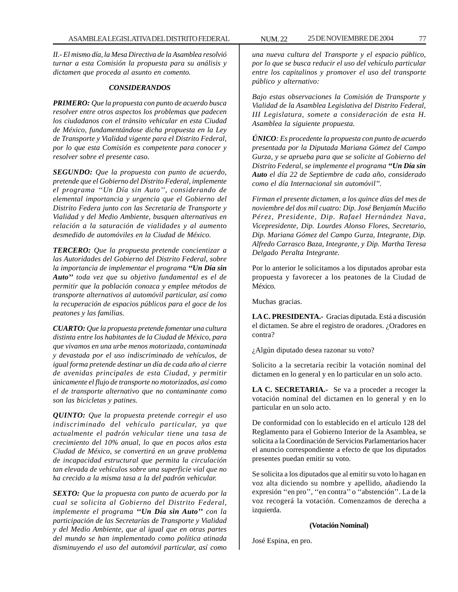*II.- El mismo día, la Mesa Directiva de la Asamblea resolvió turnar a esta Comisión la propuesta para su análisis y dictamen que proceda al asunto en comento.*

#### *CONSIDERANDOS*

*PRIMERO: Que la propuesta con punto de acuerdo busca resolver entre otros aspectos los problemas que padecen los ciudadanos con el tránsito vehicular en esta Ciudad de México, fundamentándose dicha propuesta en la Ley de Transporte y Vialidad vigente para el Distrito Federal, por lo que esta Comisión es competente para conocer y resolver sobre el presente caso.*

*SEGUNDO: Que la propuesta con punto de acuerdo, pretende que el Gobierno del Distrito Federal, implemente el programa ''Un Día sin Auto'', considerando de elemental importancia y urgencia que el Gobierno del Distrito Federa junto con las Secretaría de Transporte y Vialidad y del Medio Ambiente, busquen alternativas en relación a la saturación de vialidades y al aumento desmedido de automóviles en la Ciudad de México.*

*TERCERO: Que la propuesta pretende concientizar a las Autoridades del Gobierno del Distrito Federal, sobre la importancia de implementar el programa ''Un Día sin Auto'' toda vez que su objetivo fundamental es el de permitir que la población conozca y emplee métodos de transporte alternativos al automóvil particular, así como la recuperación de espacios públicos para el goce de los peatones y las familias.*

*CUARTO: Que la propuesta pretende fomentar una cultura distinta entre los habitantes de la Ciudad de México, para que vivamos en una urbe menos motorizada, contaminada y devastada por el uso indiscriminado de vehículos, de igual forma pretende destinar un día de cada año al cierre de avenidas principales de esta Ciudad, y permitir únicamente el flujo de transporte no motorizados, así como el de transporte alternativo que no contaminante como son las bicicletas y patines.*

*QUINTO: Que la propuesta pretende corregir el uso indiscriminado del vehículo particular, ya que actualmente el padrón vehicular tiene una tasa de crecimiento del 10% anual, lo que en pocos años esta Ciudad de México, se convertirá en un grave problema de incapacidad estructural que permita la circulación tan elevada de vehículos sobre una superficie vial que no ha crecido a la misma tasa a la del padrón vehicular.*

*SEXTO: Que la propuesta con punto de acuerdo por la cual se solicita al Gobierno del Distrito Federal, implemente el programa ''Un Día sin Auto'' con la participación de las Secretarías de Transporte y Vialidad y del Medio Ambiente, que al igual que en otras partes del mundo se han implementado como política atinada disminuyendo el uso del automóvil particular, así como*

*una nueva cultura del Transporte y el espacio público, por lo que se busca reducir el uso del vehículo particular entre los capitalinos y promover el uso del transporte público y alternativo:*

*Bajo estas observaciones la Comisión de Transporte y Vialidad de la Asamblea Legislativa del Distrito Federal, III Legislatura, somete a consideración de esta H. Asamblea la siguiente propuesta.*

*ÚNICO: Es procedente la propuesta con punto de acuerdo presentada por la Diputada Mariana Gómez del Campo Gurza, y se aprueba para que se solicite al Gobierno del Distrito Federal, se implemente el programa ''Un Día sin Auto el día 22 de Septiembre de cada año, considerado como el día Internacional sin automóvil''.*

*Firman el presente dictamen, a los quince días del mes de noviembre del dos mil cuatro: Dip. José Benjamín Muciño Pérez, Presidente, Dip. Rafael Hernández Nava, Vicepresidente, Dip. Lourdes Alonso Flores, Secretario, Dip. Mariana Gómez del Campo Gurza, Integrante, Dip. Alfredo Carrasco Baza, Integrante, y Dip. Martha Teresa Delgado Peralta Integrante.*

Por lo anterior le solicitamos a los diputados aprobar esta propuesta y favorecer a los peatones de la Ciudad de México.

Muchas gracias.

**LA C. PRESIDENTA.-** Gracias diputada. Está a discusión el dictamen. Se abre el registro de oradores. ¿Oradores en contra?

¿Algún diputado desea razonar su voto?

Solicito a la secretaría recibir la votación nominal del dictamen en lo general y en lo particular en un solo acto.

**LA C. SECRETARIA.-** Se va a proceder a recoger la votación nominal del dictamen en lo general y en lo particular en un solo acto.

De conformidad con lo establecido en el artículo 128 del Reglamento para el Gobierno Interior de la Asamblea, se solicita a la Coordinación de Servicios Parlamentarios hacer el anuncio correspondiente a efecto de que los diputados presentes puedan emitir su voto.

Se solicita a los diputados que al emitir su voto lo hagan en voz alta diciendo su nombre y apellido, añadiendo la expresión ''en pro'', ''en contra'' o ''abstención''. La de la voz recogerá la votación. Comenzamos de derecha a izquierda.

#### **(Votación Nominal)**

José Espina, en pro.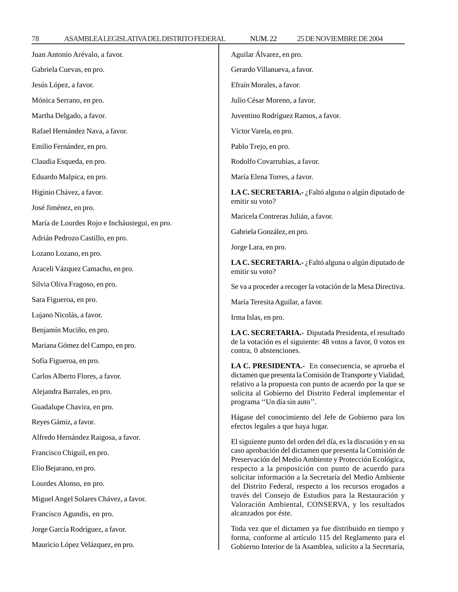78 ASAMBLEA LEGISLATIVA DEL DISTRITO FEDERAL 25 NUM. 22 DE NOVIEMBRE DE 2004

| Juan Antonio Arévalo, a favor.                | Aguilar Álvarez, en pro.                                                                                                                                                                                                                                                                                                                                                                                                                                                                                 |
|-----------------------------------------------|----------------------------------------------------------------------------------------------------------------------------------------------------------------------------------------------------------------------------------------------------------------------------------------------------------------------------------------------------------------------------------------------------------------------------------------------------------------------------------------------------------|
| Gabriela Cuevas, en pro.                      | Gerardo Villanueva, a favor.                                                                                                                                                                                                                                                                                                                                                                                                                                                                             |
| Jesús López, a favor.                         | Efraín Morales, a favor.                                                                                                                                                                                                                                                                                                                                                                                                                                                                                 |
| Mónica Serrano, en pro.                       | Julio César Moreno, a favor.                                                                                                                                                                                                                                                                                                                                                                                                                                                                             |
| Martha Delgado, a favor.                      | Juventino Rodríguez Ramos, a favor.                                                                                                                                                                                                                                                                                                                                                                                                                                                                      |
| Rafael Hernández Nava, a favor.               | Víctor Varela, en pro.                                                                                                                                                                                                                                                                                                                                                                                                                                                                                   |
| Emilio Fernández, en pro.                     | Pablo Trejo, en pro.                                                                                                                                                                                                                                                                                                                                                                                                                                                                                     |
| Claudia Esqueda, en pro.                      | Rodolfo Covarrubias, a favor.                                                                                                                                                                                                                                                                                                                                                                                                                                                                            |
| Eduardo Malpica, en pro.                      | María Elena Torres, a favor.                                                                                                                                                                                                                                                                                                                                                                                                                                                                             |
| Higinio Chávez, a favor.                      | LA C. SECRETARIA.- ¿Faltó alguna o algún diputado de                                                                                                                                                                                                                                                                                                                                                                                                                                                     |
| José Jiménez, en pro.                         | emitir su voto?<br>Maricela Contreras Julián, a favor.                                                                                                                                                                                                                                                                                                                                                                                                                                                   |
| María de Lourdes Rojo e Incháustegui, en pro. |                                                                                                                                                                                                                                                                                                                                                                                                                                                                                                          |
| Adrián Pedrozo Castillo, en pro.              | Gabriela González, en pro.                                                                                                                                                                                                                                                                                                                                                                                                                                                                               |
| Lozano Lozano, en pro.                        | Jorge Lara, en pro.                                                                                                                                                                                                                                                                                                                                                                                                                                                                                      |
| Araceli Vázquez Camacho, en pro.              | LA C. SECRETARIA.- ¿Faltó alguna o algún diputado de<br>emitir su voto?                                                                                                                                                                                                                                                                                                                                                                                                                                  |
| Silvia Oliva Fragoso, en pro.                 | Se va a proceder a recoger la votación de la Mesa Directiva.                                                                                                                                                                                                                                                                                                                                                                                                                                             |
| Sara Figueroa, en pro.                        | María Teresita Aguilar, a favor.                                                                                                                                                                                                                                                                                                                                                                                                                                                                         |
| Lujano Nicolás, a favor.                      | Irma Islas, en pro.                                                                                                                                                                                                                                                                                                                                                                                                                                                                                      |
| Benjamín Muciño, en pro.                      | LA C. SECRETARIA.- Diputada Presidenta, el resultado<br>de la votación es el siguiente: 48 votos a favor, 0 votos en<br>contra, 0 abstenciones.                                                                                                                                                                                                                                                                                                                                                          |
| Mariana Gómez del Campo, en pro.              |                                                                                                                                                                                                                                                                                                                                                                                                                                                                                                          |
| Sofía Figueroa, en pro.                       | LA C. PRESIDENTA.- En consecuencia, se aprueba el<br>dictamen que presenta la Comisión de Transporte y Vialidad,<br>relativo a la propuesta con punto de acuerdo por la que se<br>solicita al Gobierno del Distrito Federal implementar el<br>programa "Un día sin auto".                                                                                                                                                                                                                                |
| Carlos Alberto Flores, a favor.               |                                                                                                                                                                                                                                                                                                                                                                                                                                                                                                          |
| Alejandra Barrales, en pro.                   |                                                                                                                                                                                                                                                                                                                                                                                                                                                                                                          |
| Guadalupe Chavira, en pro.                    |                                                                                                                                                                                                                                                                                                                                                                                                                                                                                                          |
| Reyes Gámiz, a favor.                         | Hágase del conocimiento del Jefe de Gobierno para los<br>efectos legales a que haya lugar.                                                                                                                                                                                                                                                                                                                                                                                                               |
| Alfredo Hernández Raigosa, a favor.           | El siguiente punto del orden del día, es la discusión y en su<br>caso aprobación del dictamen que presenta la Comisión de<br>Preservación del Medio Ambiente y Protección Ecológica,<br>respecto a la proposición con punto de acuerdo para<br>solicitar información a la Secretaría del Medio Ambiente<br>del Distrito Federal, respecto a los recursos erogados a<br>través del Consejo de Estudios para la Restauración y<br>Valoración Ambiental, CONSERVA, y los resultados<br>alcanzados por éste. |
| Francisco Chiguil, en pro.                    |                                                                                                                                                                                                                                                                                                                                                                                                                                                                                                          |
| Elio Bejarano, en pro.                        |                                                                                                                                                                                                                                                                                                                                                                                                                                                                                                          |
| Lourdes Alonso, en pro.                       |                                                                                                                                                                                                                                                                                                                                                                                                                                                                                                          |
| Miguel Angel Solares Chávez, a favor.         |                                                                                                                                                                                                                                                                                                                                                                                                                                                                                                          |
| Francisco Agundis, en pro.                    |                                                                                                                                                                                                                                                                                                                                                                                                                                                                                                          |
| Jorge García Rodríguez, a favor.              | Toda vez que el dictamen ya fue distribuido en tiempo y<br>forma, conforme al artículo 115 del Reglamento para el<br>Gobierno Interior de la Asamblea, solicito a la Secretaría,                                                                                                                                                                                                                                                                                                                         |
| Mauricio López Velázquez, en pro.             |                                                                                                                                                                                                                                                                                                                                                                                                                                                                                                          |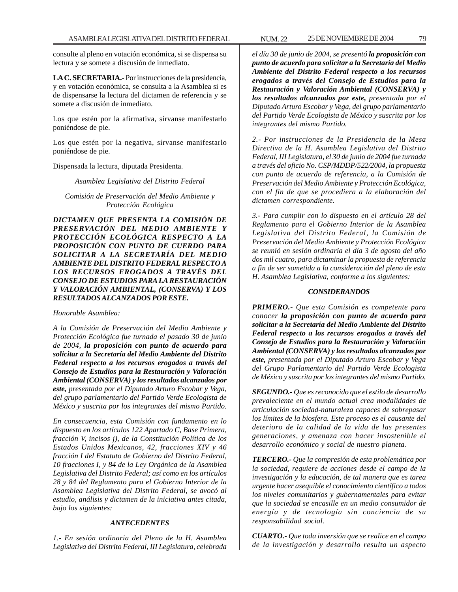consulte al pleno en votación económica, si se dispensa su lectura y se somete a discusión de inmediato.

**LA C. SECRETARIA.-** Por instrucciones de la presidencia, y en votación económica, se consulta a la Asamblea si es de dispensarse la lectura del dictamen de referencia y se somete a discusión de inmediato.

Los que estén por la afirmativa, sírvanse manifestarlo poniéndose de pie.

Los que estén por la negativa, sírvanse manifestarlo poniéndose de pie.

Dispensada la lectura, diputada Presidenta.

*Asamblea Legislativa del Distrito Federal*

*Comisión de Preservación del Medio Ambiente y Protección Ecológica*

*DICTAMEN QUE PRESENTA LA COMISIÓN DE PRESERVACIÓN DEL MEDIO AMBIENTE Y PROTECCIÓN ECOLÓGICA RESPECTO A LA PROPOSICIÓN CON PUNTO DE CUERDO PARA SOLICITAR A LA SECRETARÍA DEL MEDIO AMBIENTE DEL DISTRITO FEDERAL RESPECTO A LOS RECURSOS EROGADOS A TRAVÉS DEL CONSEJO DE ESTUDIOS PARA LA RESTAURACIÓN Y VALORACIÓN AMBIENTAL, (CONSERVA) Y LOS RESULTADOS ALCANZADOS POR ESTE.*

*Honorable Asamblea:*

*A la Comisión de Preservación del Medio Ambiente y Protección Ecológica fue turnada el pasado 30 de junio de 2004, la proposición con punto de acuerdo para solicitar a la Secretaría del Medio Ambiente del Distrito Federal respecto a los recursos erogados a través del Consejo de Estudios para la Restauración y Valoración Ambiental (CONSERVA) y los resultados alcanzados por este, presentada por el Diputado Arturo Escobar y Vega, del grupo parlamentario del Partido Verde Ecologista de México y suscrita por los integrantes del mismo Partido.*

*En consecuencia, esta Comisión con fundamento en lo dispuesto en los artículos 122 Apartado C, Base Primera, fracción V, incisos j), de la Constitución Política de los Estados Unidos Mexicanos, 42, fracciones XIV y 46 fracción I del Estatuto de Gobierno del Distrito Federal, 10 fracciones I, y 84 de la Ley Orgánica de la Asamblea Legislativa del Distrito Federal; así como en los artículos 28 y 84 del Reglamento para el Gobierno Interior de la Asamblea Legislativa del Distrito Federal, se avocó al estudio, análisis y dictamen de la iniciativa antes citada, bajo los siguientes:*

#### *ANTECEDENTES*

*1.- En sesión ordinaria del Pleno de la H. Asamblea Legislativa del Distrito Federal, III Legislatura, celebrada*

*el día 30 de junio de 2004, se presentó la proposición con punto de acuerdo para solicitar a la Secretaría del Medio Ambiente del Distrito Federal respecto a los recursos erogados a través del Consejo de Estudios para la Restauración y Valoración Ambiental (CONSERVA) y los resultados alcanzados por este, presentada por el Diputado Arturo Escobar y Vega, del grupo parlamentario del Partido Verde Ecologista de México y suscrita por los integrantes del mismo Partido.*

*2.- Por instrucciones de la Presidencia de la Mesa Directiva de la H. Asamblea Legislativa del Distrito Federal, III Legislatura, el 30 de junio de 2004 fue turnada a través del oficio No. CSP/MDDP/522/2004, la propuesta con punto de acuerdo de referencia, a la Comisión de Preservación del Medio Ambiente y Protección Ecológica, con el fin de que se procediera a la elaboración del dictamen correspondiente.*

*3.- Para cumplir con lo dispuesto en el artículo 28 del Reglamento para el Gobierno Interior de la Asamblea Legislativa del Distrito Federal, la Comisión de Preservación del Medio Ambiente y Protección Ecológica se reunió en sesión ordinaria el día 3 de agosto del año dos mil cuatro, para dictaminar la propuesta de referencia a fin de ser sometida a la consideración del pleno de esta H. Asamblea Legislativa, conforme a los siguientes:*

#### *CONSIDERANDOS*

*PRIMERO.- Que esta Comisión es competente para conocer la proposición con punto de acuerdo para solicitar a la Secretaría del Medio Ambiente del Distrito Federal respecto a los recursos erogados a través del Consejo de Estudios para la Restauración y Valoración Ambiental (CONSERVA) y los resultados alcanzados por este, presentada por el Diputado Arturo Escobar y Vega del Grupo Parlamentario del Partido Verde Ecologista de México y suscrita por los integrantes del mismo Partido.*

*SEGUNDO.- Que es reconocido que el estilo de desarrollo prevaleciente en el mundo actual crea modalidades de articulación sociedad-naturaleza capaces de sobrepasar los límites de la biosfera. Este proceso es el causante del deterioro de la calidad de la vida de las presentes generaciones, y amenaza con hacer insostenible el desarrollo económico y social de nuestro planeta.*

*TERCERO.- Que la compresión de esta problemática por la sociedad, requiere de acciones desde el campo de la investigación y la educación, de tal manera que es tarea urgente hacer asequible el conocimiento científico a todos los niveles comunitarios y gubernamentales para evitar que la sociedad se encasille en un medio consumidor de energía y de tecnología sin conciencia de su responsabilidad social.*

*CUARTO.- Que toda inversión que se realice en el campo de la investigación y desarrollo resulta un aspecto*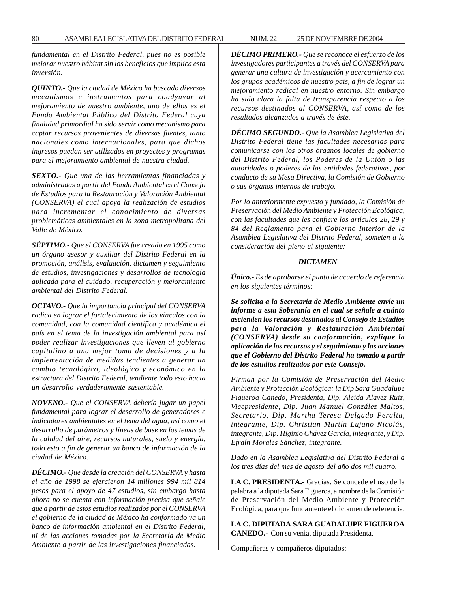*fundamental en el Distrito Federal, pues no es posible mejorar nuestro hábitat sin los beneficios que implica esta inversión.*

*QUINTO.- Que la ciudad de México ha buscado diversos mecanismos e instrumentos para coadyuvar al mejoramiento de nuestro ambiente, uno de ellos es el Fondo Ambiental Público del Distrito Federal cuya finalidad primordial ha sido servir como mecanismo para captar recursos provenientes de diversas fuentes, tanto nacionales como internacionales, para que dichos ingresos puedan ser utilizados en proyectos y programas para el mejoramiento ambiental de nuestra ciudad.*

*SEXTO.- Que una de las herramientas financiadas y administradas a partir del Fondo Ambiental es el Consejo de Estudios para la Restauración y Valoración Ambiental (CONSERVA) el cual apoya la realización de estudios para incrementar el conocimiento de diversas problemáticas ambientales en la zona metropolitana del Valle de México.*

*SÉPTIMO.- Que el CONSERVA fue creado en 1995 como un órgano asesor y auxiliar del Distrito Federal en la promoción, análisis, evaluación, dictamen y seguimiento de estudios, investigaciones y desarrollos de tecnología aplicada para el cuidado, recuperación y mejoramiento ambiental del Distrito Federal.*

*OCTAVO.- Que la importancia principal del CONSERVA radica en lograr el fortalecimiento de los vínculos con la comunidad, con la comunidad científica y académica el país en el tema de la investigación ambiental para así poder realizar investigaciones que lleven al gobierno capitalino a una mejor toma de decisiones y a la implementación de medidas tendientes a generar un cambio tecnológico, ideológico y económico en la estructura del Distrito Federal, tendiente todo esto hacia un desarrollo verdaderamente sustentable.*

*NOVENO.- Que el CONSERVA debería jugar un papel fundamental para lograr el desarrollo de generadores e indicadores ambientales en el tema del agua, así como el desarrollo de parámetros y líneas de base en los temas de la calidad del aire, recursos naturales, suelo y energía, todo esto a fin de generar un banco de información de la ciudad de México.*

*DÉCIMO.- Que desde la creación del CONSERVA y hasta el año de 1998 se ejercieron 14 millones 994 mil 814 pesos para el apoyo de 47 estudios, sin embargo hasta ahora no se cuenta con información precisa que señale que a partir de estos estudios realizados por el CONSERVA el gobierno de la ciudad de México ha conformado ya un banco de información ambiental en el Distrito Federal, ni de las acciones tomadas por la Secretaría de Medio Ambiente a partir de las investigaciones financiadas.*

*DÉCIMO PRIMERO.- Que se reconoce el esfuerzo de los investigadores participantes a través del CONSERVA para generar una cultura de investigación y acercamiento con los grupos académicos de nuestro país, a fin de lograr un mejoramiento radical en nuestro entorno. Sin embargo ha sido clara la falta de transparencia respecto a los recursos destinados al CONSERVA, así como de los resultados alcanzados a través de éste.*

*DÉCIMO SEGUNDO.- Que la Asamblea Legislativa del Distrito Federal tiene las facultades necesarias para comunicarse con los otros órganos locales de gobierno del Distrito Federal, los Poderes de la Unión o las autoridades o poderes de las entidades federativas, por conducto de su Mesa Directiva, la Comisión de Gobierno o sus órganos internos de trabajo.*

*Por lo anteriormente expuesto y fundado, la Comisión de Preservación del Medio Ambiente y Protección Ecológica, con las facultades que les confiere los artículos 28, 29 y 84 del Reglamento para el Gobierno Interior de la Asamblea Legislativa del Distrito Federal, someten a la consideración del pleno el siguiente:*

#### *DICTAMEN*

*Único.- Es de aprobarse el punto de acuerdo de referencia en los siguientes términos:*

*Se solicita a la Secretaría de Medio Ambiente envíe un informe a esta Soberanía en el cual se señale a cuánto ascienden los recursos destinados al Consejo de Estudios para la Valoración y Restauración Ambiental (CONSERVA) desde su conformación, explique la aplicación de los recursos y el seguimiento y las acciones que el Gobierno del Distrito Federal ha tomado a partir de los estudios realizados por este Consejo.*

*Firman por la Comisión de Preservación del Medio Ambiente y Protección Ecológica: la Dip Sara Guadalupe Figueroa Canedo, Presidenta, Dip. Aleida Alavez Ruiz, Vicepresidente, Dip. Juan Manuel González Maltos, Secretario, Dip. Martha Teresa Delgado Peralta, integrante, Dip. Christian Martín Lujano Nicolás, integrante, Dip. Higinio Chávez García, integrante, y Dip. Efraín Morales Sánchez, integrante.*

*Dado en la Asamblea Legislativa del Distrito Federal a los tres días del mes de agosto del año dos mil cuatro.*

**LA C. PRESIDENTA.-** Gracias. Se concede el uso de la palabra a la diputada Sara Figueroa, a nombre de la Comisión de Preservación del Medio Ambiente y Protección Ecológica, para que fundamente el dictamen de referencia.

**LA C. DIPUTADA SARA GUADALUPE FIGUEROA CANEDO.-** Con su venia, diputada Presidenta.

Compañeras y compañeros diputados: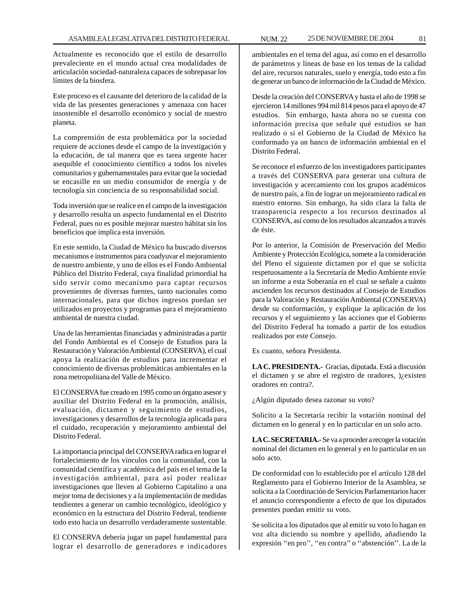Actualmente es reconocido que el estilo de desarrollo prevaleciente en el mundo actual crea modalidades de articulación sociedad-naturaleza capaces de sobrepasar los límites de la biosfera.

Este proceso es el causante del deterioro de la calidad de la vida de las presentes generaciones y amenaza con hacer insostenible el desarrollo económico y social de nuestro planeta.

La comprensión de esta problemática por la sociedad requiere de acciones desde el campo de la investigación y la educación, de tal manera que es tarea urgente hacer asequible el conocimiento científico a todos los niveles comunitarios y gubernamentales para evitar que la sociedad se encasille en un medio consumidor de energía y de tecnología sin conciencia de su responsabilidad social.

Toda inversión que se realice en el campo de la investigación y desarrollo resulta un aspecto fundamental en el Distrito Federal, pues no es posible mejorar nuestro hábitat sin los beneficios que implica esta inversión.

En este sentido, la Ciudad de México ha buscado diversos mecanismos e instrumentos para coadyuvar el mejoramiento de nuestro ambiente, y uno de ellos es el Fondo Ambiental Público del Distrito Federal, cuya finalidad primordial ha sido servir como mecanismo para captar recursos provenientes de diversas fuentes, tanto nacionales como internacionales, para que dichos ingresos puedan ser utilizados en proyectos y programas para el mejoramiento ambiental de nuestra ciudad.

Una de las herramientas financiadas y administradas a partir del Fondo Ambiental es el Consejo de Estudios para la Restauración y Valoración Ambiental (CONSERVA), el cual apoya la realización de estudios para incrementar el conocimiento de diversas problemáticas ambientales en la zona metropolitana del Valle de México.

El CONSERVA fue creado en 1995 como un órgano asesor y auxiliar del Distrito Federal en la promoción, análisis, evaluación, dictamen y seguimiento de estudios, investigaciones y desarrollos de la tecnología aplicada para el cuidado, recuperación y mejoramiento ambiental del Distrito Federal.

La importancia principal del CONSERVA radica en lograr el fortalecimiento de los vínculos con la comunidad, con la comunidad científica y académica del país en el tema de la investigación ambiental, para así poder realizar investigaciones que lleven al Gobierno Capitalino a una mejor toma de decisiones y a la implementación de medidas tendientes a generar un cambio tecnológico, ideológico y económico en la estructura del Distrito Federal, tendiente todo esto hacia un desarrollo verdaderamente sustentable.

El CONSERVA debería jugar un papel fundamental para lograr el desarrollo de generadores e indicadores

ambientales en el tema del agua, así como en el desarrollo de parámetros y líneas de base en los temas de la calidad del aire, recursos naturales, suelo y energía, todo esto a fin de generar un banco de información de la Ciudad de México.

Desde la creación del CONSERVA y hasta el año de 1998 se ejercieron 14 millones 994 mil 814 pesos para el apoyo de 47 estudios. Sin embargo, hasta ahora no se cuenta con información precisa que señale qué estudios se han realizado o si el Gobierno de la Ciudad de México ha conformado ya un banco de información ambiental en el Distrito Federal.

Se reconoce el esfuerzo de los investigadores participantes a través del CONSERVA para generar una cultura de investigación y acercamiento con los grupos académicos de nuestro país, a fin de lograr un mejoramiento radical en nuestro entorno. Sin embargo, ha sido clara la falta de transparencia respecto a los recursos destinados al CONSERVA, así como de los resultados alcanzados a través de éste.

Por lo anterior, la Comisión de Preservación del Medio Ambiente y Protección Ecológica, somete a la consideración del Pleno el siguiente dictamen por el que se solicita respetuosamente a la Secretaría de Medio Ambiente envíe un informe a esta Soberanía en el cual se señale a cuánto ascienden los recursos destinados al Consejo de Estudios para la Valoración y Restauración Ambiental (CONSERVA) desde su conformación, y explique la aplicación de los recursos y el seguimiento y las acciones que el Gobierno del Distrito Federal ha tomado a partir de los estudios realizados por este Consejo.

Es cuanto, señora Presidenta.

**LA C. PRESIDENTA.-** Gracias, diputada. Está a discusión el dictamen y se abre el registro de oradores, )¿existen oradores en contra?.

¿Algún diputado desea razonar su voto?

Solicito a la Secretaría recibir la votación nominal del dictamen en lo general y en lo particular en un solo acto.

**LA C. SECRETARIA.-** Se va a proceder a recoger la votación nominal del dictamen en lo general y en lo particular en un solo acto.

De conformidad con lo establecido por el artículo 128 del Reglamento para el Gobierno Interior de la Asamblea, se solicita a la Coordinación de Servicios Parlamentarios hacer el anuncio correspondiente a efecto de que los diputados presentes puedan emitir su voto.

Se solicita a los diputados que al emitir su voto lo hagan en voz alta diciendo su nombre y apellido, añadiendo la expresión ''en pro'', ''en contra'' o ''abstención''. La de la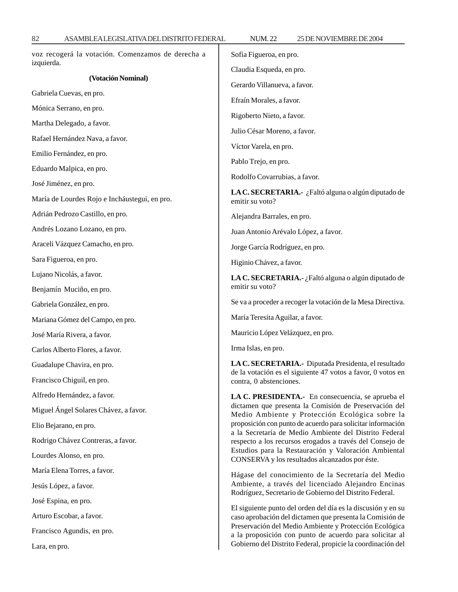| voz recogerá la votación. Comenzamos de derecha a<br>izquierda. | Sofía Figueroa, en pro.                                                                                                                                                                                                                                                                                                                                                                                                                                                              |
|-----------------------------------------------------------------|--------------------------------------------------------------------------------------------------------------------------------------------------------------------------------------------------------------------------------------------------------------------------------------------------------------------------------------------------------------------------------------------------------------------------------------------------------------------------------------|
| (Votación Nominal)                                              | Claudia Esqueda, en pro.                                                                                                                                                                                                                                                                                                                                                                                                                                                             |
| Gabriela Cuevas, en pro.                                        | Gerardo Villanueva, a favor.                                                                                                                                                                                                                                                                                                                                                                                                                                                         |
| Mónica Serrano, en pro.                                         | Efraín Morales, a favor.                                                                                                                                                                                                                                                                                                                                                                                                                                                             |
| Martha Delegado, a favor.                                       | Rigoberto Nieto, a favor.                                                                                                                                                                                                                                                                                                                                                                                                                                                            |
| Rafael Hernández Nava, a favor.                                 | Julio César Moreno, a favor.                                                                                                                                                                                                                                                                                                                                                                                                                                                         |
| Emilio Fernández, en pro.                                       | Víctor Varela, en pro.                                                                                                                                                                                                                                                                                                                                                                                                                                                               |
| Eduardo Malpica, en pro.                                        | Pablo Trejo, en pro.                                                                                                                                                                                                                                                                                                                                                                                                                                                                 |
| José Jiménez, en pro.                                           | Rodolfo Covarrubias, a favor.                                                                                                                                                                                                                                                                                                                                                                                                                                                        |
| María de Lourdes Rojo e Incháustegui, en pro.                   | LA C. SECRETARIA.- ¿Faltó alguna o algún diputado de<br>emitir su voto?                                                                                                                                                                                                                                                                                                                                                                                                              |
| Adrián Pedrozo Castillo, en pro.                                | Alejandra Barrales, en pro.                                                                                                                                                                                                                                                                                                                                                                                                                                                          |
| Andrés Lozano Lozano, en pro.                                   | Juan Antonio Arévalo López, a favor.                                                                                                                                                                                                                                                                                                                                                                                                                                                 |
| Araceli Vázquez Camacho, en pro.                                | Jorge García Rodríguez, en pro.                                                                                                                                                                                                                                                                                                                                                                                                                                                      |
| Sara Figueroa, en pro.                                          | Higinio Chávez, a favor.                                                                                                                                                                                                                                                                                                                                                                                                                                                             |
| Lujano Nicolás, a favor.                                        | LA C. SECRETARIA.- ¿Faltó alguna o algún diputado de                                                                                                                                                                                                                                                                                                                                                                                                                                 |
| Benjamín Muciño, en pro.                                        | emitir su voto?                                                                                                                                                                                                                                                                                                                                                                                                                                                                      |
| Gabriela González, en pro.                                      | Se va a proceder a recoger la votación de la Mesa Directiva.                                                                                                                                                                                                                                                                                                                                                                                                                         |
| Mariana Gómez del Campo, en pro.                                | María Teresita Aguilar, a favor.                                                                                                                                                                                                                                                                                                                                                                                                                                                     |
| José María Rivera, a favor.                                     | Mauricio López Velázquez, en pro.                                                                                                                                                                                                                                                                                                                                                                                                                                                    |
| Carlos Alberto Flores, a favor.                                 | Irma Islas, en pro.                                                                                                                                                                                                                                                                                                                                                                                                                                                                  |
| Guadalupe Chavira, en pro.                                      | LA C. SECRETARIA.- Diputada Presidenta, el resultado                                                                                                                                                                                                                                                                                                                                                                                                                                 |
| Francisco Chiguil, en pro.                                      | de la votación es el siguiente 47 votos a favor, 0 votos en<br>contra, 0 abstenciones.                                                                                                                                                                                                                                                                                                                                                                                               |
| Alfredo Hernández, a favor.                                     | LA C. PRESIDENTA.- En consecuencia, se aprueba el<br>dictamen que presenta la Comisión de Preservación del<br>Medio Ambiente y Protección Ecológica sobre la<br>proposición con punto de acuerdo para solicitar información<br>a la Secretaría de Medio Ambiente del Distrito Federal<br>respecto a los recursos erogados a través del Consejo de<br>Estudios para la Restauración y Valoración Ambiental<br>CONSERVA y los resultados alcanzados por éste.                          |
| Miguel Ángel Solares Chávez, a favor.                           |                                                                                                                                                                                                                                                                                                                                                                                                                                                                                      |
| Elio Bejarano, en pro.                                          |                                                                                                                                                                                                                                                                                                                                                                                                                                                                                      |
| Rodrigo Chávez Contreras, a favor.                              |                                                                                                                                                                                                                                                                                                                                                                                                                                                                                      |
| Lourdes Alonso, en pro.                                         |                                                                                                                                                                                                                                                                                                                                                                                                                                                                                      |
| María Elena Torres, a favor.                                    | Hágase del conocimiento de la Secretaría del Medio<br>Ambiente, a través del licenciado Alejandro Encinas<br>Rodríguez, Secretario de Gobierno del Distrito Federal.<br>El siguiente punto del orden del día es la discusión y en su<br>caso aprobación del dictamen que presenta la Comisión de<br>Preservación del Medio Ambiente y Protección Ecológica<br>a la proposición con punto de acuerdo para solicitar al<br>Gobierno del Distrito Federal, propicie la coordinación del |
| Jesús López, a favor.                                           |                                                                                                                                                                                                                                                                                                                                                                                                                                                                                      |
| José Espina, en pro.                                            |                                                                                                                                                                                                                                                                                                                                                                                                                                                                                      |
| Arturo Escobar, a favor.                                        |                                                                                                                                                                                                                                                                                                                                                                                                                                                                                      |
| Francisco Agundis, en pro.                                      |                                                                                                                                                                                                                                                                                                                                                                                                                                                                                      |
| Lara, en pro.                                                   |                                                                                                                                                                                                                                                                                                                                                                                                                                                                                      |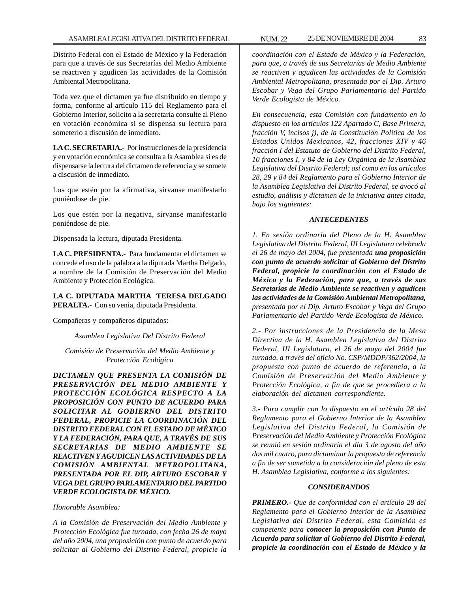Distrito Federal con el Estado de México y la Federación para que a través de sus Secretarías del Medio Ambiente se reactiven y agudicen las actividades de la Comisión Ambiental Metropolitana.

Toda vez que el dictamen ya fue distribuido en tiempo y forma, conforme al artículo 115 del Reglamento para el Gobierno Interior, solicito a la secretaría consulte al Pleno en votación económica si se dispensa su lectura para someterlo a discusión de inmediato.

**LA C. SECRETARIA.-** Por instrucciones de la presidencia y en votación económica se consulta a la Asamblea si es de dispensarse la lectura del dictamen de referencia y se somete a discusión de inmediato.

Los que estén por la afirmativa, sírvanse manifestarlo poniéndose de pie.

Los que estén por la negativa, sírvanse manifestarlo poniéndose de pie.

Dispensada la lectura, diputada Presidenta.

**LA C. PRESIDENTA.-** Para fundamentar el dictamen se concede el uso de la palabra a la diputada Martha Delgado, a nombre de la Comisión de Preservación del Medio Ambiente y Protección Ecológica.

**LA C. DIPUTADA MARTHA TERESA DELGADO PERALTA.-** Con su venia, diputada Presidenta.

Compañeras y compañeros diputados:

*Asamblea Legislativa Del Distrito Federal*

*Comisión de Preservación del Medio Ambiente y Protección Ecológica*

*DICTAMEN QUE PRESENTA LA COMISIÓN DE PRESERVACIÓN DEL MEDIO AMBIENTE Y PROTECCIÓN ECOLÓGICA RESPECTO A LA PROPOSICIÓN CON PUNTO DE ACUERDO PARA SOLICITAR AL GOBIERNO DEL DISTRITO FEDERAL, PROPICIE LA COORDINACIÓN DEL DISTRITO FEDERAL CON EL ESTADO DE MÉXICO Y LA FEDERACIÓN, PARA QUE, A TRAVÉS DE SUS SECRETARIAS DE MEDIO AMBIENTE SE REACTIVEN Y AGUDICEN LAS ACTIVIDADES DE LA COMISIÓN AMBIENTAL METROPOLITANA, PRESENTADA POR EL DIP, ARTURO ESCOBAR Y VEGA DEL GRUPO PARLAMENTARIO DEL PARTIDO VERDE ECOLOGISTA DE MÉXICO.*

*Honorable Asamblea:*

*A la Comisión de Preservación del Medio Ambiente y Protección Ecológica fue turnada, con fecha 26 de mayo del año 2004, una proposición con punto de acuerdo para solicitar al Gobierno del Distrito Federal, propicie la*

*coordinación con el Estado de México y la Federación, para que, a través de sus Secretarías de Medio Ambiente se reactiven y agudicen las actividades de la Comisión Ambiental Metropolitana, presentada por el Dip. Arturo Escobar y Vega del Grupo Parlamentario del Partido Verde Ecologista de México.*

*En consecuencia, esta Comisión con fundamento en lo dispuesto en los artículos 122 Apartado C, Base Primera, fracción V, incisos j), de la Constitución Política de los Estados Unidos Mexicanos, 42, fracciones XIV y 46 fracción I del Estatuto de Gobierno del Distrito Federal, 10 fracciones I, y 84 de la Ley Orgánica de la Asamblea Legislativa del Distrito Federal; así como en los artículos 28, 29 y 84 del Reglamento para el Gobierno Interior de la Asamblea Legislativa del Distrito Federal, se avocó al estudio, análisis y dictamen de la iniciativa antes citada, bajo los siguientes:*

### *ANTECEDENTES*

*1. En sesión ordinaria del Pleno de la H. Asamblea Legislativa del Distrito Federal, III Legislatura celebrada el 26 de mayo del 2004, fue presentada una proposición con punto de acuerdo solicitar al Gobierno del Distrito Federal, propicie la coordinación con el Estado de México y la Federación, para que, a través de sus Secretarías de Medio Ambiente se reactiven y agudicen las actividades de la Comisión Ambiental Metropolitana, presentada por el Dip. Arturo Escobar y Vega del Grupo Parlamentario del Partido Verde Ecologista de México.*

*2.- Por instrucciones de la Presidencia de la Mesa Directiva de la H. Asamblea Legislativa del Distrito Federal, III Legislatura, el 26 de mayo del 2004 fue turnada, a través del oficio No. CSP/MDDP/362/2004, la propuesta con punto de acuerdo de referencia, a la Comisión de Preservación del Medio Ambiente y Protección Ecológica, a fin de que se procediera a la elaboración del dictamen correspondiente.*

*3.- Para cumplir con lo dispuesto en el artículo 28 del Reglamento para el Gobierno Interior de la Asamblea Legislativa del Distrito Federal, la Comisión de Preservación del Medio Ambiente y Protección Ecológica se reunió en sesión ordinaria el día 3 de agosto del año dos mil cuatro, para dictaminar la propuesta de referencia a fin de ser sometida a la consideración del pleno de esta H. Asamblea Legislativa, conforme a los siguientes:*

# *CONSIDERANDOS*

*PRIMERO.- Que de conformidad con el artículo 28 del Reglamento para el Gobierno Interior de la Asamblea Legislativa del Distrito Federal, esta Comisión es competente para conocer la proposición con Punto de Acuerdo para solicitar al Gobierno del Distrito Federal, propicie la coordinación con el Estado de México y la*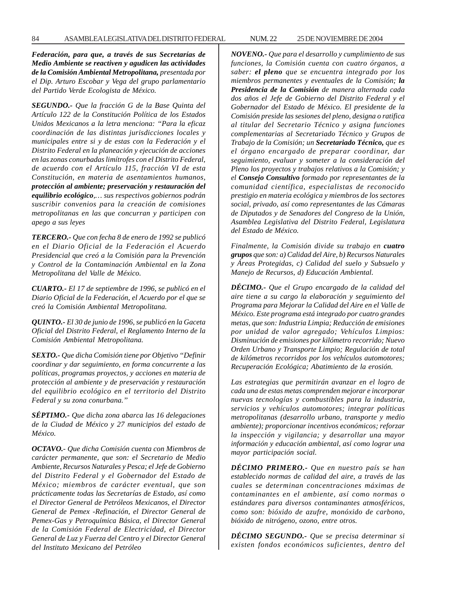*Federación, para que, a través de sus Secretarías de Medio Ambiente se reactiven y agudicen las actividades de la Comisión Ambiental Metropolitana, presentada por el Dip. Arturo Escobar y Vega del grupo parlamentario del Partido Verde Ecologista de México.*

*SEGUNDO.- Que la fracción G de la Base Quinta del Artículo 122 de la Constitución Política de los Estados Unidos Mexicanos a la letra menciona: ''Para la eficaz coordinación de las distintas jurisdicciones locales y municipales entre si y de estas con la Federación y el Distrito Federal en la planeación y ejecución de acciones en las zonas conurbadas limítrofes con el Distrito Federal, de acuerdo con el Artículo 115, fracción VI de esta Constitución, en materia de asentamientos humanos, protección al ambiente; preservación y restauración del equilibrio ecológico,… sus respectivos gobiernos podrán suscribir convenios para la creación de comisiones metropolitanas en las que concurran y participen con apego a sus leyes*

*TERCERO.- Que con fecha 8 de enero de 1992 se publicó en el Diario Oficial de la Federación el Acuerdo Presidencial que creó a la Comisión para la Prevención y Control de la Contaminación Ambiental en la Zona Metropolitana del Valle de México.*

*CUARTO.- El 17 de septiembre de 1996, se publicó en el Diario Oficial de la Federación, el Acuerdo por el que se creó la Comisión Ambiental Metropolitana.*

*QUINTO.- El 30 de junio de 1996, se publicó en la Gaceta Oficial del Distrito Federal, el Reglamento Interno de la Comisión Ambiental Metropolitana.*

*SEXTO.- Que dicha Comisión tiene por Objetivo ''Definir coordinar y dar seguimiento, en forma concurrente a las políticas, programas proyectos, y acciones en materia de protección al ambiente y de preservación y restauración del equilibrio ecológico en el territorio del Distrito Federal y su zona conurbana.''*

*SÉPTIMO.- Que dicha zona abarca las 16 delegaciones de la Ciudad de México y 27 municipios del estado de México.*

*OCTAVO.- Que dicha Comisión cuenta con Miembros de carácter permanente, que son: el Secretario de Medio Ambiente, Recursos Naturales y Pesca; el Jefe de Gobierno del Distrito Federal y el Gobernador del Estado de México; miembros de carácter eventual, que son prácticamente todas las Secretarías de Estado, así como el Director General de Petróleos Mexicanos, el Director General de Pemex -Refinación, el Director General de Pemex-Gas y Petroquímica Básica, el Director General de la Comisión Federal de Electricidad, el Director General de Luz y Fuerza del Centro y el Director General del Instituto Mexicano del Petróleo*

*NOVENO.- Que para el desarrollo y cumplimiento de sus funciones, la Comisión cuenta con cuatro órganos, a saber: el pleno que se encuentra integrado por los miembros permanentes y eventuales de la Comisión; la Presidencia de la Comisión de manera alternada cada dos años el Jefe de Gobierno del Distrito Federal y el Gobernador del Estado de México. El presidente de la Comisión preside las sesiones del pleno, designa o ratifica al titular del Secretario Técnico y asigna funciones complementarias al Secretariado Técnico y Grupos de Trabajo de la Comisión; un Secretariado Técnico, que es el órgano encargado de preparar coordinar, dar seguimiento, evaluar y someter a la consideración del Pleno los proyectos y trabajos relativos a la Comisión; y el Consejo Consultivo formado por representantes de la comunidad científica, especialistas de reconocido prestigio en materia ecológica y miembros de los sectores social, privado, así como representantes de las Cámaras de Diputados y de Senadores del Congreso de la Unión, Asamblea Legislativa del Distrito Federal, Legislatura del Estado de México.*

*Finalmente, la Comisión divide su trabajo en cuatro grupos que son: a) Calidad del Aire, b) Recursos Naturales y Áreas Protegidas, c) Calidad del suelo y Subsuelo y Manejo de Recursos, d) Educación Ambiental.*

*DÉCIMO.- Que el Grupo encargado de la calidad del aire tiene a su cargo la elaboración y seguimiento del Programa para Mejorar la Calidad del Aire en el Valle de México. Este programa está integrado por cuatro grandes metas, que son: Industria Limpia; Reducción de emisiones por unidad de valor agregado; Vehículos Limpios: Disminución de emisiones por kilómetro recorrido; Nuevo Orden Urbano y Transporte Limpio; Regulación de total de kilómetros recorridos por los vehículos automotores; Recuperación Ecológica; Abatimiento de la erosión.*

*Las estrategias que permitirán avanzar en el logro de cada una de estas metas comprenden mejorar e incorporar nuevas tecnologías y combustibles para la industria, servicios y vehículos automotores; integrar políticas metropolitanas (desarrollo urbano, transporte y medio ambiente); proporcionar incentivos económicos; reforzar la inspección y vigilancia; y desarrollar una mayor información y educación ambiental, así como lograr una mayor participación social.*

*DÉCIMO PRIMERO.- Que en nuestro país se han establecido normas de calidad del aire, a través de las cuales se determinan concentraciones máximas de contaminantes en el ambiente, así como normas o estándares para diversos contaminantes atmosféricos, como son: bióxido de azufre, monóxido de carbono, bióxido de nitrógeno, ozono, entre otros.*

*DÉCIMO SEGUNDO.- Que se precisa determinar si existen fondos económicos suficientes, dentro del*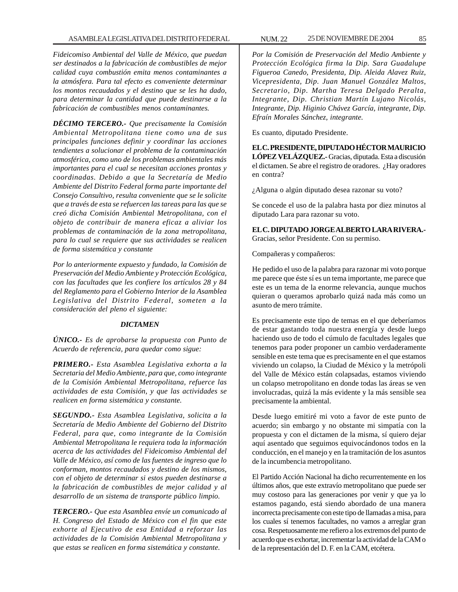*Fideicomiso Ambiental del Valle de México, que puedan ser destinados a la fabricación de combustibles de mejor calidad cuya combustión emita menos contaminantes a la atmósfera. Para tal efecto es conveniente determinar los montos recaudados y el destino que se les ha dado, para determinar la cantidad que puede destinarse a la fabricación de combustibles menos contaminantes.*

*DÉCIMO TERCERO.- Que precisamente la Comisión Ambiental Metropolitana tiene como una de sus principales funciones definir y coordinar las acciones tendientes a solucionar el problema de la contaminación atmosférica, como uno de los problemas ambientales más importantes para el cual se necesitan acciones prontas y coordinadas. Debido a que la Secretaría de Medio Ambiente del Distrito Federal forma parte importante del Consejo Consultivo, resulta conveniente que se le solicite que a través de esta se refuercen las tareas para las que se creó dicha Comisión Ambiental Metropolitana, con el objeto de contribuir de manera eficaz a aliviar los problemas de contaminación de la zona metropolitana, para lo cual se requiere que sus actividades se realicen de forma sistemática y constante*

*Por lo anteriormente expuesto y fundado, la Comisión de Preservación del Medio Ambiente y Protección Ecológica, con las facultades que les confiere los artículos 28 y 84 del Reglamento para el Gobierno Interior de la Asamblea Legislativa del Distrito Federal, someten a la consideración del pleno el siguiente:*

#### *DICTAMEN*

*ÚNICO.- Es de aprobarse la propuesta con Punto de Acuerdo de referencia, para quedar como sigue:*

*PRIMERO.- Esta Asamblea Legislativa exhorta a la Secretaria del Medio Ambiente, para que, como integrante de la Comisión Ambiental Metropolitana, refuerce las actividades de esta Comisión, y que las actividades se realicen en forma sistemática y constante.*

*SEGUNDO.- Esta Asamblea Legislativa, solicita a la Secretaría de Medio Ambiente del Gobierno del Distrito Federal, para que, como integrante de la Comisión Ambiental Metropolitana le requiera toda la información acerca de las actividades del Fideicomiso Ambiental del Valle de México, así como de las fuentes de ingreso que lo conforman, montos recaudados y destino de los mismos, con el objeto de determinar si estos pueden destinarse a la fabricación de combustibles de mejor calidad y al desarrollo de un sistema de transporte público limpio.*

*TERCERO.- Que esta Asamblea envíe un comunicado al H. Congreso del Estado de México con el fin que este exhorte al Ejecutivo de esa Entidad a reforzar las actividades de la Comisión Ambiental Metropolitana y que estas se realicen en forma sistemática y constante.*

*Por la Comisión de Preservación del Medio Ambiente y Protección Ecológica firma la Dip. Sara Guadalupe Figueroa Canedo, Presidenta, Dip. Aleida Alavez Ruiz, Vicepresidenta, Dip. Juan Manuel González Maltos, Secretario, Dip. Martha Teresa Delgado Peralta, Integrante, Dip. Christian Martín Lujano Nicolás, Integrante, Dip. Higinio Chávez García, integrante, Dip. Efraín Morales Sánchez, integrante.*

Es cuanto, diputado Presidente.

**EL C. PRESIDENTE, DIPUTADO HÉCTOR MAURICIO LÓPEZ VELÁZQUEZ.-** Gracias, diputada. Esta a discusión el dictamen. Se abre el registro de oradores. ¿Hay oradores en contra?

¿Alguna o algún diputado desea razonar su voto?

Se concede el uso de la palabra hasta por diez minutos al diputado Lara para razonar su voto.

**EL C. DIPUTADO JORGE ALBERTO LARA RIVERA.-** Gracias, señor Presidente. Con su permiso.

Compañeras y compañeros:

He pedido el uso de la palabra para razonar mi voto porque me parece que éste sí es un tema importante, me parece que este es un tema de la enorme relevancia, aunque muchos quieran o queramos aprobarlo quizá nada más como un asunto de mero trámite.

Es precisamente este tipo de temas en el que deberíamos de estar gastando toda nuestra energía y desde luego haciendo uso de todo el cúmulo de facultades legales que tenemos para poder proponer un cambio verdaderamente sensible en este tema que es precisamente en el que estamos viviendo un colapso, la Ciudad de México y la metrópoli del Valle de México están colapsadas, estamos viviendo un colapso metropolitano en donde todas las áreas se ven involucradas, quizá la más evidente y la más sensible sea precisamente la ambiental.

Desde luego emitiré mi voto a favor de este punto de acuerdo; sin embargo y no obstante mi simpatía con la propuesta y con el dictamen de la misma, sí quiero dejar aquí asentado que seguimos equivocándonos todos en la conducción, en el manejo y en la tramitación de los asuntos de la incumbencia metropolitano.

El Partido Acción Nacional ha dicho recurrentemente en los últimos años, que este extravío metropolitano que puede ser muy costoso para las generaciones por venir y que ya lo estamos pagando, está siendo abordado de una manera incorrecta precisamente con este tipo de llamadas a misa, para los cuales sí tenemos facultades, no vamos a arreglar gran cosa. Respetuosamente me refiero a los extremos del punto de acuerdo que es exhortar, incrementar la actividad de la CAM o de la representación del D. F. en la CAM, etcétera.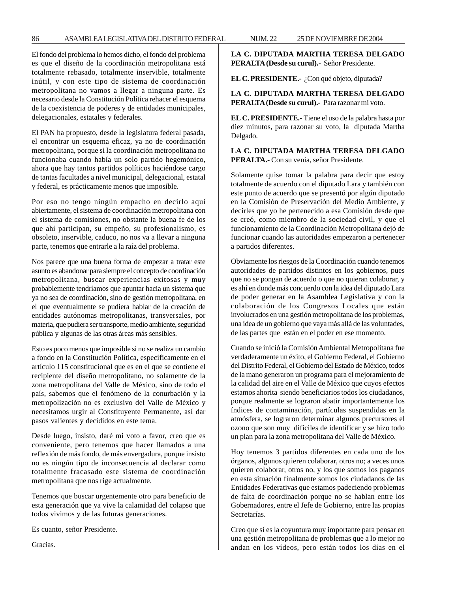### 86 ASAMBLEA LEGISLATIVA DEL DISTRITO FEDERAL NUM. 22 25 DE NOVIEMBRE DE 2004

El fondo del problema lo hemos dicho, el fondo del problema es que el diseño de la coordinación metropolitana está totalmente rebasado, totalmente inservible, totalmente inútil, y con este tipo de sistema de coordinación metropolitana no vamos a llegar a ninguna parte. Es necesario desde la Constitución Política rehacer el esquema de la coexistencia de poderes y de entidades municipales, delegacionales, estatales y federales.

El PAN ha propuesto, desde la legislatura federal pasada, el encontrar un esquema eficaz, ya no de coordinación metropolitana, porque si la coordinación metropolitana no funcionaba cuando había un solo partido hegemónico, ahora que hay tantos partidos políticos haciéndose cargo de tantas facultades a nivel municipal, delegacional, estatal y federal, es prácticamente menos que imposible.

Por eso no tengo ningún empacho en decirlo aquí abiertamente, el sistema de coordinación metropolitana con el sistema de comisiones, no obstante la buena fe de los que ahí participan, su empeño, su profesionalismo, es obsoleto, inservible, caduco, no nos va a llevar a ninguna parte, tenemos que entrarle a la raíz del problema.

Nos parece que una buena forma de empezar a tratar este asunto es abandonar para siempre el concepto de coordinación metropolitana, buscar experiencias exitosas y muy probablemente tendríamos que apuntar hacia un sistema que ya no sea de coordinación, sino de gestión metropolitana, en el que eventualmente se pudiera hablar de la creación de entidades autónomas metropolitanas, transversales, por materia, que pudiera ser transporte, medio ambiente, seguridad pública y algunas de las otras áreas más sensibles.

Esto es poco menos que imposible si no se realiza un cambio a fondo en la Constitución Política, específicamente en el artículo 115 constitucional que es en el que se contiene el recipiente del diseño metropolitano, no solamente de la zona metropolitana del Valle de México, sino de todo el país, sabemos que el fenómeno de la conurbación y la metropolización no es exclusivo del Valle de México y necesitamos urgir al Constituyente Permanente, así dar pasos valientes y decididos en este tema.

Desde luego, insisto, daré mi voto a favor, creo que es conveniente, pero tenemos que hacer llamados a una reflexión de más fondo, de más envergadura, porque insisto no es ningún tipo de inconsecuencia al declarar como totalmente fracasado este sistema de coordinación metropolitana que nos rige actualmente.

Tenemos que buscar urgentemente otro para beneficio de esta generación que ya vive la calamidad del colapso que todos vivimos y de las futuras generaciones.

Es cuanto, señor Presidente.

Gracias.

**LA C. DIPUTADA MARTHA TERESA DELGADO PERALTA (Desde su curul).-** Señor Presidente.

**EL C. PRESIDENTE.-** ¿Con qué objeto, diputada?

# **LA C. DIPUTADA MARTHA TERESA DELGADO PERALTA (Desde su curul).-** Para razonar mi voto.

**EL C. PRESIDENTE.-** Tiene el uso de la palabra hasta por diez minutos, para razonar su voto, la diputada Martha Delgado.

**LA C. DIPUTADA MARTHA TERESA DELGADO PERALTA.-** Con su venia, señor Presidente.

Solamente quise tomar la palabra para decir que estoy totalmente de acuerdo con el diputado Lara y también con este punto de acuerdo que se presentó por algún diputado en la Comisión de Preservación del Medio Ambiente, y decirles que yo he pertenecido a esa Comisión desde que se creó, como miembro de la sociedad civil, y que el funcionamiento de la Coordinación Metropolitana dejó de funcionar cuando las autoridades empezaron a pertenecer a partidos diferentes.

Obviamente los riesgos de la Coordinación cuando tenemos autoridades de partidos distintos en los gobiernos, pues que no se pongan de acuerdo o que no quieran colaborar, y es ahí en donde más concuerdo con la idea del diputado Lara de poder generar en la Asamblea Legislativa y con la colaboración de los Congresos Locales que están involucrados en una gestión metropolitana de los problemas, una idea de un gobierno que vaya más allá de las voluntades, de las partes que están en el poder en ese momento.

Cuando se inició la Comisión Ambiental Metropolitana fue verdaderamente un éxito, el Gobierno Federal, el Gobierno del Distrito Federal, el Gobierno del Estado de México, todos de la mano generaron un programa para el mejoramiento de la calidad del aire en el Valle de México que cuyos efectos estamos ahorita siendo beneficiarios todos los ciudadanos, porque realmente se lograron abatir importantemente los índices de contaminación, partículas suspendidas en la atmósfera, se lograron determinar algunos precursores el ozono que son muy difíciles de identificar y se hizo todo un plan para la zona metropolitana del Valle de México.

Hoy tenemos 3 partidos diferentes en cada uno de los órganos, algunos quieren colaborar, otros no; a veces unos quieren colaborar, otros no, y los que somos los paganos en esta situación finalmente somos los ciudadanos de las Entidades Federativas que estamos padeciendo problemas de falta de coordinación porque no se hablan entre los Gobernadores, entre el Jefe de Gobierno, entre las propias Secretarías.

Creo que sí es la coyuntura muy importante para pensar en una gestión metropolitana de problemas que a lo mejor no andan en los vídeos, pero están todos los días en el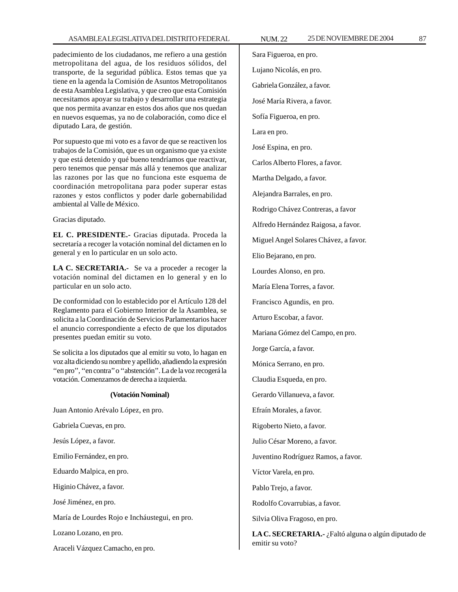### ASAMBLEA LEGISLATIVA DEL DISTRITO FEDERAL NUM. 22 25 DE NOVIEMBRE DE 2004 87

padecimiento de los ciudadanos, me refiero a una gestión metropolitana del agua, de los residuos sólidos, del transporte, de la seguridad pública. Estos temas que ya tiene en la agenda la Comisión de Asuntos Metropolitanos de esta Asamblea Legislativa, y que creo que esta Comisión necesitamos apoyar su trabajo y desarrollar una estrategia que nos permita avanzar en estos dos años que nos quedan en nuevos esquemas, ya no de colaboración, como dice el diputado Lara, de gestión.

Por supuesto que mi voto es a favor de que se reactiven los trabajos de la Comisión, que es un organismo que ya existe y que está detenido y qué bueno tendríamos que reactivar, pero tenemos que pensar más allá y tenemos que analizar las razones por las que no funciona este esquema de coordinación metropolitana para poder superar estas razones y estos conflictos y poder darle gobernabilidad ambiental al Valle de México.

Gracias diputado.

**EL C. PRESIDENTE.-** Gracias diputada. Proceda la secretaría a recoger la votación nominal del dictamen en lo general y en lo particular en un solo acto.

**LA C. SECRETARIA.-** Se va a proceder a recoger la votación nominal del dictamen en lo general y en lo particular en un solo acto.

De conformidad con lo establecido por el Artículo 128 del Reglamento para el Gobierno Interior de la Asamblea, se solicita a la Coordinación de Servicios Parlamentarios hacer el anuncio correspondiente a efecto de que los diputados presentes puedan emitir su voto.

Se solicita a los diputados que al emitir su voto, lo hagan en voz alta diciendo su nombre y apellido, añadiendo la expresión ''en pro'', ''en contra'' o ''abstención''. La de la voz recogerá la votación. Comenzamos de derecha a izquierda.

#### **(Votación Nominal)**

Juan Antonio Arévalo López, en pro.

Gabriela Cuevas, en pro.

Jesús López, a favor.

Emilio Fernández, en pro.

Eduardo Malpica, en pro.

Higinio Chávez, a favor.

José Jiménez, en pro.

María de Lourdes Rojo e Incháustegui, en pro.

Lozano Lozano, en pro.

Araceli Vázquez Camacho, en pro.

Sara Figueroa, en pro. Lujano Nicolás, en pro. Gabriela González, a favor. José María Rivera, a favor. Sofía Figueroa, en pro. Lara en pro. José Espina, en pro. Carlos Alberto Flores, a favor. Martha Delgado, a favor. Alejandra Barrales, en pro. Rodrigo Chávez Contreras, a favor Alfredo Hernández Raigosa, a favor. Miguel Angel Solares Chávez, a favor. Elio Bejarano, en pro. Lourdes Alonso, en pro. María Elena Torres, a favor. Francisco Agundis, en pro. Arturo Escobar, a favor. Mariana Gómez del Campo, en pro. Jorge García, a favor. Mónica Serrano, en pro. Claudia Esqueda, en pro. Gerardo Villanueva, a favor. Efraín Morales, a favor. Rigoberto Nieto, a favor. Julio César Moreno, a favor. Juventino Rodríguez Ramos, a favor. Víctor Varela, en pro. Pablo Trejo, a favor. Rodolfo Covarrubias, a favor. Silvia Oliva Fragoso, en pro.

**LA C. SECRETARIA.-** ¿Faltó alguna o algún diputado de emitir su voto?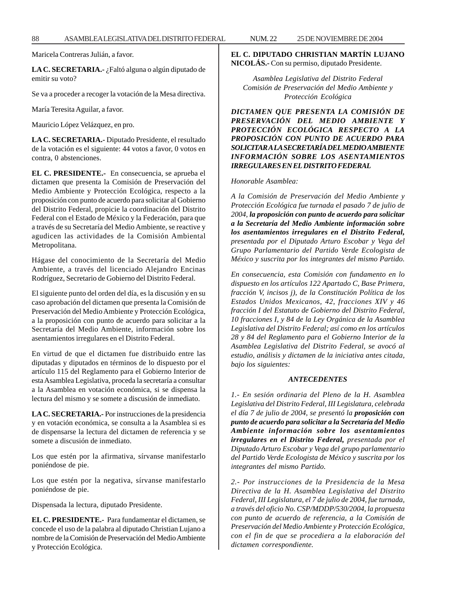Maricela Contreras Julián, a favor.

**LA C. SECRETARIA.-** ¿Faltó alguna o algún diputado de emitir su voto?

Se va a proceder a recoger la votación de la Mesa directiva.

María Teresita Aguilar, a favor.

Mauricio López Velázquez, en pro.

**LA C. SECRETARIA.-** Diputado Presidente, el resultado de la votación es el siguiente: 44 votos a favor, 0 votos en contra, 0 abstenciones.

**EL C. PRESIDENTE.-** En consecuencia, se aprueba el dictamen que presenta la Comisión de Preservación del Medio Ambiente y Protección Ecológica, respecto a la proposición con punto de acuerdo para solicitar al Gobierno del Distrito Federal, propicie la coordinación del Distrito Federal con el Estado de México y la Federación, para que a través de su Secretaría del Medio Ambiente, se reactive y agudicen las actividades de la Comisión Ambiental Metropolitana.

Hágase del conocimiento de la Secretaría del Medio Ambiente, a través del licenciado Alejandro Encinas Rodríguez, Secretario de Gobierno del Distrito Federal.

El siguiente punto del orden del día, es la discusión y en su caso aprobación del dictamen que presenta la Comisión de Preservación del Medio Ambiente y Protección Ecológica, a la proposición con punto de acuerdo para solicitar a la Secretaría del Medio Ambiente, información sobre los asentamientos irregulares en el Distrito Federal.

En virtud de que el dictamen fue distribuido entre las diputadas y diputados en términos de lo dispuesto por el artículo 115 del Reglamento para el Gobierno Interior de esta Asamblea Legislativa, proceda la secretaría a consultar a la Asamblea en votación económica, si se dispensa la lectura del mismo y se somete a discusión de inmediato.

**LA C. SECRETARIA.-** Por instrucciones de la presidencia y en votación económica, se consulta a la Asamblea si es de dispensarse la lectura del dictamen de referencia y se somete a discusión de inmediato.

Los que estén por la afirmativa, sírvanse manifestarlo poniéndose de pie.

Los que estén por la negativa, sírvanse manifestarlo poniéndose de pie.

Dispensada la lectura, diputado Presidente.

**EL C. PRESIDENTE.-** Para fundamentar el dictamen, se concede el uso de la palabra al diputado Christian Lujano a nombre de la Comisión de Preservación del Medio Ambiente y Protección Ecológica.

### **EL C. DIPUTADO CHRISTIAN MARTÍN LUJANO NICOLÁS.-** Con su permiso, diputado Presidente.

*Asamblea Legislativa del Distrito Federal Comisión de Preservación del Medio Ambiente y Protección Ecológica*

*DICTAMEN QUE PRESENTA LA COMISIÓN DE PRESERVACIÓN DEL MEDIO AMBIENTE Y PROTECCIÓN ECOLÓGICA RESPECTO A LA PROPOSICIÓN CON PUNTO DE ACUERDO PARA SOLICITAR A LA SECRETARÍA DEL MEDIO AMBIENTE INFORMACIÓN SOBRE LOS ASENTAMIENTOS IRREGULARES EN EL DISTRITO FEDERAL*

*Honorable Asamblea:*

*A la Comisión de Preservación del Medio Ambiente y Protección Ecológica fue turnada el pasado 7 de julio de 2004, la proposición con punto de acuerdo para solicitar a la Secretaría del Medio Ambiente información sobre los asentamientos irregulares en el Distrito Federal, presentada por el Diputado Arturo Escobar y Vega del Grupo Parlamentario del Partido Verde Ecologista de México y suscrita por los integrantes del mismo Partido.*

*En consecuencia, esta Comisión con fundamento en lo dispuesto en los artículos 122 Apartado C, Base Primera, fracción V, incisos j), de la Constitución Política de los Estados Unidos Mexicanos, 42, fracciones XIV y 46 fracción I del Estatuto de Gobierno del Distrito Federal, 10 fracciones I, y 84 de la Ley Orgánica de la Asamblea Legislativa del Distrito Federal; así como en los artículos 28 y 84 del Reglamento para el Gobierno Interior de la Asamblea Legislativa del Distrito Federal, se avocó al estudio, análisis y dictamen de la iniciativa antes citada, bajo los siguientes:*

#### *ANTECEDENTES*

*1.- En sesión ordinaria del Pleno de la H. Asamblea Legislativa del Distrito Federal, III Legislatura, celebrada el día 7 de julio de 2004, se presentó la proposición con punto de acuerdo para solicitar a la Secretaría del Medio Ambiente información sobre los asentamientos irregulares en el Distrito Federal, presentada por el Diputado Arturo Escobar y Vega del grupo parlamentario del Partido Verde Ecologista de México y suscrita por los integrantes del mismo Partido.*

*2.- Por instrucciones de la Presidencia de la Mesa Directiva de la H. Asamblea Legislativa del Distrito Federal, III Legislatura, el 7 de julio de 2004, fue turnada, a través del oficio No. CSP/MDDP/530/2004, la propuesta con punto de acuerdo de referencia, a la Comisión de Preservación del Medio Ambiente y Protección Ecológica, con el fin de que se procediera a la elaboración del dictamen correspondiente.*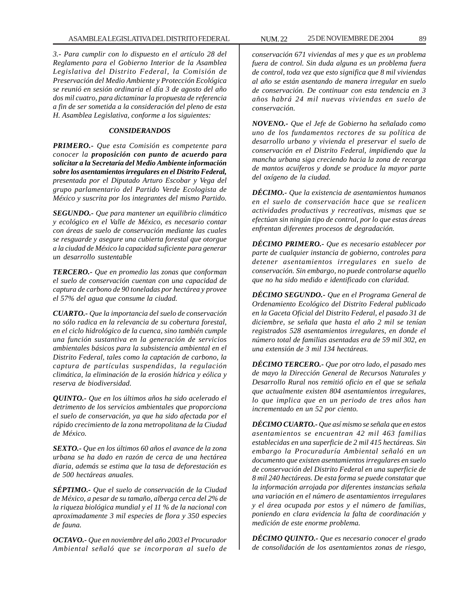*3.- Para cumplir con lo dispuesto en el artículo 28 del Reglamento para el Gobierno Interior de la Asamblea Legislativa del Distrito Federal, la Comisión de Preservación del Medio Ambiente y Protección Ecológica se reunió en sesión ordinaria el día 3 de agosto del año dos mil cuatro, para dictaminar la propuesta de referencia a fin de ser sometida a la consideración del pleno de esta H. Asamblea Legislativa, conforme a los siguientes:*

#### *CONSIDERANDOS*

*PRIMERO.- Que esta Comisión es competente para conocer la proposición con punto de acuerdo para solicitar a la Secretaría del Medio Ambiente información sobre los asentamientos irregulares en el Distrito Federal, presentada por el Diputado Arturo Escobar y Vega del grupo parlamentario del Partido Verde Ecologista de México y suscrita por los integrantes del mismo Partido.*

*SEGUNDO.- Que para mantener un equilibrio climático y ecológico en el Valle de México, es necesario contar con áreas de suelo de conservación mediante las cuales se resguarde y asegure una cubierta forestal que otorgue a la ciudad de México la capacidad suficiente para generar un desarrollo sustentable*

*TERCERO.- Que en promedio las zonas que conforman el suelo de conservación cuentan con una capacidad de captura de carbono de 90 toneladas por hectárea y provee el 57% del agua que consume la ciudad.*

*CUARTO.- Que la importancia del suelo de conservación no sólo radica en la relevancia de su cobertura forestal, en el ciclo hidrológico de la cuenca, sino también cumple una función sustantiva en la generación de servicios ambientales básicos para la subsistencia ambiental en el Distrito Federal, tales como la captación de carbono, la captura de partículas suspendidas, la regulación climática, la eliminación de la erosión hídrica y eólica y reserva de biodiversidad.*

*QUINTO.- Que en los últimos años ha sido acelerado el detrimento de los servicios ambientales que proporciona el suelo de conservación, ya que ha sido afectada por el rápido crecimiento de la zona metropolitana de la Ciudad de México.*

*SEXTO.- Que en los últimos 60 años el avance de la zona urbana se ha dado en razón de cerca de una hectárea diaria, además se estima que la tasa de deforestación es de 500 hectáreas anuales.*

*SÉPTIMO.- Que el suelo de conservación de la Ciudad de México, a pesar de su tamaño, alberga cerca del 2% de la riqueza biológica mundial y el 11 % de la nacional con aproximadamente 3 mil especies de flora y 350 especies de fauna.*

*OCTAVO.- Que en noviembre del año 2003 el Procurador Ambiental señaló que se incorporan al suelo de*

*conservación 671 viviendas al mes y que es un problema fuera de control. Sin duda alguna es un problema fuera de control, toda vez que esto significa que 8 mil viviendas al año se están asentando de manera irregular en suelo de conservación. De continuar con esta tendencia en 3 años habrá 24 mil nuevas viviendas en suelo de conservación.*

*NOVENO.- Que el Jefe de Gobierno ha señalado como uno de los fundamentos rectores de su política de desarrollo urbano y vivienda el preservar el suelo de conservación en el Distrito Federal, impidiendo que la mancha urbana siga creciendo hacia la zona de recarga de mantos acuíferos y donde se produce la mayor parte del oxígeno de la ciudad.*

*DÉCIMO.- Que la existencia de asentamientos humanos en el suelo de conservación hace que se realicen actividades productivas y recreativas, mismas que se efectúan sin ningún tipo de control, por lo que estas áreas enfrentan diferentes procesos de degradación.*

*DÉCIMO PRIMERO.- Que es necesario establecer por parte de cualquier instancia de gobierno, controles para detener asentamientos irregulares en suelo de conservación. Sin embargo, no puede controlarse aquello que no ha sido medido e identificado con claridad.*

*DÉCIMO SEGUNDO.- Que en el Programa General de Ordenamiento Ecológico del Distrito Federal publicado en la Gaceta Oficial del Distrito Federal, el pasado 31 de diciembre, se señala que hasta el año 2 mil se tenían registrados 528 asentamientos irregulares, en donde el número total de familias asentadas era de 59 mil 302, en una extensión de 3 mil 134 hectáreas.*

*DÉCIMO TERCERO.- Que por otro lado, el pasado mes de mayo la Dirección General de Recursos Naturales y Desarrollo Rural nos remitió oficio en el que se señala que actualmente existen 804 asentamientos irregulares, lo que implica que en un periodo de tres años han incrementado en un 52 por ciento.*

*DÉCIMO CUARTO.- Que así mismo se señala que en estos asentamientos se encuentran 42 mil 463 familias establecidas en una superficie de 2 mil 415 hectáreas. Sin embargo la Procuraduría Ambiental señaló en un documento que existen asentamientos irregulares en suelo de conservación del Distrito Federal en una superficie de 8 mil 240 hectáreas. De esta forma se puede constatar que la información arrojada por diferentes instancias señala una variación en el número de asentamientos irregulares y el área ocupada por estos y el número de familias, poniendo en clara evidencia la falta de coordinación y medición de este enorme problema.*

*DÉCIMO QUINTO.- Que es necesario conocer el grado de consolidación de los asentamientos zonas de riesgo,*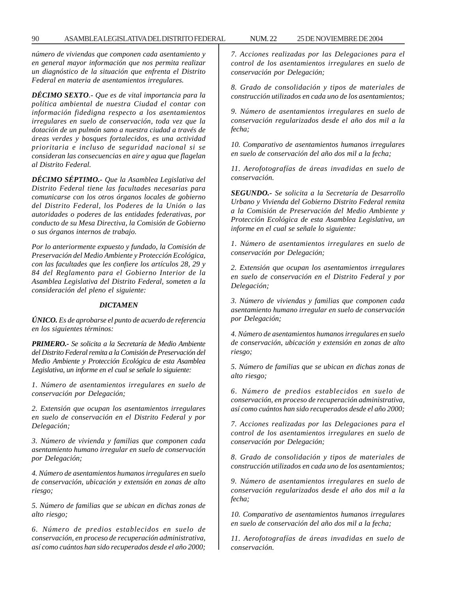*número de viviendas que componen cada asentamiento y en general mayor información que nos permita realizar un diagnóstico de la situación que enfrenta el Distrito Federal en materia de asentamientos irregulares.*

*DÉCIMO SEXTO.- Que es de vital importancia para la política ambiental de nuestra Ciudad el contar con información fidedigna respecto a los asentamientos irregulares en suelo de conservación, toda vez que la dotación de un pulmón sano a nuestra ciudad a través de áreas verdes y bosques fortalecidos, es una actividad prioritaria e incluso de seguridad nacional si se consideran las consecuencias en aire y agua que flagelan al Distrito Federal.*

*DÉCIMO SÉPTIMO.- Que la Asamblea Legislativa del Distrito Federal tiene las facultades necesarias para comunicarse con los otros órganos locales de gobierno del Distrito Federal, los Poderes de la Unión o las autoridades o poderes de las entidades federativas, por conducto de su Mesa Directiva, la Comisión de Gobierno o sus órganos internos de trabajo.*

*Por lo anteriormente expuesto y fundado, la Comisión de Preservación del Medio Ambiente y Protección Ecológica, con las facultades que les confiere los artículos 28, 29 y 84 del Reglamento para el Gobierno Interior de la Asamblea Legislativa del Distrito Federal, someten a la consideración del pleno el siguiente:*

#### *DICTAMEN*

*ÚNICO. Es de aprobarse el punto de acuerdo de referencia en los siguientes términos:*

*PRIMERO.- Se solicita a la Secretaría de Medio Ambiente del Distrito Federal remita a la Comisión de Preservación del Medio Ambiente y Protección Ecológica de esta Asamblea Legislativa, un informe en el cual se señale lo siguiente:*

*1. Número de asentamientos irregulares en suelo de conservación por Delegación;*

*2. Extensión que ocupan los asentamientos irregulares en suelo de conservación en el Distrito Federal y por Delegación;*

*3. Número de vivienda y familias que componen cada asentamiento humano irregular en suelo de conservación por Delegación;*

*4. Número de asentamientos humanos irregulares en suelo de conservación, ubicación y extensión en zonas de alto riesgo;*

*5. Número de familias que se ubican en dichas zonas de alto riesgo;*

*6. Número de predios establecidos en suelo de conservación, en proceso de recuperación administrativa, así como cuántos han sido recuperados desde el año 2000;*

*7. Acciones realizadas por las Delegaciones para el control de los asentamientos irregulares en suelo de conservación por Delegación;*

*8. Grado de consolidación y tipos de materiales de construcción utilizados en cada uno de los asentamientos;*

*9. Número de asentamientos irregulares en suelo de conservación regularizados desde el año dos mil a la fecha;*

*10. Comparativo de asentamientos humanos irregulares en suelo de conservación del año dos mil a la fecha;*

*11. Aerofotografías de áreas invadidas en suelo de conservación.*

*SEGUNDO.- Se solicita a la Secretaría de Desarrollo Urbano y Vivienda del Gobierno Distrito Federal remita a la Comisión de Preservación del Medio Ambiente y Protección Ecológica de esta Asamblea Legislativa, un informe en el cual se señale lo siguiente:*

*1. Número de asentamientos irregulares en suelo de conservación por Delegación;*

*2. Extensión que ocupan los asentamientos irregulares en suelo de conservación en el Distrito Federal y por Delegación;*

*3. Número de viviendas y familias que componen cada asentamiento humano irregular en suelo de conservación por Delegación;*

*4. Número de asentamientos humanos irregulares en suelo de conservación, ubicación y extensión en zonas de alto riesgo;*

*5. Número de familias que se ubican en dichas zonas de alto riesgo;*

*6. Número de predios establecidos en suelo de conservación, en proceso de recuperación administrativa, así como cuántos han sido recuperados desde el año 2000;*

*7. Acciones realizadas por las Delegaciones para el control de los asentamientos irregulares en suelo de conservación por Delegación;*

*8. Grado de consolidación y tipos de materiales de construcción utilizados en cada uno de los asentamientos;*

*9. Número de asentamientos irregulares en suelo de conservación regularizados desde el año dos mil a la fecha;*

*10. Comparativo de asentamientos humanos irregulares en suelo de conservación del año dos mil a la fecha;*

*11. Aerofotografías de áreas invadidas en suelo de conservación.*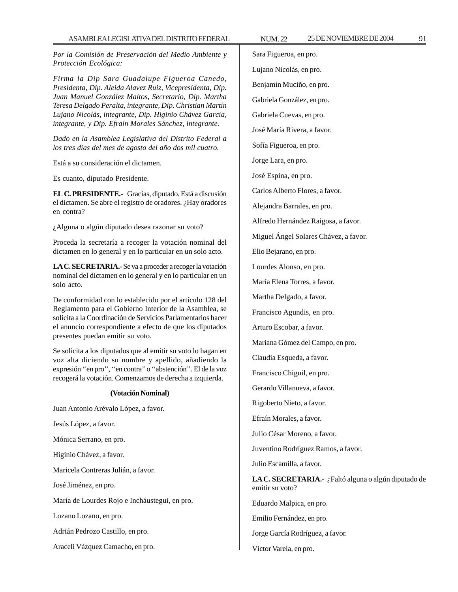*Por la Comisión de Preservación del Medio Ambiente y Protección Ecológica:*

*Firma la Dip Sara Guadalupe Figueroa Canedo, Presidenta, Dip. Aleida Alavez Ruiz, Vicepresidenta, Dip. Juan Manuel González Maltos, Secretario, Dip. Martha Teresa Delgado Peralta, integrante, Dip. Christian Martín Lujano Nicolás, integrante, Dip. Higinio Chávez García, integrante, y Dip. Efraín Morales Sánchez, integrante.*

*Dado en la Asamblea Legislativa del Distrito Federal a los tres días del mes de agosto del año dos mil cuatro.*

Está a su consideración el dictamen.

Es cuanto, diputado Presidente.

**EL C. PRESIDENTE.-** Gracias, diputado. Está a discusión el dictamen. Se abre el registro de oradores. ¿Hay oradores en contra?

¿Alguna o algún diputado desea razonar su voto?

Proceda la secretaría a recoger la votación nominal del dictamen en lo general y en lo particular en un solo acto.

**LA C. SECRETARIA.-** Se va a proceder a recoger la votación nominal del dictamen en lo general y en lo particular en un solo acto.

De conformidad con lo establecido por el artículo 128 del Reglamento para el Gobierno Interior de la Asamblea, se solicita a la Coordinación de Servicios Parlamentarios hacer el anuncio correspondiente a efecto de que los diputados presentes puedan emitir su voto.

Se solicita a los diputados que al emitir su voto lo hagan en voz alta diciendo su nombre y apellido, añadiendo la expresión ''en pro'', ''en contra'' o ''abstención''. El de la voz recogerá la votación. Comenzamos de derecha a izquierda.

#### **(Votación Nominal)**

Juan Antonio Arévalo López, a favor.

Jesús López, a favor.

Mónica Serrano, en pro.

Higinio Chávez, a favor.

Maricela Contreras Julián, a favor.

José Jiménez, en pro.

María de Lourdes Rojo e Incháustegui, en pro.

Lozano Lozano, en pro.

Adrián Pedrozo Castillo, en pro.

Araceli Vázquez Camacho, en pro.

Sara Figueroa, en pro. Lujano Nicolás, en pro. Benjamín Muciño, en pro.

Gabriela González, en pro.

Gabriela Cuevas, en pro.

José María Rivera, a favor.

Sofía Figueroa, en pro.

Jorge Lara, en pro.

José Espina, en pro.

Carlos Alberto Flores, a favor.

Alejandra Barrales, en pro.

Alfredo Hernández Raigosa, a favor.

Miguel Ángel Solares Chávez, a favor.

Elio Bejarano, en pro.

Lourdes Alonso, en pro.

María Elena Torres, a favor.

Martha Delgado, a favor.

Francisco Agundis, en pro.

Arturo Escobar, a favor.

Mariana Gómez del Campo, en pro.

Claudia Esqueda, a favor.

Francisco Chiguil, en pro.

Gerardo Villanueva, a favor.

Rigoberto Nieto, a favor.

Efraín Morales, a favor.

Julio César Moreno, a favor.

Juventino Rodríguez Ramos, a favor.

Julio Escamilla, a favor.

**LA C. SECRETARIA.-** ¿Faltó alguna o algún diputado de emitir su voto?

Eduardo Malpica, en pro.

Emilio Fernández, en pro.

Jorge García Rodríguez, a favor.

Víctor Varela, en pro.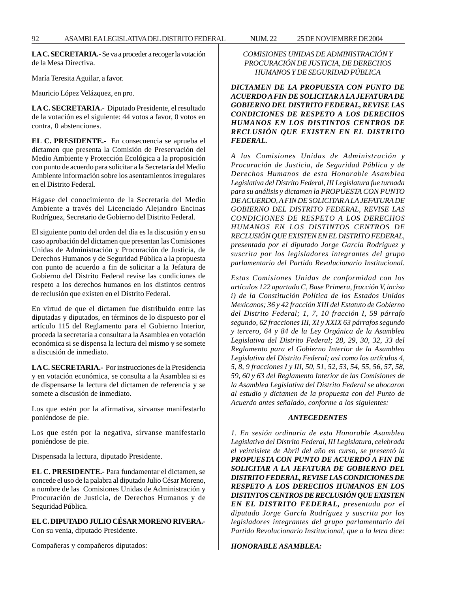**LA C. SECRETARIA.-** Se va a proceder a recoger la votación de la Mesa Directiva.

María Teresita Aguilar, a favor.

Mauricio López Velázquez, en pro.

**LA C. SECRETARIA.-** Diputado Presidente, el resultado de la votación es el siguiente: 44 votos a favor, 0 votos en contra, 0 abstenciones.

**EL C. PRESIDENTE.-** En consecuencia se aprueba el dictamen que presenta la Comisión de Preservación del Medio Ambiente y Protección Ecológica a la proposición con punto de acuerdo para solicitar a la Secretaría del Medio Ambiente información sobre los asentamientos irregulares en el Distrito Federal.

Hágase del conocimiento de la Secretaría del Medio Ambiente a través del Licenciado Alejandro Encinas Rodríguez, Secretario de Gobierno del Distrito Federal.

El siguiente punto del orden del día es la discusión y en su caso aprobación del dictamen que presentan las Comisiones Unidas de Administración y Procuración de Justicia, de Derechos Humanos y de Seguridad Pública a la propuesta con punto de acuerdo a fin de solicitar a la Jefatura de Gobierno del Distrito Federal revise las condiciones de respeto a los derechos humanos en los distintos centros de reclusión que existen en el Distrito Federal.

En virtud de que el dictamen fue distribuido entre las diputadas y diputados, en términos de lo dispuesto por el artículo 115 del Reglamento para el Gobierno Interior, proceda la secretaría a consultar a la Asamblea en votación económica si se dispensa la lectura del mismo y se somete a discusión de inmediato.

**LA C. SECRETARIA.-** Por instrucciones de la Presidencia y en votación económica, se consulta a la Asamblea si es de dispensarse la lectura del dictamen de referencia y se somete a discusión de inmediato.

Los que estén por la afirmativa, sírvanse manifestarlo poniéndose de pie.

Los que estén por la negativa, sírvanse manifestarlo poniéndose de pie.

Dispensada la lectura, diputado Presidente.

**EL C. PRESIDENTE.-** Para fundamentar el dictamen, se concede el uso de la palabra al diputado Julio César Moreno, a nombre de las Comisiones Unidas de Administración y Procuración de Justicia, de Derechos Humanos y de Seguridad Pública.

**EL C. DIPUTADO JULIO CÉSAR MORENO RIVERA.-** Con su venia, diputado Presidente.

Compañeras y compañeros diputados:

# *COMISIONES UNIDAS DE ADMINISTRACIÓN Y PROCURACIÓN DE JUSTICIA, DE DERECHOS HUMANOS Y DE SEGURIDAD PÚBLICA*

*DICTAMEN DE LA PROPUESTA CON PUNTO DE ACUERDO A FIN DE SOLICITAR A LA JEFATURA DE GOBIERNO DEL DISTRITO FEDERAL, REVISE LAS CONDICIONES DE RESPETO A LOS DERECHOS HUMANOS EN LOS DISTINTOS CENTROS DE RECLUSIÓN QUE EXISTEN EN EL DISTRITO FEDERAL.*

*A las Comisiones Unidas de Administración y Procuración de Justicia, de Seguridad Pública y de Derechos Humanos de esta Honorable Asamblea Legislativa del Distrito Federal, III Legislatura fue turnada para su análisis y dictamen la PROPUESTA CON PUNTO DE ACUERDO, A FIN DE SOLICITAR A LA JEFATURA DE GOBIERNO DEL DISTRITO FEDERAL, REVISE LAS CONDICIONES DE RESPETO A LOS DERECHOS HUMANOS EN LOS DISTINTOS CENTROS DE RECLUSIÓN QUE EXISTEN EN EL DISTRITO FEDERAL, presentada por el diputado Jorge García Rodríguez y suscrita por los legisladores integrantes del grupo parlamentario del Partido Revolucionario Institucional.*

*Estas Comisiones Unidas de conformidad con los artículos 122 apartado C, Base Primera, fracción V, inciso i) de la Constitución Política de los Estados Unidos Mexicanos; 36 y 42 fracción XIII del Estatuto de Gobierno del Distrito Federal; 1, 7, 10 fracción I, 59 párrafo segundo, 62 fracciones III, XI y XXIX 63 párrafos segundo y tercero, 64 y 84 de la Ley Orgánica de la Asamblea Legislativa del Distrito Federal; 28, 29, 30, 32, 33 del Reglamento para el Gobierno Interior de la Asamblea Legislativa del Distrito Federal; así como los artículos 4, 5, 8, 9 fracciones I y III, 50, 51, 52, 53, 54, 55, 56, 57, 58, 59, 60 y 63 del Reglamento Interior de las Comisiones de la Asamblea Legislativa del Distrito Federal se abocaron al estudio y dictamen de la propuesta con del Punto de Acuerdo antes señalado, conforme a los siguientes:*

# *ANTECEDENTES*

*1. En sesión ordinaria de esta Honorable Asamblea Legislativa del Distrito Federal, III Legislatura, celebrada el veintisiete de Abril del año en curso, se presentó la PROPUESTA CON PUNTO DE ACUERDO A FIN DE SOLICITAR A LA JEFATURA DE GOBIERNO DEL DISTRITO FEDERAL, REVISE LAS CONDICIONES DE RESPETO A LOS DERECHOS HUMANOS EN LOS DISTINTOS CENTROS DE RECLUSIÓN QUE EXISTEN EN EL DISTRITO FEDERAL, presentada por el diputado Jorge García Rodríguez y suscrita por los legisladores integrantes del grupo parlamentario del Partido Revolucionario Institucional, que a la letra dice:*

# *HONORABLE ASAMBLEA:*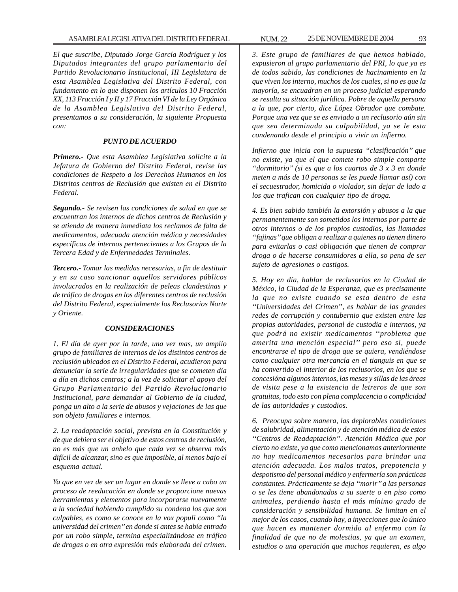*El que suscribe, Diputado Jorge García Rodríguez y los Diputados integrantes del grupo parlamentario del Partido Revolucionario Institucional, III Legislatura de esta Asamblea Legislativa del Distrito Federal, con fundamento en lo que disponen los artículos 10 Fracción XX, 113 Fracción I y II y 17 Fracción VI de la Ley Orgánica de la Asamblea Legislativa del Distrito Federal, presentamos a su consideración, la siguiente Propuesta con:*

#### *PUNTO DE ACUERDO*

*Primero.- Que esta Asamblea Legislativa solicite a la Jefatura de Gobierno del Distrito Federal, revise las condiciones de Respeto a los Derechos Humanos en los Distritos centros de Reclusión que existen en el Distrito Federal.*

*Segundo.- Se revisen las condiciones de salud en que se encuentran los internos de dichos centros de Reclusión y se atienda de manera inmediata los reclamos de falta de medicamentos, adecuada atención médica y necesidades específicas de internos pertenecientes a los Grupos de la Tercera Edad y de Enfermedades Terminales.*

*Tercero.- Tomar las medidas necesarias, a fin de destituir y en su caso sancionar aquellos servidores públicos involucrados en la realización de peleas clandestinas y de tráfico de drogas en los diferentes centros de reclusión del Distrito Federal, especialmente los Reclusorios Norte y Oriente.*

#### *CONSIDERACIONES*

*1. El día de ayer por la tarde, una vez mas, un amplio grupo de familiares de internos de los distintos centros de reclusión ubicados en el Distrito Federal, acudieron para denunciar la serie de irregularidades que se cometen día a día en dichos centros; a la vez de solicitar el apoyo del Grupo Parlamentario del Partido Revolucionario Institucional, para demandar al Gobierno de la ciudad, ponga un alto a la serie de abusos y vejaciones de las que son objeto familiares e internos.*

*2. La readaptación social, prevista en la Constitución y de que debiera ser el objetivo de estos centros de reclusión, no es más que un anhelo que cada vez se observa más difícil de alcanzar, sino es que imposible, al menos bajo el esquema actual.*

*Ya que en vez de ser un lugar en donde se lleve a cabo un proceso de reeducación en donde se proporcione nuevas herramientas y elementos para incorporarse nuevamente a la sociedad habiendo cumplido su condena los que son culpables, es como se conoce en la vox populi como ''la universidad del crimen'' en donde si antes se había entrado por un robo simple, termina especializándose en tráfico de drogas o en otra expresión más elaborada del crimen.*

*3. Este grupo de familiares de que hemos hablado, expusieron al grupo parlamentario del PRI, lo que ya es de todos sabido, las condiciones de hacinamiento en la que viven los interno, muchos de los cuales, si no es que la mayoría, se encuadran en un proceso judicial esperando se resulta su situación jurídica. Pobre de aquella persona a la que, por cierto, dice López Obrador que combate. Porque una vez que se es enviado a un reclusorio aún sin que sea determinada su culpabilidad, ya se le esta condenando desde el principio a vivir un infierno.*

*Infierno que inicia con la supuesta ''clasificación'' que no existe, ya que el que comete robo simple comparte ''dormitorio'' (si es que a los cuartos de 3 x 3 en donde meten a más de 10 personas se les puede llamar así) con el secuestrador, homicida o violador, sin dejar de lado a los que trafican con cualquier tipo de droga.*

*4. Es bien sabido también la extorsión y abusos a la que permanentemente son sometidos los internos por parte de otros internos o de los propios custodios, las llamadas ''fajinas'' que obligan a realizar a quienes no tienen dinero para evitarlas o casi obligación que tienen de comprar droga o de hacerse consumidores a ella, so pena de ser sujeto de agresiones o castigos.*

*5. Hoy en día, hablar de reclusorios en la Ciudad de México, la Ciudad de la Esperanza, que es precisamente la que no existe cuando se esta dentro de esta ''Universidades del Crimen'', es hablar de las grandes redes de corrupción y contubernio que existen entre las propias autoridades, personal de custodia e internos, ya que podrá no existir medicamentos ''problema que amerita una mención especial'' pero eso si, puede encontrarse el tipo de droga que se quiera, vendiéndose como cualquier otra mercancía en el tianguis en que se ha convertido el interior de los reclusorios, en los que se concesióna algunos internos, las mesas y sillas de las áreas de visita pese a la existencia de letreros de que son gratuitas, todo esto con plena complacencia o complicidad de las autoridades y custodios.*

*6. Preocupa sobre manera, las deplorables condiciones de salubridad, alimentación y de atención médica de estos ''Centros de Readaptación''. Atención Médica que por cierto no existe, ya que como mencionamos anteriormente no hay medicamentos necesarios para brindar una atención adecuada. Los malos tratos, prepotencia y despotismo del personal médico y enfermería son prácticas constantes. Prácticamente se deja ''morir'' a las personas o se les tiene abandonados a su suerte o en piso como animales, perdiendo hasta el más mínimo grado de consideración y sensibilidad humana. Se limitan en el mejor de los casos, cuando hay, a inyecciones que lo único que hacen es mantener dormido al enfermo con la finalidad de que no de molestias, ya que un examen, estudios o una operación que muchos requieren, es algo*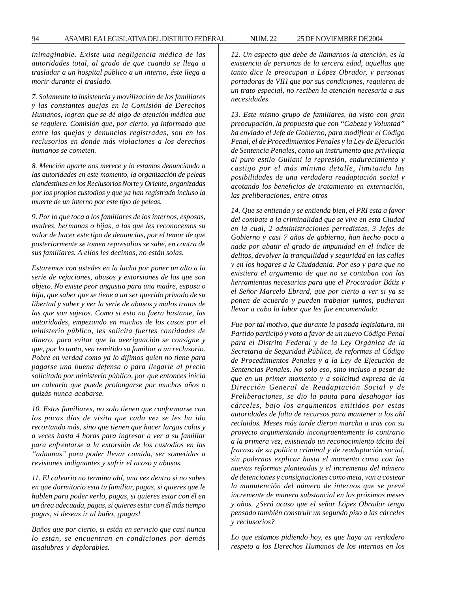*inimaginable. Existe una negligencia médica de las autoridades total, al grado de que cuando se llega a trasladar a un hospital público a un interno, éste llega a morir durante el traslado.*

*7. Solamente la insistencia y movilización de los familiares y las constantes quejas en la Comisión de Derechos Humanos, logran que se dé algo de atención médica que se requiere. Comisión que, por cierto, ya informado que entre las quejas y denuncias registradas, son en los reclusorios en donde más violaciones a los derechos humanos se cometen.*

*8. Mención aparte nos merece y lo estamos denunciando a las autoridades en este momento, la organización de peleas clandestinas en los Reclusorios Norte y Oriente, organizadas por los propios custodios y que ya han registrado incluso la muerte de un interno por este tipo de peleas.*

*9. Por lo que toca a los familiares de los internos, esposas, madres, hermanas o hijas, a las que les reconocemos su valor de hacer este tipo de denuncias, por el temor de que posteriormente se tomen represalias se sabe, en contra de sus familiares. A ellos les decimos, no están solas.*

*Estaremos con ustedes en la lucha por poner un alto a la serie de vejaciones, abusos y extorsiones de las que son objeto. No existe peor angustia para una madre, esposa o hija, que saber que se tiene a un ser querido privado de su libertad y saber y ver la serie de abusos y malos tratos de las que son sujetos. Como si esto no fuera bastante, las autoridades, empezando en muchos de los casos por el ministerio público, les solicita fuertes cantidades de dinero, para evitar que la averiguación se consigne y que, por lo tanto, sea remitido su familiar a un reclusorio. Pobre en verdad como ya lo dijimos quien no tiene para pagarse una buena defensa o para llegarle al precio solicitado por ministerio público, por que entonces inicia un calvario que puede prolongarse por muchos años o quizás nunca acabarse.*

*10. Estos familiares, no solo tienen que conformarse con los pocas días de visita que cada vez se les ha ido recortando más, sino que tienen que hacer largas colas y a veces hasta 4 horas para ingresar a ver a su familiar para enfrentarse a la extorsión de los custodios en las ''aduanas'' para poder llevar comida, ser sometidas a revisiones indignantes y sufrir el acoso y abusos.*

*11. El calvario no termina ahí, una vez dentro si no sabes en que dormitorio esta tu familiar, pagas, si quieres que le hablen para poder verlo, pagas, si quieres estar con él en un área adecuada, pagas, si quieres estar con él más tiempo pagas, si deseas ir al baño, ¡pagas!*

*Baños que por cierto, si están en servicio que casi nunca lo están, se encuentran en condiciones por demás insalubres y deplorables.*

*12. Un aspecto que debe de llamarnos la atención, es la existencia de personas de la tercera edad, aquellas que tanto dice le preocupan a López Obrador, y personas portadoras de VIH que por sus condiciones, requieren de un trato especial, no reciben la atención necesaria a sus necesidades.*

*13. Este mismo grupo de familiares, ha visto con gran preocupación, la propuesta que con ''Cabeza y Voluntad'' ha enviado el Jefe de Gobierno, para modificar el Código Penal, el de Procedimientos Penales y la Ley de Ejecución de Sentencia Penales, como un instrumento que privilegia al puro estilo Guliani la represión, endurecimiento y castigo por el más mínimo detalle, limitando las posibilidades de una verdadera readaptación social y acotando los beneficios de tratamiento en externación, las preliberaciones, entre otros*

*14. Que se entienda y se entienda bien, el PRI esta a favor del combate a la criminalidad que se vive en esta Ciudad en la cual, 2 administraciones perredistas, 3 Jefes de Gobierno y casi 7 años de gobierno, han hecho poco a nada por abatir el grado de impunidad en el índice de delitos, devolver la tranquilidad y seguridad en las calles y en los hogares a la Ciudadanía. Por eso y para que no existiera el argumento de que no se contaban con las herramientas necesarias para que el Procurador Bátiz y el Señor Marcelo Ebrard, que por cierto a ver si ya se ponen de acuerdo y pueden trabajar juntos, pudieran llevar a cabo la labor que les fue encomendada.*

*Fue por tal motivo, que durante la pasada legislatura, mi Partido participó y voto a favor de un nuevo Código Penal para el Distrito Federal y de la Ley Orgánica de la Secretaria de Seguridad Pública, de reformas al Código de Procedimientos Penales y a la Ley de Ejecución de Sentencias Penales. No solo eso, sino incluso a pesar de que en un primer momento y a solicitud expresa de la Dirección General de Readaptación Social y de Preliberaciones, se dio la pauta para desahogar las cárceles, bajo los argumentos emitidos por estas autoridades de falta de recursos para mantener a los ahí recluidos. Meses más tarde dieron marcha a tras con su proyecto argumentando incongruentemente lo contrario a la primera vez, existiendo un reconocimiento tácito del fracaso de su política criminal y de readaptación social, sin podernos explicar hasta el momento como con las nuevas reformas planteadas y el incremento del número de detenciones y consignaciones como meta, van a costear la manutención del número de internos que se prevé incremente de manera substancial en los próximos meses y años. ¿Será acaso que el señor López Obrador tenga pensado también construir un segundo piso a las cárceles y reclusorios?*

*Lo que estamos pidiendo hoy, es que haya un verdadero respeto a los Derechos Humanos de los internos en los*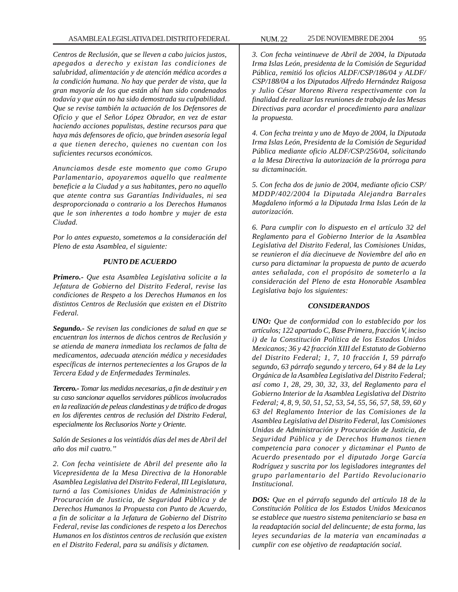*Centros de Reclusión, que se lleven a cabo juicios justos, apegados a derecho y existan las condiciones de salubridad, alimentación y de atención médica acordes a la condición humana. No hay que perder de vista, que la gran mayoría de los que están ahí han sido condenados todavía y que aún no ha sido demostrada su culpabilidad. Que se revise también la actuación de los Defensores de Oficio y que el Señor López Obrador, en vez de estar haciendo acciones populistas, destine recursos para que haya más defensores de oficio, que brinden asesoría legal a que tienen derecho, quienes no cuentan con los suficientes recursos económicos.*

*Anunciamos desde este momento que como Grupo Parlamentario, apoyaremos aquello que realmente beneficie a la Ciudad y a sus habitantes, pero no aquello que atente contra sus Garantías Individuales, ni sea desproporcionada o contrario a los Derechos Humanos que le son inherentes a todo hombre y mujer de esta Ciudad.*

*Por lo antes expuesto, sometemos a la consideración del Pleno de esta Asamblea, el siguiente:*

#### *PUNTO DE ACUERDO*

*Primero.- Que esta Asamblea Legislativa solicite a la Jefatura de Gobierno del Distrito Federal, revise las condiciones de Respeto a los Derechos Humanos en los distintos Centros de Reclusión que existen en el Distrito Federal.*

*Segundo.- Se revisen las condiciones de salud en que se encuentran los internos de dichos centros de Reclusión y se atienda de manera inmediata los reclamos de falta de medicamentos, adecuada atención médica y necesidades específicas de internos pertenecientes a los Grupos de la Tercera Edad y de Enfermedades Terminales.*

*Tercero.- Tomar las medidas necesarias, a fin de destituir y en su caso sancionar aquellos servidores públicos involucrados en la realización de peleas clandestinas y de tráfico de drogas en los diferentes centros de reclusión del Distrito Federal, especialmente los Reclusorios Norte y Oriente.*

*Salón de Sesiones a los veintidós días del mes de Abril del año dos mil cuatro.''*

*2. Con fecha veintisiete de Abril del presente año la Vicepresidenta de la Mesa Directiva de la Honorable Asamblea Legislativa del Distrito Federal, III Legislatura, turnó a las Comisiones Unidas de Administración y Procuración de Justicia, de Seguridad Pública y de Derechos Humanos la Propuesta con Punto de Acuerdo, a fin de solicitar a la Jefatura de Gobierno del Distrito Federal, revise las condiciones de respeto a los Derechos Humanos en los distintos centros de reclusión que existen en el Distrito Federal, para su análisis y dictamen.*

*3. Con fecha veintinueve de Abril de 2004, la Diputada Irma Islas León, presidenta de la Comisión de Seguridad Pública, remitió los oficios ALDF/CSP/186/04 y ALDF/ CSP/188/04 a los Diputados Alfredo Hernández Raigosa y Julio César Moreno Rivera respectivamente con la finalidad de realizar las reuniones de trabajo de las Mesas Directivas para acordar el procedimiento para analizar la propuesta.*

*4. Con fecha treinta y uno de Mayo de 2004, la Diputada Irma Islas León, Presidenta de la Comisión de Seguridad Pública mediante oficio ALDF/CSP/256/04, solicitando a la Mesa Directiva la autorización de la prórroga para su dictaminación.*

*5. Con fecha dos de junio de 2004, mediante oficio CSP/ MDDP/402/2004 la Diputada Alejandra Barrales Magdaleno informó a la Diputada Irma Islas León de la autorización.*

*6. Para cumplir con lo dispuesto en el artículo 32 del Reglamento para el Gobierno Interior de la Asamblea Legislativa del Distrito Federal, las Comisiones Unidas, se reunieron el día diecinueve de Noviembre del año en curso para dictaminar la propuesta de punto de acuerdo antes señalada, con el propósito de someterlo a la consideración del Pleno de esta Honorable Asamblea Legislativa bajo los siguientes:*

#### *CONSIDERANDOS*

*UNO: Que de conformidad con lo establecido por los artículos; 122 apartado C, Base Primera, fracción V, inciso i) de la Constitución Política de los Estados Unidos Mexicanos; 36 y 42 fracción XIII del Estatuto de Gobierno del Distrito Federal; 1, 7, 10 fracción I, 59 párrafo segundo, 63 párrafo segundo y tercero, 64 y 84 de la Ley Orgánica de la Asamblea Legislativa del Distrito Federal; así como 1, 28, 29, 30, 32, 33, del Reglamento para el Gobierno Interior de la Asamblea Legislativa del Distrito Federal; 4, 8, 9, 50, 51, 52, 53, 54, 55, 56, 57, 58, 59, 60 y 63 del Reglamento Interior de las Comisiones de la Asamblea Legislativa del Distrito Federal, las Comisiones Unidas de Administración y Procuración de Justicia, de Seguridad Pública y de Derechos Humanos tienen competencia para conocer y dictaminar el Punto de Acuerdo presentado por el diputado Jorge García Rodríguez y suscrita por los legisladores integrantes del grupo parlamentario del Partido Revolucionario Institucional.*

*DOS: Que en el párrafo segundo del artículo 18 de la Constitución Política de los Estados Unidos Mexicanos se establece que nuestro sistema penitenciario se basa en la readaptación social del delincuente; de esta forma, las leyes secundarias de la materia van encaminadas a cumplir con ese objetivo de readaptación social.*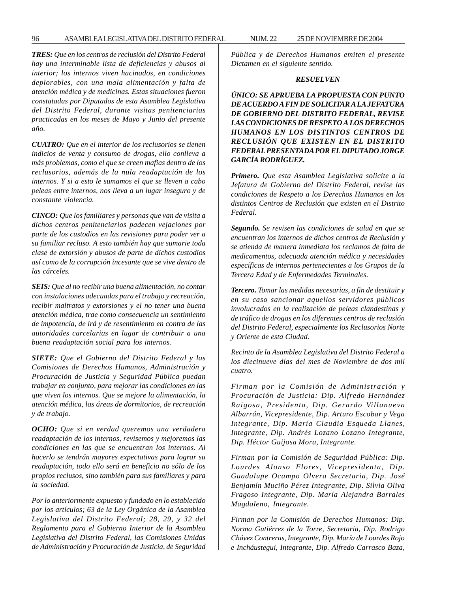96 ASAMBLEA LEGISLATIVA DEL DISTRITO FEDERAL NUM. 22 25 DE NOVIEMBRE DE 2004

*TRES: Que en los centros de reclusión del Distrito Federal hay una interminable lista de deficiencias y abusos al interior; los internos viven hacinados, en condiciones deplorables, con una mala alimentación y falta de atención médica y de medicinas. Estas situaciones fueron constatadas por Diputados de esta Asamblea Legislativa del Distrito Federal, durante visitas penitenciarias practicadas en los meses de Mayo y Junio del presente año.*

*CUATRO: Que en el interior de los reclusorios se tienen indicios de venta y consumo de drogas, ello conlleva a más problemas, como el que se creen mafias dentro de los reclusorios, además de la nula readaptación de los internos. Y si a esto le sumamos el que se lleven a cabo peleas entre internos, nos lleva a un lugar inseguro y de constante violencia.*

*CINCO: Que los familiares y personas que van de visita a dichos centros penitenciarios padecen vejaciones por parte de los custodios en las revisiones para poder ver a su familiar recluso. A esto también hay que sumarie toda clase de extorsión y abusos de parte de dichos custodios así como de la corrupción incesante que se vive dentro de las cárceles.*

*SEIS: Que al no recibir una buena alimentación, no contar con instalaciones adecuadas para el trabajo y recreación, recibir maltratos y extorsiones y el no tener una buena atención médica, trae como consecuencia un sentimiento de impotencia, de irá y de resentimiento en contra de las autoridades carcelarias en lugar de contribuir a una buena readaptación social para los internos.*

*SIETE: Que el Gobierno del Distrito Federal y las Comisiones de Derechos Humanos, Administración y Procuración de Justicia y Seguridad Pública puedan trabajar en conjunto, para mejorar las condiciones en las que viven los internos. Que se mejore la alimentación, la atención médica, las áreas de dormitorios, de recreación y de trabajo.*

*OCHO: Que si en verdad queremos una verdadera readaptación de los internos, revisemos y mejoremos las condiciones en las que se encuentran los internos. Al hacerlo se tendrán mayores expectativas para lograr su readaptación, todo ello será en beneficio no sólo de los propios reclusos, sino también para sus familiares y para la sociedad.*

*Por lo anteriormente expuesto y fundado en lo establecido por los artículos; 63 de la Ley Orgánica de la Asamblea Legislativa del Distrito Federal; 28, 29, y 32 del Reglamento para el Gobierno Interior de la Asamblea Legislativa del Distrito Federal, las Comisiones Unidas de Administración y Procuración de Justicia, de Seguridad* *Pública y de Derechos Humanos emiten el presente Dictamen en el siguiente sentido.*

#### *RESUELVEN*

*ÚNICO: SE APRUEBA LA PROPUESTA CON PUNTO DE ACUERDO A FIN DE SOLICITAR A LA JEFATURA DE GOBIERNO DEL DISTRITO FEDERAL, REVISE LAS CONDICIONES DE RESPETO A LOS DERECHOS HUMANOS EN LOS DISTINTOS CENTROS DE RECLUSIÓN QUE EXISTEN EN EL DISTRITO FEDERAL PRESENTADA POR EL DIPUTADO JORGE GARCÍA RODRÍGUEZ.*

*Primero. Que esta Asamblea Legislativa solicite a la Jefatura de Gobierno del Distrito Federal, revise las condiciones de Respeto a los Derechos Humanos en los distintos Centros de Reclusión que existen en el Distrito Federal.*

*Segundo. Se revisen las condiciones de salud en que se encuentran los internos de dichos centros de Reclusión y se atienda de manera inmediata los reclamos de falta de medicamentos, adecuada atención médica y necesidades específicas de internos pertenecientes a los Grupos de la Tercera Edad y de Enfermedades Terminales.*

*Tercero. Tomar las medidas necesarias, a fin de destituir y en su caso sancionar aquellos servidores públicos involucrados en la realización de peleas clandestinas y de tráfico de drogas en los diferentes centros de reclusión del Distrito Federal, especialmente los Reclusorios Norte y Oriente de esta Ciudad.*

*Recinto de la Asamblea Legislativa del Distrito Federal a los diecinueve días del mes de Noviembre de dos mil cuatro.*

*Firman por la Comisión de Administración y Procuración de Justicia: Dip. Alfredo Hernández Raigosa, Presidenta, Dip. Gerardo Villanueva Albarrán, Vicepresidente, Dip. Arturo Escobar y Vega Integrante, Dip. María Claudia Esqueda Llanes, Integrante, Dip. Andrés Lozano Lozano Integrante, Dip. Héctor Guijosa Mora, Integrante.*

*Firman por la Comisión de Seguridad Pública: Dip. Lourdes Alonso Flores, Vicepresidenta, Dip. Guadalupe Ocampo Olvera Secretaria, Dip. José Benjamín Muciño Pérez Integrante, Dip. Silvia Oliva Fragoso Integrante, Dip. María Alejandra Barrales Magdaleno, Integrante.*

*Firman por la Comisión de Derechos Humanos: Dip. Norma Gutiérrez de la Torre, Secretaria, Dip. Rodrigo Chávez Contreras, Integrante, Dip. María de Lourdes Rojo e Incháustegui, Integrante, Dip. Alfredo Carrasco Baza,*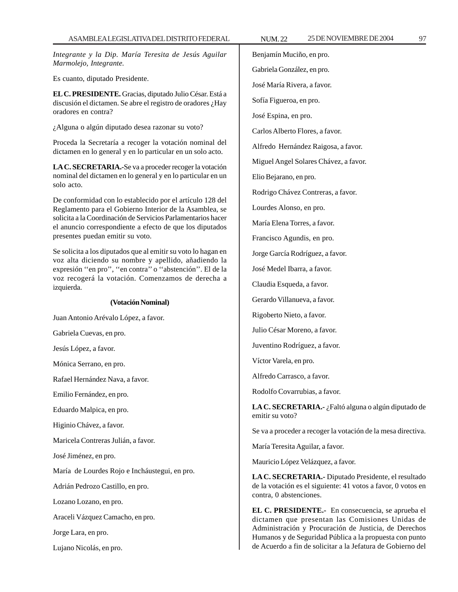*Integrante y la Dip. María Teresita de Jesús Aguilar Marmolejo, Integrante.*

Es cuanto, diputado Presidente.

**EL C. PRESIDENTE.** Gracias, diputado Julio César. Está a discusión el dictamen. Se abre el registro de oradores ¿Hay oradores en contra?

¿Alguna o algún diputado desea razonar su voto?

Proceda la Secretaría a recoger la votación nominal del dictamen en lo general y en lo particular en un solo acto.

**LA C. SECRETARIA.-**Se va a proceder recoger la votación nominal del dictamen en lo general y en lo particular en un solo acto.

De conformidad con lo establecido por el artículo 128 del Reglamento para el Gobierno Interior de la Asamblea, se solicita a la Coordinación de Servicios Parlamentarios hacer el anuncio correspondiente a efecto de que los diputados presentes puedan emitir su voto.

Se solicita a los diputados que al emitir su voto lo hagan en voz alta diciendo su nombre y apellido, añadiendo la expresión ''en pro'', ''en contra'' o ''abstención''. El de la voz recogerá la votación. Comenzamos de derecha a izquierda.

#### **(Votación Nominal)**

Juan Antonio Arévalo López, a favor.

Gabriela Cuevas, en pro.

Jesús López, a favor.

Mónica Serrano, en pro.

Rafael Hernández Nava, a favor.

Emilio Fernández, en pro.

Eduardo Malpica, en pro.

Higinio Chávez, a favor.

Maricela Contreras Julián, a favor.

José Jiménez, en pro.

María de Lourdes Rojo e Incháustegui, en pro.

Adrián Pedrozo Castillo, en pro.

Lozano Lozano, en pro.

Araceli Vázquez Camacho, en pro.

Jorge Lara, en pro.

Lujano Nicolás, en pro.

Benjamín Muciño, en pro. Gabriela González, en pro. José María Rivera, a favor. Sofía Figueroa, en pro. José Espina, en pro. Carlos Alberto Flores, a favor. Alfredo Hernández Raigosa, a favor. Miguel Angel Solares Chávez, a favor. Elio Bejarano, en pro. Rodrigo Chávez Contreras, a favor. Lourdes Alonso, en pro. María Elena Torres, a favor. Francisco Agundis, en pro. Jorge García Rodríguez, a favor. José Medel Ibarra, a favor. Claudia Esqueda, a favor. Gerardo Villanueva, a favor. Rigoberto Nieto, a favor. Julio César Moreno, a favor. Juventino Rodríguez, a favor. Víctor Varela, en pro. Alfredo Carrasco, a favor. Rodolfo Covarrubias, a favor. **LA C. SECRETARIA.-** ¿Faltó alguna o algún diputado de emitir su voto? Se va a proceder a recoger la votación de la mesa directiva. María Teresita Aguilar, a favor. Mauricio López Velázquez, a favor.

**LA C. SECRETARIA.-** Diputado Presidente, el resultado de la votación es el siguiente: 41 votos a favor, 0 votos en contra, 0 abstenciones.

**EL C. PRESIDENTE.-** En consecuencia, se aprueba el dictamen que presentan las Comisiones Unidas de Administración y Procuración de Justicia, de Derechos Humanos y de Seguridad Pública a la propuesta con punto de Acuerdo a fin de solicitar a la Jefatura de Gobierno del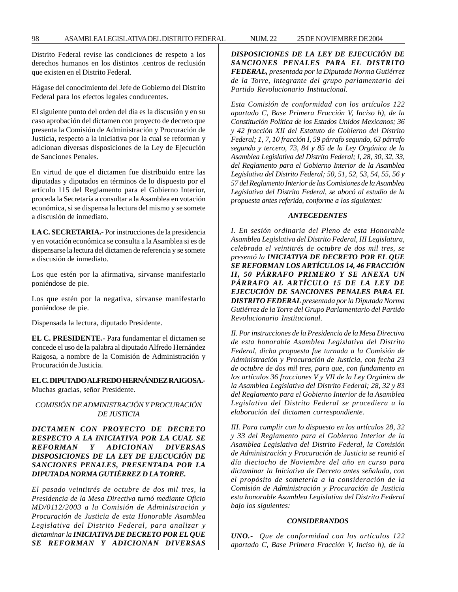Distrito Federal revise las condiciones de respeto a los derechos humanos en los distintos .centros de reclusión que existen en el Distrito Federal.

Hágase del conocimiento del Jefe de Gobierno del Distrito Federal para los efectos legales conducentes.

El siguiente punto del orden del día es la discusión y en su caso aprobación del dictamen con proyecto de decreto que presenta la Comisión de Administración y Procuración de Justicia, respecto a la iniciativa por la cual se reforman y adicionan diversas disposiciones de la Ley de Ejecución de Sanciones Penales.

En virtud de que el dictamen fue distribuido entre las diputadas y diputados en términos de lo dispuesto por el artículo 115 del Reglamento para el Gobierno Interior, proceda la Secretaría a consultar a la Asamblea en votación económica, si se dispensa la lectura del mismo y se somete a discusión de inmediato.

**LA C. SECRETARIA.-** Por instrucciones de la presidencia y en votación económica se consulta a la Asamblea si es de dispensarse la lectura del dictamen de referencia y se somete a discusión de inmediato.

Los que estén por la afirmativa, sírvanse manifestarlo poniéndose de pie.

Los que estén por la negativa, sírvanse manifestarlo poniéndose de pie.

Dispensada la lectura, diputado Presidente.

**EL C. PRESIDENTE.-** Para fundamentar el dictamen se concede el uso de la palabra al diputado Alfredo Hernández Raigosa, a nombre de la Comisión de Administración y Procuración de Justicia.

# **EL C. DIPUTADO ALFREDO HERNÁNDEZ RAIGOSA.-**

Muchas gracias, señor Presidente.

# *COMISIÓN DE ADMINISTRACIÓN Y PROCURACIÓN DE JUSTICIA*

# *DICTAMEN CON PROYECTO DE DECRETO RESPECTO A LA INICIATIVA POR LA CUAL SE REFORMAN Y ADICIONAN DIVERSAS DISPOSICIONES DE LA LEY DE EJECUCIÓN DE SANCIONES PENALES, PRESENTADA POR LA DIPUTADA NORMA GUTIÉRREZ D LA TORRE.*

*El pasado veintitrés de octubre de dos mil tres, la Presidencia de la Mesa Directiva turnó mediante Oficio MD/0112/2003 a la Comisión de Administración y Procuración de Justicia de esta Honorable Asamblea Legislativa del Distrito Federal, para analizar y dictaminar la INICIATIVA DE DECRETO POR EL QUE SE REFORMAN Y ADICIONAN DIVERSAS* *DISPOSICIONES DE LA LEY DE EJECUCIÓN DE SANCIONES PENALES PARA EL DISTRITO FEDERAL, presentada por la Diputada Norma Gutiérrez de la Torre, integrante del grupo parlamentario del Partido Revolucionario Institucional.*

*Esta Comisión de conformidad con los artículos 122 apartado C, Base Primera Fracción V, Inciso h), de la Constitución Política de los Estados Unidos Mexicanos; 36 y 42 fracción XII del Estatuto de Gobierno del Distrito Federal; 1, 7, 10 fracción I, 59 párrafo segundo, 63 párrafo segundo y tercero, 73, 84 y 85 de la Ley Orgánica de la Asamblea Legislativa del Distrito Federal; I, 28, 30, 32, 33, del Reglamento para el Gobierno Interior de la Asamblea Legislativa del Distrito Federal; 50, 51, 52, 53, 54, 55, 56 y 57 del Reglamento Interior de las Comisiones de la Asamblea Legislativa del Distrito Federal, se abocó al estudio de la propuesta antes referida, conforme a los siguientes:*

### *ANTECEDENTES*

*I. En sesión ordinaria del Pleno de esta Honorable Asamblea Legislativa del Distrito Federal, III Legislatura, celebrada el veintitrés de octubre de dos mil tres, se presentó la INICIATIVA DE DECRETO POR EL QUE SE REFORMAN LOS ARTÍCULOS 14, 46 FRACCIÓN II, 50 PÁRRAFO PRIMERO Y SE ANEXA UN PÁRRAFO AL ARTÍCULO 15 DE LA LEY DE EJECUCIÓN DE SANCIONES PENALES PARA EL DISTRITO FEDERAL presentada por la Diputada Norma Gutiérrez de la Torre del Grupo Parlamentario del Partido Revolucionario Institucional.*

*II. Por instrucciones de la Presidencia de la Mesa Directiva de esta honorable Asamblea Legislativa del Distrito Federal, dicha propuesta fue turnada a la Comisión de Administración y Procuración de Justicia, con fecha 23 de octubre de dos mil tres, para que, con fundamento en los artículos 36 fracciones V y VII de la Ley Orgánica de la Asamblea Legislativa del Distrito Federal; 28, 32 y 83 del Reglamento para el Gobierno Interior de la Asamblea Legislativa del Distrito Federal se procediera a la elaboración del dictamen correspondiente.*

*III. Para cumplir con lo dispuesto en los artículos 28, 32 y 33 del Reglamento para el Gobierno Interior de la Asamblea Legislativa del Distrito Federal, la Comisión de Administración y Procuración de Justicia se reunió el día dieciocho de Noviembre del año en curso para dictaminar la Iniciativa de Decreto antes señalada, con el propósito de someterla a la consideración de la Comisión de Administración y Procuración de Justicia esta honorable Asamblea Legislativa del Distrito Federal bajo los siguientes:*

#### *CONSIDERANDOS*

*UNO.- Que de conformidad con los artículos 122 apartado C, Base Primera Fracción V, Inciso h), de la*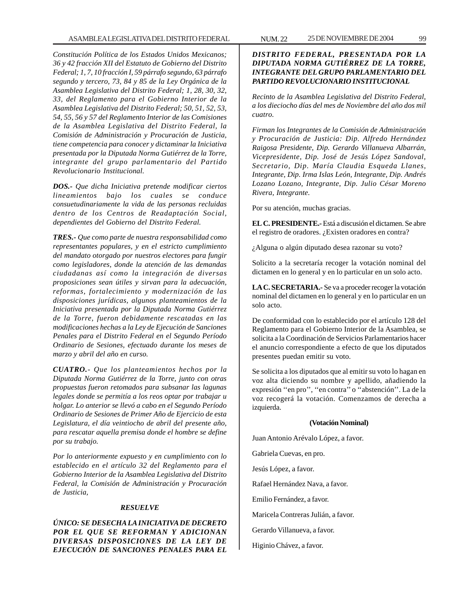*Constitución Política de los Estados Unidos Mexicanos; 36 y 42 fracción XII del Estatuto de Gobierno del Distrito Federal; 1, 7, 10 fracción I, 59 párrafo segundo, 63 párrafo segundo y tercero, 73, 84 y 85 de la Ley Orgánica de la Asamblea Legislativa del Distrito Federal; 1, 28, 30, 32, 33, del Reglamento para el Gobierno Interior de la Asamblea Legislativa del Distrito Federal; 50, 51, 52, 53, 54, 55, 56 y 57 del Reglamento Interior de las Comisiones de la Asamblea Legislativa del Distrito Federal, la Comisión de Administración y Procuración de Justicia, tiene competencia para conocer y dictaminar la Iniciativa presentada por la Diputada Norma Gutiérrez de la Torre, integrante del grupo parlamentario del Partido Revolucionario Institucional.*

*DOS.- Que dicha Iniciativa pretende modificar ciertos lineamientos bajo los cuales se conduce consuetudinariamente la vida de las personas recluidas dentro de los Centros de Readaptación Social, dependientes del Gobierno del Distrito Federal.*

*TRES.- Que como parte de nuestra responsabilidad como representantes populares, y en el estricto cumplimiento del mandato otorgado por nuestros electores para fungir como legisladores, donde la atención de las demandas ciudadanas así como la integración de diversas proposiciones sean útiles y sirvan para la adecuación, reformas, fortalecimiento y modernización de las disposiciones jurídicas, algunos planteamientos de la Iniciativa presentada por la Diputada Norma Gutiérrez de la Torre, fueron debidamente rescatadas en las modificaciones hechas a la Ley de Ejecución de Sanciones Penales para el Distrito Federal en el Segundo Período Ordinario de Sesiones, efectuado durante los meses de marzo y abril del año en curso.*

*CUATRO.- Que los planteamientos hechos por la Diputada Norma Gutiérrez de la Torre, junto con otras propuestas fueron retomados para subsanar las lagunas legales donde se permitía a los reos optar por trabajar u holgar. Lo anterior se llevó a cabo en el Segundo Período Ordinario de Sesiones de Primer Año de Ejercicio de esta Legislatura, el día veintiocho de abril del presente año, para rescatar aquella premisa donde el hombre se define por su trabajo.*

*Por lo anteriormente expuesto y en cumplimiento con lo establecido en el artículo 32 del Reglamento para el Gobierno Interior de la Asamblea Legislativa del Distrito Federal, la Comisión de Administración y Procuración de Justicia,*

#### *RESUELVE*

*ÚNICO: SE DESECHA LA INICIATIVA DE DECRETO POR EL QUE SE REFORMAN Y ADICIONAN DIVERSAS DISPOSICIONES DE LA LEY DE EJECUCIÓN DE SANCIONES PENALES PARA EL*

# *DISTRITO FEDERAL, PRESENTADA POR LA DIPUTADA NORMA GUTIÉRREZ DE LA TORRE, INTEGRANTE DEL GRUPO PARLAMENTARIO DEL PARTIDO REVOLUCIONARIO INSTITUCIONAL*

*Recinto de la Asamblea Legislativa del Distrito Federal, a los dieciocho días del mes de Noviembre del año dos mil cuatro.*

*Firman los Integrantes de la Comisión de Administración y Procuración de Justicia: Dip. Alfredo Hernández Raigosa Presidente, Dip. Gerardo Villanueva Albarrán, Vicepresidente, Dip. José de Jesús López Sandoval, Secretario, Dip. María Claudia Esqueda Llanes, Integrante, Dip. Irma Islas León, Integrante, Dip. Andrés Lozano Lozano, Integrante, Dip. Julio César Moreno Rivera, Integrante.*

Por su atención, muchas gracias.

**EL C. PRESIDENTE.-** Está a discusión el dictamen. Se abre el registro de oradores. ¿Existen oradores en contra?

¿Alguna o algún diputado desea razonar su voto?

Solicito a la secretaría recoger la votación nominal del dictamen en lo general y en lo particular en un solo acto.

**LA C. SECRETARIA.-** Se va a proceder recoger la votación nominal del dictamen en lo general y en lo particular en un solo acto.

De conformidad con lo establecido por el artículo 128 del Reglamento para el Gobierno Interior de la Asamblea, se solicita a la Coordinación de Servicios Parlamentarios hacer el anuncio correspondiente a efecto de que los diputados presentes puedan emitir su voto.

Se solicita a los diputados que al emitir su voto lo hagan en voz alta diciendo su nombre y apellido, añadiendo la expresión ''en pro'', ''en contra'' o ''abstención''. La de la voz recogerá la votación. Comenzamos de derecha a izquierda.

#### **(Votación Nominal)**

Juan Antonio Arévalo López, a favor.

Gabriela Cuevas, en pro.

Jesús López, a favor.

Rafael Hernández Nava, a favor.

Emilio Fernández, a favor.

Maricela Contreras Julián, a favor.

Gerardo Villanueva, a favor.

Higinio Chávez, a favor.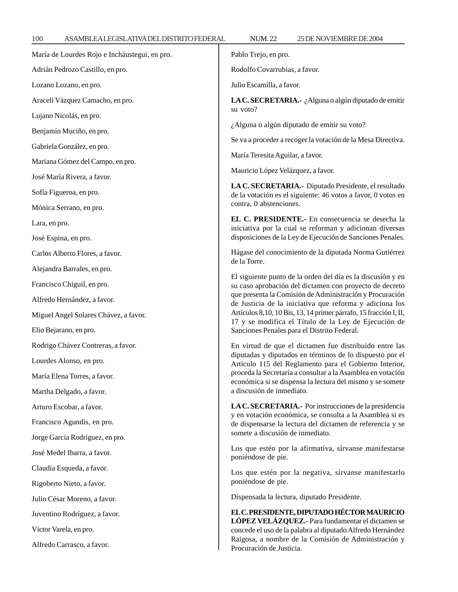| María de Lourdes Rojo e Incháustegui, en pro. | Pablo Trejo, en pro.                                                                                                                                                                                                                                                                                                                                                                                                                      |
|-----------------------------------------------|-------------------------------------------------------------------------------------------------------------------------------------------------------------------------------------------------------------------------------------------------------------------------------------------------------------------------------------------------------------------------------------------------------------------------------------------|
| Adrián Pedrozo Castillo, en pro.              | Rodolfo Covarrubias, a favor.                                                                                                                                                                                                                                                                                                                                                                                                             |
| Lozano Lozano, en pro.                        | Julio Escamilla, a favor.                                                                                                                                                                                                                                                                                                                                                                                                                 |
| Araceli Vázquez Camacho, en pro.              | LA C. SECRETARIA.- ¿Alguna o algún diputado de emitir                                                                                                                                                                                                                                                                                                                                                                                     |
| Lujano Nicolás, en pro.                       | su voto?<br>¿Alguna o algún diputado de emitir su voto?<br>Se va a proceder a recoger la votación de la Mesa Directiva.                                                                                                                                                                                                                                                                                                                   |
| Benjamín Muciño, en pro.                      |                                                                                                                                                                                                                                                                                                                                                                                                                                           |
| Gabriela González, en pro.                    |                                                                                                                                                                                                                                                                                                                                                                                                                                           |
| Mariana Gómez del Campo, en pro.              | María Teresita Aguilar, a favor.                                                                                                                                                                                                                                                                                                                                                                                                          |
| José María Rivera, a favor.                   | Mauricio López Velázquez, a favor.                                                                                                                                                                                                                                                                                                                                                                                                        |
| Sofía Figueroa, en pro.                       | LA C. SECRETARIA.- Diputado Presidente, el resultado<br>de la votación es el siguiente: 46 votos a favor, 0 votos en                                                                                                                                                                                                                                                                                                                      |
| Mónica Serrano, en pro.                       | contra, 0 abstenciones.                                                                                                                                                                                                                                                                                                                                                                                                                   |
| Lara, en pro.                                 | EL C. PRESIDENTE.- En consecuencia se desecha la<br>iniciativa por la cual se reforman y adicionan diversas<br>disposiciones de la Ley de Ejecución de Sanciones Penales.                                                                                                                                                                                                                                                                 |
| José Espina, en pro.                          |                                                                                                                                                                                                                                                                                                                                                                                                                                           |
| Carlos Alberto Flores, a favor.               | Hágase del conocimiento de la diputada Norma Gutiérrez                                                                                                                                                                                                                                                                                                                                                                                    |
| Alejandra Barrales, en pro.                   | de la Torre.<br>El siguiente punto de la orden del día es la discusión y en<br>su caso aprobación del dictamen con proyecto de decreto<br>que presenta la Comisión de Administración y Procuración<br>de Justicia de la iniciativa que reforma y adiciona los<br>Artículos 8,10, 10 Bis, 13, 14 primer párrafo, 15 fracción I, II,<br>17 y se modifica el Título de la Ley de Ejecución de<br>Sanciones Penales para el Distrito Federal. |
| Francisco Chiguil, en pro.                    |                                                                                                                                                                                                                                                                                                                                                                                                                                           |
| Alfredo Hernández, a favor.                   |                                                                                                                                                                                                                                                                                                                                                                                                                                           |
| Miguel Angel Solares Chávez, a favor.         |                                                                                                                                                                                                                                                                                                                                                                                                                                           |
| Elio Bejarano, en pro.                        |                                                                                                                                                                                                                                                                                                                                                                                                                                           |
| Rodrigo Chávez Contreras, a favor.            | En virtud de que el dictamen fue distribuido entre las                                                                                                                                                                                                                                                                                                                                                                                    |
| Lourdes Alonso, en pro.                       | diputadas y diputados en términos de lo dispuesto por el<br>Artículo 115 del Reglamento para el Gobierno Interior,                                                                                                                                                                                                                                                                                                                        |
| María Elena Torres, a favor.                  | proceda la Secretaría a consultar a la Asamblea en votación<br>económica si se dispensa la lectura del mismo y se somete                                                                                                                                                                                                                                                                                                                  |
| Martha Delgado, a favor.                      | a discusión de inmediato.                                                                                                                                                                                                                                                                                                                                                                                                                 |
| Arturo Escobar, a favor.                      | LA C. SECRETARIA.- Por instrucciones de la presidencia<br>y en votación económica, se consulta a la Asamblea si es<br>de dispensarse la lectura del dictamen de referencia y se<br>somete a discusión de inmediato.                                                                                                                                                                                                                       |
| Francisco Agundis, en pro.                    |                                                                                                                                                                                                                                                                                                                                                                                                                                           |
| Jorge García Rodríguez, en pro.               |                                                                                                                                                                                                                                                                                                                                                                                                                                           |
| José Medel Ibarra, a favor.                   | Los que estén por la afirmativa, sírvanse manifestarse<br>poniéndose de pie.                                                                                                                                                                                                                                                                                                                                                              |
| Claudia Esqueda, a favor.                     | Los que estén por la negativa, sírvanse manifestarlo<br>poniéndose de pie.                                                                                                                                                                                                                                                                                                                                                                |
| Rigoberto Nieto, a favor.                     |                                                                                                                                                                                                                                                                                                                                                                                                                                           |
| Julio César Moreno, a favor.                  | Dispensada la lectura, diputado Presidente.                                                                                                                                                                                                                                                                                                                                                                                               |
| Juventino Rodríguez, a favor.                 | EL C. PRESIDENTE, DIPUTADO HÉCTOR MAURICIO<br>LÓPEZ VELÁZQUEZ.- Para fundamentar el dictamen se                                                                                                                                                                                                                                                                                                                                           |
| Víctor Varela, en pro.                        | concede el uso de la palabra al diputado Alfredo Hernández<br>Raigosa, a nombre de la Comisión de Administración y<br>Procuración de Justicia.                                                                                                                                                                                                                                                                                            |
| Alfredo Carrasco, a favor.                    |                                                                                                                                                                                                                                                                                                                                                                                                                                           |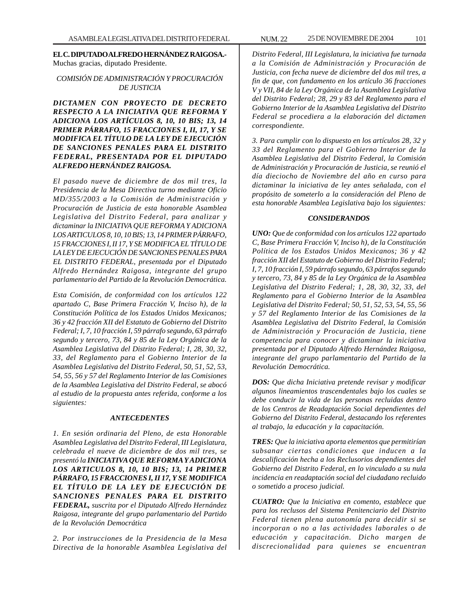**EL C. DIPUTADO ALFREDO HERNÁNDEZ RAIGOSA.-** Muchas gracias, diputado Presidente.

# *COMISIÓN DE ADMINISTRACIÓN Y PROCURACIÓN DE JUSTICIA*

*DICTAMEN CON PROYECTO DE DECRETO RESPECTO A LA INICIATIVA QUE REFORMA Y ADICIONA LOS ARTÍCULOS 8, 10, 10 BIS; 13, 14 PRIMER PÁRRAFO, 15 FRACCIONES I, II, 17, Y SE MODIFICA EL TÍTULO DE LA LEY DE EJECUCIÓN DE SANCIONES PENALES PARA EL DISTRITO FEDERAL, PRESENTADA POR EL DIPUTADO ALFREDO HERNÁNDEZ RAIGOSA.*

*El pasado nueve de diciembre de dos mil tres, la Presidencia de la Mesa Directiva turno mediante Oficio MD/355/2003 a la Comisión de Administración y Procuración de Justicia de esta honorable Asamblea Legislativa del Distrito Federal, para analizar y dictaminar la INICIATIVA QUE REFORMA Y ADICIONA LOS ARTICULOS 8, 10, 10 BIS; 13, 14 PRIMER PÁRRAFO, 15 FRACCIONES I, II 17, Y SE MODIFICA EL TÍTULO DE LA LEY DE EJECUCIÓN DE SANCIONES PENALES PARA EL DISTRITO FEDERAL, presentada por el Diputado Alfredo Hernández Raigosa, integrante del grupo parlamentario del Partido de la Revolución Democrática.*

*Esta Comisión, de conformidad con los artículos 122 apartado C, Base Primera Fracción V, Inciso h), de la Constitución Política de los Estados Unidos Mexicanos; 36 y 42 fracción XII del Estatuto de Gobierno del Distrito Federal; I, 7, 10 fracción I, 59 párrafo segundo, 63 párrafo segundo y tercero, 73, 84 y 85 de la Ley Orgánica de la Asamblea Legislativa del Distrito Federal; I, 28, 30, 32, 33, del Reglamento para el Gobierno Interior de la Asamblea Legislativa del Distrito Federal, 50, 51, 52, 53, 54, 55, 56 y 57 del Reglamento Interior de las Comisiones de la Asamblea Legislativa del Distrito Federal, se abocó al estudio de la propuesta antes referida, conforme a los siguientes:*

#### *ANTECEDENTES*

*1. En sesión ordinaria del Pleno, de esta Honorable Asamblea Legislativa del Distrito Federal, III Legislatura, celebrada el nueve de diciembre de dos mil tres, se presentó la INICIATIVA QUE REFORMA Y ADICIONA LOS ARTICULOS 8, 10, 10 BIS; 13, 14 PRIMER PÁRRAFO, 15 FRACCIONES I, II 17, Y SE MODIFICA EL TÍTULO DE LA LEY DE EJECUCIÓN DE SANCIONES PENALES PARA EL DISTRITO FEDERAL, suscrita por el Diputado Alfredo Hernández Raigosa, integrante del grupo parlamentario del Partido de la Revolución Democrática*

*2. Por instrucciones de la Presidencia de la Mesa Directiva de la honorable Asamblea Legislativa del*

*Distrito Federal, III Legislatura, la iniciativa fue turnada a la Comisión de Administración y Procuración de Justicia, con fecha nueve de diciembre del dos mil tres, a fin de que, con fundamento en los artículo 36 fracciones V y VII, 84 de la Ley Orgánica de la Asamblea Legislativa del Distrito Federal; 28, 29 y 83 del Reglamento para el Gobierno Interior de la Asamblea Legislativa del Distrito Federal se procediera a la elaboración del dictamen correspondiente.*

*3. Para cumplir con lo dispuesto en los artículos 28, 32 y 33 del Reglamento para el Gobierno Interior de la Asamblea Legislativa del Distrito Federal, la Comisión de Administración y Procuración de Justicia, se reunió el día dieciocho de Noviembre del año en curso para dictaminar la iniciativa de ley antes señalada, con el propósito de someterlo a la consideración del Pleno de esta honorable Asamblea Legislativa bajo los siguientes:*

#### *CONSIDERANDOS*

*UNO: Que de conformidad con los artículos 122 apartado C, Base Primera Fracción V, Inciso h), de la Constitución Política de los Estados Unidos Mexicanos; 36 y 42 fracción XII del Estatuto de Gobierno del Distrito Federal; I, 7, 10 fracción I, 59 párrafo segundo, 63 párrafos segundo y tercero, 73, 84 y 85 de la Ley Orgánica de la Asamblea Legislativa del Distrito Federal; 1, 28, 30, 32, 33, del Reglamento para el Gobierno Interior de la Asamblea Legislativa del Distrito Federal; 50, 51, 52, 53, 54, 55, 56 y 57 del Reglamento Interior de las Comisiones de la Asamblea Legislativa del Distrito Federal, la Comisión de Administración y Procuración de Justicia, tiene competencia para conocer y dictaminar la iniciativa presentada por el Diputado Alfredo Hernández Raigosa, integrante del grupo parlamentario del Partido de la Revolución Democrática.*

*DOS: Que dicha Iniciativa pretende revisar y modificar algunos lineamientos trascendentales bajo los cuales se debe conducir la vida de las personas recluidas dentro de los Centros de Readaptación Social dependientes del Gobierno del Distrito Federal, destacando los referentes al trabajo, la educación y la capacitación.*

*TRES: Que la iniciativa aporta elementos que permitirían subsanar ciertas condiciones que inducen a la descalificación hecha a los Reclusorios dependientes del Gobierno del Distrito Federal, en lo vinculado a su nula incidencia en readaptación social del ciudadano recluido o sometido a proceso judicial.*

*CUATRO: Que la Iniciativa en comento, establece que para los reclusos del Sistema Penitenciario del Distrito Federal tienen plena autonomía para decidir si se incorporan o no a las actividades laborales o de educación y capacitación. Dicho margen de discrecionalidad para quienes se encuentran*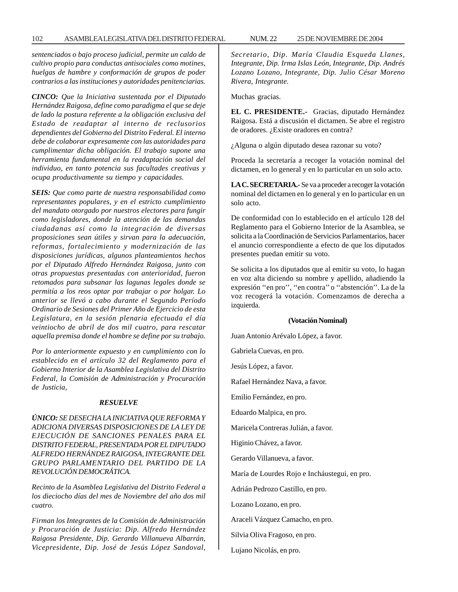*sentenciados o bajo proceso judicial, permite un caldo de cultivo propio para conductas antisociales como motines, huelgas de hambre y conformación de grupos de poder contrarios a las instituciones y autoridades penitenciarias.*

*CINCO: Que la Iniciativa sustentada por el Diputado Hernández Raigosa, define como paradigma el que se deje de lado la postura referente a la obligación exclusiva del Estado de readaptar al interno de reclusorios dependientes del Gobierno del Distrito Federal. El interno debe de colaborar expresamente con las autoridades para cumplimentar dicha obligación. El trabajo supone una herramienta fundamental en la readaptación social del individuo, en tanto potencia sus facultades creativas y ocupa productivamente su tiempo y capacidades.*

*SEIS: Que como parte de nuestra responsabilidad como representantes populares, y en el estricto cumplimiento del mandato otorgado por nuestros electores para fungir como legisladores, donde la atención de las demandas ciudadanas así como la integración de diversas proposiciones sean útiles y sirvan para la adecuación, reformas, fortalecimiento y modernización de las disposiciones jurídicas, algunos planteamientos hechos por el Diputado Alfredo Hernández Raigosa, junto con otras propuestas presentadas con anterioridad, fueron retomados para subsanar las lagunas legales donde se permitía a los reos optar por trabajar o por holgar. Lo anterior se llevó a cabo durante el Segundo Período Ordinario de Sesiones del Primer Año de Ejercicio de esta Legislatura, en la sesión plenaria efectuada el día veintiocho de abril de dos mil cuatro, para rescatar aquella premisa donde el hombre se define por su trabajo.*

*Por lo anteriormente expuesto y en cumplimiento con lo establecido en el artículo 32 del Reglamento para el Gobierno Interior de la Asamblea Legislativa del Distrito Federal, la Comisión de Administración y Procuración de Justicia,*

#### *RESUELVE*

# *ÚNICO: SE DESECHA LA INICIATIVA QUE REFORMA Y ADICIONA DIVERSAS DISPOSICIONES DE LA LEY DE EJECUCIÓN DE SANCIONES PENALES PARA EL DISTRITO FEDERAL, PRESENTADA POR EL DIPUTADO ALFREDO HERNÁNDEZ RAIGOSA, INTEGRANTE DEL GRUPO PARLAMENTARIO DEL PARTIDO DE LA REVOLUCIÓN DEMOCRÁTICA.*

*Recinto de la Asamblea Legislativa del Distrito Federal a los dieciocho días del mes de Noviembre del año dos mil cuatro.*

*Firman los Integrantes de la Comisión de Administración y Procuración de Justicia: Dip. Alfredo Hernández Raigosa Presidente, Dip. Gerardo Villanueva Albarrán, Vicepresidente, Dip. José de Jesús López Sandoval,*

*Secretario, Dip. María Claudia Esqueda Llanes, Integrante, Dip. Irma Islas León, Integrante, Dip. Andrés Lozano Lozano, Integrante, Dip. Julio César Moreno Rivera, Integrante.*

Muchas gracias.

**EL C. PRESIDENTE.-** Gracias, diputado Hernández Raigosa. Está a discusión el dictamen. Se abre el registro de oradores. ¿Existe oradores en contra?

¿Alguna o algún diputado desea razonar su voto?

Proceda la secretaría a recoger la votación nominal del dictamen, en lo general y en lo particular en un solo acto.

**LA C. SECRETARIA.-** Se va a proceder a recoger la votación nominal del dictamen en lo general y en lo particular en un solo acto.

De conformidad con lo establecido en el artículo 128 del Reglamento para el Gobierno Interior de la Asamblea, se solicita a la Coordinación de Servicios Parlamentarios, hacer el anuncio correspondiente a efecto de que los diputados presentes puedan emitir su voto.

Se solicita a los diputados que al emitir su voto, lo hagan en voz alta diciendo su nombre y apellido, añadiendo la expresión ''en pro'', ''en contra'' o ''abstención''. La de la voz recogerá la votación. Comenzamos de derecha a izquierda.

#### **(Votación Nominal)**

Juan Antonio Arévalo López, a favor.

Gabriela Cuevas, en pro.

Jesús López, a favor.

Rafael Hernández Nava, a favor.

Emilio Fernández, en pro.

Eduardo Malpica, en pro.

Maricela Contreras Julián, a favor.

Higinio Chávez, a favor.

Gerardo Villanueva, a favor.

María de Lourdes Rojo e Incháustegui, en pro.

Adrián Pedrozo Castillo, en pro.

Lozano Lozano, en pro.

Araceli Vázquez Camacho, en pro.

Silvia Oliva Fragoso, en pro.

Lujano Nicolás, en pro.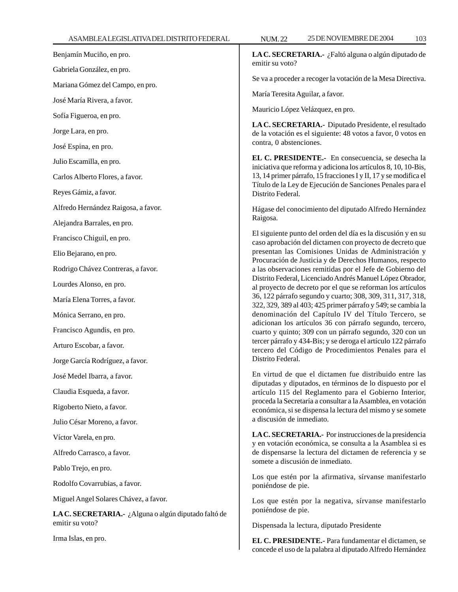Benjamín Muciño, en pro. Gabriela González, en pro. Mariana Gómez del Campo, en pro. José María Rivera, a favor. Sofía Figueroa, en pro. Jorge Lara, en pro. José Espina, en pro. Julio Escamilla, en pro. Carlos Alberto Flores, a favor. Reyes Gámiz, a favor. Alfredo Hernández Raigosa, a favor. Alejandra Barrales, en pro. Francisco Chiguil, en pro. Elio Bejarano, en pro. Rodrigo Chávez Contreras, a favor. Lourdes Alonso, en pro. María Elena Torres, a favor. Mónica Serrano, en pro.

Francisco Agundis, en pro.

Arturo Escobar, a favor.

Jorge García Rodríguez, a favor.

José Medel Ibarra, a favor.

Claudia Esqueda, a favor.

Rigoberto Nieto, a favor.

Julio César Moreno, a favor.

Víctor Varela, en pro.

Alfredo Carrasco, a favor.

Pablo Trejo, en pro.

Rodolfo Covarrubias, a favor.

Miguel Angel Solares Chávez, a favor.

**LA C. SECRETARIA.-** ¿Alguna o algún diputado faltó de emitir su voto?

Irma Islas, en pro.

**LA C. SECRETARIA.-** ¿Faltó alguna o algún diputado de emitir su voto?

Se va a proceder a recoger la votación de la Mesa Directiva.

María Teresita Aguilar, a favor.

Mauricio López Velázquez, en pro.

**LA C. SECRETARIA.-** Diputado Presidente, el resultado de la votación es el siguiente: 48 votos a favor, 0 votos en contra, 0 abstenciones.

**EL C. PRESIDENTE.-** En consecuencia, se desecha la iniciativa que reforma y adiciona los artículos 8, 10, 10-Bis, 13, 14 primer párrafo, 15 fracciones I y II, 17 y se modifica el Título de la Ley de Ejecución de Sanciones Penales para el Distrito Federal.

Hágase del conocimiento del diputado Alfredo Hernández Raigosa.

El siguiente punto del orden del día es la discusión y en su caso aprobación del dictamen con proyecto de decreto que presentan las Comisiones Unidas de Administración y Procuración de Justicia y de Derechos Humanos, respecto a las observaciones remitidas por el Jefe de Gobierno del Distrito Federal, Licenciado Andrés Manuel López Obrador, al proyecto de decreto por el que se reforman los artículos 36, 122 párrafo segundo y cuarto; 308, 309, 311, 317, 318, 322, 329, 389 al 403; 425 primer párrafo y 549; se cambia la denominación del Capítulo IV del Título Tercero, se adicionan los artículos 36 con párrafo segundo, tercero, cuarto y quinto; 309 con un párrafo segundo, 320 con un tercer párrafo y 434-Bis; y se deroga el artículo 122 párrafo tercero del Código de Procedimientos Penales para el Distrito Federal.

En virtud de que el dictamen fue distribuido entre las diputadas y diputados, en términos de lo dispuesto por el artículo 115 del Reglamento para el Gobierno Interior, proceda la Secretaría a consultar a la Asamblea, en votación económica, si se dispensa la lectura del mismo y se somete a discusión de inmediato.

**LA C. SECRETARIA.-** Por instrucciones de la presidencia y en votación económica, se consulta a la Asamblea si es de dispensarse la lectura del dictamen de referencia y se somete a discusión de inmediato.

Los que estén por la afirmativa, sírvanse manifestarlo poniéndose de pie.

Los que estén por la negativa, sírvanse manifestarlo poniéndose de pie.

Dispensada la lectura, diputado Presidente

**EL C. PRESIDENTE.-** Para fundamentar el dictamen, se concede el uso de la palabra al diputado Alfredo Hernández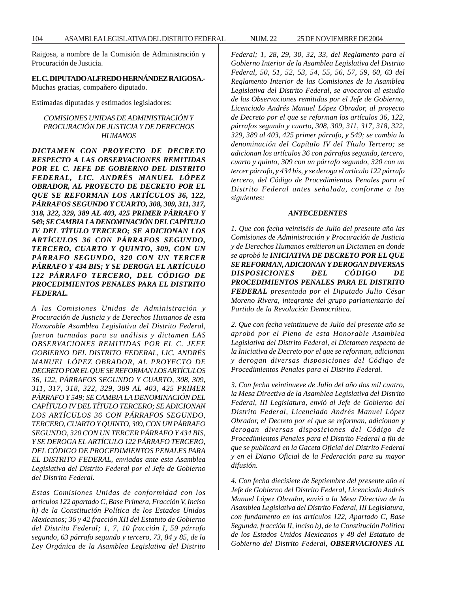Raigosa, a nombre de la Comisión de Administración y Procuración de Justicia.

#### **EL C. DIPUTADO ALFREDO HERNÁNDEZ RAIGOSA.-**

Muchas gracias, compañero diputado.

Estimadas diputadas y estimados legisladores:

*COMISIONES UNIDAS DE ADMINISTRACIÓN Y PROCURACIÓN DE JUSTICIA Y DE DERECHOS HUMANOS*

*DICTAMEN CON PROYECTO DE DECRETO RESPECTO A LAS OBSERVACIONES REMITIDAS POR EL C. JEFE DE GOBIERNO DEL DISTRITO FEDERAL, LIC. ANDRÉS MANUEL LÓPEZ OBRADOR, AL PROYECTO DE DECRETO POR EL QUE SE REFORMAN LOS ARTÍCULOS 36, 122, PÁRRAFOS SEGUNDO Y CUARTO, 308, 309, 311, 317, 318, 322, 329, 389 AL 403, 425 PRIMER PÁRRAFO Y 549; SE CAMBIA LA DENOMINACIÓN DEL CAPÍTULO IV DEL TÍTULO TERCERO; SE ADICIONAN LOS ARTÍCULOS 36 CON PÁRRAFOS SEGUNDO, TERCERO, CUARTO Y QUINTO, 309, CON UN PÁRRAFO SEGUNDO, 320 CON UN TERCER PÁRRAFO Y 434 BIS; Y SE DEROGA EL ARTÍCULO 122 PÁRRAFO TERCERO, DEL CÓDIGO DE PROCEDIMIENTOS PENALES PARA EL DISTRITO FEDERAL.*

*A las Comisiones Unidas de Administración y Procuración de Justicia y de Derechos Humanos de esta Honorable Asamblea Legislativa del Distrito Federal, fueron turnadas para su análisis y dictamen LAS OBSERVACIONES REMITIDAS POR EL C. JEFE GOBIERNO DEL DISTRITO FEDERAL, LIC. ANDRÉS MANUEL LÓPEZ OBRADOR, AL PROYECTO DE DECRETO POR EL QUE SE REFORMAN LOS ARTÍCULOS 36, 122, PÁRRAFOS SEGUNDO Y CUARTO, 308, 309, 311, 317, 318, 322, 329, 389 AL 403, 425 PRIMER PÁRRAFO Y 549; SE CAMBIA LA DENOMINACIÓN DEL CAPÍTULO IV DEL TÍTULO TERCERO; SE ADICIONAN LOS ARTÍCULOS 36 CON PÁRRAFOS SEGUNDO, TERCERO, CUARTO Y QUINTO, 309, CON UN PÁRRAFO SEGUNDO, 320 CON UN TERCER PÁRRAFO Y 434 BIS, Y SE DEROGA EL ARTÍCULO 122 PÁRRAFO TERCERO, DEL CÓDIGO DE PROCEDIMIENTOS PENALES PARA EL DISTRITO FEDERAL, enviadas ante esta Asamblea Legislativa del Distrito Federal por el Jefe de Gobierno del Distrito Federal.*

*Estas Comisiones Unidas de conformidad con los artículos 122 apartado C, Base Primera, Fracción V, Inciso h) de la Constitución Política de los Estados Unidos Mexicanos; 36 y 42 fracción XII del Estatuto de Gobierno del Distrito Federal; 1, 7, 10 fracción I, 59 párrafo segundo, 63 párrafo segundo y tercero, 73, 84 y 85, de la Ley Orgánica de la Asamblea Legislativa del Distrito*

*Federal; 1, 28, 29, 30, 32, 33, del Reglamento para el Gobierno Interior de la Asamblea Legislativa del Distrito Federal, 50, 51, 52, 53, 54, 55, 56, 57, 59, 60, 63 del Reglamento Interior de las Comisiones de la Asamblea Legislativa del Distrito Federal, se avocaron al estudio de las Observaciones remitidas por el Jefe de Gobierno, Licenciado Andrés Manuel López Obrador, al proyecto de Decreto por el que se reforman los artículos 36, 122, párrafos segundo y cuarto, 308, 309, 311, 317, 318, 322, 329, 389 al 403, 425 primer párrafo, y 549; se cambia la denominación del Capítulo IV del Título Tercero; se adicionan los artículos 36 con párrafos segundo, tercero, cuarto y quinto, 309 con un párrafo segundo, 320 con un tercer párrafo, y 434 bis, y se deroga el artículo 122 párrafo tercero, del Código de Procedimientos Penales para el Distrito Federal antes señalada, conforme a los siguientes:*

#### *ANTECEDENTES*

*1. Que con fecha veintiséis de Julio del presente año las Comisiones de Administración y Procuración de Justicia y de Derechos Humanos emitieron un Dictamen en donde se aprobó la INICIATIVA DE DECRETO POR EL QUE SE REFORMAN, ADICIONAN Y DEROGAN DIVERSAS DISPOSICIONES DEL CÓDIGO DE PROCEDIMIENTOS PENALES PARA EL DISTRITO FEDERAL presentada por el Diputado Julio César Moreno Rivera, integrante del grupo parlamentario del Partido de la Revolución Democrática.*

*2. Que con fecha veintinueve de Julio del presente año se aprobó por el Pleno de esta Honorable Asamblea Legislativa del Distrito Federal, el Dictamen respecto de la Iniciativa de Decreto por el que se reforman, adicionan y derogan diversas disposiciones del Código de Procedimientos Penales para el Distrito Federal.*

*3. Con fecha veintinueve de Julio del año dos mil cuatro, la Mesa Directiva de la Asamblea Legislativa del Distrito Federal, III Legislatura, envió al Jefe de Gobierno del Distrito Federal, Licenciado Andrés Manuel López Obrador, el Decreto por el que se reforman, adicionan y derogan diversas disposiciones del Código de Procedimientos Penales para el Distrito Federal a fin de que se publicará en la Gaceta Oficial del Distrito Federal y en el Diario Oficial de la Federación para su mayor difusión.*

*4. Con fecha diecisiete de Septiembre del presente año el Jefe de Gobierno del Distrito Federal, Licenciado Andrés Manuel López Obrador, envió a la Mesa Directiva de la Asamblea Legislativa del Distrito Federal, III Legislatura, con fundamento en los artículos 122, Apartado C, Base Segunda, fracción II, inciso b), de la Constitución Política de los Estados Unidos Mexicanos y 48 del Estatuto de Gobierno del Distrito Federal, OBSERVACIONES AL*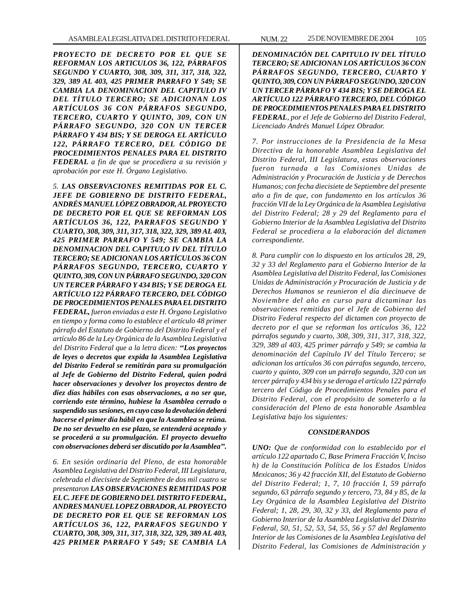*PROYECTO DE DECRETO POR EL QUE SE REFORMAN LOS ARTICULOS 36, 122, PÁRRAFOS SEGUNDO Y CUARTO, 308, 309, 311, 317, 318, 322, 329, 389 AL 403, 425 PRIMER PARRAFO Y 549; SE CAMBIA LA DENOMINACION DEL CAPITULO IV DEL TÍTULO TERCERO; SE ADICIONAN LOS ARTÍCULOS 36 CON PÁRRAFOS SEGUNDO, TERCERO, CUARTO Y QUINTO, 309, CON UN PÁRRAFO SEGUNDO, 320 CON UN TERCER PÁRRAFO Y 434 BIS; Y SE DEROGA EL ARTÍCULO 122, PÁRRAFO TERCERO, DEL CÓDIGO DE PROCEDIMIENTOS PENALES PARA EL DISTRITO FEDERAL a fin de que se procediera a su revisión y aprobación por este H. Órgano Legislativo.*

*5. LAS OBSERVACIONES REMITIDAS POR EL C. JEFE DE GOBIERNO DE DISTRITO FEDERAL, ANDRÉS MANUEL LÓPEZ OBRADOR, AL PROYECTO DE DECRETO POR EL QUE SE REFORMAN LOS ARTÍCULOS 36, 122, PARRAFOS SEGUNDO Y CUARTO, 308, 309, 311, 317, 318, 322, 329, 389 AL 403, 425 PRIMER PARRAFO Y 549; SE CAMBIA LA DENOMINACION DEL CAPITULO IV DEL TÍTULO TERCERO; SE ADICIONAN LOS ARTÍCULOS 36 CON PÁRRAFOS SEGUNDO, TERCERO, CUARTO Y QUINTO, 309, CON UN PÁRRAFO SEGUNDO, 320 CON UN TERCER PÁRRAFO Y 434 BIS; Y SE DEROGA EL ARTÍCULO 122 PÁRRAFO TERCERO, DEL CÓDIGO DE PROCEDIMIENTOS PENALES PARA EL DISTRITO FEDERAL, fueron enviadas a este H. Órgano Legislativo en tiempo y forma como lo establece el artículo 48 primer párrafo del Estatuto de Gobierno del Distrito Federal y el artículo 86 de la Ley Orgánica de la Asamblea Legislativa del Distrito Federal que a la letra dicen: ''Los proyectos de leyes o decretos que expida la Asamblea Legislativa del Distrito Federal se remitirán para su promulgación al Jefe de Gobierno del Distrito Federal, quien podrá hacer observaciones y devolver los proyectos dentro de diez días hábiles con esas observaciones, a no ser que, corriendo este término, hubiese la Asamblea cerrado o suspendido sus sesiones, en cuyo caso la devolución deberá hacerse el primer día hábil en que la Asamblea se reúna. De no ser devuelto en ese plazo, se entenderá aceptado y se procederá a su promulgación. El proyecto devuelto con observaciones deberá ser discutido por la Asamblea''.*

*6. En sesión ordinaria del Pleno, de esta honorable Asamblea Legislativa del Distrito Federal, III Legislatura, celebrada el diecisiete de Septiembre de dos mil cuatro se presentaron LAS OBSERVACIONES REMITIDAS POR EL C. JEFE DE GOBIERNO DEL DISTRITO FEDERAL, ANDRES MANUEL LOPEZ OBRADOR, AL PROYECTO DE DECRETO POR EL QUE SE REFORMAN LOS ARTÍCULOS 36, 122, PARRAFOS SEGUNDO Y CUARTO, 308, 309, 311, 317, 318, 322, 329, 389 AL 403, 425 PRIMER PARRAFO Y 549; SE CAMBIA LA*

*DENOMINACIÓN DEL CAPITULO IV DEL TÍTULO TERCERO; SE ADICIONAN LOS ARTÍCULOS 36 CON PÁRRAFOS SEGUNDO, TERCERO, CUARTO Y QUINTO, 309, CON UN PÁRRAFO SEGUNDO, 320 CON UN TERCER PÁRRAFO Y 434 BIS; Y SE DEROGA EL ARTÍCULO 122 PÁRRAFO TERCERO, DEL CÓDIGO DE PROCEDIMIENTOS PENALES PARA EL DISTRITO FEDERAL, por el Jefe de Gobierno del Distrito Federal, Licenciado Andrés Manuel López Obrador.*

*7. Por instrucciones de la Presidencia de la Mesa Directiva de la honorable Asamblea Legislativa del Distrito Federal, III Legislatura, estas observaciones fueron turnada a las Comisiones Unidas de Administración y Procuración de Justicia y de Derechos Humanos; con fecha diecisiete de Septiembre del presente año a fin de que, con fundamento en los artículos 36 fracción VII de la Ley Orgánica de la Asamblea Legislativa del Distrito Federal; 28 y 29 del Reglamento para el Gobierno Interior de la Asamblea Legislativa del Distrito Federal se procediera a la elaboración del dictamen correspondiente.*

*8. Para cumplir con lo dispuesto en los artículos 28, 29, 32 y 33 del Reglamento para el Gobierno Interior de la Asamblea Legislativa del Distrito Federal, las Comisiones Unidas de Administración y Procuración de Justicia y de Derechos Humanos se reunieron el día diecinueve de Noviembre del año en curso para dictaminar las observaciones remitidas por el Jefe de Gobierno del Distrito Federal respecto del dictamen con proyecto de decreto por el que se reforman los artículos 36, 122 párrafos segundo y cuarto, 308, 309, 311, 317, 318, 322, 329, 389 al 403, 425 primer párrafo y 549; se cambia la denominación del Capítulo IV del Título Tercero; se adicionan los artículos 36 con párrafos segundo, tercero, cuarto y quinto, 309 con un párrafo segundo, 320 con un tercer párrafo y 434 bis y se deroga el artículo 122 párrafo tercero del Código de Procedimientos Penales para el Distrito Federal, con el propósito de someterlo a la consideración del Pleno de esta honorable Asamblea Legislativa bajo los siguientes:*

#### *CONSIDERANDOS*

*UNO: Que de conformidad con lo establecido por el artículo 122 apartado C, Base Primera Fracción V, Inciso h) de la Constitución Política de los Estados Unidos Mexicanos; 36 y 42 fracción XII, del Estatuto de Gobierno del Distrito Federal; 1, 7, 10 fracción I, 59 párrafo segundo, 63 párrafo segundo y tercero, 73, 84 y 85, de la Ley Orgánica de la Asamblea Legislativa del Distrito Federal; 1, 28, 29, 30, 32 y 33, del Reglamento para el Gobierno Interior de la Asamblea Legislativa del Distrito Federal, 50, 51, 52, 53, 54, 55, 56 y 57 del Reglamento Interior de las Comisiones de la Asamblea Legislativa del Distrito Federal, las Comisiones de Administración y*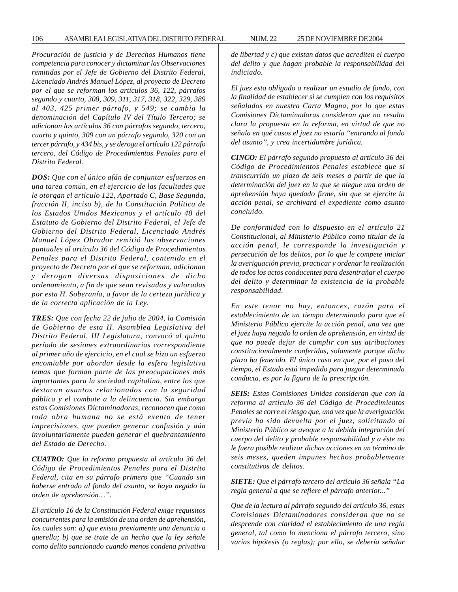*Procuración de justicia y de Derechos Humanos tiene competencia para conocer y dictaminar las Observaciones remitidas por el Jefe de Gobierno del Distrito Federal, Licenciado Andrés Manuel López, al proyecto de Decreto por el que se reforman los artículos 36, 122, párrafos segundo y cuarto, 308, 309, 311, 317, 318, 322, 329, 389 al 403, 425 primer párrafo, y 549; se cambia la denominación del Capítulo IV del Título Tercero; se adicionan los artículos 36 con párrafos segundo, tercero, cuarto y quinto, 309 con un párrafo segundo, 320 con un tercer párrafo, y 434 bis, y se deroga el artículo 122 párrafo tercero, del Código de Procedimientos Penales para el Distrito Federal.*

*DOS: Que con el único afán de conjuntar esfuerzos en una tarea común, en el ejercicio de las facultades que le otorgan el artículo 122, Apartado C, Base Segunda, fracción II, inciso b), de la Constitución Política de los Estados Unidos Mexicanos y el artículo 48 del Estatuto de Gobierno del Distrito Federal, el Jefe de Gobierno del Distrito Federal, Licenciado Andrés Manuel López Obrador remitió las observaciones puntuales al artículo 36 del Código de Procedimientos Penales para el Distrito Federal, contenido en el proyecto de Decreto por el que se reforman, adicionan y derogan diversas disposiciones de dicho ordenamiento, a fin de que sean revisadas y valoradas por esta H. Soberanía, a favor de la certeza jurídica y de la correcta aplicación de la Ley.*

*TRES: Que con fecha 22 de julio de 2004, la Comisión de Gobierno de esta H. Asamblea Legislativa del Distrito Federal, III Legislatura, convocó al quinto período de sesiones extraordinarias correspondiente al primer año de ejercicio, en el cual se hizo un esfuerzo encomiable por abordar desde la esfera legislativa temas que forman parte de las preocupaciones más importantes para la sociedad capitalina, entre los que destacan asuntos relacionados con la seguridad pública y el combate a la delincuencia. Sin embargo estas Comisiones Dictaminadoras, reconocen que como toda obra humana no se está exento de tener imprecisiones, que pueden generar confusión y aún involuntariamente pueden generar el quebrantamiento del Estado de Derecho.*

*CUATRO: Que la reforma propuesta al artículo 36 del Código de Procedimientos Penales para el Distrito Federal, cita en su párrafo primero que ''Cuando sin haberse entrado al fondo del asunto, se haya negado la orden de aprehensión…''.*

*El artículo 16 de la Constitución Federal exige requisitos concurrentes para la emisión de una orden de aprehensión, los cuales son: a) que exista previamente una denuncia o querella; b) que se trate de un hecho que la ley señale como delito sancionado cuando menos condena privativa*

*de libertad y c) que existan datos que acrediten el cuerpo del delito y que hagan probable la responsabilidad del indiciado.*

*El juez esta obligado a realizar un estudio de fondo, con la finalidad de establecer si se cumplen con los requisitos señalados en nuestra Carta Magna, por lo que estas Comisiones Dictaminadoras consideran que no resulta clara la propuesta en la reforma, en virtud de que no señala en qué casos el juez no estaría ''entrando al fondo del asunto'', y crea incertidumbre jurídica.*

*CINCO: El párrafo segundo propuesto al artículo 36 del Código de Procedimientos Penales establece que si transcurrido un plazo de seis meses a partir de que la determinación del juez en la que se niegue una orden de aprehensión haya quedado firme, sin que se ejercite la acción penal, se archivará el expediente como asunto concluido.*

*De conformidad con lo dispuesto en el artículo 21 Constitucional, al Ministerio Público como titular de la acción penal, le corresponde la investigación y persecución de los delitos, por lo que le compete iniciar la averiguación previa, practicar y ordenar la realización de todos los actos conducentes para desentrañar el cuerpo del delito y determinar la existencia de la probable responsabilidad.*

*En este tenor no hay, entonces, razón para el establecimiento de un tiempo determinado para que el Ministerio Público ejercite la acción penal, una vez que el juez haya negado la orden de aprehensión, en virtud de que no puede dejar de cumplir con sus atribuciones constitucionalmente conferidas, solamente porque dicho plazo ha fenecido. El único caso en que, por el paso del tiempo, el Estado está impedido para juzgar determinada conducta, es por la figura de la prescripción.*

*SEIS: Estas Comisiones Unidas consideran que con la reforma al artículo 36 del Código de Procedimientos Penales se corre el riesgo que, una vez que la averiguación previa ha sido devuelta por el juez, solicitando al Ministerio Público se avoque a la debida integración del cuerpo del delito y probable responsabilidad y a éste no le fuera posible realizar dichas acciones en un término de seis meses, queden impunes hechos probablemente constitutivos de delitos.*

*SIETE: Que el párrafo tercero del artículo 36 señala ''La regla general a que se refiere el párrafo anterior...''*

*Que de la lectura al párrafo segundo del artículo 36, estas Comisiones Dictaminadores consideran que no se desprende con claridad el establecimiento de una regla general, tal como lo menciona el párrafo tercero, sino varias hipótesis (o reglas); por ello, se debería señalar*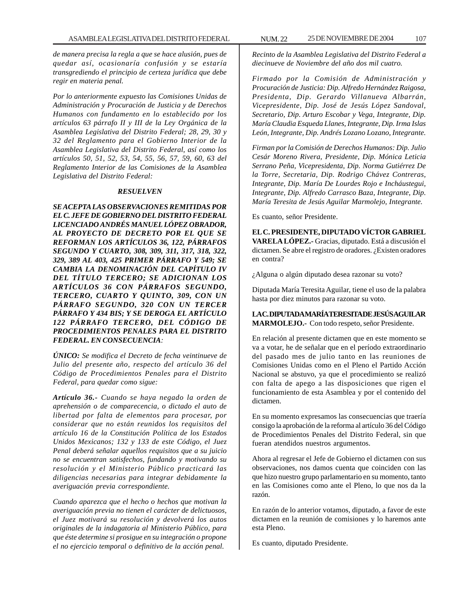*de manera precisa la regla a que se hace alusión, pues de quedar así, ocasionaría confusión y se estaría transgrediendo el principio de certeza jurídica que debe regir en materia penal.*

*Por lo anteriormente expuesto las Comisiones Unidas de Administración y Procuración de Justicia y de Derechos Humanos con fundamento en lo establecido por los artículos 63 párrafo II y III de la Ley Orgánica de la Asamblea Legislativa del Distrito Federal; 28, 29, 30 y 32 del Reglamento para el Gobierno Interior de la Asamblea Legislativa del Distrito Federal, así como los artículos 50, 51, 52, 53, 54, 55, 56, 57, 59, 60, 63 del Reglamento Interior de las Comisiones de la Asamblea Legislativa del Distrito Federal:*

#### *RESUELVEN*

*SE ACEPTA LAS OBSERVACIONES REMITIDAS POR EL C. JEFE DE GOBIERNO DEL DISTRITO FEDERAL LICENCIADO ANDRÉS MANUEL LÓPEZ OBRADOR, AL PROYECTO DE DECRETO POR EL QUE SE REFORMAN LOS ARTÍCULOS 36, 122, PÁRRAFOS SEGUNDO Y CUARTO, 308, 309, 311, 317, 318, 322, 329, 389 AL 403, 425 PRIMER PÁRRAFO Y 549; SE CAMBIA LA DENOMINACIÓN DEL CAPÍTULO IV DEL TÍTULO TERCERO; SE ADICIONAN LOS ARTÍCULOS 36 CON PÁRRAFOS SEGUNDO, TERCERO, CUARTO Y QUINTO, 309, CON UN PÁRRAFO SEGUNDO, 320 CON UN TERCER PÁRRAFO Y 434 BIS; Y SE DEROGA EL ARTÍCULO 122 PÁRRAFO TERCERO, DEL CÓDIGO DE PROCEDIMIENTOS PENALES PARA EL DISTRITO FEDERAL. EN CONSECUENCIA:*

*ÚNICO: Se modifica el Decreto de fecha veintinueve de Julio del presente año, respecto del artículo 36 del Código de Procedimientos Penales para el Distrito Federal, para quedar como sigue:*

*Artículo 36.- Cuando se haya negado la orden de aprehensión o de comparecencia, o dictado el auto de libertad por falta de elementos para procesar, por considerar que no están reunidos los requisitos del artículo 16 de la Constitución Política de los Estados Unidos Mexicanos; 132 y 133 de este Código, el Juez Penal deberá señalar aquellos requisitos que a su juicio no se encuentran satisfechos, fundando y motivando su resolución y el Ministerio Público practicará las diligencias necesarias para integrar debidamente la averiguación previa correspondiente.*

*Cuando aparezca que el hecho o hechos que motivan la averiguación previa no tienen el carácter de delictuosos, el Juez motivará su resolución y devolverá los autos originales de la indagatoria al Ministerio Público, para que éste determine si prosigue en su integración o propone el no ejercicio temporal o definitivo de la acción penal.*

*Recinto de la Asamblea Legislativa del Distrito Federal a diecinueve de Noviembre del año dos mil cuatro.*

*Firmado por la Comisión de Administración y Procuración de Justicia: Dip. Alfredo Hernández Raigosa, Presidenta, Dip. Gerardo Villanueva Albarrán, Vicepresidente, Dip. José de Jesús López Sandoval, Secretario, Dip. Arturo Escobar y Vega, Integrante, Dip. María Claudia Esqueda Llanes, Integrante, Dip. Irma Islas León, Integrante, Dip. Andrés Lozano Lozano, Integrante.*

*Firman por la Comisión de Derechos Humanos: Dip. Julio Cesár Moreno Rivera, Presidente, Dip. Mónica Leticia Serrano Peña, Vicepresidenta, Dip. Norma Gutiérrez De la Torre, Secretaria, Dip. Rodrigo Chávez Contreras, Integrante, Dip. María De Lourdes Rojo e Incháustegui, Integrante, Dip. Alfredo Carrasco Baza, Integrante, Dip. María Teresita de Jesús Aguilar Marmolejo, Integrante.*

Es cuanto, señor Presidente.

**EL C. PRESIDENTE, DIPUTADO VÍCTOR GABRIEL VARELA LÓPEZ.-** Gracias, diputado. Está a discusión el dictamen. Se abre el registro de oradores. ¿Existen oradores en contra?

¿Alguna o algún diputado desea razonar su voto?

Diputada María Teresita Aguilar, tiene el uso de la palabra hasta por diez minutos para razonar su voto.

# **LA C. DIPUTADA MARÍA TERESITA DE JESÚS AGUILAR MARMOLEJO.-** Con todo respeto, señor Presidente.

En relación al presente dictamen que en este momento se va a votar, he de señalar que en el período extraordinario del pasado mes de julio tanto en las reuniones de Comisiones Unidas como en el Pleno el Partido Acción Nacional se abstuvo, ya que el procedimiento se realizó con falta de apego a las disposiciones que rigen el funcionamiento de esta Asamblea y por el contenido del dictamen.

En su momento expresamos las consecuencias que traería consigo la aprobación de la reforma al artículo 36 del Código de Procedimientos Penales del Distrito Federal, sin que fueran atendidos nuestros argumentos.

Ahora al regresar el Jefe de Gobierno el dictamen con sus observaciones, nos damos cuenta que coinciden con las que hizo nuestro grupo parlamentario en su momento, tanto en las Comisiones como ante el Pleno, lo que nos da la razón.

En razón de lo anterior votamos, diputado, a favor de este dictamen en la reunión de comisiones y lo haremos ante esta Pleno.

Es cuanto, diputado Presidente.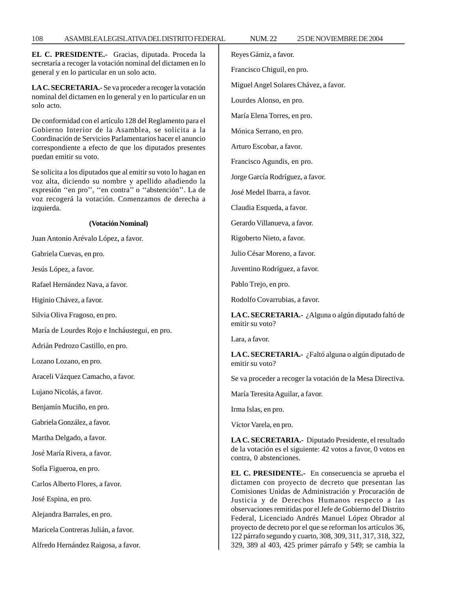#### 108 ASAMBLEA LEGISLATIVA DEL DISTRITO FEDERAL NUM. 22 25 DE NOVIEMBRE DE 2004

**EL C. PRESIDENTE.-** Gracias, diputada. Proceda la secretaría a recoger la votación nominal del dictamen en lo general y en lo particular en un solo acto.

**LA C. SECRETARIA.-** Se va proceder a recoger la votación nominal del dictamen en lo general y en lo particular en un solo acto.

De conformidad con el artículo 128 del Reglamento para el Gobierno Interior de la Asamblea, se solicita a la Coordinación de Servicios Parlamentarios hacer el anuncio correspondiente a efecto de que los diputados presentes puedan emitir su voto.

Se solicita a los diputados que al emitir su voto lo hagan en voz alta, diciendo su nombre y apellido añadiendo la expresión ''en pro'', ''en contra'' o ''abstención''. La de voz recogerá la votación. Comenzamos de derecha a izquierda.

#### **(Votación Nominal)**

Juan Antonio Arévalo López, a favor.

Gabriela Cuevas, en pro.

Jesús López, a favor.

Rafael Hernández Nava, a favor.

Higinio Chávez, a favor.

Silvia Oliva Fragoso, en pro.

María de Lourdes Rojo e Incháustegui, en pro.

Adrián Pedrozo Castillo, en pro.

Lozano Lozano, en pro.

Araceli Vázquez Camacho, a favor.

Lujano Nicolás, a favor.

Benjamín Muciño, en pro.

Gabriela González, a favor.

Martha Delgado, a favor.

José María Rivera, a favor.

Sofía Figueroa, en pro.

Carlos Alberto Flores, a favor.

José Espina, en pro.

Alejandra Barrales, en pro.

Maricela Contreras Julián, a favor.

Alfredo Hernández Raigosa, a favor.

Reyes Gámiz, a favor.

Francisco Chiguil, en pro.

Miguel Angel Solares Chávez, a favor.

Lourdes Alonso, en pro.

María Elena Torres, en pro.

Mónica Serrano, en pro.

Arturo Escobar, a favor.

Francisco Agundis, en pro.

Jorge García Rodríguez, a favor.

José Medel Ibarra, a favor.

Claudia Esqueda, a favor.

Gerardo Villanueva, a favor.

Rigoberto Nieto, a favor.

Julio César Moreno, a favor.

Juventino Rodríguez, a favor.

Pablo Trejo, en pro.

Rodolfo Covarrubias, a favor.

**LA C. SECRETARIA.-** ¿Alguna o algún diputado faltó de emitir su voto?

Lara, a favor.

**LA C. SECRETARIA.-** ¿Faltó alguna o algún diputado de emitir su voto?

Se va proceder a recoger la votación de la Mesa Directiva.

María Teresita Aguilar, a favor.

Irma Islas, en pro.

Víctor Varela, en pro.

**LA C. SECRETARIA.-** Diputado Presidente, el resultado de la votación es el siguiente: 42 votos a favor, 0 votos en contra, 0 abstenciones.

**EL C. PRESIDENTE.-** En consecuencia se aprueba el dictamen con proyecto de decreto que presentan las Comisiones Unidas de Administración y Procuración de Justicia y de Derechos Humanos respecto a las observaciones remitidas por el Jefe de Gobierno del Distrito Federal, Licenciado Andrés Manuel López Obrador al proyecto de decreto por el que se reforman los artículos 36, 122 párrafo segundo y cuarto, 308, 309, 311, 317, 318, 322, 329, 389 al 403, 425 primer párrafo y 549; se cambia la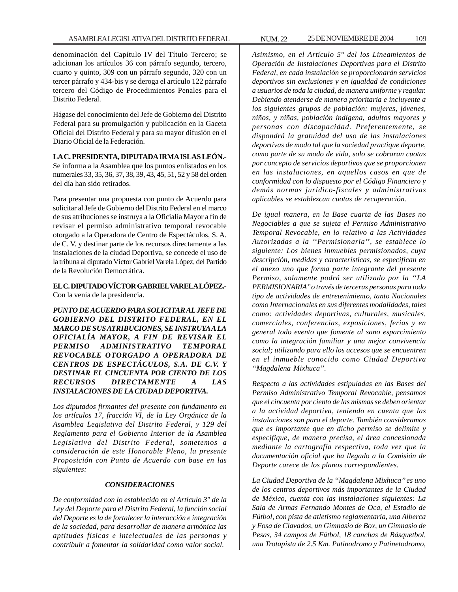denominación del Capítulo IV del Título Tercero; se adicionan los artículos 36 con párrafo segundo, tercero, cuarto y quinto, 309 con un párrafo segundo, 320 con un tercer párrafo y 434-bis y se deroga el artículo 122 párrafo tercero del Código de Procedimientos Penales para el Distrito Federal.

Hágase del conocimiento del Jefe de Gobierno del Distrito Federal para su promulgación y publicación en la Gaceta Oficial del Distrito Federal y para su mayor difusión en el Diario Oficial de la Federación.

# **LA C. PRESIDENTA, DIPUTADA IRMA ISLAS LEÓN.-**

Se informa a la Asamblea que los puntos enlistados en los numerales 33, 35, 36, 37, 38, 39, 43, 45, 51, 52 y 58 del orden del día han sido retirados.

Para presentar una propuesta con punto de Acuerdo para solicitar al Jefe de Gobierno del Distrito Federal en el marco de sus atribuciones se instruya a la Oficialía Mayor a fin de revisar el permiso administrativo temporal revocable otorgado a la Operadora de Centro de Espectáculos, S. A. de C. V. y destinar parte de los recursos directamente a las instalaciones de la ciudad Deportiva, se concede el uso de la tribuna al diputado Víctor Gabriel Varela López, del Partido de la Revolución Democrática.

# **EL C. DIPUTADO VÍCTOR GABRIEL VARELA LÓPEZ.-** Con la venia de la presidencia.

*PUNTO DE ACUERDO PARA SOLICITAR AL JEFE DE GOBIERNO DEL DISTRITO FEDERAL, EN EL MARCO DE SUS ATRIBUCIONES, SE INSTRUYA A LA OFICIALÍA MAYOR, A FIN DE REVISAR EL PERMISO ADMINISTRATIVO TEMPORAL REVOCABLE OTORGADO A OPERADORA DE CENTROS DE ESPECTÁCULOS, S.A. DE C.V. Y DESTINAR EL CINCUENTA POR CIENTO DE LOS RECURSOS DIRECTAMENTE A LAS INSTALACIONES DE LA CIUDAD DEPORTIVA.*

*Los diputados firmantes del presente con fundamento en los artículos 17, fracción VI, de la Ley Orgánica de la Asamblea Legislativa del Distrito Federal, y 129 del Reglamento para el Gobierno Interior de la Asamblea Legislativa del Distrito Federal, sometemos a consideración de este Honorable Pleno, la presente Proposición con Punto de Acuerdo con base en las siguientes:*

#### *CONSIDERACIONES*

*De conformidad con lo establecido en el Artículo 3° de la Ley del Deporte para el Distrito Federal, la función social del Deporte es la de fortalecer la interacción e integración de la sociedad, para desarrollar de manera armónica las aptitudes físicas e intelectuales de las personas y contribuir a fomentar la solidaridad como valor social.*

*Asimismo, en el Artículo 5° del los Lineamientos de Operación de Instalaciones Deportivas para el Distrito Federal, en cada instalación se proporcionarán servicios deportivos sin exclusiones y en igualdad de condiciones a usuarios de toda la ciudad, de manera uniforme y regular. Debiendo atenderse de manera prioritaria e incluyente a los siguientes grupos de población: mujeres, jóvenes, niños, y niñas, población indígena, adultos mayores y personas con discapacidad. Preferentemente, se dispondrá la gratuidad del uso de las instalaciones deportivas de modo tal que la sociedad practique deporte, como parte de su modo de vida, solo se cobraran cuotas por concepto de servicios deportivos que se proporcionen en las instalaciones, en aquellos casos en que de conformidad con lo dispuesto por el Código Financiero y demás normas jurídico-fiscales y administrativas aplicables se establezcan cuotas de recuperación.*

*De igual manera, en la Base cuarta de las Bases no Negociables a que se sujeta el Permiso Administrativo Temporal Revocable, en lo relativo a las Actividades Autorizadas a la ''Permisionaria'', se establece lo siguiente: Los bienes inmuebles permisionados, cuya descripción, medidas y características, se especifican en el anexo uno que forma parte integrante del presente Permiso, solamente podrá ser utilizado por la ''LA PERMISIONARIA'' o través de terceras personas para todo tipo de actividades de entretenimiento, tanto Nacionales como Internacionales en sus diferentes modalidades, tales como: actividades deportivas, culturales, musicales, comerciales, conferencias, exposiciones, ferias y en general todo evento que fomente al sano esparcimiento como la integración familiar y una mejor convivencia social; utilizando para ello los accesos que se encuentren en el inmueble conocido como Ciudad Deportiva ''Magdalena Mixhuca''.*

*Respecto a las actividades estipuladas en las Bases del Permiso Administrativo Temporal Revocable, pensamos que el cincuenta por ciento de las mismas se deben orientar a la actividad deportiva, teniendo en cuenta que las instalaciones son para el deporte. También consideramos que es importante que en dicho permiso se delimite y especifique, de manera precisa, el área concesionada mediante la cartografía respectiva, toda vez que la documentación oficial que ha llegado a la Comisión de Deporte carece de los planos correspondientes.*

*La Ciudad Deportiva de la ''Magdalena Mixhuca'' es uno de los centros deportivos más importantes de la Ciudad de México, cuenta con las instalaciones siguientes: La Sala de Armas Fernando Montes de Oca, el Estadio de Fútbol, con pista de atletismo reglamentaria, una Alberca y Fosa de Clavados, un Gimnasio de Box, un Gimnasio de Pesas, 34 campos de Fútbol, 18 canchas de Básquetbol, una Trotapista de 2.5 Km. Patinodromo y Patinetodromo,*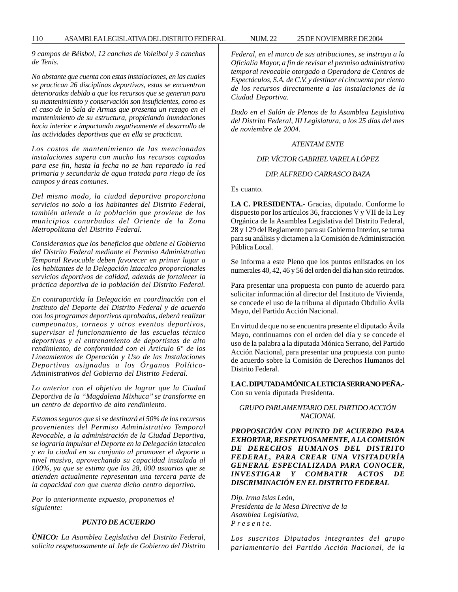110 ASAMBLEA LEGISLATIVA DEL DISTRITO FEDERAL NUM. 22 25 DE NOVIEMBRE DE 2004

*9 campos de Béisbol, 12 canchas de Voleibol y 3 canchas de Tenis.*

*No obstante que cuenta con estas instalaciones, en las cuales se practican 26 disciplinas deportivas, estas se encuentran deterioradas debido a que los recursos que se generan para su mantenimiento y conservación son insuficientes, como es el caso de la Sala de Armas que presenta un rezago en el mantenimiento de su estructura, propiciando inundaciones hacia interior e impactando negativamente el desarrollo de las actividades deportivas que en ella se practican.*

*Los costos de mantenimiento de las mencionadas instalaciones supera con mucho los recursos captados para ese fin, hasta la fecha no se han reparado la red primaria y secundaria de agua tratada para riego de los campos y áreas comunes.*

*Del mismo modo, la ciudad deportiva proporciona servicios no solo a los habitantes del Distrito Federal, también atiende a la población que proviene de los municipios conurbados del Oriente de la Zona Metropolitana del Distrito Federal.*

*Consideramos que los beneficios que obtiene el Gobierno del Distrito Federal mediante el Permiso Administrativo Temporal Revocable deben favorecer en primer lugar a los habitantes de la Delegación lztacalco proporcionales servicios deportivos de calidad, además de fortalecer la práctica deportiva de la población del Distrito Federal.*

*En contrapartida la Delegación en coordinación con el Instituto del Deporte del Distrito Federal y de acuerdo con los programas deportivos aprobados, deberá realizar campeonatos, torneos y otros eventos deportivos, supervisar el funcionamiento de las escuelas técnico deportivas y el entrenamiento de deportistas de alto rendimiento, de conformidad con el Artículo 6° de los Lineamientos de Operación y Uso de las Instalaciones Deportivas asignadas a los Órganos Político-Administrativos del Gobierno del Distrito Federal.*

*Lo anterior con el objetivo de lograr que la Ciudad Deportiva de la ''Magdalena Mixhuca'' se transforme en un centro de deportivo de alto rendimiento.*

*Estamos seguros que si se destinará el 50% de los recursos provenientes del Permiso Administrativo Temporal Revocable, a la administración de la Ciudad Deportiva, se lograría impulsar el Deporte en la Delegación lztacalco y en la ciudad en su conjunto al promover el deporte a nivel masivo, aprovechando su capacidad instalada al 100%, ya que se estima que los 28, 000 usuarios que se atienden actualmente representan una tercera parte de la capacidad con que cuenta dicho centro deportivo.*

*Por lo anteriormente expuesto, proponemos el siguiente:*

#### *PUNTO DE ACUERDO*

*ÚNICO: La Asamblea Legislativa del Distrito Federal, solicita respetuosamente al Jefe de Gobierno del Distrito* *Federal, en el marco de sus atribuciones, se instruya a la Oficialía Mayor, a fin de revisar el permiso administrativo temporal revocable otorgado a Operadora de Centros de Espectáculos, S.A. de C.V. y destinar el cincuenta por ciento de los recursos directamente a las instalaciones de la Ciudad Deportiva.*

*Dado en el Salón de Plenos de la Asamblea Legislativa del Distrito Federal, III Legislatura, a los 25 días del mes de noviembre de 2004.*

# *ATENTAM ENTE*

# *DIP. VÍCTOR GABRIEL VARELA LÓPEZ*

#### *DIP. ALFREDO CARRASCO BAZA*

Es cuanto.

**LA C. PRESIDENTA.-** Gracias, diputado. Conforme lo dispuesto por los artículos 36, fracciones V y VII de la Ley Orgánica de la Asamblea Legislativa del Distrito Federal, 28 y 129 del Reglamento para su Gobierno Interior, se turna para su análisis y dictamen a la Comisión de Administración Pública Local.

Se informa a este Pleno que los puntos enlistados en los numerales 40, 42, 46 y 56 del orden del día han sido retirados.

Para presentar una propuesta con punto de acuerdo para solicitar información al director del Instituto de Vivienda, se concede el uso de la tribuna al diputado Obdulio Ávila Mayo, del Partido Acción Nacional.

En virtud de que no se encuentra presente el diputado Ávila Mayo, continuamos con el orden del día y se concede el uso de la palabra a la diputada Mónica Serrano, del Partido Acción Nacional, para presentar una propuesta con punto de acuerdo sobre la Comisión de Derechos Humanos del Distrito Federal.

# **LA C. DIPUTADA MÓNICA LETICIA SERRANO PEÑA.-** Con su venia diputada Presidenta.

# *GRUPO PARLAMENTARIO DEL PARTIDO ACCIÓN NACIONAL*

*PROPOSICIÓN CON PUNTO DE ACUERDO PARA EXHORTAR, RESPETUOSAMENTE, A LA COMISIÓN DE DERECHOS HUMANOS DEL DISTRITO FEDERAL, PARA CREAR UNA VISITADURÍA GENERAL ESPECIALIZADA PARA CONOCER, INVESTIGAR Y COMBATIR ACTOS DE DISCRIMINACIÓN EN EL DISTRITO FEDERAL*

*Dip. Irma Islas León, Presidenta de la Mesa Directiva de la Asamblea Legislativa, P r e s e n t e.*

*Los suscritos Diputados integrantes del grupo parlamentario del Partido Acción Nacional, de la*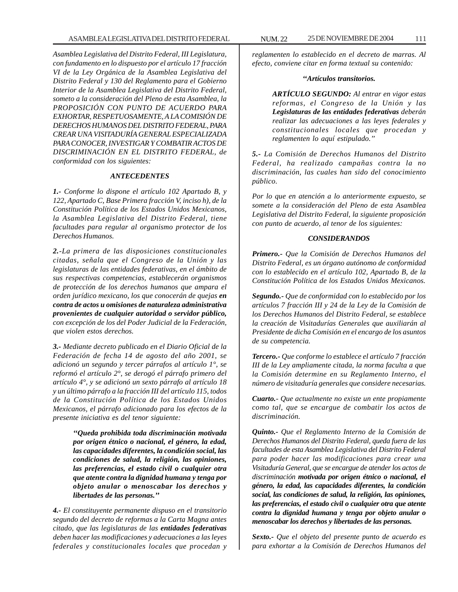*Asamblea Legislativa del Distrito Federal, III Legislatura, con fundamento en lo dispuesto por el artículo 17 fracción VI de la Ley Orgánica de la Asamblea Legislativa del Distrito Federal y 130 del Reglamento para el Gobierno Interior de la Asamblea Legislativa del Distrito Federal, someto a la consideración del Pleno de esta Asamblea, la PROPOSICIÓN CON PUNTO DE ACUERDO PARA EXHORTAR, RESPETUOSAMENTE, A LA COMISIÓN DE DERECHOS HUMANOS DEL DISTRITO FEDERAL, PARA CREAR UNA VISITADURÍA GENERAL ESPECIALIZADA PARA CONOCER, INVESTIGAR Y COMBATIR ACTOS DE DISCRIMINACIÓN EN EL DISTRITO FEDERAL, de conformidad con los siguientes:*

#### *ANTECEDENTES*

*1.- Conforme lo dispone el artículo 102 Apartado B, y 122, Apartado C, Base Primera fracción V, inciso h), de la Constitución Política de los Estados Unidos Mexicanos, la Asamblea Legislativa del Distrito Federal, tiene facultades para regular al organismo protector de los Derechos Humanos.*

*2.-La primera de las disposiciones constitucionales citadas, señala que el Congreso de la Unión y las legislaturas de las entidades federativas, en el ámbito de sus respectivas competencias, establecerán organismos de protección de los derechos humanos que ampara el orden jurídico mexicano, los que conocerán de quejas en contra de actos u omisiones de naturaleza administrativa provenientes de cualquier autoridad o servidor público, con excepción de los del Poder Judicial de la Federación, que violen estos derechos.*

*3.- Mediante decreto publicado en el Diario Oficial de la Federación de fecha 14 de agosto del año 2001, se adicionó un segundo y tercer párrafos al artículo 1°, se reformó el artículo 2°, se derogó el párrafo primero del artículo 4°, y se adicionó un sexto párrafo al artículo 18 y un último párrafo a la fracción III del artículo 115, todos de la Constitución Política de los Estados Unidos Mexicanos, el párrafo adicionado para los efectos de la presente iniciativa es del tenor siguiente:*

> *''Queda prohibida toda discriminación motivada por origen étnico o nacional, el género, la edad, las capacidades diferentes, la condición social, las condiciones de salud, la religión, las opiniones, las preferencias, el estado civil o cualquier otra que atente contra la dignidad humana y tenga por objeto anular o menoscabar los derechos y libertades de las personas.''*

*4.- El constituyente permanente dispuso en el transitorio segundo del decreto de reformas a la Carta Magna antes citado, que las legislaturas de las entidades federativas deben hacer las modificaciones y adecuaciones a las leyes federales y constitucionales locales que procedan y* *reglamenten lo establecido en el decreto de marras. Al*

#### *''Artículos transitorios.*

*efecto, conviene citar en forma textual su contenido:*

*ARTÍCULO SEGUNDO: Al entrar en vigor estas reformas, el Congreso de la Unión y las Legislaturas de las entidades federativas deberán realizar las adecuaciones a las leyes federales y constitucionales locales que procedan y reglamenten lo aquí estipulado.''*

*5.- La Comisión de Derechos Humanos del Distrito Federal, ha realizado campañas contra la no discriminación, las cuales han sido del conocimiento público.*

*Por lo que en atención a lo anteriormente expuesto, se somete a la consideración del Pleno de esta Asamblea Legislativa del Distrito Federal, la siguiente proposición con punto de acuerdo, al tenor de los siguientes:*

#### *CONSIDERANDOS*

*Primero.- Que la Comisión de Derechos Humanos del Distrito Federal, es un órgano autónomo de conformidad con lo establecido en el artículo 102, Apartado B, de la Constitución Política de los Estados Unidos Mexicanos.*

*Segundo.- Que de conformidad con lo establecido por los artículos 7 fracción III y 24 de la Ley de la Comisión de los Derechos Humanos del Distrito Federal, se establece la creación de Visitadurías Generales que auxiliarán al Presidente de dicha Comisión en el encargo de los asuntos de su competencia.*

*Tercero.- Que conforme lo establece el artículo 7 fracción III de la Ley ampliamente citada, la norma faculta a que la Comisión determine en su Reglamento Interno, el número de visitaduría generales que considere necesarias.*

*Cuarto.- Que actualmente no existe un ente propiamente como tal, que se encargue de combatir los actos de discriminación.*

*Quinto.- Que el Reglamento Interno de la Comisión de Derechos Humanos del Distrito Federal, queda fuera de las facultades de esta Asamblea Legislativa del Distrito Federal para poder hacer las modificaciones para crear una Visitaduría General, que se encargue de atender los actos de discriminación motivada por origen étnico o nacional, el género, la edad, las capacidades diferentes, la condición social, las condiciones de salud, la religión, las opiniones, las preferencias, el estado civil o cualquier otra que atente contra la dignidad humana y tenga por objeto anular o menoscabar los derechos y libertades de las personas.*

*Sexto.- Que el objeto del presente punto de acuerdo es para exhortar a la Comisión de Derechos Humanos del*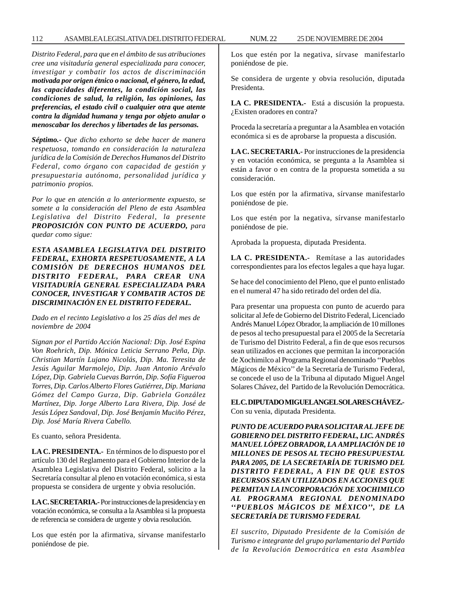## 112 ASAMBLEA LEGISLATIVA DEL DISTRITO FEDERAL NUM. 22 25 DE NOVIEMBRE DE 2004

*Distrito Federal, para que en el ámbito de sus atribuciones cree una visitaduría general especializada para conocer, investigar y combatir los actos de discriminación motivada por origen étnico o nacional, el género, la edad, las capacidades diferentes, la condición social, las condiciones de salud, la religión, las opiniones, las preferencias, el estado civil o cualquier otra que atente contra la dignidad humana y tenga por objeto anular o menoscabar los derechos y libertades de las personas.*

*Séptimo.- Que dicho exhorto se debe hacer de manera respetuosa, tomando en consideración la naturaleza jurídica de la Comisión de Derechos Humanos del Distrito Federal, como órgano con capacidad de gestión y presupuestaria autónoma, personalidad jurídica y patrimonio propios.*

*Por lo que en atención a lo anteriormente expuesto, se somete a la consideración del Pleno de esta Asamblea Legislativa del Distrito Federal, la presente PROPOSICIÓN CON PUNTO DE ACUERDO, para quedar como sigue:*

*ESTA ASAMBLEA LEGISLATIVA DEL DISTRITO FEDERAL, EXHORTA RESPETUOSAMENTE, A LA COMISIÓN DE DERECHOS HUMANOS DEL DISTRITO FEDERAL, PARA CREAR UNA VISITADURÍA GENERAL ESPECIALIZADA PARA CONOCER, INVESTIGAR Y COMBATIR ACTOS DE DISCRIMINACIÓN EN EL DISTRITO FEDERAL.*

*Dado en el recinto Legislativo a los 25 días del mes de noviembre de 2004*

*Signan por el Partido Acción Nacional: Dip. José Espina Von Roehrich, Dip. Mónica Leticia Serrano Peña, Dip. Christian Martín Lujano Nicolás, Dip. Ma. Teresita de Jesús Aguilar Marmolejo, Dip. Juan Antonio Arévalo López, Dip. Gabriela Cuevas Barrón, Dip. Sofía Figueroa Torres, Dip. Carlos Alberto Flores Gutiérrez, Dip. Mariana Gómez del Campo Gurza, Dip. Gabriela González Martínez, Dip. Jorge Alberto Lara Rivera, Dip. José de Jesús López Sandoval, Dip. José Benjamín Muciño Pérez, Dip. José María Rivera Cabello.*

Es cuanto, señora Presidenta.

**LA C. PRESIDENTA.-** En términos de lo dispuesto por el artículo 130 del Reglamento para el Gobierno Interior de la Asamblea Legislativa del Distrito Federal, solicito a la Secretaría consultar al pleno en votación económica, si esta propuesta se considera de urgente y obvia resolución.

**LA C. SECRETARIA.-** Por instrucciones de la presidencia y en votación económica, se consulta a la Asamblea si la propuesta de referencia se considera de urgente y obvia resolución.

Los que estén por la afirmativa, sírvanse manifestarlo poniéndose de pie.

Los que estén por la negativa, sírvase manifestarlo poniéndose de pie.

Se considera de urgente y obvia resolución, diputada Presidenta.

**LA C. PRESIDENTA.-** Está a discusión la propuesta. ¿Existen oradores en contra?

Proceda la secretaría a preguntar a la Asamblea en votación económica si es de aprobarse la propuesta a discusión.

**LA C. SECRETARIA.-** Por instrucciones de la presidencia y en votación económica, se pregunta a la Asamblea si están a favor o en contra de la propuesta sometida a su consideración.

Los que estén por la afirmativa, sírvanse manifestarlo poniéndose de pie.

Los que estén por la negativa, sírvanse manifestarlo poniéndose de pie.

Aprobada la propuesta, diputada Presidenta.

**LA C. PRESIDENTA.-** Remítase a las autoridades correspondientes para los efectos legales a que haya lugar.

Se hace del conocimiento del Pleno, que el punto enlistado en el numeral 47 ha sido retirado del orden del día.

Para presentar una propuesta con punto de acuerdo para solicitar al Jefe de Gobierno del Distrito Federal, Licenciado Andrés Manuel López Obrador, la ampliación de 10 millones de pesos al techo presupuestal para el 2005 de la Secretaría de Turismo del Distrito Federal, a fin de que esos recursos sean utilizados en acciones que permitan la incorporación de Xochimilco al Programa Regional denominado ''Pueblos Mágicos de México'' de la Secretaría de Turismo Federal, se concede el uso de la Tribuna al diputado Miguel Angel Solares Chávez, del Partido de la Revolución Democrática.

**EL C. DIPUTADO MIGUEL ANGEL SOLARES CHÁVEZ.-** Con su venia, diputada Presidenta.

*PUNTO DE ACUERDO PARA SOLICITAR AL JEFE DE GOBIERNO DEL DISTRITO FEDERAL, LIC. ANDRÉS MANUEL LÓPEZ OBRADOR, LA AMPLIACIÓN DE 10 MILLONES DE PESOS AL TECHO PRESUPUESTAL PARA 2005, DE LA SECRETARÍA DE TURISMO DEL DISTRITO FEDERAL, A FIN DE QUE ESTOS RECURSOS SEAN UTILIZADOS EN ACCIONES QUE PERMITAN LA INCORPORACIÓN DE XOCHIMILCO AL PROGRAMA REGIONAL DENOMINADO ''PUEBLOS MÁGICOS DE MÉXICO'', DE LA SECRETARÍA DE TURISMO FEDERAL*

*El suscrito, Diputado Presidente de la Comisión de Turismo e integrante del grupo parlamentario del Partido de la Revolución Democrática en esta Asamblea*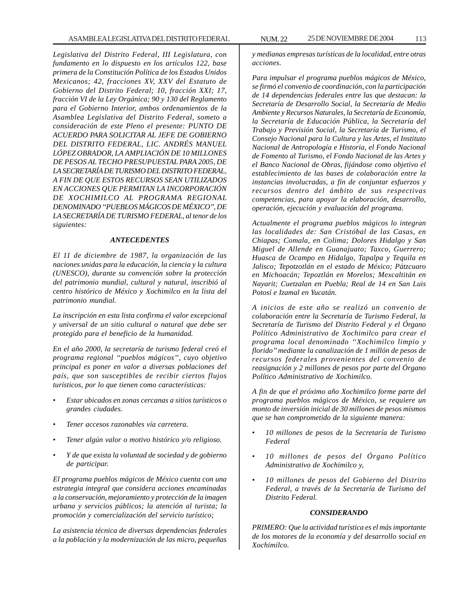*Legislativa del Distrito Federal, III Legislatura, con fundamento en lo dispuesto en los artículos 122, base primera de la Constitución Política de los Estados Unidos Mexicanos; 42, fracciones XV, XXV del Estatuto de Gobierno del Distrito Federal; 10, fracción XXI; 17, fracción VI de la Ley Orgánica; 90 y 130 del Reglamento para el Gobierno Interior, ambos ordenamientos de la Asamblea Legislativa del Distrito Federal, someto a consideración de este Pleno el presente: PUNTO DE ACUERDO PARA SOLICITAR AL JEFE DE GOBIERNO DEL DISTRITO FEDERAL, LIC. ANDRÉS MANUEL LÓPEZ OBRADOR, LA AMPLIACIÓN DE 10 MILLONES DE PESOS AL TECHO PRESUPUESTAL PARA 2005, DE LA SECRETARÍA DE TURISMO DEL DISTRITO FEDERAL, A FIN DE QUE ESTOS RECURSOS SEAN UTILIZADOS EN ACCIONES QUE PERMITAN LA INCORPORACIÓN DE XOCHIMILCO AL PROGRAMA REGIONAL DENOMINADO ''PUEBLOS MÁGICOS DE MÉXICO'', DE LA SECRETARÍA DE TURISMO FEDERAL, al tenor de los siguientes:*

# *ANTECEDENTES*

*El 11 de diciembre de 1987, la organización de las naciones unidas para la educación, la ciencia y la cultura (UNESCO), durante su convención sobre la protección del patrimonio mundial, cultural y natural, inscribió al centro histórico de México y Xochimilco en la lista del patrimonio mundial.*

*La inscripción en esta lista confirma el valor excepcional y universal de un sitio cultural o natural que debe ser protegido para el beneficio de la humanidad.*

*En el año 2000, la secretaría de turismo federal creó el programa regional ''pueblos mágicos'', cuyo objetivo principal es poner en valor a diversas poblaciones del país, que son susceptibles de recibir ciertos flujos turísticos, por lo que tienen como características:*

- *Estar ubicados en zonas cercanas a sitios turísticos o grandes ciudades.*
- *Tener accesos razonables vía carretera.*
- *Tener algún valor o motivo histórico y/o religioso.*
- *Y de que exista la voluntad de sociedad y de gobierno de participar.*

*El programa pueblos mágicos de México cuenta con una estrategia integral que considera acciones encaminadas a la conservación, mejoramiento y protección de la imagen urbana y servicios públicos; la atención al turista; la promoción y comercialización del servicio turístico;*

*La asistencia técnica de diversas dependencias federales a la población y la modernización de las micro, pequeñas*

*y medianas empresas turísticas de la localidad, entre otras acciones.*

*Para impulsar el programa pueblos mágicos de México, se firmó el convenio de coordinación, con la participación de 14 dependencias federales entre las que destacan: la Secretaría de Desarrollo Social, la Secretaría de Medio Ambiente y Recursos Naturales, la Secretaría de Economía, la Secretaría de Educación Pública, la Secretaría del Trabajo y Previsión Social, la Secretaría de Turismo, el Consejo Nacional para la Cultura y las Artes, el Instituto Nacional de Antropología e Historia, el Fondo Nacional de Fomento al Turismo, el Fondo Nacional de las Artes y el Banco Nacional de Obras, fijándose como objetivo el establecimiento de las bases de colaboración entre la instancias involucradas, a fin de conjuntar esfuerzos y recursos dentro del ámbito de sus respectivas competencias, para apoyar la elaboración, desarrollo, operación, ejecución y evaluación del programa.*

*Actualmente el programa pueblos mágicos lo integran las localidades de: San Cristóbal de las Casas, en Chiapas; Comala, en Colima; Dolores Hidalgo y San Miguel de Allende en Guanajuato; Taxco, Guerrero; Huasca de Ocampo en Hidalgo, Tapalpa y Tequila en Jalisco; Tepotzotlán en el estado de México; Pátzcuaro en Michoacán; Tepoztlán en Morelos; Mexcaltitán en Nayarit; Cuetzalan en Puebla; Real de 14 en San Luis Potosí e Izamal en Yucatán.*

*A inicios de este año se realizó un convenio de colaboración entre la Secretaría de Turismo Federal, la Secretaría de Turismo del Distrito Federal y el Órgano Político Administrativo de Xochimilco para crear el programa local denominado ''Xochimilco limpio y florido'' mediante la canalización de 1 millón de pesos de recursos federales provenientes del convenio de reasignación y 2 millones de pesos por parte del Órgano Político Administrativo de Xochimilco.*

*A fin de que el próximo año Xochimilco forme parte del programa pueblos mágicos de México, se requiere un monto de inversión inicial de 30 millones de pesos mismos que se han comprometido de la siguiente manera:*

- *10 millones de pesos de la Secretaría de Turismo Federal*
- *10 millones de pesos del Órgano Político Administrativo de Xochimilco y,*
- *10 millones de pesos del Gobierno del Distrito Federal, a través de la Secretaría de Turismo del Distrito Federal.*

# *CONSIDERANDO*

*PRIMERO: Que la actividad turística es el más importante de los motores de la economía y del desarrollo social en Xochimilco.*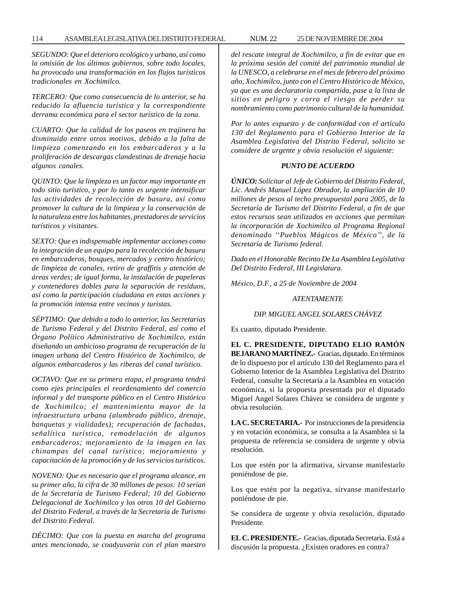# 114 ASAMBLEA LEGISLATIVA DEL DISTRITO FEDERAL 25 NUM. 22 DE NOVIEMBRE DE 2004

*SEGUNDO: Que el deterioro ecológico y urbano, así como la omisión de los últimos gobiernos, sobre todo locales, ha provocado una transformación en los flujos turísticos tradicionales en Xochimilco.*

*TERCERO: Que como consecuencia de lo anterior, se ha reducido la afluencia turística y la correspondiente derrama económica para el sector turístico de la zona.*

*CUARTO: Que la calidad de los paseos en trajinera ha disminuido entre otros motivos, debido a la falta de limpieza comenzando en los embarcaderos y a la proliferación de descargas clandestinas de drenaje hacia algunos canales.*

*QUINTO: Que la limpieza es un factor muy importante en todo sitio turístico, y por lo tanto es urgente intensificar las actividades de recolección de basura, así como promover la cultura de la limpieza y la conservación de la naturaleza entre los habitantes, prestadores de servicios turísticos y visitantes.*

*SEXTO: Que es indispensable implementar acciones como la integración de un equipo para la recolección de basura en embarcaderos, bosques, mercados y centro histórico; de limpieza de canales, retiro de graffitis y atención de áreas verdes; de igual forma, la instalación de papeleras y contenedores dobles para la separación de residuos, así como la participación ciudadana en estas acciones y la promoción intensa entre vecinos y turistas.*

*SÉPTIMO: Que debido a todo lo anterior, las Secretarias de Turismo Federal y del Distrito Federal, así como el Órgano Político Administrativo de Xochimilco, están diseñando un ambicioso programa de recuperación de la imagen urbana del Centro Histórico de Xochimilco, de algunos embarcaderos y las riberas del canal turístico.*

*OCTAVO: Que en su primera etapa, el programa tendrá como ejes principales el reordenamiento del comercio informal y del transporte público en el Centro Histórico de Xochimilco; el mantenimiento mayor de la infraestructura urbana (alumbrado público, drenaje, banquetas y vialidades); recuperación de fachadas, señalítica turística, remodelación de algunos embarcaderos; mejoramiento de la imagen en las chinampas del canal turístico; mejoramiento y capacitación de la promoción y de los servicios turísticos.*

*NOVENO: Que es necesario que el programa alcance, en su primer año, la cifra de 30 millones de pesos: 10 serían de la Secretaría de Turismo Federal; 10 del Gobierno Delegacional de Xochimilco y los otros 10 del Gobierno del Distrito Federal, a través de la Secretaría de Turismo del Distrito Federal.*

*DÉCIMO: Que con la puesta en marcha del programa antes mencionado, se coadyuvaría con el plan maestro* *del rescate integral de Xochimilco, a fin de evitar que en la próxima sesión del comité del patrimonio mundial de la UNESCO, a celebrarse en el mes de febrero del próximo año, Xochimilco, junto con el Centro Histórico de México, ya que es una declaratoria compartida, pase a la lista de sitios en peligro y corra el riesgo de perder su nombramiento como patrimonio cultural de la humanidad.*

*Por lo antes expuesto y de conformidad con el artículo 130 del Reglamento para el Gobierno Interior de la Asamblea Legislativa del Distrito Federal, solicito se considere de urgente y obvia resolución el siguiente:*

# *PUNTO DE ACUERDO*

*ÚNICO: Solicitar al Jefe de Gobierno del Distrito Federal, Lic. Andrés Manuel López Obrador, la ampliación de 10 millones de pesos al techo presupuestal para 2005, de la Secretaría de Turismo del Distrito Federal, a fin de que estos recursos sean utilizados en acciones que permitan la incorporación de Xochimilco al Programa Regional denominado ''Pueblos Mágicos de México'', de la Secretaría de Turismo federal.*

*Dado en el Honorable Recinto De La Asamblea Legislativa Del Distrito Federal, III Legislatura.*

*México, D.F., a 25 de Noviembre de 2004*

*ATENTAMENTE*

# *DIP. MIGUEL ANGEL SOLARES CHÁVEZ*

Es cuanto, diputado Presidente.

**EL C. PRESIDENTE, DIPUTADO ELIO RAMÓN BEJARANO MARTÍNEZ.-** Gracias, diputado. En términos de lo dispuesto por el artículo 130 del Reglamento para el Gobierno Interior de la Asamblea Legislativa del Distrito Federal, consulte la Secretaría a la Asamblea en votación económica, si la propuesta presentada por el diputado Miguel Angel Solares Chávez se considera de urgente y obvia resolución.

**LA C. SECRETARIA.-** Por instrucciones de la presidencia y en votación económica, se consulta a la Asamblea si la propuesta de referencia se considera de urgente y obvia resolución.

Los que estén por la afirmativa, sírvanse manifestarlo poniéndose de pie.

Los que estén por la negativa, sírvanse manifestarlo poniéndose de pie.

Se considera de urgente y obvia resolución, diputado Presidente.

**EL C. PRESIDENTE.-** Gracias, diputada Secretaria. Está a discusión la propuesta. ¿Existen oradores en contra?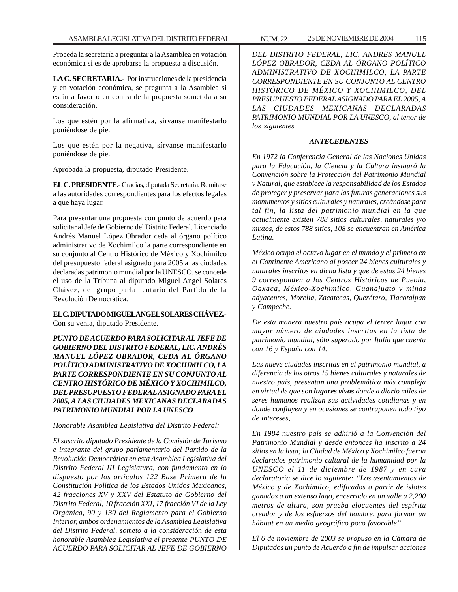Proceda la secretaría a preguntar a la Asamblea en votación económica si es de aprobarse la propuesta a discusión.

**LA C. SECRETARIA.-** Por instrucciones de la presidencia y en votación económica, se pregunta a la Asamblea si están a favor o en contra de la propuesta sometida a su consideración.

Los que estén por la afirmativa, sírvanse manifestarlo poniéndose de pie.

Los que estén por la negativa, sírvanse manifestarlo poniéndose de pie.

Aprobada la propuesta, diputado Presidente.

**EL C. PRESIDENTE.-** Gracias, diputada Secretaria. Remítase a las autoridades correspondientes para los efectos legales a que haya lugar.

Para presentar una propuesta con punto de acuerdo para solicitar al Jefe de Gobierno del Distrito Federal, Licenciado Andrés Manuel López Obrador ceda al órgano político administrativo de Xochimilco la parte correspondiente en su conjunto al Centro Histórico de México y Xochimilco del presupuesto federal asignado para 2005 a las ciudades declaradas patrimonio mundial por la UNESCO, se concede el uso de la Tribuna al diputado Miguel Angel Solares Chávez, del grupo parlamentario del Partido de la Revolución Democrática.

# **EL C. DIPUTADO MIGUEL ANGEL SOLARES CHÁVEZ.-**

Con su venia, diputado Presidente.

*PUNTO DE ACUERDO PARA SOLICITAR AL JEFE DE GOBIERNO DEL DISTRITO FEDERAL, LIC. ANDRÉS MANUEL LÓPEZ OBRADOR, CEDA AL ÓRGANO POLÍTICO ADMINISTRATIVO DE XOCHIMILCO, LA PARTE CORRESPONDIENTE EN SU CONJUNTO AL CENTRO HISTÓRICO DE MÉXICO Y XOCHIMILCO, DEL PRESUPUESTO FEDERAL ASIGNADO PARA EL 2005, A LAS CIUDADES MEXICANAS DECLARADAS PATRIMONIO MUNDIAL POR LA UNESCO*

# *Honorable Asamblea Legislativa del Distrito Federal:*

*El suscrito diputado Presidente de la Comisión de Turismo e integrante del grupo parlamentario del Partido de la Revolución Democrática en esta Asamblea Legislativa del Distrito Federal III Legislatura, con fundamento en lo dispuesto por los artículos 122 Base Primera de la Constitución Política de los Estados Unidos Mexicanos, 42 fracciones XV y XXV del Estatuto de Gobierno del Distrito Federal, 10 fracción XXI, 17 fracción VI de la Ley Orgánica, 90 y 130 del Reglamento para el Gobierno Interior, ambos ordenamientos de la Asamblea Legislativa del Distrito Federal, someto a la consideración de esta honorable Asamblea Legislativa el presente PUNTO DE ACUERDO PARA SOLICITAR AL JEFE DE GOBIERNO*

*DEL DISTRITO FEDERAL, LIC. ANDRÉS MANUEL LÓPEZ OBRADOR, CEDA AL ÓRGANO POLÍTICO ADMINISTRATIVO DE XOCHIMILCO, LA PARTE CORRESPONDIENTE EN SU CONJUNTO AL CENTRO HISTÓRICO DE MÉXICO Y XOCHIMILCO, DEL PRESUPUESTO FEDERAL ASIGNADO PARA EL 2005, A LAS CIUDADES MEXICANAS DECLARADAS PATRIMONIO MUNDIAL POR LA UNESCO, al tenor de los siguientes*

# *ANTECEDENTES*

*En 1972 la Conferencia General de las Naciones Unidas para la Educación, la Ciencia y la Cultura instauró la Convención sobre la Protección del Patrimonio Mundial y Natural, que establece la responsabilidad de los Estados de proteger y preservar para las futuras generaciones sus monumentos y sitios culturales y naturales, creándose para tal fin, la lista del patrimonio mundial en la que actualmente existen 788 sitios culturales, naturales y/o mixtos, de estos 788 sitios, 108 se encuentran en América Latina.*

*México ocupa el octavo lugar en el mundo y el primero en el Continente Americano al poseer 24 bienes culturales y naturales inscritos en dicha lista y que de estos 24 bienes 9 corresponden a los Centros Históricos de Puebla, Oaxaca, México-Xochimilco, Guanajuato y minas adyacentes, Morelia, Zacatecas, Querétaro, Tlacotalpan y Campeche.*

*De esta manera nuestro país ocupa el tercer lugar con mayor número de ciudades inscritas en la lista de patrimonio mundial, sólo superado por Italia que cuenta con 16 y España con 14.*

*Las nueve ciudades inscritas en el patrimonio mundial, a diferencia de los otros 15 bienes culturales y naturales de nuestro país, presentan una problemática más compleja en virtud de que son lugares vivos donde a diario miles de seres humanos realizan sus actividades cotidianas y en donde confluyen y en ocasiones se contraponen todo tipo de intereses,*

*En 1984 nuestro país se adhirió a la Convención del Patrimonio Mundial y desde entonces ha inscrito a 24 sitios en la lista; la Ciudad de México y Xochimilco fueron declarados patrimonio cultural de la humanidad por la UNESCO el 11 de diciembre de 1987 y en cuya declaratoria se dice lo siguiente: ''Los asentamientos de México y de Xochimilco, edificados a partir de islotes ganados a un extenso lago, encerrado en un valle a 2,200 metros de altura, son prueba elocuentes del espíritu creador y de los esfuerzos del hombre, para formar un hábitat en un medio geográfico poco favorable''.*

*El 6 de noviembre de 2003 se propuso en la Cámara de Diputados un punto de Acuerdo a fin de impulsar acciones*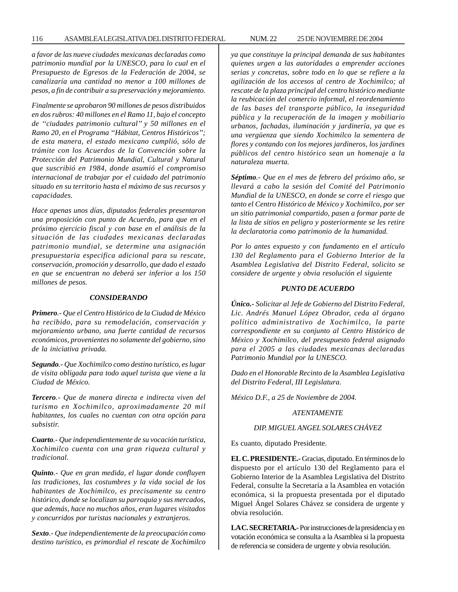*a favor de las nueve ciudades mexicanas declaradas como patrimonio mundial por la UNESCO, para lo cual en el Presupuesto de Egresos de la Federación de 2004, se canalizaría una cantidad no menor a 100 millones de pesos, a fin de contribuir a su preservación y mejoramiento.*

*Finalmente se aprobaron 90 millones de pesos distribuidos en dos rubros: 40 millones en el Ramo 11, bajo el concepto de ''ciudades patrimonio cultural'' y 50 millones en el Ramo 20, en el Programa ''Hábitat, Centros Históricos''; de esta manera, el estado mexicano cumplió, sólo de trámite con los Acuerdos de la Convención sobre la Protección del Patrimonio Mundial, Cultural y Natural que suscribió en 1984, donde asumió el compromiso internacional de trabajar por el cuidado del patrimonio situado en su territorio hasta el máximo de sus recursos y capacidades.*

*Hace apenas unos días, diputados federales presentaron una proposición con punto de Acuerdo, para que en el próximo ejercicio fiscal y con base en el análisis de la situación de las ciudades mexicanas declaradas patrimonio mundial, se determine una asignación presupuestaria especifica adicional para su rescate, conservación, promoción y desarrollo, que dado el estado en que se encuentran no deberá ser inferior a los 150 millones de pesos.*

#### *CONSIDERANDO*

*Primero.- Que el Centro Histórico de la Ciudad de México ha recibido, para su remodelación, conservación y mejoramiento urbano, una fuerte cantidad de recursos económicos, provenientes no solamente del gobierno, sino de la iniciativa privada.*

*Segundo.- Que Xochimilco como destino turístico, es lugar de visita obligada para todo aquel turista que viene a la Ciudad de México.*

*Tercero.- Que de manera directa e indirecta viven del turismo en Xochimilco, aproximadamente 20 mil habitantes, los cuales no cuentan con otra opción para subsistir.*

*Cuarto.- Que independientemente de su vocación turística, Xochimilco cuenta con una gran riqueza cultural y tradicional.*

*Quinto.- Que en gran medida, el lugar donde confluyen las tradiciones, las costumbres y la vida social de los habitantes de Xochimilco, es precisamente su centro histórico, donde se localizan su parroquia y sus mercados, que además, hace no muchos años, eran lugares visitados y concurridos por turistas nacionales y extranjeros.*

*Sexto.- Que independientemente de la preocupación como destino turístico, es primordial el rescate de Xochimilco*

*ya que constituye la principal demanda de sus habitantes quienes urgen a las autoridades a emprender acciones serias y concretas, sobre todo en lo que se refiere a la agilización de los accesos al centro de Xochimilco; al rescate de la plaza principal del centro histórico mediante la reubicación del comercio informal, el reordenamiento de las bases del transporte público, la inseguridad pública y la recuperación de la imagen y mobiliario urbanos, fachadas, iluminación y jardinería, ya que es una vergüenza que siendo Xochimilco la sementera de flores y contando con los mejores jardineros, los jardines públicos del centro histórico sean un homenaje a la naturaleza muerta.*

*Séptimo.- Que en el mes de febrero del próximo año, se llevará a cabo la sesión del Comité del Patrimonio Mundial de la UNESCO, en donde se corre el riesgo que tanto el Centro Histórico de México y Xochimilco, por ser un sitio patrimonial compartido, pasen a formar parte de la lista de sitios en peligro y posteriormente se les retire la declaratoria como patrimonio de la humanidad.*

*Por lo antes expuesto y con fundamento en el artículo 130 del Reglamento para el Gobierno Interior de la Asamblea Legislativa del Distrito Federal, solicito se considere de urgente y obvia resolución el siguiente*

# *PUNTO DE ACUERDO*

*Único.- Solicitar al Jefe de Gobierno del Distrito Federal, Lic. Andrés Manuel López Obrador, ceda al órgano político administrativo de Xochimilco, la parte correspondiente en su conjunto al Centro Histórico de México y Xochimilco, del presupuesto federal asignado para el 2005 a las ciudades mexicanas declaradas Patrimonio Mundial por la UNESCO.*

*Dado en el Honorable Recinto de la Asamblea Legislativa del Distrito Federal, III Legislatura.*

*México D.F., a 25 de Noviembre de 2004.*

#### *ATENTAMENTE*

# *DIP. MIGUEL ANGEL SOLARES CHÁVEZ*

Es cuanto, diputado Presidente.

**EL C. PRESIDENTE.-** Gracias, diputado. En términos de lo dispuesto por el artículo 130 del Reglamento para el Gobierno Interior de la Asamblea Legislativa del Distrito Federal, consulte la Secretaría a la Asamblea en votación económica, si la propuesta presentada por el diputado Miguel Ángel Solares Chávez se considera de urgente y obvia resolución.

**LA C. SECRETARIA.-** Por instrucciones de la presidencia y en votación económica se consulta a la Asamblea si la propuesta de referencia se considera de urgente y obvia resolución.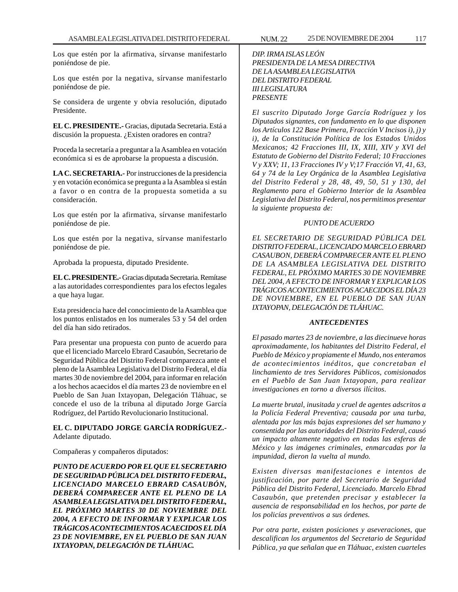Los que estén por la afirmativa, sírvanse manifestarlo poniéndose de pie.

Los que estén por la negativa, sírvanse manifestarlo poniéndose de pie.

Se considera de urgente y obvia resolución, diputado Presidente.

**EL C. PRESIDENTE.-** Gracias, diputada Secretaria. Está a discusión la propuesta. ¿Existen oradores en contra?

Proceda la secretaría a preguntar a la Asamblea en votación económica si es de aprobarse la propuesta a discusión.

**LA C. SECRETARIA.-** Por instrucciones de la presidencia y en votación económica se pregunta a la Asamblea si están a favor o en contra de la propuesta sometida a su consideración.

Los que estén por la afirmativa, sírvanse manifestarlo poniéndose de pie.

Los que estén por la negativa, sírvanse manifestarlo poniéndose de pie.

Aprobada la propuesta, diputado Presidente.

**EL C. PRESIDENTE.-** Gracias diputada Secretaria. Remítase a las autoridades correspondientes para los efectos legales a que haya lugar.

Esta presidencia hace del conocimiento de la Asamblea que los puntos enlistados en los numerales 53 y 54 del orden del día han sido retirados.

Para presentar una propuesta con punto de acuerdo para que el licenciado Marcelo Ebrard Casaubón, Secretario de Seguridad Pública del Distrito Federal comparezca ante el pleno de la Asamblea Legislativa del Distrito Federal, el día martes 30 de noviembre del 2004, para informar en relación a los hechos acaecidos el día martes 23 de noviembre en el Pueblo de San Juan Ixtayopan, Delegación Tláhuac, se concede el uso de la tribuna al diputado Jorge García Rodríguez, del Partido Revolucionario Institucional.

# **EL C. DIPUTADO JORGE GARCÍA RODRÍGUEZ.-** Adelante diputado.

Compañeras y compañeros diputados:

*PUNTO DE ACUERDO POR EL QUE EL SECRETARIO DE SEGURIDAD PÚBLICA DEL DISTRITO FEDERAL, LICENCIADO MARCELO EBRARD CASAUBÓN, DEBERÁ COMPARECER ANTE EL PLENO DE LA ASAMBLEA LEGISLATIVA DEL DISTRITO FEDERAL, EL PRÓXIMO MARTES 30 DE NOVIEMBRE DEL 2004, A EFECTO DE INFORMAR Y EXPLICAR LOS TRÁGICOS ACONTECIMIENTOS ACAECIDOS EL DÍA 23 DE NOVIEMBRE, EN EL PUEBLO DE SAN JUAN IXTAYOPAN, DELEGACIÓN DE TLÁHUAC.*

*DIP. IRMA ISLAS LEÓN PRESIDENTA DE LA MESA DIRECTIVA DE LA ASAMBLEA LEGISLATIVA DEL DISTRITO FEDERAL III LEGISLATURA PRESENTE*

*El suscrito Diputado Jorge García Rodríguez y los Diputados signantes, con fundamento en lo que disponen los Artículos 122 Base Primera, Fracción V Incisos i), j) y i), de la Constitución Política de los Estados Unidos Mexicanos; 42 Fracciones III, IX, XIII, XIV y XVI del Estatuto de Gobierno del Distrito Federal; 10 Fracciones V y XXV; 11, 13 Fracciones IV y V;17 Fracción VI, 41, 63, 64 y 74 de la Ley Orgánica de la Asamblea Legislativa del Distrito Federal y 28, 48, 49, 50, 51 y 130, del Reglamento para el Gobierno Interior de la Asamblea Legislativa del Distrito Federal, nos permitimos presentar la siguiente propuesta de:*

# *PUNTO DE ACUERDO*

*EL SECRETARIO DE SEGURIDAD PÚBLICA DEL DISTRITO FEDERAL, LICENCIADO MARCELO EBRARD CASAUBON, DEBERÁ COMPARECER ANTE EL PLENO DE LA ASAMBLEA LEGISLATIVA DEL DISTRITO FEDERAL, EL PRÓXIMO MARTES 30 DE NOVIEMBRE DEL 2004, A EFECTO DE INFORMAR Y EXPLICAR LOS TRÁGICOS ACONTECIMIENTOS ACAECIDOS EL DÍA 23 DE NOVIEMBRE, EN EL PUEBLO DE SAN JUAN IXTAYOPAN, DELEGACIÓN DE TLÁHUAC.*

# *ANTECEDENTES*

*El pasado martes 23 de noviembre, a las diecinueve horas aproximadamente, los habitantes del Distrito Federal, el Pueblo de México y propiamente el Mundo, nos enteramos de acontecimientos inéditos, que concretaban el linchamiento de tres Servidores Públicos, comisionados en el Pueblo de San Juan Ixtayopan, para realizar investigaciones en torno a diversos ilícitos*.

*La muerte brutal, inusitada y cruel de agentes adscritos a la Policía Federal Preventiva; causada por una turba, alentada por las más bajas expresiones del ser humano y consentida por las autoridades del Distrito Federal, causó un impacto altamente negativo en todas las esferas de México y las imágenes criminales, enmarcadas por la impunidad, dieron la vuelta al mundo.*

*Existen diversas manifestaciones e intentos de justificación, por parte del Secretario de Seguridad Pública del Distrito Federal, Licenciado. Marcelo Ebrad Casaubón, que pretenden precisar y establecer la ausencia de responsabilidad en los hechos, por parte de los policías preventivos a sus órdenes.*

*Por otra parte, existen posiciones y aseveraciones, que descalifican los argumentos del Secretario de Seguridad Pública, ya que señalan que en Tláhuac, existen cuarteles*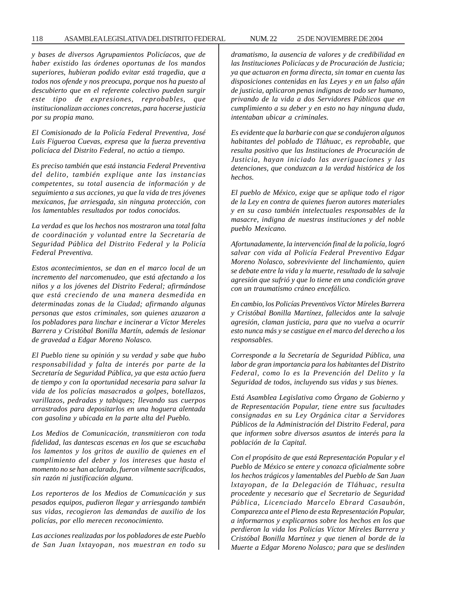#### 118 ASAMBLEA LEGISLATIVA DEL DISTRITO FEDERAL 25 NUM. 22 DE NOVIEMBRE DE 2004

*y bases de diversos Agrupamientos Policíacos, que de haber existido las órdenes oportunas de los mandos superiores, hubieran podido evitar está tragedia, que a todos nos ofende y nos preocupa, porque nos ha puesto al descubierto que en el referente colectivo pueden surgir este tipo de expresiones, reprobables, que institucionalizan acciones concretas, para hacerse justicia por su propia mano.*

*El Comisionado de la Policía Federal Preventiva, José Luis Figueroa Cuevas, expresa que la fuerza preventiva policíaca del Distrito Federal, no actúo a tiempo.*

*Es preciso también que está instancia Federal Preventiva del delito, también explique ante las instancias competentes, su total ausencia de información y de seguimiento a sus acciones, ya que la vida de tres jóvenes mexicanos, fue arriesgada, sin ninguna protección, con los lamentables resultados por todos conocidos.*

*La verdad es que los hechos nos mostraron una total falta de coordinación y voluntad entre la Secretaría de Seguridad Pública del Distrito Federal y la Policía Federal Preventiva.*

*Estos acontecimientos, se dan en el marco local de un incremento del narcomenudeo, que está afectando a los niños y a los jóvenes del Distrito Federal; afirmándose que está creciendo de una manera desmedida en determinadas zonas de la Ciudad; afirmando algunas personas que estos criminales, son quienes azuzaron a los pobladores para linchar e incinerar a Víctor Mereles Barrera y Cristóbal Bonilla Martín, además de lesionar de gravedad a Edgar Moreno Nolasco.*

*El Pueblo tiene su opinión y su verdad y sabe que hubo responsabilidad y falta de interés por parte de la Secretaría de Seguridad Pública, ya que esta actúo fuera de tiempo y con la oportunidad necesaria para salvar la vida de los policías masacrados a golpes, botellazos, varillazos, pedradas y tabiques; llevando sus cuerpos arrastrados para depositarlos en una hoguera alentada con gasolina y ubicada en la parte alta del Pueblo.*

*Los Medios de Comunicación, transmitieron con toda fidelidad, las dantescas escenas en los que se escuchaba los lamentos y los gritos de auxilio de quienes en el cumplimiento del deber y los intereses que hasta el momento no se han aclarado, fueron vilmente sacrificados, sin razón ni justificación alguna.*

*Los reporteros de los Medios de Comunicación y sus pesados equipos, pudieron llegar y arriesgando también sus vidas, recogieron las demandas de auxilio de los policías, por ello merecen reconocimiento.*

*Las acciones realizadas por los pobladores de este Pueblo de San Juan lxtayopan, nos muestran en todo su* *dramatismo, la ausencia de valores y de credibilidad en las Instituciones Policíacas y de Procuración de Justicia; ya que actuaron en forma directa, sin tomar en cuenta las disposiciones contenidas en las Leyes y en un falso afán de justicia, aplicaron penas indignas de todo ser humano, privando de la vida a dos Servidores Públicos que en cumplimiento a su deber y en esto no hay ninguna duda, intentaban ubicar a criminales.*

*Es evidente que la barbarie con que se condujeron algunos habitantes del poblado de Tláhuac, es reprobable, que resulta positivo que las Instituciones de Procuración de Justicia, hayan iniciado las averiguaciones y las detenciones, que conduzcan a la verdad histórica de los hechos.*

*El pueblo de México, exige que se aplique todo el rigor de la Ley en contra de quienes fueron autores materiales y en su caso también intelectuales responsables de la masacre, indigna de nuestras instituciones y del noble pueblo Mexicano.*

*Afortunadamente, la intervención final de la policía, logró salvar con vida al Policía Federal Preventivo Edgar Moreno Nolasco, sobreviviente del linchamiento, quien se debate entre la vida y la muerte, resultado de la salvaje agresión que sufrió y que lo tiene en una condición grave con un traumatismo cráneo encefálico.*

*En cambio, los Policías Preventivos Víctor Míreles Barrera y Cristóbal Bonilla Martínez, fallecidos ante la salvaje agresión, claman justicia, para que no vuelva a ocurrir esto nunca más y se castigue en el marco del derecho a los responsables.*

*Corresponde a la Secretaría de Seguridad Pública, una labor de gran importancia para los habitantes del Distrito Federal, como lo es la Prevención del Delito y la Seguridad de todos, incluyendo sus vidas y sus bienes.*

*Está Asamblea Legislativa como Órgano de Gobierno y de Representación Popular, tiene entre sus facultades consignadas en su Ley Orgánica citar a Servidores Públicos de la Administración del Distrito Federal, para que informen sobre diversos asuntos de interés para la población de la Capital.*

*Con el propósito de que está Representación Popular y el Pueblo de México se entere y conozca oficialmente sobre los hechos trágicos y lamentables del Pueblo de San Juan lxtayopan, de la Delegación de Tláhuac, resulta procedente y necesario que el Secretario de Seguridad Pública, Licenciado Marcelo Ebrard Casaubón, Comparezca ante el Pleno de esta Representación Popular, a informarnos y explicarnos sobre los hechos en los que perdieron la vida los Policías Víctor Míreles Barrera y Cristóbal Bonilla Martínez y que tienen al borde de la Muerte a Edgar Moreno Nolasco; para que se deslinden*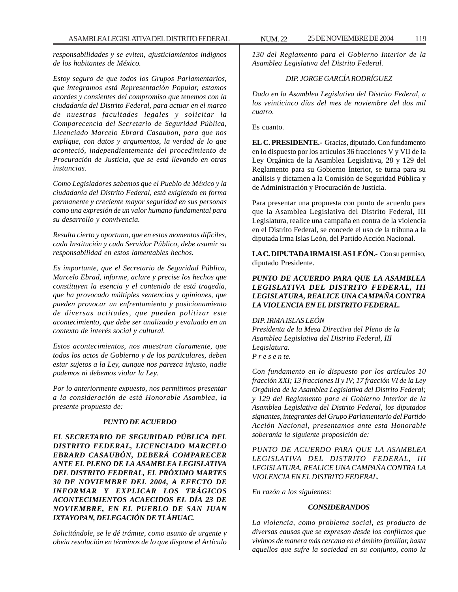*responsabilidades y se eviten, ajusticiamientos indignos de los habitantes de México.*

*Estoy seguro de que todos los Grupos Parlamentarios, que integramos está Representación Popular, estamos acordes y consientes del compromiso que tenemos con la ciudadanía del Distrito Federal, para actuar en el marco de nuestras facultades legales y solicitar la Comparecencia del Secretario de Seguridad Pública, Licenciado Marcelo Ebrard Casaubon, para que nos explique, con datos y argumentos, la verdad de lo que aconteció, independientemente del procedimiento de Procuración de Justicia, que se está llevando en otras instancias.*

*Como Legisladores sabemos que el Pueblo de México y la ciudadanía del Distrito Federal, está exigiendo en forma permanente y creciente mayor seguridad en sus personas como una expresión de un valor humano fundamental para su desarrollo y convivencia.*

*Resulta cierto y oportuno, que en estos momentos difíciles, cada Institución y cada Servidor Público, debe asumir su responsabilidad en estos lamentables hechos.*

*Es importante, que el Secretario de Seguridad Pública, Marcelo Ebrad, informe, aclare y precise los hechos que constituyen la esencia y el contenido de está tragedia, que ha provocado múltiples sentencias y opiniones, que pueden provocar un enfrentamiento y posicionamiento de diversas actitudes, que pueden politizar este acontecimiento, que debe ser analizado y evaluado en un contexto de interés social y cultural.*

*Estos acontecimientos, nos muestran claramente, que todos los actos de Gobierno y de los particulares, deben estar sujetos a la Ley, aunque nos parezca injusto, nadie podemos ni debemos violar la Ley.*

*Por lo anteriormente expuesto, nos permitimos presentar a la consideración de está Honorable Asamblea, la presente propuesta de:*

# *PUNTO DE ACUERDO*

*EL SECRETARIO DE SEGURIDAD PÚBLICA DEL DISTRITO FEDERAL, LICENCIADO MARCELO EBRARD CASAUBÓN, DEBERÁ COMPARECER ANTE EL PLENO DE LA ASAMBLEA LEGISLATIVA DEL DISTRITO FEDERAL, EL PRÓXIMO MARTES 30 DE NOVIEMBRE DEL 2004, A EFECTO DE INFORMAR Y EXPLICAR LOS TRÁGICOS ACONTECIMIENTOS ACAECIDOS EL DÍA 23 DE NOVIEMBRE, EN EL PUEBLO DE SAN JUAN IXTAYOPAN, DELEGACIÓN DE TLÁHUAC.*

*Solicitándole, se le dé trámite, como asunto de urgente y obvia resolución en términos de lo que dispone el Artículo*

*130 del Reglamento para el Gobierno Interior de la Asamblea Legislativa del Distrito Federal.*

# *DIP. JORGE GARCÍA RODRÍGUEZ*

*Dado en la Asamblea Legislativa del Distrito Federal, a los veinticinco días del mes de noviembre del dos mil cuatro.*

Es cuanto.

**EL C. PRESIDENTE.-** Gracias, diputado. Con fundamento en lo dispuesto por los artículos 36 fracciones V y VII de la Ley Orgánica de la Asamblea Legislativa, 28 y 129 del Reglamento para su Gobierno Interior, se turna para su análisis y dictamen a la Comisión de Seguridad Pública y de Administración y Procuración de Justicia.

Para presentar una propuesta con punto de acuerdo para que la Asamblea Legislativa del Distrito Federal, III Legislatura, realice una campaña en contra de la violencia en el Distrito Federal, se concede el uso de la tribuna a la diputada Irma Islas León, del Partido Acción Nacional.

**LA C. DIPUTADA IRMA ISLAS LEÓN.-** Con su permiso, diputado Presidente.

# *PUNTO DE ACUERDO PARA QUE LA ASAMBLEA LEGISLATIVA DEL DISTRITO FEDERAL, III LEGISLATURA, REALICE UNA CAMPAÑA CONTRA LA VIOLENCIA EN EL DISTRITO FEDERAL.*

# *DIP. IRMA ISLAS LEÓN*

*Presidenta de la Mesa Directiva del Pleno de la Asamblea Legislativa del Distrito Federal, III Legislatura. P r e s e n te.*

*Con fundamento en lo dispuesto por los artículos 10 fracción XXI; 13 fracciones II y IV; 17 fracción VI de la Ley Orgánica de la Asamblea Legislativa del Distrito Federal; y 129 del Reglamento para el Gobierno Interior de la Asamblea Legislativa del Distrito Federal, los diputados signantes, integrantes del Grupo Parlamentario del Partido Acción Nacional, presentamos ante esta Honorable soberanía la siguiente proposición de:*

*PUNTO DE ACUERDO PARA QUE LA ASAMBLEA LEGISLATIVA DEL DISTRITO FEDERAL, III LEGISLATURA, REALICE UNA CAMPAÑA CONTRA LA VIOLENCIA EN EL DISTRITO FEDERAL.*

*En razón a los siguientes:*

# *CONSIDERANDOS*

*La violencia, como problema social, es producto de diversas causas que se expresan desde los conflictos que vivimos de manera más cercana en el ámbito familiar, hasta aquellos que sufre la sociedad en su conjunto, como la*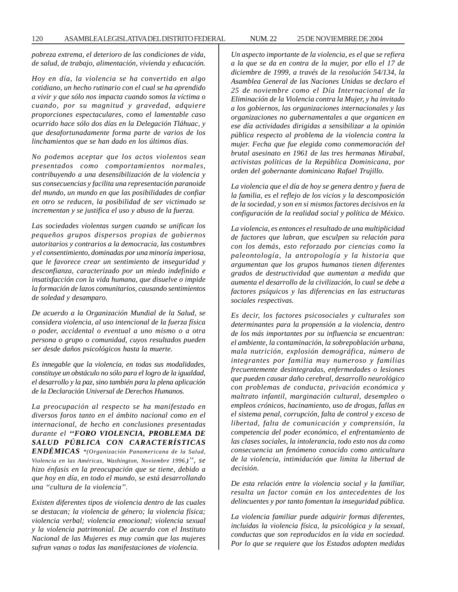*pobreza extrema, el deterioro de las condiciones de vida, de salud, de trabajo, alimentación, vivienda y educación.*

*Hoy en día, la violencia se ha convertido en algo cotidiano, un hecho rutinario con el cual se ha aprendido a vivir y que sólo nos impacta cuando somos la víctima o cuando, por su magnitud y gravedad, adquiere proporciones espectaculares, como el lamentable caso ocurrido hace sólo dos días en la Delegación Tláhuac, y que desafortunadamente forma parte de varios de los linchamientos que se han dado en los últimos días.*

*No podemos aceptar que los actos violentos sean presentados como comportamientos normales, contribuyendo a una desensibilización de la violencia y sus consecuencias y facilita una representación paranoide del mundo, un mundo en que las posibilidades de confiar en otro se reducen, la posibilidad de ser victimado se incrementan y se justifica el uso y abuso de la fuerza.*

*Las sociedades violentas surgen cuando se unifican los pequeños grupos dispersos propias de gobiernos autoritarios y contrarios a la democracia, las costumbres y el consentimiento, dominadas por una minoría imperiosa, que le favorece crear un sentimiento de inseguridad y desconfianza, caracterizado por un miedo indefinido e insatisfacción con la vida humana, que disuelve o impide la formación de lazos comunitarios, causando sentimientos de soledad y desamparo.*

*De acuerdo a la Organización Mundial de la Salud, se considera violencia, al uso intencional de la fuerza física o poder, accidental o eventual a uno mismo o a otra persona o grupo o comunidad, cuyos resultados pueden ser desde daños psicológicos hasta la muerte.*

*Es innegable que la violencia, en todas sus modalidades, constituye un obstáculo no sólo para el logro de la igualdad, el desarrollo y la paz, sino también para la plena aplicación de la Declaración Universal de Derechos Humanos.*

*La preocupación al respecto se ha manifestado en diversos foros tanto en el ámbito nacional como en el internacional, de hecho en conclusiones presentadas durante el ''FORO VIOLENCIA, PROBLEMA DE SALUD PÚBLICA CON CARACTERÍSTICAS ENDÉMICAS \*(Organización Panamericana de la Salud, Violencia en las Américas, Washington, Noviembre 1996.)'', se hizo énfasis en la preocupación que se tiene, debido a que hoy en día, en todo el mundo, se está desarrollando una ''cultura de la violencia''.*

*Existen diferentes tipos de violencia dentro de las cuales se destacan; la violencia de género; la violencia física; violencia verbal; violencia emocional; violencia sexual y la violencia patrimonial. De acuerdo con el Instituto Nacional de las Mujeres es muy común que las mujeres sufran vanas o todas las manifestaciones de violencia.*

*Un aspecto importante de la violencia, es el que se refiera a la que se da en contra de la mujer, por ello el 17 de diciembre de 1999, a través de la resolución 54/134, la Asamblea General de las Naciones Unidas se declaro el 25 de noviembre como el Día Internacional de la Eliminación de la Violencia contra la Mujer, y ha invitado a los gobiernos, las organizaciones internacionales y las organizaciones no gubernamentales a que organicen en ese día actividades dirigidas a sensibilizar a la opinión pública respecto al problema de la violencia contra la mujer. Fecha que fue elegida como conmemoración del brutal asesinato en 1961 de las tres hermanas Mirabal, activistas políticas de la República Dominicana, por orden del gobernante dominicano Rafael Trujillo.*

*La violencia que el día de hoy se genera dentro y fuera de la familia, es el reflejo de los vicios y la descomposición de la sociedad, y son en si mismos factores decisivos en la configuración de la realidad social y política de México.*

*La violencia, es entonces el resultado de una multiplicidad de factores que labran, que esculpen su relación para con los demás, esto reforzado por ciencias como la paleontología, la antropología y la historia que argumentan que los grupos humanos tienen diferentes grados de destructividad que aumentan a medida que aumenta el desarrollo de la civilización, lo cual se debe a factores psíquicos y las diferencias en las estructuras sociales respectivas.*

*Es decir, los factores psicosociales y culturales son determinantes para la propensión a la violencia, dentro de los más importantes por su influencia se encuentran: el ambiente, la contaminación, la sobrepoblación urbana, mala nutrición, explosión demográfica, número de integrantes por familia muy numeroso y familias frecuentemente desintegradas, enfermedades o lesiones que pueden causar daño cerebral, desarrollo neurológico con problemas de conducta, privación económica y maltrato infantil, marginación cultural, desempleo o empleos crónicos, hacinamiento, uso de drogas, fallas en el sistema penal, corrupción, falta de control y exceso de libertad, falta de comunicación y comprensión, la competencia del poder económico, el enfrentamiento de las clases sociales, la intolerancia, todo esto nos da como consecuencia un fenómeno conocido como anticultura de la violencia, intimidación que limita la libertad de decisión.*

*De esta relación entre la violencia social y la familiar, resulta un factor común en los antecedentes de los delincuentes y por tanto fomentan la inseguridad pública.*

*La violencia familiar puede adquirir formas diferentes, incluidas la violencia física, la psicológica y la sexual, conductas que son reproducidos en la vida en sociedad. Por lo que se requiere que los Estados adopten medidas*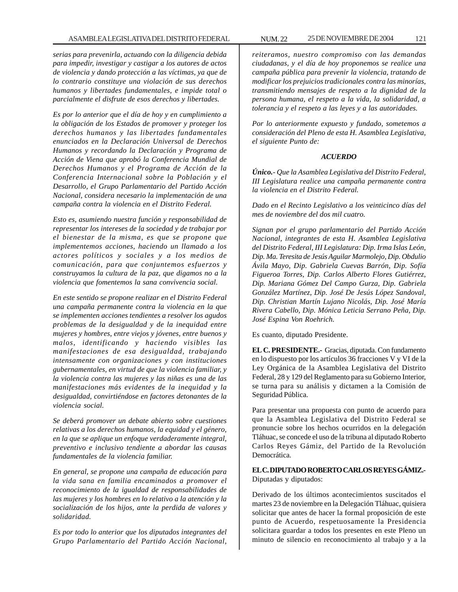*serias para prevenirla, actuando con la diligencia debida para impedir, investigar y castigar a los autores de actos de violencia y dando protección a las víctimas, ya que de lo contrario constituye una violación de sus derechos humanos y libertades fundamentales, e impide total o parcialmente el disfrute de esos derechos y libertades.*

*Es por lo anterior que el día de hoy y en cumplimiento a la obligación de los Estados de promover y proteger los derechos humanos y las libertades fundamentales enunciados en la Declaración Universal de Derechos Humanos y recordando la Declaración y Programa de Acción de Viena que aprobó la Conferencia Mundial de Derechos Humanos y el Programa de Acción de la Conferencia Internacional sobre la Población y el Desarrollo, el Grupo Parlamentario del Partido Acción Nacional, considera necesario la implementación de una campaña contra la violencia en el Distrito Federal.*

*Esto es, asumiendo nuestra función y responsabilidad de representar los intereses de la sociedad y de trabajar por el bienestar de la misma, es que se propone que implementemos acciones, haciendo un llamado a los actores políticos y sociales y a los medios de comunicación, para que conjuntemos esfuerzos y construyamos la cultura de la paz, que digamos no a la violencia que fomentemos la sana convivencia social.*

*En este sentido se propone realizar en el Distrito Federal una campaña permanente contra la violencia en la que se implementen acciones tendientes a resolver los agudos problemas de la desigualdad y de la inequidad entre mujeres y hombres, entre viejos y jóvenes, entre buenos y malos, identificando y haciendo visibles las manifestaciones de esa desigualdad, trabajando intensamente con organizaciones y con instituciones gubernamentales, en virtud de que la violencia familiar, y la violencia contra las mujeres y las niñas es una de las manifestaciones más evidentes de la inequidad y la desigualdad, convirtiéndose en factores detonantes de la violencia social.*

*Se deberá promover un debate abierto sobre cuestiones relativas a los derechos humanos, la equidad y el género, en la que se aplique un enfoque verdaderamente integral, preventivo e inclusivo tendiente a abordar las causas fundamentales de la violencia familiar.*

*En general, se propone una campaña de educación para la vida sana en familia encaminados a promover el reconocimiento de la igualdad de responsabilidades de las mujeres y los hombres en lo relativo a la atención y la socialización de los hijos, ante la perdida de valores y solidaridad.*

*Es por todo lo anterior que los diputados integrantes del Grupo Parlamentario del Partido Acción Nacional,*

*reiteramos, nuestro compromiso con las demandas ciudadanas, y el día de hoy proponemos se realice una campaña pública para prevenir la violencia, tratando de modificar los prejuicios tradicionales contra las minorías, transmitiendo mensajes de respeto a la dignidad de la persona humana, el respeto a la vida, la solidaridad, a tolerancia y el respeto a las leyes y a las autoridades.*

*Por lo anteriormente expuesto y fundado, sometemos a consideración del Pleno de esta H. Asamblea Legislativa, el siguiente Punto de:*

# *ACUERDO*

*Único.- Que la Asamblea Legislativa del Distrito Federal, III Legislatura realice una campaña permanente contra la violencia en el Distrito Federal.*

*Dado en el Recinto Legislativo a los veinticinco días del mes de noviembre del dos mil cuatro.*

*Signan por el grupo parlamentario del Partido Acción Nacional, integrantes de esta H. Asamblea Legislativa del Distrito Federal, III Legislatura: Dip. Irma Islas León, Dip. Ma. Teresita de Jesús Aguilar Marmolejo, Dip. Obdulio Ávila Mayo, Dip. Gabriela Cuevas Barrón, Dip. Sofía Figueroa Torres, Dip. Carlos Alberto Flores Gutiérrez, Dip. Mariana Gómez Del Campo Gurza, Dip. Gabriela González Martínez, Dip. José De Jesús López Sandoval, Dip. Christian Martín Lujano Nicolás, Dip. José María Rivera Cabello, Dip. Mónica Leticia Serrano Peña, Dip. José Espina Von Roehrich.*

Es cuanto, diputado Presidente.

**EL C. PRESIDENTE.-** Gracias, diputada. Con fundamento en lo dispuesto por los artículos 36 fracciones V y VI de la Ley Orgánica de la Asamblea Legislativa del Distrito Federal, 28 y 129 del Reglamento para su Gobierno Interior, se turna para su análisis y dictamen a la Comisión de Seguridad Pública.

Para presentar una propuesta con punto de acuerdo para que la Asamblea Legislativa del Distrito Federal se pronuncie sobre los hechos ocurridos en la delegación Tláhuac, se concede el uso de la tribuna al diputado Roberto Carlos Reyes Gámiz, del Partido de la Revolución Democrática.

**EL C. DIPUTADO ROBERTO CARLOS REYES GÁMIZ.-** Diputadas y diputados:

Derivado de los últimos acontecimientos suscitados el martes 23 de noviembre en la Delegación Tláhuac, quisiera solicitar que antes de hacer la formal proposición de este punto de Acuerdo, respetuosamente la Presidencia solicitara guardar a todos los presentes en este Pleno un minuto de silencio en reconocimiento al trabajo y a la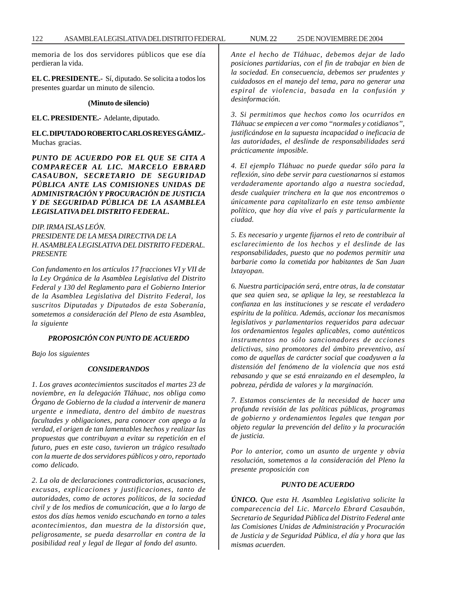memoria de los dos servidores públicos que ese día perdieran la vida.

**EL C. PRESIDENTE.-** Sí, diputado. Se solicita a todos los presentes guardar un minuto de silencio.

# **(Minuto de silencio)**

#### **EL C. PRESIDENTE.-** Adelante, diputado.

**EL C. DIPUTADO ROBERTO CARLOS REYES GÁMIZ.-** Muchas gracias.

*PUNTO DE ACUERDO POR EL QUE SE CITA A COMPARECER AL LIC. MARCELO EBRARD CASAUBON, SECRETARIO DE SEGURIDAD PÚBLICA ANTE LAS COMISIONES UNIDAS DE ADMINISTRACIÓN Y PROCURACIÓN DE JUSTICIA Y DE SEGURIDAD PÚBLICA DE LA ASAMBLEA LEGISLATIVA DEL DISTRITO FEDERAL***.**

*DIP. IRMA ISLAS LEÓN. PRESIDENTE DE LA MESA DIRECTIVA DE LA H. ASAMBLEA LEGISLATIVA DEL DISTRITO FEDERAL. PRESENTE*

*Con fundamento en los artículos 17 fracciones VI y VII de la Ley Orgánica de la Asamblea Legislativa del Distrito Federal y 130 del Reglamento para el Gobierno Interior de la Asamblea Legislativa del Distrito Federal, los suscritos Diputadas y Diputados de esta Soberanía, sometemos a consideración del Pleno de esta Asamblea, la siguiente*

# *PROPOSICIÓN CON PUNTO DE ACUERDO*

*Bajo los siguientes*

# *CONSIDERANDOS*

*1. Los graves acontecimientos suscitados el martes 23 de noviembre, en la delegación Tláhuac, nos obliga como Órgano de Gobierno de la ciudad a intervenir de manera urgente e inmediata, dentro del ámbito de nuestras facultades y obligaciones, para conocer con apego a la verdad, el origen de tan lamentables hechos y realizar las propuestas que contribuyan a evitar su repetición en el futuro, pues en este caso, tuvieron un trágico resultado con la muerte de dos servidores públicos y otro, reportado como delicado.*

*2. La ola de declaraciones contradictorias, acusaciones, excusas, explicaciones y justificaciones, tanto de autoridades, como de actores políticos, de la sociedad civil y de los medios de comunicación, que a lo largo de estos dos días hemos venido escuchando en torno a tales acontecimientos, dan muestra de la distorsión que, peligrosamente, se pueda desarrollar en contra de la posibilidad real y legal de llegar al fondo del asunto.*

*Ante el hecho de Tláhuac, debemos dejar de lado posiciones partidarias, con el fin de trabajar en bien de la sociedad. En consecuencia, debemos ser prudentes y cuidadosos en el manejo del tema, para no generar una espiral de violencia, basada en la confusión y desinformación.*

*3. Si permitimos que hechos como los ocurridos en Tláhuac se empiecen a ver como ''normales y cotidianos'', justificándose en la supuesta incapacidad o ineficacia de las autoridades, el deslinde de responsabilidades será prácticamente imposible.*

*4. El ejemplo Tláhuac no puede quedar sólo para la reflexión, sino debe servir para cuestionarnos si estamos verdaderamente aportando algo a nuestra sociedad, desde cualquier trinchera en la que nos encontremos o únicamente para capitalizarlo en este tenso ambiente político, que hoy día vive el país y particularmente la ciudad.*

*5. Es necesario y urgente fijarnos el reto de contribuir al esclarecimiento de los hechos y el deslinde de las responsabilidades, puesto que no podemos permitir una barbarie como la cometida por habitantes de San Juan lxtayopan.*

*6. Nuestra participación será, entre otras, la de constatar que sea quien sea, se aplique la ley, se reestablezca la confianza en las instituciones y se rescate el verdadero espíritu de la política. Además, accionar los mecanismos legislativos y parlamentarios requeridos para adecuar los ordenamientos legales aplicables, como auténticos instrumentos no sólo sancionadores de acciones delictivas, sino promotores del ámbito preventivo, así como de aquellas de carácter social que coadyuven a la distensión del fenómeno de la violencia que nos está rebasando y que se está enraizando en el desempleo, la pobreza, pérdida de valores y la marginación.*

*7. Estamos conscientes de la necesidad de hacer una profunda revisión de las políticas públicas, programas de gobierno y ordenamientos legales que tengan por objeto regular la prevención del delito y la procuración de justicia.*

*Por lo anterior, como un asunto de urgente y obvia resolución, sometemos a la consideración del Pleno la presente proposición con*

# *PUNTO DE ACUERDO*

*ÚNICO. Que esta H. Asamblea Legislativa solicite la comparecencia del Lic. Marcelo Ebrard Casaubón, Secretario de Seguridad Pública del Distrito Federal ante las Comisiones Unidas de Administración y Procuración de Justicia y de Seguridad Pública, el día y hora que las mismas acuerden.*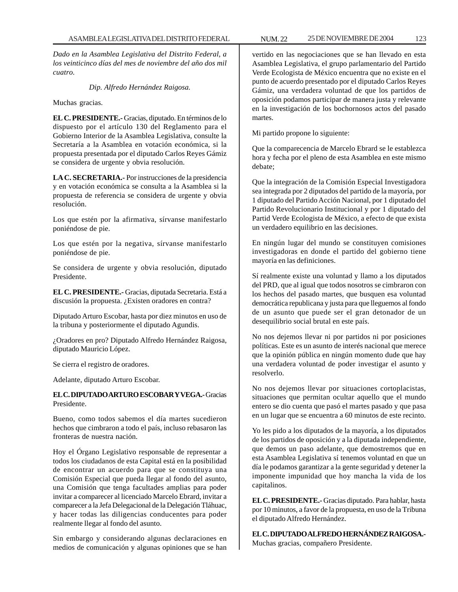*Dado en la Asamblea Legislativa del Distrito Federal, a los veinticinco días del mes de noviembre del año dos mil cuatro.*

*Dip. Alfredo Hernández Raigosa.*

Muchas gracias.

**EL C. PRESIDENTE.-** Gracias, diputado. En términos de lo dispuesto por el artículo 130 del Reglamento para el Gobierno Interior de la Asamblea Legislativa, consulte la Secretaría a la Asamblea en votación económica, si la propuesta presentada por el diputado Carlos Reyes Gámiz se considera de urgente y obvia resolución.

**LA C. SECRETARIA.-** Por instrucciones de la presidencia y en votación económica se consulta a la Asamblea si la propuesta de referencia se considera de urgente y obvia resolución.

Los que estén por la afirmativa, sírvanse manifestarlo poniéndose de pie.

Los que estén por la negativa, sírvanse manifestarlo poniéndose de pie.

Se considera de urgente y obvia resolución, diputado Presidente.

**EL C. PRESIDENTE.-** Gracias, diputada Secretaria. Está a discusión la propuesta. ¿Existen oradores en contra?

Diputado Arturo Escobar, hasta por diez minutos en uso de la tribuna y posteriormente el diputado Agundis.

¿Oradores en pro? Diputado Alfredo Hernández Raigosa, diputado Mauricio López.

Se cierra el registro de oradores.

Adelante, diputado Arturo Escobar.

# **EL C. DIPUTADO ARTURO ESCOBAR Y VEGA.-** Gracias Presidente.

Bueno, como todos sabemos el día martes sucedieron hechos que cimbraron a todo el país, incluso rebasaron las fronteras de nuestra nación.

Hoy el Órgano Legislativo responsable de representar a todos los ciudadanos de esta Capital está en la posibilidad de encontrar un acuerdo para que se constituya una Comisión Especial que pueda llegar al fondo del asunto, una Comisión que tenga facultades amplias para poder invitar a comparecer al licenciado Marcelo Ebrard, invitar a comparecer a la Jefa Delegacional de la Delegación Tláhuac, y hacer todas las diligencias conducentes para poder realmente llegar al fondo del asunto.

Sin embargo y considerando algunas declaraciones en medios de comunicación y algunas opiniones que se han vertido en las negociaciones que se han llevado en esta Asamblea Legislativa, el grupo parlamentario del Partido Verde Ecologista de México encuentra que no existe en el punto de acuerdo presentado por el diputado Carlos Reyes Gámiz, una verdadera voluntad de que los partidos de oposición podamos participar de manera justa y relevante en la investigación de los bochornosos actos del pasado martes.

Mi partido propone lo siguiente:

Que la comparecencia de Marcelo Ebrard se le establezca hora y fecha por el pleno de esta Asamblea en este mismo debate;

Que la integración de la Comisión Especial Investigadora sea integrada por 2 diputados del partido de la mayoría, por 1 diputado del Partido Acción Nacional, por 1 diputado del Partido Revolucionario Institucional y por 1 diputado del Partid Verde Ecologista de México, a efecto de que exista un verdadero equilibrio en las decisiones.

En ningún lugar del mundo se constituyen comisiones investigadoras en donde el partido del gobierno tiene mayoría en las definiciones.

Sí realmente existe una voluntad y llamo a los diputados del PRD, que al igual que todos nosotros se cimbraron con los hechos del pasado martes, que busquen esa voluntad democrática republicana y justa para que lleguemos al fondo de un asunto que puede ser el gran detonador de un desequilibrio social brutal en este país.

No nos dejemos llevar ni por partidos ni por posiciones políticas. Este es un asunto de interés nacional que merece que la opinión pública en ningún momento dude que hay una verdadera voluntad de poder investigar el asunto y resolverlo.

No nos dejemos llevar por situaciones cortoplacistas, situaciones que permitan ocultar aquello que el mundo entero se dio cuenta que pasó el martes pasado y que pasa en un lugar que se encuentra a 60 minutos de este recinto.

Yo les pido a los diputados de la mayoría, a los diputados de los partidos de oposición y a la diputada independiente, que demos un paso adelante, que demostremos que en esta Asamblea Legislativa sí tenemos voluntad en que un día le podamos garantizar a la gente seguridad y detener la imponente impunidad que hoy mancha la vida de los capitalinos.

**EL C. PRESIDENTE.-** Gracias diputado. Para hablar, hasta por 10 minutos, a favor de la propuesta, en uso de la Tribuna el diputado Alfredo Hernández.

**EL C. DIPUTADO ALFREDO HERNÁNDEZ RAIGOSA.-** Muchas gracias, compañero Presidente.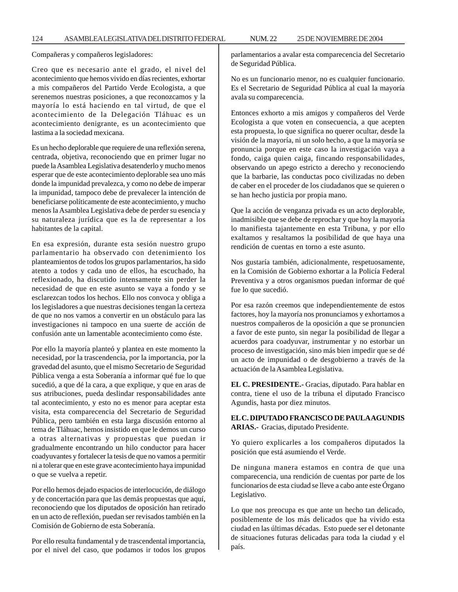Compañeras y compañeros legisladores:

Creo que es necesario ante el grado, el nivel del acontecimiento que hemos vivido en días recientes, exhortar a mis compañeros del Partido Verde Ecologista, a que serenemos nuestras posiciones, a que reconozcamos y la mayoría lo está haciendo en tal virtud, de que el acontecimiento de la Delegación Tláhuac es un acontecimiento denigrante, es un acontecimiento que lastima a la sociedad mexicana.

Es un hecho deplorable que requiere de una reflexión serena, centrada, objetiva, reconociendo que en primer lugar no puede la Asamblea Legislativa desatenderlo y mucho menos esperar que de este acontecimiento deplorable sea uno más donde la impunidad prevalezca, y como no debe de imperar la impunidad, tampoco debe de prevalecer la intención de beneficiarse políticamente de este acontecimiento, y mucho menos la Asamblea Legislativa debe de perder su esencia y su naturaleza jurídica que es la de representar a los habitantes de la capital.

En esa expresión, durante esta sesión nuestro grupo parlamentario ha observado con detenimiento los planteamientos de todos los grupos parlamentarios, ha sido atento a todos y cada uno de ellos, ha escuchado, ha reflexionado, ha discutido intensamente sin perder la necesidad de que en este asunto se vaya a fondo y se esclarezcan todos los hechos. Ello nos convoca y obliga a los legisladores a que nuestras decisiones tengan la certeza de que no nos vamos a convertir en un obstáculo para las investigaciones ni tampoco en una suerte de acción de confusión ante un lamentable acontecimiento como éste.

Por ello la mayoría planteó y plantea en este momento la necesidad, por la trascendencia, por la importancia, por la gravedad del asunto, que el mismo Secretario de Seguridad Pública venga a esta Soberanía a informar qué fue lo que sucedió, a que dé la cara, a que explique, y que en aras de sus atribuciones, pueda deslindar responsabilidades ante tal acontecimiento, y esto no es menor para aceptar esta visita, esta comparecencia del Secretario de Seguridad Pública, pero también en esta larga discusión entorno al tema de Tláhuac, hemos insistido en que le demos un curso a otras alternativas y propuestas que puedan ir gradualmente encontrando un hilo conductor para hacer coadyuvantes y fortalecer la tesis de que no vamos a permitir ni a tolerar que en este grave acontecimiento haya impunidad o que se vuelva a repetir.

Por ello hemos dejado espacios de interlocución, de diálogo y de concertación para que las demás propuestas que aquí, reconociendo que los diputados de oposición han retirado en un acto de reflexión, puedan ser revisados también en la Comisión de Gobierno de esta Soberanía.

Por ello resulta fundamental y de trascendental importancia, por el nivel del caso, que podamos ir todos los grupos parlamentarios a avalar esta comparecencia del Secretario de Seguridad Pública.

No es un funcionario menor, no es cualquier funcionario. Es el Secretario de Seguridad Pública al cual la mayoría avala su comparecencia.

Entonces exhorto a mis amigos y compañeros del Verde Ecologista a que voten en consecuencia, a que acepten esta propuesta, lo que significa no querer ocultar, desde la visión de la mayoría, ni un solo hecho, a que la mayoría se pronuncia porque en este caso la investigación vaya a fondo, caiga quien caiga, fincando responsabilidades, observando un apego estricto a derecho y reconociendo que la barbarie, las conductas poco civilizadas no deben de caber en el proceder de los ciudadanos que se quieren o se han hecho justicia por propia mano.

Que la acción de venganza privada es un acto deplorable, inadmisible que se debe de reprochar y que hoy la mayoría lo manifiesta tajantemente en esta Tribuna, y por ello exaltamos y resaltamos la posibilidad de que haya una rendición de cuentas en torno a este asunto.

Nos gustaría también, adicionalmente, respetuosamente, en la Comisión de Gobierno exhortar a la Policía Federal Preventiva y a otros organismos puedan informar de qué fue lo que sucedió.

Por esa razón creemos que independientemente de estos factores, hoy la mayoría nos pronunciamos y exhortamos a nuestros compañeros de la oposición a que se pronuncien a favor de este punto, sin negar la posibilidad de llegar a acuerdos para coadyuvar, instrumentar y no estorbar un proceso de investigación, sino más bien impedir que se dé un acto de impunidad o de desgobierno a través de la actuación de la Asamblea Legislativa.

**EL C. PRESIDENTE.-** Gracias, diputado. Para hablar en contra, tiene el uso de la tribuna el diputado Francisco Agundis, hasta por diez minutos.

**EL C. DIPUTADO FRANCISCO DE PAULA AGUNDIS ARIAS.-** Gracias, diputado Presidente.

Yo quiero explicarles a los compañeros diputados la posición que está asumiendo el Verde.

De ninguna manera estamos en contra de que una comparecencia, una rendición de cuentas por parte de los funcionarios de esta ciudad se lleve a cabo ante este Órgano Legislativo.

Lo que nos preocupa es que ante un hecho tan delicado, posiblemente de los más delicados que ha vivido esta ciudad en las últimas décadas. Esto puede ser el detonante de situaciones futuras delicadas para toda la ciudad y el país.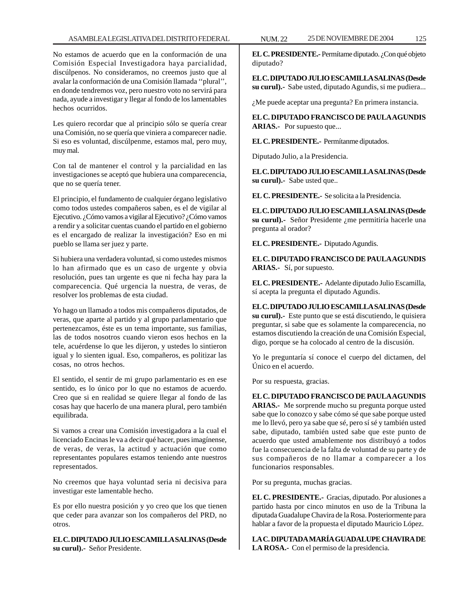No estamos de acuerdo que en la conformación de una Comisión Especial Investigadora haya parcialidad, discúlpenos. No consideramos, no creemos justo que al avalar la conformación de una Comisión llamada ''plural'', en donde tendremos voz, pero nuestro voto no servirá para nada, ayude a investigar y llegar al fondo de los lamentables hechos ocurridos.

Les quiero recordar que al principio sólo se quería crear una Comisión, no se quería que viniera a comparecer nadie. Si eso es voluntad, discúlpenme, estamos mal, pero muy, muy mal.

Con tal de mantener el control y la parcialidad en las investigaciones se aceptó que hubiera una comparecencia, que no se quería tener.

El principio, el fundamento de cualquier órgano legislativo como todos ustedes compañeros saben, es el de vigilar al Ejecutivo. ¿Cómo vamos a vigilar al Ejecutivo? ¿Cómo vamos a rendir y a solicitar cuentas cuando el partido en el gobierno es el encargado de realizar la investigación? Eso en mi pueblo se llama ser juez y parte.

Si hubiera una verdadera voluntad, si como ustedes mismos lo han afirmado que es un caso de urgente y obvia resolución, pues tan urgente es que ni fecha hay para la comparecencia. Qué urgencia la nuestra, de veras, de resolver los problemas de esta ciudad.

Yo hago un llamado a todos mis compañeros diputados, de veras, que aparte al partido y al grupo parlamentario que pertenezcamos, éste es un tema importante, sus familias, las de todos nosotros cuando vieron esos hechos en la tele, acuérdense lo que les dijeron, y ustedes lo sintieron igual y lo sienten igual. Eso, compañeros, es politizar las cosas, no otros hechos.

El sentido, el sentir de mi grupo parlamentario es en ese sentido, es lo único por lo que no estamos de acuerdo. Creo que si en realidad se quiere llegar al fondo de las cosas hay que hacerlo de una manera plural, pero también equilibrada.

Si vamos a crear una Comisión investigadora a la cual el licenciado Encinas le va a decir qué hacer, pues imagínense, de veras, de veras, la actitud y actuación que como representantes populares estamos teniendo ante nuestros representados.

No creemos que haya voluntad seria ni decisiva para investigar este lamentable hecho.

Es por ello nuestra posición y yo creo que los que tienen que ceder para avanzar son los compañeros del PRD, no otros.

**EL C. DIPUTADO JULIO ESCAMILLA SALINAS (Desde su curul).-** Señor Presidente.

**EL C. PRESIDENTE.-** Permítame diputado. ¿Con qué objeto diputado?

**EL C. DIPUTADO JULIO ESCAMILLA SALINAS (Desde su curul).-** Sabe usted, diputado Agundis, si me pudiera...

¿Me puede aceptar una pregunta? En primera instancia.

**EL C. DIPUTADO FRANCISCO DE PAULA AGUNDIS ARIAS.-** Por supuesto que...

**EL C. PRESIDENTE.-** Permítanme diputados.

Diputado Julio, a la Presidencia.

**EL C. DIPUTADO JULIO ESCAMILLA SALINAS (Desde su curul).-** Sabe usted que..

**EL C. PRESIDENTE.-** Se solicita a la Presidencia.

**EL C. DIPUTADO JULIO ESCAMILLA SALINAS (Desde su curul).-** Señor Presidente ¿me permitiría hacerle una pregunta al orador?

**EL C. PRESIDENTE.-** Diputado Agundis.

**EL C. DIPUTADO FRANCISCO DE PAULA AGUNDIS ARIAS.-** Sí, por supuesto.

**EL C. PRESIDENTE.-** Adelante diputado Julio Escamilla, sí acepta la pregunta el diputado Agundis.

**EL C. DIPUTADO JULIO ESCAMILLA SALINAS (Desde su curul).-** Este punto que se está discutiendo, le quisiera preguntar, si sabe que es solamente la comparecencia, no estamos discutiendo la creación de una Comisión Especial, digo, porque se ha colocado al centro de la discusión.

Yo le preguntaría sí conoce el cuerpo del dictamen, del Único en el acuerdo.

Por su respuesta, gracias.

**EL C. DIPUTADO FRANCISCO DE PAULA AGUNDIS**

**ARIAS.-** Me sorprende mucho su pregunta porque usted sabe que lo conozco y sabe cómo sé que sabe porque usted me lo llevó, pero ya sabe que sé, pero sí sé y también usted sabe, diputado, también usted sabe que este punto de acuerdo que usted amablemente nos distribuyó a todos fue la consecuencia de la falta de voluntad de su parte y de sus compañeros de no llamar a comparecer a los funcionarios responsables.

Por su pregunta, muchas gracias.

**EL C. PRESIDENTE.-** Gracias, diputado. Por alusiones a partido hasta por cinco minutos en uso de la Tribuna la diputada Guadalupe Chavira de la Rosa. Posteriormente para hablar a favor de la propuesta el diputado Mauricio López.

**LA C. DIPUTADA MARÍA GUADALUPE CHAVIRA DE LA ROSA.-** Con el permiso de la presidencia.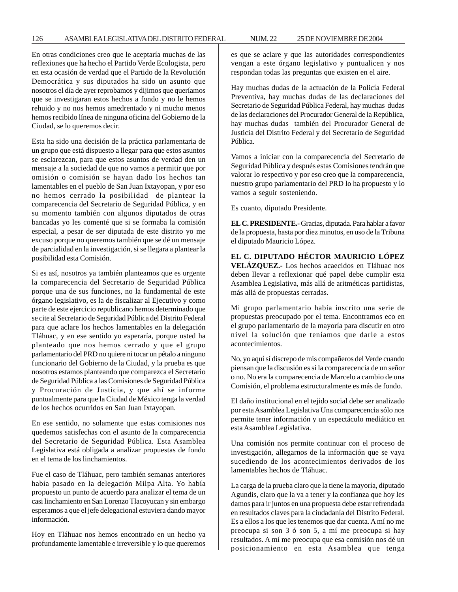En otras condiciones creo que le aceptaría muchas de las reflexiones que ha hecho el Partido Verde Ecologista, pero en esta ocasión de verdad que el Partido de la Revolución Democrática y sus diputados ha sido un asunto que nosotros el día de ayer reprobamos y dijimos que queríamos que se investigaran estos hechos a fondo y no le hemos rehuido y no nos hemos amedrentado y ni mucho menos hemos recibido línea de ninguna oficina del Gobierno de la Ciudad, se lo queremos decir.

Esta ha sido una decisión de la práctica parlamentaria de un grupo que está dispuesto a llegar para que estos asuntos se esclarezcan, para que estos asuntos de verdad den un mensaje a la sociedad de que no vamos a permitir que por omisión o comisión se hayan dado los hechos tan lamentables en el pueblo de San Juan Ixtayopan, y por eso no hemos cerrado la posibilidad de plantear la comparecencia del Secretario de Seguridad Pública, y en su momento también con algunos diputados de otras bancadas yo les comenté que si se formaba la comisión especial, a pesar de ser diputada de este distrito yo me excuso porque no queremos también que se dé un mensaje de parcialidad en la investigación, si se llegara a plantear la posibilidad esta Comisión.

Si es así, nosotros ya también planteamos que es urgente la comparecencia del Secretario de Seguridad Pública porque una de sus funciones, no la fundamental de este órgano legislativo, es la de fiscalizar al Ejecutivo y como parte de este ejercicio republicano hemos determinado que se cite al Secretario de Seguridad Pública del Distrito Federal para que aclare los hechos lamentables en la delegación Tláhuac, y en ese sentido yo esperaría, porque usted ha planteado que nos hemos cerrado y que el grupo parlamentario del PRD no quiere ni tocar un pétalo a ninguno funcionario del Gobierno de la Ciudad, y la prueba es que nosotros estamos planteando que comparezca el Secretario de Seguridad Pública a las Comisiones de Seguridad Pública y Procuración de Justicia, y que ahí se informe puntualmente para que la Ciudad de México tenga la verdad de los hechos ocurridos en San Juan Ixtayopan.

En ese sentido, no solamente que estas comisiones nos quedemos satisfechas con el asunto de la comparecencia del Secretario de Seguridad Pública. Esta Asamblea Legislativa está obligada a analizar propuestas de fondo en el tema de los linchamientos.

Fue el caso de Tláhuac, pero también semanas anteriores había pasado en la delegación Milpa Alta. Yo había propuesto un punto de acuerdo para analizar el tema de un casi linchamiento en San Lorenzo Tlacoyucan y sin embargo esperamos a que el jefe delegacional estuviera dando mayor información.

Hoy en Tláhuac nos hemos encontrado en un hecho ya profundamente lamentable e irreversible y lo que queremos es que se aclare y que las autoridades correspondientes vengan a este órgano legislativo y puntualicen y nos respondan todas las preguntas que existen en el aire.

Hay muchas dudas de la actuación de la Policía Federal Preventiva, hay muchas dudas de las declaraciones del Secretario de Seguridad Pública Federal, hay muchas dudas de las declaraciones del Procurador General de la República, hay muchas dudas también del Procurador General de Justicia del Distrito Federal y del Secretario de Seguridad Pública.

Vamos a iniciar con la comparecencia del Secretario de Seguridad Pública y después estas Comisiones tendrán que valorar lo respectivo y por eso creo que la comparecencia, nuestro grupo parlamentario del PRD lo ha propuesto y lo vamos a seguir sosteniendo.

Es cuanto, diputado Presidente.

**EL C. PRESIDENTE.-** Gracias, diputada. Para hablar a favor de la propuesta, hasta por diez minutos, en uso de la Tribuna el diputado Mauricio López.

**EL C. DIPUTADO HÉCTOR MAURICIO LÓPEZ VELÁZQUEZ.-** Los hechos acaecidos en Tláhuac nos deben llevar a reflexionar qué papel debe cumplir esta Asamblea Legislativa, más allá de aritméticas partidistas, más allá de propuestas cerradas.

Mi grupo parlamentario había inscrito una serie de propuestas preocupado por el tema. Encontramos eco en el grupo parlamentario de la mayoría para discutir en otro nivel la solución que teníamos que darle a estos acontecimientos.

No, yo aquí sí discrepo de mis compañeros del Verde cuando piensan que la discusión es si la comparecencia de un señor o no. No era la comparecencia de Marcelo a cambio de una Comisión, el problema estructuralmente es más de fondo.

El daño institucional en el tejido social debe ser analizado por esta Asamblea Legislativa Una comparecencia sólo nos permite tener información y un espectáculo mediático en esta Asamblea Legislativa.

Una comisión nos permite continuar con el proceso de investigación, allegarnos de la información que se vaya sucediendo de los acontecimientos derivados de los lamentables hechos de Tláhuac.

La carga de la prueba claro que la tiene la mayoría, diputado Agundis, claro que la va a tener y la confianza que hoy les damos para ir juntos en una propuesta debe estar refrendada en resultados claves para la ciudadanía del Distrito Federal. Es a ellos a los que les tenemos que dar cuenta. A mí no me preocupa si son 3 ó son 5, a mí me preocupa si hay resultados. A mí me preocupa que esa comisión nos dé un posicionamiento en esta Asamblea que tenga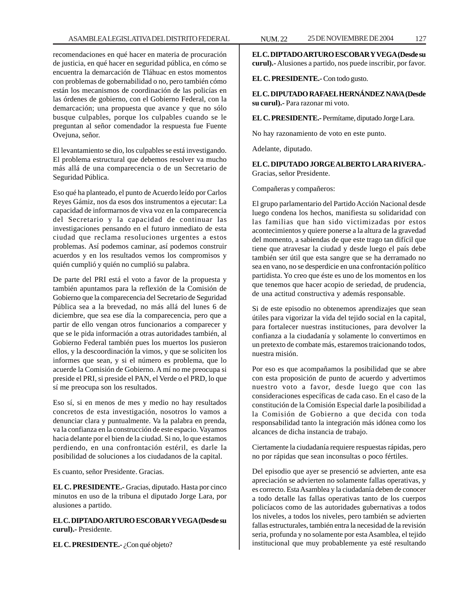recomendaciones en qué hacer en materia de procuración de justicia, en qué hacer en seguridad pública, en cómo se encuentra la demarcación de Tláhuac en estos momentos con problemas de gobernabilidad o no, pero también cómo están los mecanismos de coordinación de las policías en las órdenes de gobierno, con el Gobierno Federal, con la demarcación; una propuesta que avance y que no sólo busque culpables, porque los culpables cuando se le preguntan al señor comendador la respuesta fue Fuente Ovejuna, señor.

El levantamiento se dio, los culpables se está investigando. El problema estructural que debemos resolver va mucho más allá de una comparecencia o de un Secretario de Seguridad Pública.

Eso qué ha planteado, el punto de Acuerdo leído por Carlos Reyes Gámiz, nos da esos dos instrumentos a ejecutar: La capacidad de informarnos de viva voz en la comparecencia del Secretario y la capacidad de continuar las investigaciones pensando en el futuro inmediato de esta ciudad que reclama resoluciones urgentes a estos problemas. Así podemos caminar, así podemos construir acuerdos y en los resultados vemos los compromisos y quién cumplió y quién no cumplió su palabra.

De parte del PRI está el voto a favor de la propuesta y también apuntamos para la reflexión de la Comisión de Gobierno que la comparecencia del Secretario de Seguridad Pública sea a la brevedad, no más allá del lunes 6 de diciembre, que sea ese día la comparecencia, pero que a partir de ello vengan otros funcionarios a comparecer y que se le pida información a otras autoridades también, al Gobierno Federal también pues los muertos los pusieron ellos, y la descoordinación la vimos, y que se soliciten los informes que sean, y si el número es problema, que lo acuerde la Comisión de Gobierno. A mí no me preocupa si preside el PRI, si preside el PAN, el Verde o el PRD, lo que sí me preocupa son los resultados.

Eso sí, si en menos de mes y medio no hay resultados concretos de esta investigación, nosotros lo vamos a denunciar clara y puntualmente. Va la palabra en prenda, va la confianza en la construcción de este espacio. Vayamos hacia delante por el bien de la ciudad. Si no, lo que estamos perdiendo, en una confrontación estéril, es darle la posibilidad de soluciones a los ciudadanos de la capital.

Es cuanto, señor Presidente. Gracias.

**EL C. PRESIDENTE.-** Gracias, diputado. Hasta por cinco minutos en uso de la tribuna el diputado Jorge Lara, por alusiones a partido.

**EL C. DIPTADO ARTURO ESCOBAR Y VEGA (Desde su curul).-** Presidente.

**EL C. PRESIDENTE.**- ¿Con qué objeto?

**EL C. DIPTADO ARTURO ESCOBAR Y VEGA (Desde su curul).-** Alusiones a partido, nos puede inscribir, por favor.

**EL C. PRESIDENTE.-** Con todo gusto.

**EL C. DIPUTADO RAFAEL HERNÁNDEZ NAVA (Desde su curul).-** Para razonar mi voto.

**EL C. PRESIDENTE.-** Permítame, diputado Jorge Lara.

No hay razonamiento de voto en este punto.

Adelante, diputado.

**EL C. DIPUTADO JORGE ALBERTO LARA RIVERA.-** Gracias, señor Presidente.

Compañeras y compañeros:

El grupo parlamentario del Partido Acción Nacional desde luego condena los hechos, manifiesta su solidaridad con las familias que han sido victimizadas por estos acontecimientos y quiere ponerse a la altura de la gravedad del momento, a sabiendas de que este trago tan difícil que tiene que atravesar la ciudad y desde luego el país debe también ser útil que esta sangre que se ha derramado no sea en vano, no se desperdicie en una confrontación político partidista. Yo creo que éste es uno de los momentos en los que tenemos que hacer acopio de seriedad, de prudencia, de una actitud constructiva y además responsable.

Si de este episodio no obtenemos aprendizajes que sean útiles para vigorizar la vida del tejido social en la capital, para fortalecer nuestras instituciones, para devolver la confianza a la ciudadanía y solamente lo convertimos en un pretexto de combate más, estaremos traicionando todos, nuestra misión.

Por eso es que acompañamos la posibilidad que se abre con esta proposición de punto de acuerdo y advertimos nuestro voto a favor, desde luego que con las consideraciones específicas de cada caso. En el caso de la constitución de la Comisión Especial darle la posibilidad a la Comisión de Gobierno a que decida con toda responsabilidad tanto la integración más idónea como los alcances de dicha instancia de trabajo.

Ciertamente la ciudadanía requiere respuestas rápidas, pero no por rápidas que sean inconsultas o poco fértiles.

Del episodio que ayer se presenció se advierten, ante esa apreciación se advierten no solamente fallas operativas, y es correcto. Esta Asamblea y la ciudadanía deben de conocer a todo detalle las fallas operativas tanto de los cuerpos policíacos como de las autoridades gubernativas a todos los niveles, a todos los niveles, pero también se advierten fallas estructurales, también entra la necesidad de la revisión seria, profunda y no solamente por esta Asamblea, el tejido institucional que muy probablemente ya esté resultando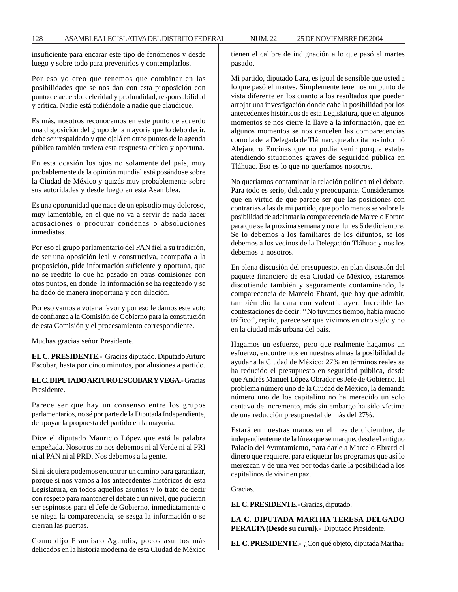128 ASAMBLEA LEGISLATIVA DEL DISTRITO FEDERAL NUM. 22 25 DE NOVIEMBRE DE 2004

insuficiente para encarar este tipo de fenómenos y desde luego y sobre todo para prevenirlos y contemplarlos.

Por eso yo creo que tenemos que combinar en las posibilidades que se nos dan con esta proposición con punto de acuerdo, celeridad y profundidad, responsabilidad y crítica. Nadie está pidiéndole a nadie que claudique.

Es más, nosotros reconocemos en este punto de acuerdo una disposición del grupo de la mayoría que lo debo decir, debe ser respaldado y que ojalá en otros puntos de la agenda pública también tuviera esta respuesta crítica y oportuna.

En esta ocasión los ojos no solamente del país, muy probablemente de la opinión mundial está posándose sobre la Ciudad de México y quizás muy probablemente sobre sus autoridades y desde luego en esta Asamblea.

Es una oportunidad que nace de un episodio muy doloroso, muy lamentable, en el que no va a servir de nada hacer acusaciones o procurar condenas o absoluciones inmediatas.

Por eso el grupo parlamentario del PAN fiel a su tradición, de ser una oposición leal y constructiva, acompaña a la proposición, pide información suficiente y oportuna, que no se reedite lo que ha pasado en otras comisiones con otos puntos, en donde la información se ha regateado y se ha dado de manera inoportuna y con dilación.

Por eso vamos a votar a favor y por eso le damos este voto de confianza a la Comisión de Gobierno para la constitución de esta Comisión y el procesamiento correspondiente.

Muchas gracias señor Presidente.

**EL C. PRESIDENTE.-** Gracias diputado. Diputado Arturo Escobar, hasta por cinco minutos, por alusiones a partido.

**EL C. DIPUTADO ARTURO ESCOBAR Y VEGA.-** Gracias Presidente.

Parece ser que hay un consenso entre los grupos parlamentarios, no sé por parte de la Diputada Independiente, de apoyar la propuesta del partido en la mayoría.

Dice el diputado Mauricio López que está la palabra empeñada. Nosotros no nos debemos ni al Verde ni al PRI ni al PAN ni al PRD. Nos debemos a la gente.

Si ni siquiera podemos encontrar un camino para garantizar, porque si nos vamos a los antecedentes históricos de esta Legislatura, en todos aquellos asuntos y lo trato de decir con respeto para mantener el debate a un nivel, que pudieran ser espinosos para el Jefe de Gobierno, inmediatamente o se niega la comparecencia, se sesga la información o se cierran las puertas.

Como dijo Francisco Agundis, pocos asuntos más delicados en la historia moderna de esta Ciudad de México tienen el calibre de indignación a lo que pasó el martes pasado.

Mi partido, diputado Lara, es igual de sensible que usted a lo que pasó el martes. Simplemente tenemos un punto de vista diferente en los cuanto a los resultados que pueden arrojar una investigación donde cabe la posibilidad por los antecedentes históricos de esta Legislatura, que en algunos momentos se nos cierre la llave a la información, que en algunos momentos se nos cancelen las comparecencias como la de la Delegada de Tláhuac, que ahorita nos informó Alejandro Encinas que no podía venir porque estaba atendiendo situaciones graves de seguridad pública en Tláhuac. Eso es lo que no queríamos nosotros.

No queríamos contaminar la relación política ni el debate. Para todo es serio, delicado y preocupante. Consideramos que en virtud de que parece ser que las posiciones con contrarias a las de mi partido, que por lo menos se valore la posibilidad de adelantar la comparecencia de Marcelo Ebrard para que se la próxima semana y no el lunes 6 de diciembre. Se lo debemos a los familiares de los difuntos, se los debemos a los vecinos de la Delegación Tláhuac y nos los debemos a nosotros.

En plena discusión del presupuesto, en plan discusión del paquete financiero de esa Ciudad de México, estaremos discutiendo también y seguramente contaminando, la comparecencia de Marcelo Ebrard, que hay que admitir, también dio la cara con valentía ayer. Increíble las contestaciones de decir: ''No tuvimos tiempo, había mucho tráfico'', repito, parece ser que vivimos en otro siglo y no en la ciudad más urbana del país.

Hagamos un esfuerzo, pero que realmente hagamos un esfuerzo, encontremos en nuestras almas la posibilidad de ayudar a la Ciudad de México; 27% en términos reales se ha reducido el presupuesto en seguridad pública, desde que Andrés Manuel López Obrador es Jefe de Gobierno. El problema número uno de la Ciudad de México, la demanda número uno de los capitalino no ha merecido un solo centavo de incremento, más sin embargo ha sido víctima de una reducción presupuestal de más del 27%.

Estará en nuestras manos en el mes de diciembre, de independientemente la línea que se marque, desde el antiguo Palacio del Ayuntamiento, para darle a Marcelo Ebrard el dinero que requiere, para etiquetar los programas que así lo merezcan y de una vez por todas darle la posibilidad a los capitalinos de vivir en paz.

Gracias.

**EL C. PRESIDENTE.-** Gracias, diputado.

**LA C. DIPUTADA MARTHA TERESA DELGADO PERALTA (Desde su curul).-** Diputado Presidente.

**EL C. PRESIDENTE.-** ¿Con qué objeto, diputada Martha?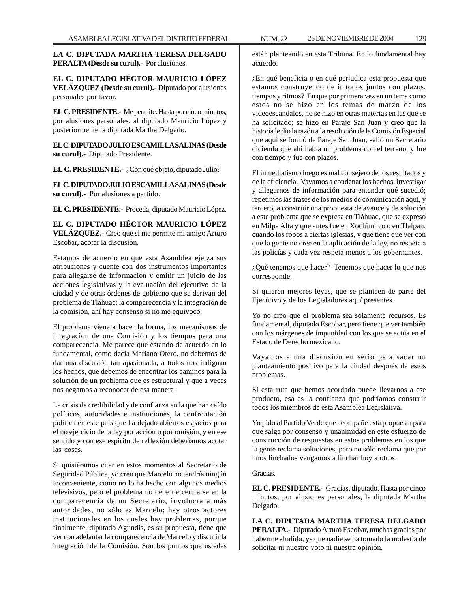**LA C. DIPUTADA MARTHA TERESA DELGADO PERALTA (Desde su curul).-** Por alusiones.

**EL C. DIPUTADO HÉCTOR MAURICIO LÓPEZ VELÁZQUEZ (Desde su curul).-** Diputado por alusiones personales por favor.

**EL C. PRESIDENTE.-** Me permite. Hasta por cinco minutos, por alusiones personales, al diputado Mauricio López y posteriormente la diputada Martha Delgado.

**EL C. DIPUTADO JULIO ESCAMILLA SALINAS (Desde su curul).-** Diputado Presidente.

**EL C. PRESIDENTE.-** ¿Con qué objeto, diputado Julio?

**EL C. DIPUTADO JULIO ESCAMILLA SALINAS (Desde su curul).-** Por alusiones a partido.

**EL C. PRESIDENTE.-** Proceda, diputado Mauricio López.

**EL C. DIPUTADO HÉCTOR MAURICIO LÓPEZ VELÁZQUEZ.-** Creo que si me permite mi amigo Arturo Escobar, acotar la discusión.

Estamos de acuerdo en que esta Asamblea ejerza sus atribuciones y cuente con dos instrumentos importantes para allegarse de información y emitir un juicio de las acciones legislativas y la evaluación del ejecutivo de la ciudad y de otras órdenes de gobierno que se derivan del problema de Tláhuac; la comparecencia y la integración de la comisión, ahí hay consenso si no me equivoco.

El problema viene a hacer la forma, los mecanismos de integración de una Comisión y los tiempos para una comparecencia. Me parece que estando de acuerdo en lo fundamental, como decía Mariano Otero, no debemos de dar una discusión tan apasionada, a todos nos indignan los hechos, que debemos de encontrar los caminos para la solución de un problema que es estructural y que a veces nos negamos a reconocer de esa manera.

La crisis de credibilidad y de confianza en la que han caído políticos, autoridades e instituciones, la confrontación política en este país que ha dejado abiertos espacios para el no ejercicio de la ley por acción o por omisión, y en ese sentido y con ese espíritu de reflexión deberíamos acotar las cosas.

Si quisiéramos citar en estos momentos al Secretario de Seguridad Pública, yo creo que Marcelo no tendría ningún inconveniente, como no lo ha hecho con algunos medios televisivos, pero el problema no debe de centrarse en la comparecencia de un Secretario, involucra a más autoridades, no sólo es Marcelo; hay otros actores institucionales en los cuales hay problemas, porque finalmente, diputado Agundis, es su propuesta, tiene que ver con adelantar la comparecencia de Marcelo y discutir la integración de la Comisión. Son los puntos que ustedes

están planteando en esta Tribuna. En lo fundamental hay acuerdo.

¿En qué beneficia o en qué perjudica esta propuesta que estamos construyendo de ir todos juntos con plazos, tiempos y ritmos? En que por primera vez en un tema como estos no se hizo en los temas de marzo de los videoescándalos, no se hizo en otras materias en las que se ha solicitado; se hizo en Paraje San Juan y creo que la historia le dio la razón a la resolución de la Comisión Especial que aquí se formó de Paraje San Juan, salió un Secretario diciendo que ahí había un problema con el terreno, y fue con tiempo y fue con plazos.

El inmediatismo luego es mal consejero de los resultados y de la eficiencia. Vayamos a condenar los hechos, investigar y allegarnos de información para entender qué sucedió; repetimos las frases de los medios de comunicación aquí, y tercero, a construir una propuesta de avance y de solución a este problema que se expresa en Tláhuac, que se expresó en Milpa Alta y que antes fue en Xochimilco o en Tlalpan, cuando los robos a ciertas iglesias, y que tiene que ver con que la gente no cree en la aplicación de la ley, no respeta a las policías y cada vez respeta menos a los gobernantes.

¿Qué tenemos que hacer? Tenemos que hacer lo que nos corresponde.

Si quieren mejores leyes, que se planteen de parte del Ejecutivo y de los Legisladores aquí presentes.

Yo no creo que el problema sea solamente recursos. Es fundamental, diputado Escobar, pero tiene que ver también con los márgenes de impunidad con los que se actúa en el Estado de Derecho mexicano.

Vayamos a una discusión en serio para sacar un planteamiento positivo para la ciudad después de estos problemas.

Si esta ruta que hemos acordado puede llevarnos a ese producto, esa es la confianza que podríamos construir todos los miembros de esta Asamblea Legislativa.

Yo pido al Partido Verde que acompañe esta propuesta para que salga por consenso y unanimidad en este esfuerzo de construcción de respuestas en estos problemas en los que la gente reclama soluciones, pero no sólo reclama que por unos linchados vengamos a linchar hoy a otros.

Gracias.

**EL C. PRESIDENTE.-** Gracias, diputado. Hasta por cinco minutos, por alusiones personales, la diputada Martha Delgado.

**LA C. DIPUTADA MARTHA TERESA DELGADO PERALTA.-** Diputado Arturo Escobar, muchas gracias por haberme aludido, ya que nadie se ha tomado la molestia de solicitar ni nuestro voto ni nuestra opinión.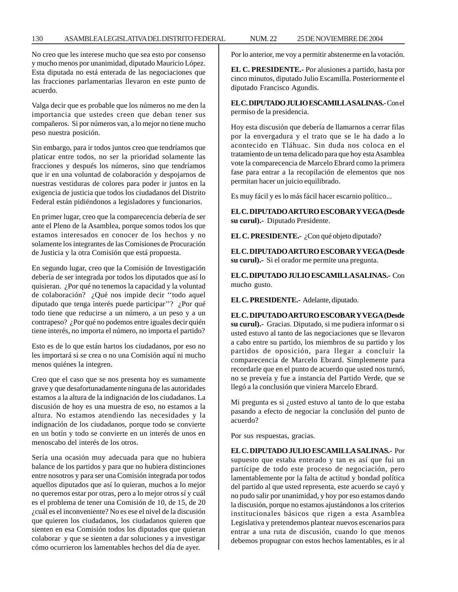No creo que les interese mucho que sea esto por consenso y mucho menos por unanimidad, diputado Mauricio López. Esta diputada no está enterada de las negociaciones que las fracciones parlamentarias llevaron en este punto de acuerdo.

Valga decir que es probable que los números no me den la importancia que ustedes creen que deban tener sus compañeros. Si por números van, a lo mejor no tiene mucho peso nuestra posición.

Sin embargo, para ir todos juntos creo que tendríamos que platicar entre todos, no ser la prioridad solamente las fracciones y después los números, sino que tendríamos que ir en una voluntad de colaboración y despojarnos de nuestras vestiduras de colores para poder ir juntos en la exigencia de justicia que todos los ciudadanos del Distrito Federal están pidiéndonos a legisladores y funcionarios.

En primer lugar, creo que la comparecencia debería de ser ante el Pleno de la Asamblea, porque somos todos los que estamos interesados en conocer de los hechos y no solamente los integrantes de las Comisiones de Procuración de Justicia y la otra Comisión que está propuesta.

En segundo lugar, creo que la Comisión de Investigación debería de ser integrada por todos los diputados que así lo quisieran. ¿Por qué no tenemos la capacidad y la voluntad de colaboración? ¿Qué nos impide decir ''todo aquel diputado que tenga interés puede participar''? ¿Por qué todo tiene que reducirse a un número, a un peso y a un contrapeso? ¿Por qué no podemos entre iguales decir quién tiene interés, no importa el número, no importa el partido?

Esto es de lo que están hartos los ciudadanos, por eso no les importará si se crea o no una Comisión aquí ni mucho menos quiénes la integren.

Creo que el caso que se nos presenta hoy es sumamente grave y que desafortunadamente ninguna de las autoridades estamos a la altura de la indignación de los ciudadanos. La discusión de hoy es una muestra de eso, no estamos a la altura. No estamos atendiendo las necesidades y la indignación de los ciudadanos, porque todo se convierte en un botín y todo se convierte en un interés de unos en menoscabo del interés de los otros.

Sería una ocasión muy adecuada para que no hubiera balance de los partidos y para que no hubiera distinciones entre nosotros y para ser una Comisión integrada por todos aquellos diputados que así lo quieran, muchos a lo mejor no queremos estar por otras, pero a lo mejor otros sí y cuál es el problema de tener una Comisión de 10, de 15, de 20 ¿cuál es el inconveniente? No es ese el nivel de la discusión que quieren los ciudadanos, los ciudadanos quieren que sienten en esa Comisión todos los diputados que quieran colaborar y que se sienten a dar soluciones y a investigar cómo ocurrieron los lamentables hechos del día de ayer.

Por lo anterior, me voy a permitir abstenerme en la votación.

**EL C. PRESIDENTE.-** Por alusiones a partido, hasta por cinco minutos, diputado Julio Escamilla. Posteriormente el diputado Francisco Agundis.

**EL C. DIPUTADO JULIO ESCAMILLA SALINAS.-** Con el permiso de la presidencia.

Hoy esta discusión que debería de llamarnos a cerrar filas por la envergadura y el trato que se le ha dado a lo acontecido en Tláhuac. Sin duda nos coloca en el tratamiento de un tema delicado para que hoy esta Asamblea vote la comparecencia de Marcelo Ebrard como la primera fase para entrar a la recopilación de elementos que nos permitan hacer un juicio equilibrado.

Es muy fácil y es lo más fácil hacer escarnio político...

**EL C. DIPUTADO ARTURO ESCOBAR Y VEGA (Desde su curul).-** Diputado Presidente.

**EL C. PRESIDENTE.-** ¿Con qué objeto diputado?

**EL C. DIPUTADO ARTURO ESCOBAR Y VEGA (Desde su curul).-** Si el orador me permite una pregunta.

**EL C. DIPUTADO JULIO ESCAMILLA SALINAS.-** Con mucho gusto.

**EL C. PRESIDENTE.-** Adelante, diputado.

**EL C. DIPUTADO ARTURO ESCOBAR Y VEGA (Desde su curul).-** Gracias. Diputado, si me pudiera informar o si usted estuvo al tanto de las negociaciones que se llevaron a cabo entre su partido, los miembros de su partido y los partidos de oposición, para llegar a concluir la comparecencia de Marcelo Ebrard. Simplemente para recordarle que en el punto de acuerdo que usted nos turnó, no se preveía y fue a instancia del Partido Verde, que se llegó a la conclusión que viniera Marcelo Ebrard.

Mi pregunta es si ¿usted estuvo al tanto de lo que estaba pasando a efecto de negociar la conclusión del punto de acuerdo?

Por sus respuestas, gracias.

**EL C. DIPUTADO JULIO ESCAMILLA SALINAS.-** Por supuesto que estaba enterado y tan es así que fui un partícipe de todo este proceso de negociación, pero lamentablemente por la falta de actitud y bondad política del partido al que usted representa, este acuerdo se cayó y no pudo salir por unanimidad, y hoy por eso estamos dando la discusión, porque no estamos ajustándonos a los criterios institucionales básicos que rigen a esta Asamblea Legislativa y pretendemos plantear nuevos escenarios para entrar a una ruta de discusión, cuando lo que menos debemos propugnar con estos hechos lamentables, es ir al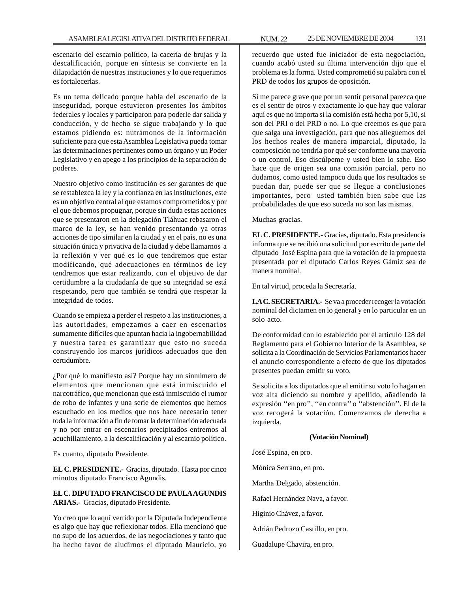escenario del escarnio político, la cacería de brujas y la descalificación, porque en síntesis se convierte en la dilapidación de nuestras instituciones y lo que requerimos es fortalecerlas.

Es un tema delicado porque habla del escenario de la inseguridad, porque estuvieron presentes los ámbitos federales y locales y participaron para poderle dar salida y conducción, y de hecho se sigue trabajando y lo que estamos pidiendo es: nutrámonos de la información suficiente para que esta Asamblea Legislativa pueda tomar las determinaciones pertinentes como un órgano y un Poder Legislativo y en apego a los principios de la separación de poderes.

Nuestro objetivo como institución es ser garantes de que se restablezca la ley y la confianza en las instituciones, este es un objetivo central al que estamos comprometidos y por el que debemos propugnar, porque sin duda estas acciones que se presentaron en la delegación Tláhuac rebasaron el marco de la ley, se han venido presentando ya otras acciones de tipo similar en la ciudad y en el país, no es una situación única y privativa de la ciudad y debe llamarnos a la reflexión y ver qué es lo que tendremos que estar modificando, qué adecuaciones en términos de ley tendremos que estar realizando, con el objetivo de dar certidumbre a la ciudadanía de que su integridad se está respetando, pero que también se tendrá que respetar la integridad de todos.

Cuando se empieza a perder el respeto a las instituciones, a las autoridades, empezamos a caer en escenarios sumamente difíciles que apuntan hacia la ingobernabilidad y nuestra tarea es garantizar que esto no suceda construyendo los marcos jurídicos adecuados que den certidumbre.

¿Por qué lo manifiesto así? Porque hay un sinnúmero de elementos que mencionan que está inmiscuido el narcotráfico, que mencionan que está inmiscuido el rumor de robo de infantes y una serie de elementos que hemos escuchado en los medios que nos hace necesario tener toda la información a fin de tomar la determinación adecuada y no por entrar en escenarios precipitados entremos al acuchillamiento, a la descalificación y al escarnio político.

Es cuanto, diputado Presidente.

**EL C. PRESIDENTE.-** Gracias, diputado. Hasta por cinco minutos diputado Francisco Agundis.

# **EL C. DIPUTADO FRANCISCO DE PAULA AGUNDIS ARIAS.-** Gracias, diputado Presidente.

Yo creo que lo aquí vertido por la Diputada Independiente es algo que hay que reflexionar todos. Ella mencionó que no supo de los acuerdos, de las negociaciones y tanto que ha hecho favor de aludirnos el diputado Mauricio, yo

recuerdo que usted fue iniciador de esta negociación, cuando acabó usted su última intervención dijo que el problema es la forma. Usted comprometió su palabra con el PRD de todos los grupos de oposición.

Sí me parece grave que por un sentir personal parezca que es el sentir de otros y exactamente lo que hay que valorar aquí es que no importa si la comisión está hecha por 5,10, si son del PRI o del PRD o no. Lo que creemos es que para que salga una investigación, para que nos alleguemos del los hechos reales de manera imparcial, diputado, la composición no tendría por qué ser conforme una mayoría o un control. Eso discúlpeme y usted bien lo sabe. Eso hace que de origen sea una comisión parcial, pero no dudamos, como usted tampoco duda que los resultados se puedan dar, puede ser que se llegue a conclusiones importantes, pero usted también bien sabe que las probabilidades de que eso suceda no son las mismas.

Muchas gracias.

**EL C. PRESIDENTE.-** Gracias, diputado. Esta presidencia informa que se recibió una solicitud por escrito de parte del diputado José Espina para que la votación de la propuesta presentada por el diputado Carlos Reyes Gámiz sea de manera nominal.

En tal virtud, proceda la Secretaría.

**LA C. SECRETARIA.-** Se va a proceder recoger la votación nominal del dictamen en lo general y en lo particular en un solo acto.

De conformidad con lo establecido por el artículo 128 del Reglamento para el Gobierno Interior de la Asamblea, se solicita a la Coordinación de Servicios Parlamentarios hacer el anuncio correspondiente a efecto de que los diputados presentes puedan emitir su voto.

Se solicita a los diputados que al emitir su voto lo hagan en voz alta diciendo su nombre y apellido, añadiendo la expresión ''en pro'', ''en contra'' o ''abstención''. El de la voz recogerá la votación. Comenzamos de derecha a izquierda.

# **(Votación Nominal)**

José Espina, en pro.

Mónica Serrano, en pro.

Martha Delgado, abstención.

Rafael Hernández Nava, a favor.

Higinio Chávez, a favor.

Adrián Pedrozo Castillo, en pro.

Guadalupe Chavira, en pro.